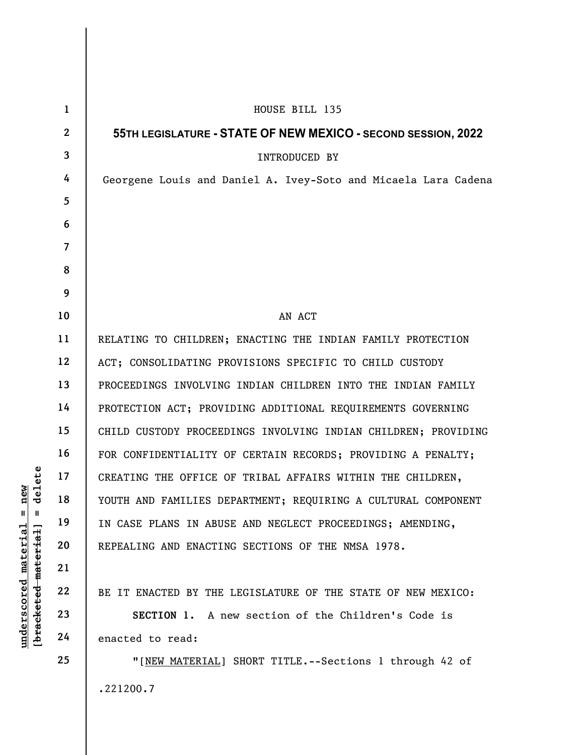UNDERTING THE OFFICE C<br>
WOUTH AND FAMILIES DE<br>
THE THE TOUTH AND FAMILIES DE<br>
THE TOUTH AND FAMILIES DE<br>
THE TOUTH AND ENACTING<br>
21<br>
22<br>
BE IT ENACTED BY THE<br>
23<br>
24<br>
PEREALING AND ENACTIN<br>
BE IT ENACTED BY THE<br>
SECTION 1. 1 2 3 4 5 6 7 8 9 10 11 12 13 14 15 16 17 18 19 20 21 22 23 24 25 HOUSE BILL 135 55TH LEGISLATURE - STATE OF NEW MEXICO - SECOND SESSION, 2022 INTRODUCED BY Georgene Louis and Daniel A. Ivey-Soto and Micaela Lara Cadena AN ACT RELATING TO CHILDREN; ENACTING THE INDIAN FAMILY PROTECTION ACT; CONSOLIDATING PROVISIONS SPECIFIC TO CHILD CUSTODY PROCEEDINGS INVOLVING INDIAN CHILDREN INTO THE INDIAN FAMILY PROTECTION ACT; PROVIDING ADDITIONAL REQUIREMENTS GOVERNING CHILD CUSTODY PROCEEDINGS INVOLVING INDIAN CHILDREN; PROVIDING FOR CONFIDENTIALITY OF CERTAIN RECORDS; PROVIDING A PENALTY; CREATING THE OFFICE OF TRIBAL AFFAIRS WITHIN THE CHILDREN, YOUTH AND FAMILIES DEPARTMENT; REQUIRING A CULTURAL COMPONENT IN CASE PLANS IN ABUSE AND NEGLECT PROCEEDINGS; AMENDING, REPEALING AND ENACTING SECTIONS OF THE NMSA 1978. BE IT ENACTED BY THE LEGISLATURE OF THE STATE OF NEW MEXICO: SECTION 1. A new section of the Children's Code is enacted to read: "[NEW MATERIAL] SHORT TITLE.--Sections 1 through 42 of .221200.7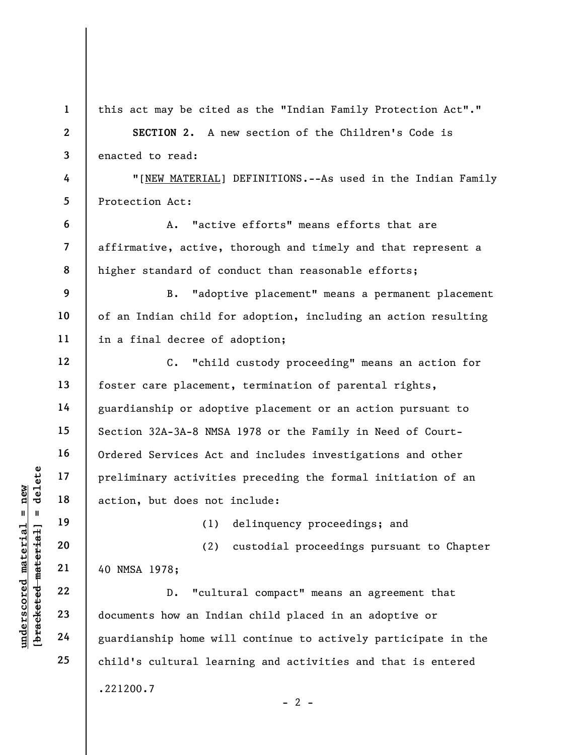|                                             | $\mathbf{1}$             | this act may be cited as the "Indian Family Protection Act"."    |
|---------------------------------------------|--------------------------|------------------------------------------------------------------|
|                                             | $\mathbf{2}$             | SECTION 2. A new section of the Children's Code is               |
|                                             | 3                        | enacted to read:                                                 |
|                                             | 4                        | "[NEW MATERIAL] DEFINITIONS.--As used in the Indian Family       |
|                                             | 5                        | Protection Act:                                                  |
|                                             | 6                        | "active efforts" means efforts that are<br>Α.                    |
|                                             | $\overline{\mathcal{L}}$ | affirmative, active, thorough and timely and that represent a    |
|                                             | 8                        | higher standard of conduct than reasonable efforts;              |
|                                             | 9                        | "adoptive placement" means a permanent placement<br>B.           |
|                                             | 10                       | of an Indian child for adoption, including an action resulting   |
|                                             | 11                       | in a final decree of adoption;                                   |
|                                             | 12                       | "child custody proceeding" means an action for<br>$\mathbf{C}$ . |
|                                             | 13                       | foster care placement, termination of parental rights,           |
|                                             | 14                       | guardianship or adoptive placement or an action pursuant to      |
|                                             | 15                       | Section 32A-3A-8 NMSA 1978 or the Family in Need of Court-       |
|                                             | 16                       | Ordered Services Act and includes investigations and other       |
| delete                                      | 17                       | preliminary activities preceding the formal initiation of an     |
| $n$ ew                                      | 18                       | action, but does not include:                                    |
| Ш<br>- II                                   | 19                       | (1)<br>delinquency proceedings; and                              |
| underscored material<br>[bracketed material | 20                       | custodial proceedings pursuant to Chapter<br>(2)                 |
|                                             | 21                       | 40 NMSA 1978;                                                    |
|                                             | 22                       | "cultural compact" means an agreement that<br>$D$ .              |
|                                             | 23                       | documents how an Indian child placed in an adoptive or           |
|                                             | 24                       | guardianship home will continue to actively participate in the   |
|                                             | 25                       | child's cultural learning and activities and that is entered     |
|                                             |                          | .221200.7                                                        |
|                                             |                          | - 2 -                                                            |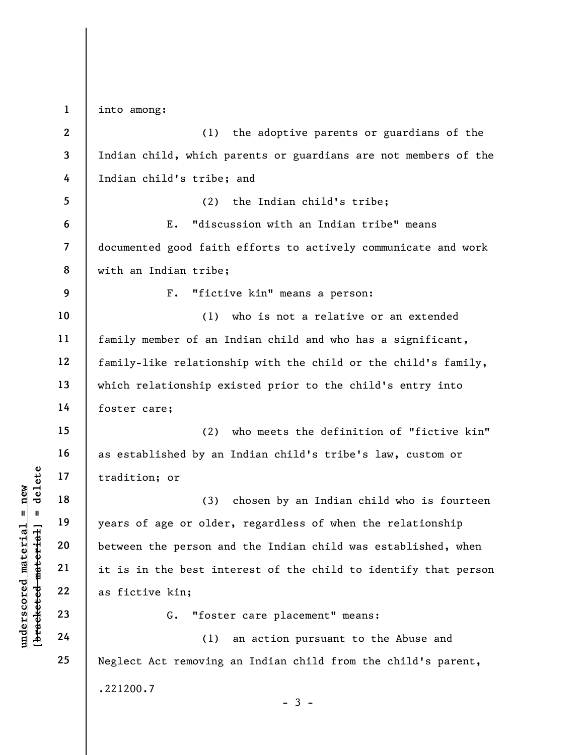under 17<br>
under 18<br>
under 19<br>
under 19<br>
under 19<br>
under 19<br>
under 19<br>
under 19<br>
20<br>
in the best int<br>
21<br>
it is in the best int<br>
22<br>
as fictive kin;<br>
23<br>
24<br>
(1)<br>
C. "foste 1 2 3 4 5 6 7 8 9 10 11 12 13 14 15 16 17 18 19 20 21 22 23 24 25 into among: (1) the adoptive parents or guardians of the Indian child, which parents or guardians are not members of the Indian child's tribe; and (2) the Indian child's tribe; E. "discussion with an Indian tribe" means documented good faith efforts to actively communicate and work with an Indian tribe; F. "fictive kin" means a person: (1) who is not a relative or an extended family member of an Indian child and who has a significant, family-like relationship with the child or the child's family, which relationship existed prior to the child's entry into foster care; (2) who meets the definition of "fictive kin" as established by an Indian child's tribe's law, custom or tradition; or (3) chosen by an Indian child who is fourteen years of age or older, regardless of when the relationship between the person and the Indian child was established, when it is in the best interest of the child to identify that person as fictive kin; G. "foster care placement" means: (1) an action pursuant to the Abuse and Neglect Act removing an Indian child from the child's parent, .221200.7 - 3 -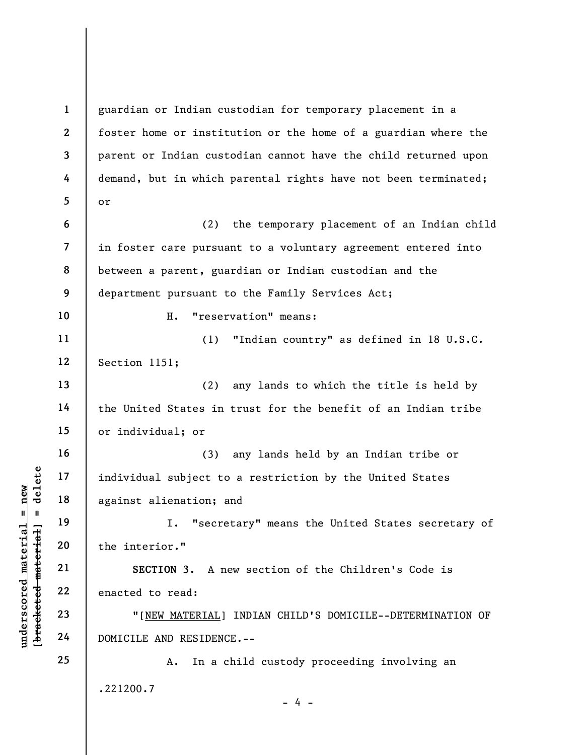underscored material = new [bracketed material] = delete 1 2 3 4 5 6 7 8 9 10 11 12 13 14 15 16 17 18 19 20 21 22 23 24 25 guardian or Indian custodian for temporary placement in a foster home or institution or the home of a guardian where the parent or Indian custodian cannot have the child returned upon demand, but in which parental rights have not been terminated; or (2) the temporary placement of an Indian child in foster care pursuant to a voluntary agreement entered into between a parent, guardian or Indian custodian and the department pursuant to the Family Services Act; H. "reservation" means: (1) "Indian country" as defined in 18 U.S.C. Section 1151; (2) any lands to which the title is held by the United States in trust for the benefit of an Indian tribe or individual; or (3) any lands held by an Indian tribe or individual subject to a restriction by the United States against alienation; and I. "secretary" means the United States secretary of the interior." SECTION 3. A new section of the Children's Code is enacted to read: "[NEW MATERIAL] INDIAN CHILD'S DOMICILE--DETERMINATION OF DOMICILE AND RESIDENCE.-- A. In a child custody proceeding involving an .221200.7  $- 4 -$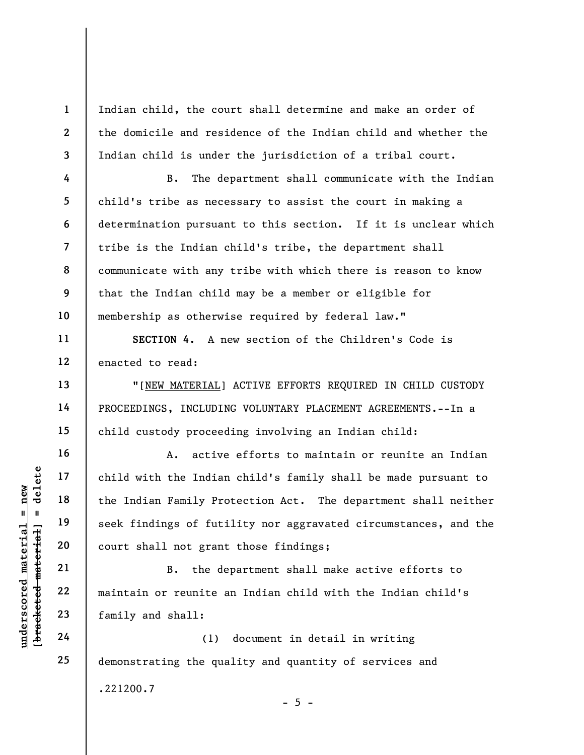Indian child, the court shall determine and make an order of the domicile and residence of the Indian child and whether the Indian child is under the jurisdiction of a tribal court.

B. The department shall communicate with the Indian child's tribe as necessary to assist the court in making a determination pursuant to this section. If it is unclear which tribe is the Indian child's tribe, the department shall communicate with any tribe with which there is reason to know that the Indian child may be a member or eligible for membership as otherwise required by federal law."

SECTION 4. A new section of the Children's Code is enacted to read:

"[NEW MATERIAL] ACTIVE EFFORTS REQUIRED IN CHILD CUSTODY PROCEEDINGS, INCLUDING VOLUNTARY PLACEMENT AGREEMENTS.--In a child custody proceeding involving an Indian child:

underscored material material end in the Indian Family Properties of futile and the Indian Family Properties and the Indian Family Properties and the Indian Family Properties and the United Seek findings of futile and the A. active efforts to maintain or reunite an Indian child with the Indian child's family shall be made pursuant to the Indian Family Protection Act. The department shall neither seek findings of futility nor aggravated circumstances, and the court shall not grant those findings;

B. the department shall make active efforts to maintain or reunite an Indian child with the Indian child's family and shall:

(1) document in detail in writing demonstrating the quality and quantity of services and .221200.7  $- 5 -$ 

1

2

3

4

5

6

7

8

9

10

11

12

13

14

15

16

17

18

19

20

21

22

23

24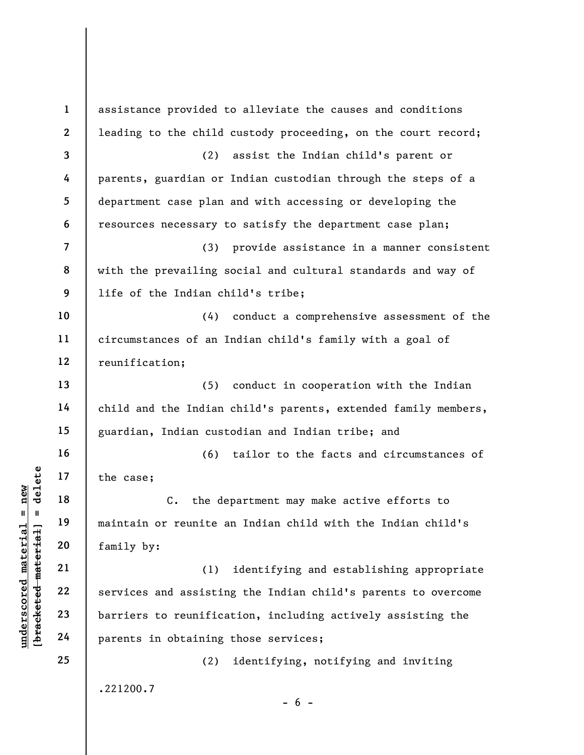underscored material = new [bracketed material] = delete 1 2 3 4 5 6 7 8 9 10 11 12 13 14 15 16 17 18 19 20 21 22 23 24 25 assistance provided to alleviate the causes and conditions leading to the child custody proceeding, on the court record; (2) assist the Indian child's parent or parents, guardian or Indian custodian through the steps of a department case plan and with accessing or developing the resources necessary to satisfy the department case plan; (3) provide assistance in a manner consistent with the prevailing social and cultural standards and way of life of the Indian child's tribe; (4) conduct a comprehensive assessment of the circumstances of an Indian child's family with a goal of reunification; (5) conduct in cooperation with the Indian child and the Indian child's parents, extended family members, guardian, Indian custodian and Indian tribe; and (6) tailor to the facts and circumstances of the case; C. the department may make active efforts to maintain or reunite an Indian child with the Indian child's family by: (1) identifying and establishing appropriate services and assisting the Indian child's parents to overcome barriers to reunification, including actively assisting the parents in obtaining those services; (2) identifying, notifying and inviting .221200.7  $- 6 -$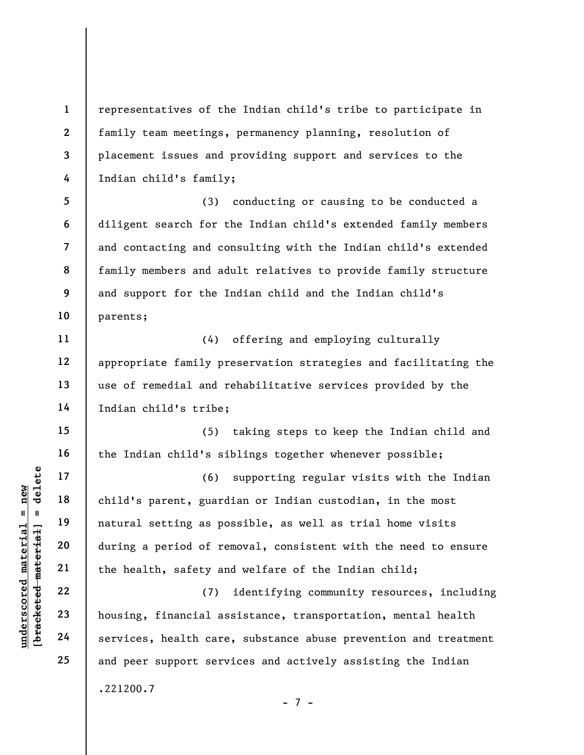representatives of the Indian child's tribe to participate in family team meetings, permanency planning, resolution of placement issues and providing support and services to the Indian child's family;

(3) conducting or causing to be conducted a diligent search for the Indian child's extended family members and contacting and consulting with the Indian child's extended family members and adult relatives to provide family structure and support for the Indian child and the Indian child's parents;

(4) offering and employing culturally appropriate family preservation strategies and facilitating the use of remedial and rehabilitative services provided by the Indian child's tribe;

(5) taking steps to keep the Indian child and the Indian child's siblings together whenever possible;

underscored material = new [bracketed material] = delete (6) supporting regular visits with the Indian child's parent, guardian or Indian custodian, in the most natural setting as possible, as well as trial home visits during a period of removal, consistent with the need to ensure the health, safety and welfare of the Indian child;

(7) identifying community resources, including housing, financial assistance, transportation, mental health services, health care, substance abuse prevention and treatment and peer support services and actively assisting the Indian .221200.7

1

2

3

4

5

6

7

8

9

10

11

12

13

14

15

16

17

18

19

20

21

22

23

24

25

- 7 -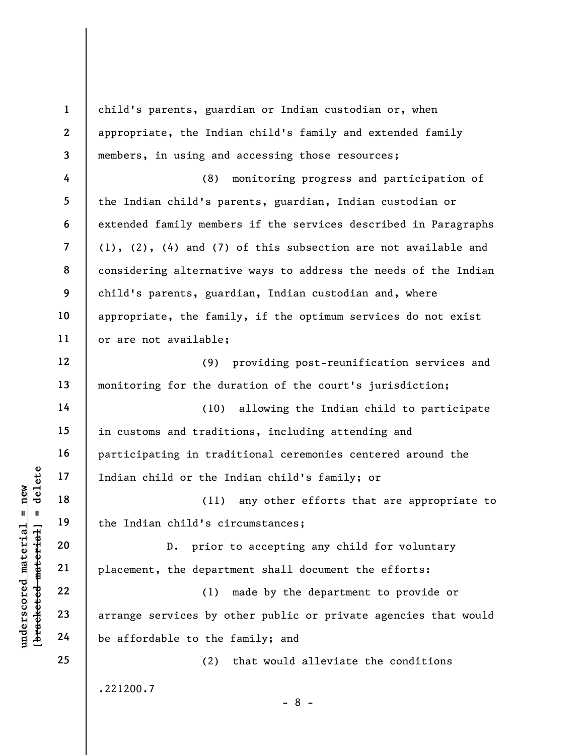underscored material material of the Indian child or the I<br>
and the Indian child's ci<br>
deleted material and the Indian child's ci<br>
20<br>
21<br>
22<br>
23<br>
24<br>
24<br>
24<br>
22<br>
24<br>
22<br>
24<br>
22<br>
24<br>
22<br>
24<br>
22<br>
24<br>
22<br>
24<br>
22<br>
24<br>
22<br>
24<br> 1 2 3 4 5 6 7 8 9 10 11 12 13 14 15 16 17 18 19 20 21 22 23 24 25 child's parents, guardian or Indian custodian or, when appropriate, the Indian child's family and extended family members, in using and accessing those resources; (8) monitoring progress and participation of the Indian child's parents, guardian, Indian custodian or extended family members if the services described in Paragraphs (1), (2), (4) and (7) of this subsection are not available and considering alternative ways to address the needs of the Indian child's parents, guardian, Indian custodian and, where appropriate, the family, if the optimum services do not exist or are not available; (9) providing post-reunification services and monitoring for the duration of the court's jurisdiction; (10) allowing the Indian child to participate in customs and traditions, including attending and participating in traditional ceremonies centered around the Indian child or the Indian child's family; or (11) any other efforts that are appropriate to the Indian child's circumstances; D. prior to accepting any child for voluntary placement, the department shall document the efforts: (1) made by the department to provide or arrange services by other public or private agencies that would be affordable to the family; and (2) that would alleviate the conditions .221200.7 - 8 -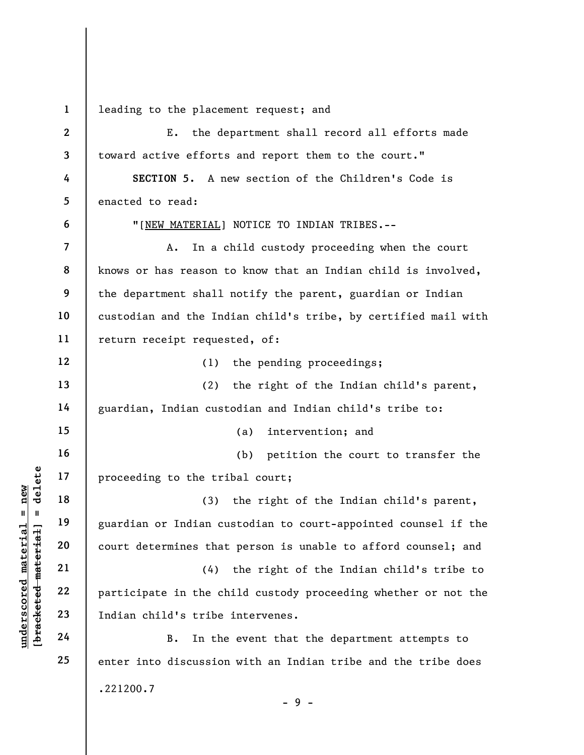1 leading to the placement request; and

understand material material and the tristing of the tristing of the tristing of the tristing of the tristing of the tristing and court determines that<br>deletermines that<br>all the court determines that<br>all the court determin 2 3 4 5 6 7 8 9 10 11 12 13 14 15 16 17 18 19 20 21 22 23 24 25 E. the department shall record all efforts made toward active efforts and report them to the court." SECTION 5. A new section of the Children's Code is enacted to read: "[NEW MATERIAL] NOTICE TO INDIAN TRIBES.-- A. In a child custody proceeding when the court knows or has reason to know that an Indian child is involved, the department shall notify the parent, guardian or Indian custodian and the Indian child's tribe, by certified mail with return receipt requested, of: (1) the pending proceedings; (2) the right of the Indian child's parent, guardian, Indian custodian and Indian child's tribe to: (a) intervention; and (b) petition the court to transfer the proceeding to the tribal court; (3) the right of the Indian child's parent, guardian or Indian custodian to court-appointed counsel if the court determines that person is unable to afford counsel; and (4) the right of the Indian child's tribe to participate in the child custody proceeding whether or not the Indian child's tribe intervenes. B. In the event that the department attempts to enter into discussion with an Indian tribe and the tribe does .221200.7

- 9 -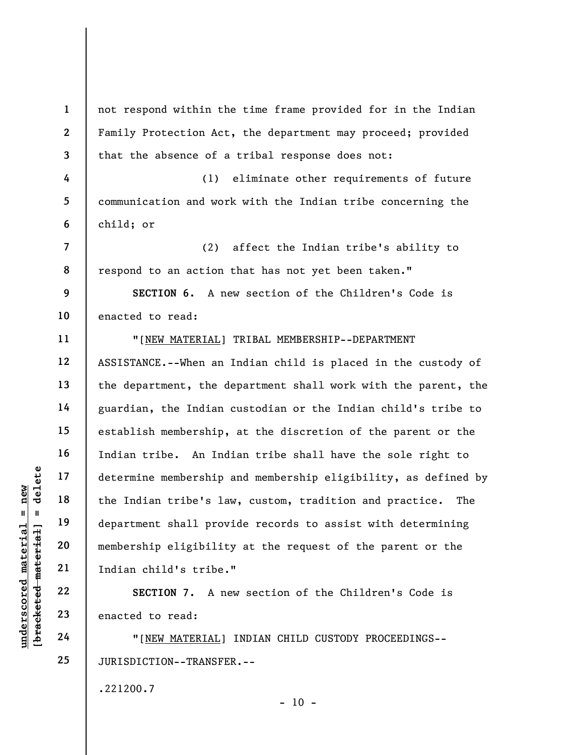underscored material = new [bracketed material] = delete 1 2 3 4 5 6 7 8 9 10 11 12 13 14 15 16 17 18 19 20 21 22 23 24 25 not respond within the time frame provided for in the Indian Family Protection Act, the department may proceed; provided that the absence of a tribal response does not: (1) eliminate other requirements of future communication and work with the Indian tribe concerning the child; or (2) affect the Indian tribe's ability to respond to an action that has not yet been taken." SECTION 6. A new section of the Children's Code is enacted to read: "[NEW MATERIAL] TRIBAL MEMBERSHIP--DEPARTMENT ASSISTANCE.--When an Indian child is placed in the custody of the department, the department shall work with the parent, the guardian, the Indian custodian or the Indian child's tribe to establish membership, at the discretion of the parent or the Indian tribe. An Indian tribe shall have the sole right to determine membership and membership eligibility, as defined by the Indian tribe's law, custom, tradition and practice. The department shall provide records to assist with determining membership eligibility at the request of the parent or the Indian child's tribe." SECTION 7. A new section of the Children's Code is enacted to read: "[NEW MATERIAL] INDIAN CHILD CUSTODY PROCEEDINGS-- JURISDICTION--TRANSFER.--

.221200.7

 $- 10 -$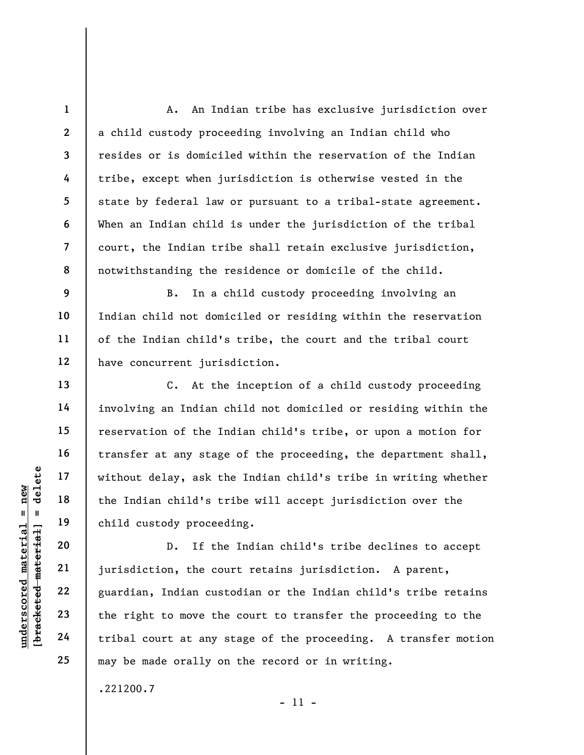A. An Indian tribe has exclusive jurisdiction over a child custody proceeding involving an Indian child who resides or is domiciled within the reservation of the Indian tribe, except when jurisdiction is otherwise vested in the state by federal law or pursuant to a tribal-state agreement. When an Indian child is under the jurisdiction of the tribal court, the Indian tribe shall retain exclusive jurisdiction, notwithstanding the residence or domicile of the child.

B. In a child custody proceeding involving an Indian child not domiciled or residing within the reservation of the Indian child's tribe, the court and the tribal court have concurrent jurisdiction.

C. At the inception of a child custody proceeding involving an Indian child not domiciled or residing within the reservation of the Indian child's tribe, or upon a motion for transfer at any stage of the proceeding, the department shall, without delay, ask the Indian child's tribe in writing whether the Indian child's tribe will accept jurisdiction over the child custody proceeding.

underscored material end in the Indian child's transported material of the Indian child's transported the Indian child's transported material and the Indian cust the right to move the tribal court at any s D. If the Indian child's tribe declines to accept jurisdiction, the court retains jurisdiction. A parent, guardian, Indian custodian or the Indian child's tribe retains the right to move the court to transfer the proceeding to the tribal court at any stage of the proceeding. A transfer motion may be made orally on the record or in writing.

- 11 -

.221200.7

1

2

3

4

5

6

7

8

9

10

11

12

13

14

15

16

17

18

19

20

21

22

23

24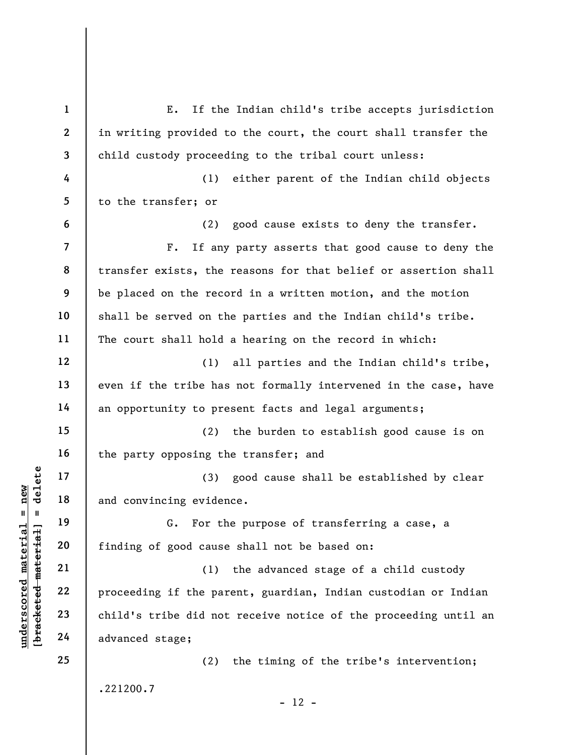UN EXECUTE 18<br>
UN EXECUTE 19<br>
UN EXECUTE 19<br>
UN EXECUTE 19<br>
UN EXECUTE 19<br>
TIMBING SURFACE 11<br>
21<br>
PURENCE 22<br>
23<br>
Child's tribe did not<br>
24<br>
Advanced stage; 1 2 3 4 5 6 7 8 9 10 11 12 13 14 15 16 17 18 19 20 21 22 23 24 25 E. If the Indian child's tribe accepts jurisdiction in writing provided to the court, the court shall transfer the child custody proceeding to the tribal court unless: (1) either parent of the Indian child objects to the transfer; or (2) good cause exists to deny the transfer. F. If any party asserts that good cause to deny the transfer exists, the reasons for that belief or assertion shall be placed on the record in a written motion, and the motion shall be served on the parties and the Indian child's tribe. The court shall hold a hearing on the record in which: (1) all parties and the Indian child's tribe, even if the tribe has not formally intervened in the case, have an opportunity to present facts and legal arguments; (2) the burden to establish good cause is on the party opposing the transfer; and (3) good cause shall be established by clear and convincing evidence. G. For the purpose of transferring a case, a finding of good cause shall not be based on: (1) the advanced stage of a child custody proceeding if the parent, guardian, Indian custodian or Indian child's tribe did not receive notice of the proceeding until an advanced stage; (2) the timing of the tribe's intervention; .221200.7  $- 12 -$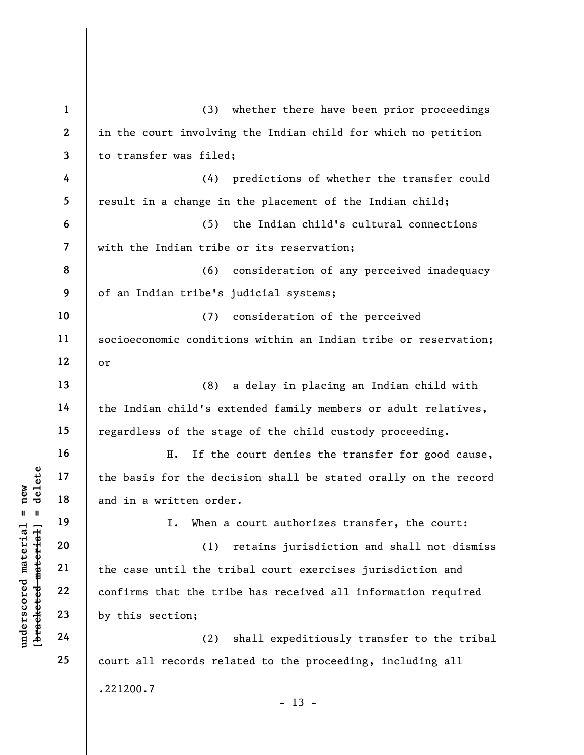|                                | $\mathbf{1}$            | (3)<br>whether there have been prior proceedings                |
|--------------------------------|-------------------------|-----------------------------------------------------------------|
|                                | $\mathbf{2}$            | in the court involving the Indian child for which no petition   |
|                                | 3                       | to transfer was filed;                                          |
|                                | 4                       | predictions of whether the transfer could<br>(4)                |
|                                | 5                       | result in a change in the placement of the Indian child;        |
|                                | 6                       | the Indian child's cultural connections<br>(5)                  |
|                                | $\overline{\mathbf{z}}$ | with the Indian tribe or its reservation;                       |
|                                | 8                       | (6)<br>consideration of any perceived inadequacy                |
|                                | 9                       | of an Indian tribe's judicial systems;                          |
|                                | 10                      | consideration of the perceived<br>(7)                           |
|                                | 11                      | socioeconomic conditions within an Indian tribe or reservation; |
|                                | 12                      | or                                                              |
|                                | 13                      | (8)<br>a delay in placing an Indian child with                  |
|                                | 14                      | the Indian child's extended family members or adult relatives,  |
|                                | 15                      | regardless of the stage of the child custody proceeding.        |
|                                | 16                      | Η.<br>If the court denies the transfer for good cause,          |
| delete                         | 17                      | the basis for the decision shall be stated orally on the record |
| new<br>Ш<br>- II               | 18                      | and in a written order.                                         |
|                                | 19                      | When a court authorizes transfer, the court:<br>I.              |
| materia<br>[bracketed material | 20                      | (1)<br>retains jurisdiction and shall not dismiss               |
|                                | 21                      | the case until the tribal court exercises jurisdiction and      |
| underscored                    | 22                      | confirms that the tribe has received all information required   |
|                                | 23                      | by this section;                                                |
|                                | 24                      | shall expeditiously transfer to the tribal<br>(2)               |
|                                | 25                      | court all records related to the proceeding, including all      |
|                                |                         | .221200.7<br>າາ                                                 |

- 13 -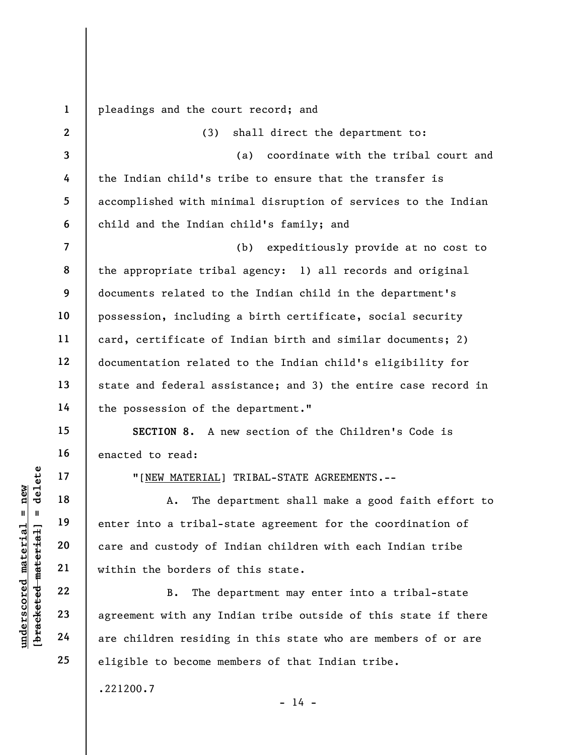1 pleadings and the court record; and

| $n$ ew              |                               | $\overline{2}$           | (3)<br>shall direct the department to:                         |
|---------------------|-------------------------------|--------------------------|----------------------------------------------------------------|
|                     |                               | 3                        | coordinate with the tribal court and<br>(a)                    |
|                     |                               | 4                        | the Indian child's tribe to ensure that the transfer is        |
|                     |                               | 5                        | accomplished with minimal disruption of services to the Indian |
|                     |                               | 6                        | child and the Indian child's family; and                       |
|                     |                               | $\overline{\mathcal{L}}$ | expeditiously provide at no cost to<br>(b)                     |
|                     |                               | 8                        | the appropriate tribal agency: 1) all records and original     |
|                     |                               | 9                        | documents related to the Indian child in the department's      |
|                     |                               | 10                       | possession, including a birth certificate, social security     |
|                     |                               | 11                       | card, certificate of Indian birth and similar documents; 2)    |
|                     |                               | 12                       | documentation related to the Indian child's eligibility for    |
|                     |                               | 13                       | state and federal assistance; and 3) the entire case record in |
|                     |                               | 14                       | the possession of the department."                             |
|                     |                               | 15                       | SECTION 8. A new section of the Children's Code is             |
|                     |                               | 16                       | enacted to read:                                               |
|                     | delete                        | 17                       | "[NEW MATERIAL] TRIBAL-STATE AGREEMENTS.--                     |
|                     |                               | 18                       | The department shall make a good faith effort to<br>Α.         |
| II                  |                               | 19                       | enter into a tribal-state agreement for the coordination of    |
|                     |                               | 20                       | care and custody of Indian children with each Indian tribe     |
|                     |                               | 21                       | within the borders of this state.                              |
|                     |                               | 22                       | The department may enter into a tribal-state<br><b>B.</b>      |
| underscored materia | [ <del>bracketed materi</del> | 23                       | agreement with any Indian tribe outside of this state if there |
|                     |                               | 24                       | are children residing in this state who are members of or are  |

agreement with any Indian tribe outside of this state if there are children residing in this state who are members of or are eligible to become members of that Indian tribe.

.221200.7

25

- 14 -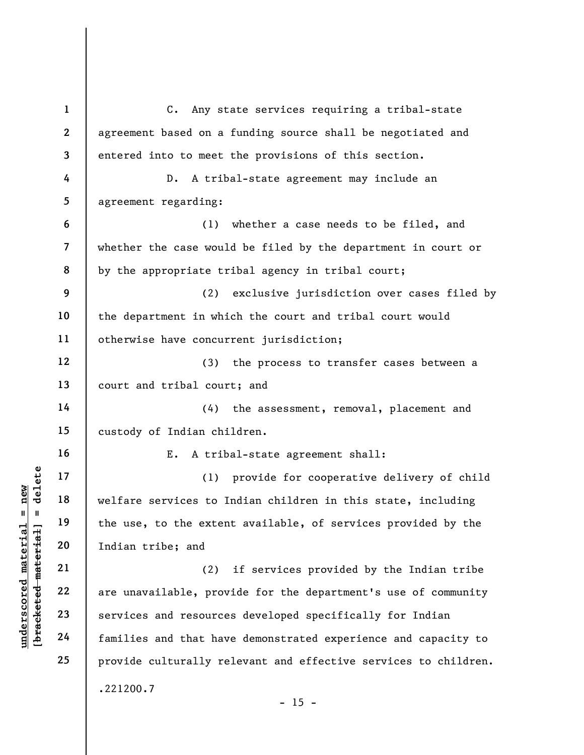understand<br>
understand<br>
understand<br>
understand<br>
20<br>
undian tribe; and<br>
21<br>
22<br>
23<br>
24<br>
are unavailable, prove<br>
Englished 24<br>
are unavailable, prove<br>
Englished 24<br>
families and that have<br>
corrected families and that have 1 2 3 4 5 6 7 8 9 10 11 12 13 14 15 16 17 18 19 20 21 22 23 24 25 C. Any state services requiring a tribal-state agreement based on a funding source shall be negotiated and entered into to meet the provisions of this section. D. A tribal-state agreement may include an agreement regarding: (1) whether a case needs to be filed, and whether the case would be filed by the department in court or by the appropriate tribal agency in tribal court; (2) exclusive jurisdiction over cases filed by the department in which the court and tribal court would otherwise have concurrent jurisdiction; (3) the process to transfer cases between a court and tribal court; and (4) the assessment, removal, placement and custody of Indian children. E. A tribal-state agreement shall: (1) provide for cooperative delivery of child welfare services to Indian children in this state, including the use, to the extent available, of services provided by the Indian tribe; and (2) if services provided by the Indian tribe are unavailable, provide for the department's use of community services and resources developed specifically for Indian families and that have demonstrated experience and capacity to provide culturally relevant and effective services to children. .221200.7  $- 15 -$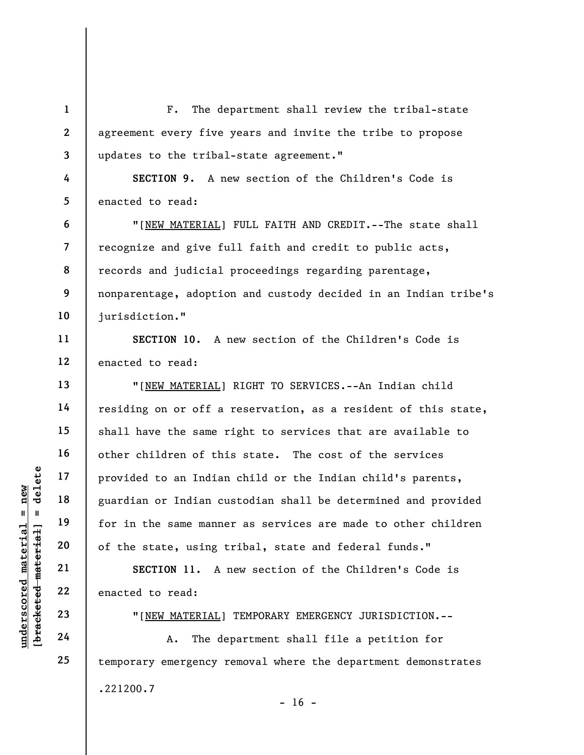UNDERTENTED 22<br>
UNDERTRESS TO MATERIAL 23<br>
UNDERTRESS TO MATERIAL<br>
UNDERTRESS 23<br>
UNDERTRESS TO MATERIAL<br>
UNDERTRESS 23<br>
UNDERTRESS TO MATERIAL<br>
UNDERTRESS TO MATERIAL<br>
UNDERTRESS 24<br>
CONTRESS TO MATERIAL<br>
CONTRESS TO MATE 1 2 3 4 5 6 7 8 9 10 11 12 13 14 15 16 17 18 19 20 21 22 23 24 25 F. The department shall review the tribal-state agreement every five years and invite the tribe to propose updates to the tribal-state agreement." SECTION 9. A new section of the Children's Code is enacted to read: "[NEW MATERIAL] FULL FAITH AND CREDIT.--The state shall recognize and give full faith and credit to public acts, records and judicial proceedings regarding parentage, nonparentage, adoption and custody decided in an Indian tribe's jurisdiction." SECTION 10. A new section of the Children's Code is enacted to read: "[NEW MATERIAL] RIGHT TO SERVICES.--An Indian child residing on or off a reservation, as a resident of this state, shall have the same right to services that are available to other children of this state. The cost of the services provided to an Indian child or the Indian child's parents, guardian or Indian custodian shall be determined and provided for in the same manner as services are made to other children of the state, using tribal, state and federal funds." SECTION 11. A new section of the Children's Code is enacted to read: "[NEW MATERIAL] TEMPORARY EMERGENCY JURISDICTION.-- A. The department shall file a petition for temporary emergency removal where the department demonstrates

.221200.7

 $- 16 -$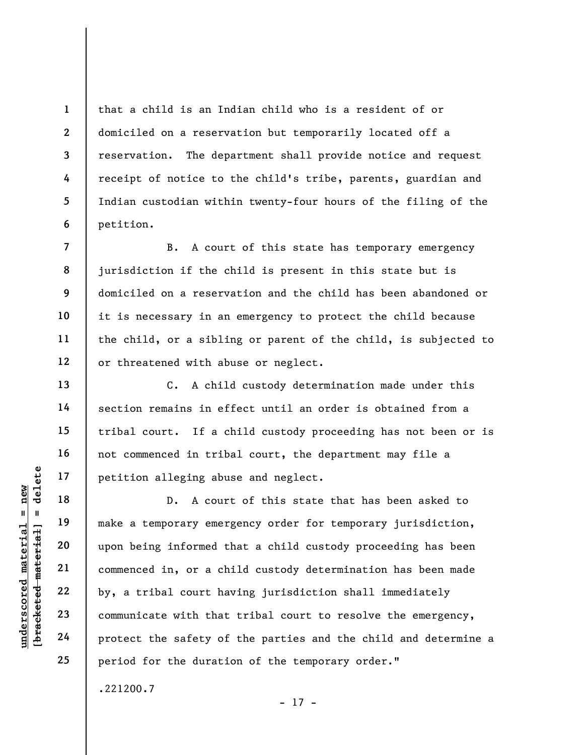that a child is an Indian child who is a resident of or domiciled on a reservation but temporarily located off a reservation. The department shall provide notice and request receipt of notice to the child's tribe, parents, guardian and Indian custodian within twenty-four hours of the filing of the petition.

B. A court of this state has temporary emergency jurisdiction if the child is present in this state but is domiciled on a reservation and the child has been abandoned or it is necessary in an emergency to protect the child because the child, or a sibling or parent of the child, is subjected to or threatened with abuse or neglect.

C. A child custody determination made under this section remains in effect until an order is obtained from a tribal court. If a child custody proceeding has not been or is not commenced in tribal court, the department may file a petition alleging abuse and neglect.

underscore material material end of the safety of<br>
upon being informed the commenced in, or a change of the safety<br>
upon being informed the commenced in, or a change of the safety of<br>
upon being informed the safety of<br>
upo D. A court of this state that has been asked to make a temporary emergency order for temporary jurisdiction, upon being informed that a child custody proceeding has been commenced in, or a child custody determination has been made by, a tribal court having jurisdiction shall immediately communicate with that tribal court to resolve the emergency, protect the safety of the parties and the child and determine a period for the duration of the temporary order."

.221200.7

- 17 -

1

2

3

4

5

6

7

8

9

10

11

12

13

14

15

16

17

18

19

20

21

22

23

24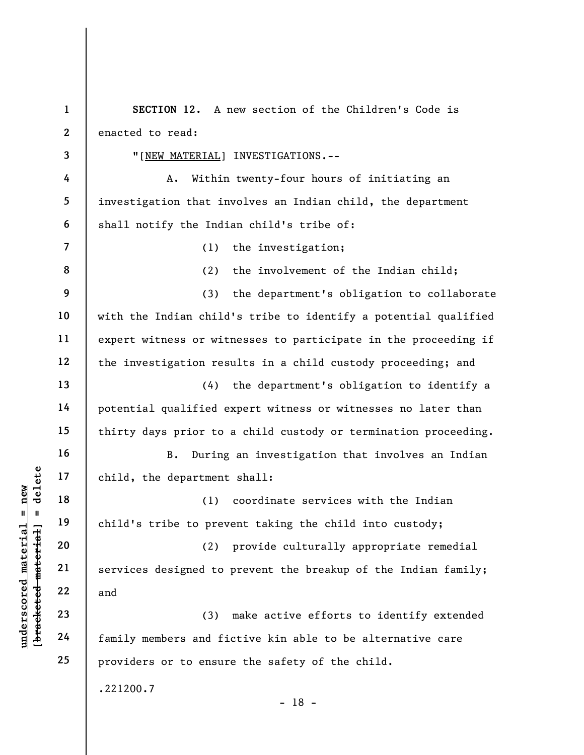understand material material of the solution of the solution of the solution of the solution of the solution of the solution of the solution of the solution of the solution of the solution of the solution of the solution o 1 2 3 4 5 6 7 8 9 10 11 12 13 14 15 16 17 18 19 20 21 22 23 24 25 SECTION 12. A new section of the Children's Code is enacted to read: "[NEW MATERIAL] INVESTIGATIONS.-- A. Within twenty-four hours of initiating an investigation that involves an Indian child, the department shall notify the Indian child's tribe of: (1) the investigation; (2) the involvement of the Indian child; (3) the department's obligation to collaborate with the Indian child's tribe to identify a potential qualified expert witness or witnesses to participate in the proceeding if the investigation results in a child custody proceeding; and (4) the department's obligation to identify a potential qualified expert witness or witnesses no later than thirty days prior to a child custody or termination proceeding. B. During an investigation that involves an Indian child, the department shall: (1) coordinate services with the Indian child's tribe to prevent taking the child into custody; (2) provide culturally appropriate remedial services designed to prevent the breakup of the Indian family; and (3) make active efforts to identify extended family members and fictive kin able to be alternative care providers or to ensure the safety of the child. .221200.7 - 18 -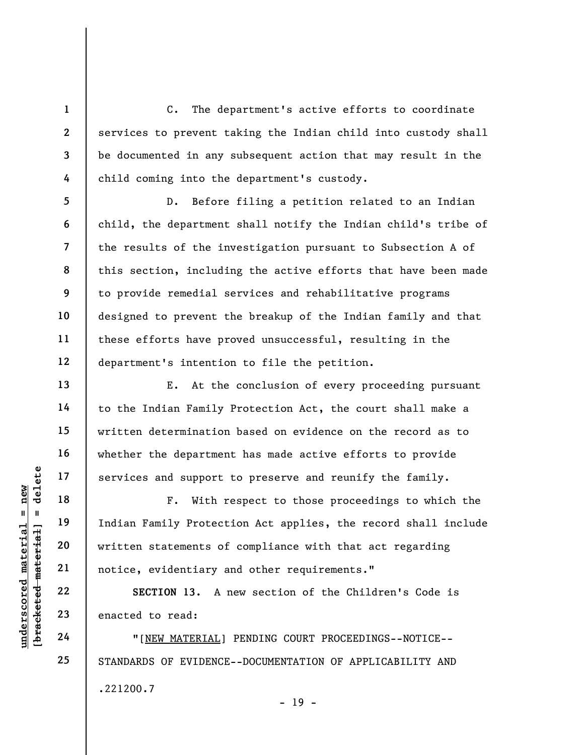C. The department's active efforts to coordinate services to prevent taking the Indian child into custody shall be documented in any subsequent action that may result in the child coming into the department's custody.

D. Before filing a petition related to an Indian child, the department shall notify the Indian child's tribe of the results of the investigation pursuant to Subsection A of this section, including the active efforts that have been made to provide remedial services and rehabilitative programs designed to prevent the breakup of the Indian family and that these efforts have proved unsuccessful, resulting in the department's intention to file the petition.

E. At the conclusion of every proceeding pursuant to the Indian Family Protection Act, the court shall make a written determination based on evidence on the record as to whether the department has made active efforts to provide services and support to preserve and reunify the family.

UNDERTRON 13. A THE TREET ON 13. A THE TREET ON 13. A THE TREET ON 13. A THE TREET ON 13. A THE TREET ON 13. A THE TREET ON 13. A THE TREET ON 13. A THE TREET ON 13. A THE TREET ON 13. A THE TREET ON 13. A THE TREET ON 13. F. With respect to those proceedings to which the Indian Family Protection Act applies, the record shall include written statements of compliance with that act regarding notice, evidentiary and other requirements."

SECTION 13. A new section of the Children's Code is enacted to read:

"[NEW MATERIAL] PENDING COURT PROCEEDINGS--NOTICE-- STANDARDS OF EVIDENCE--DOCUMENTATION OF APPLICABILITY AND .221200.7  $- 19 -$ 

1

2

3

4

5

6

7

8

9

10

11

12

13

14

15

16

17

18

19

20

21

22

23

24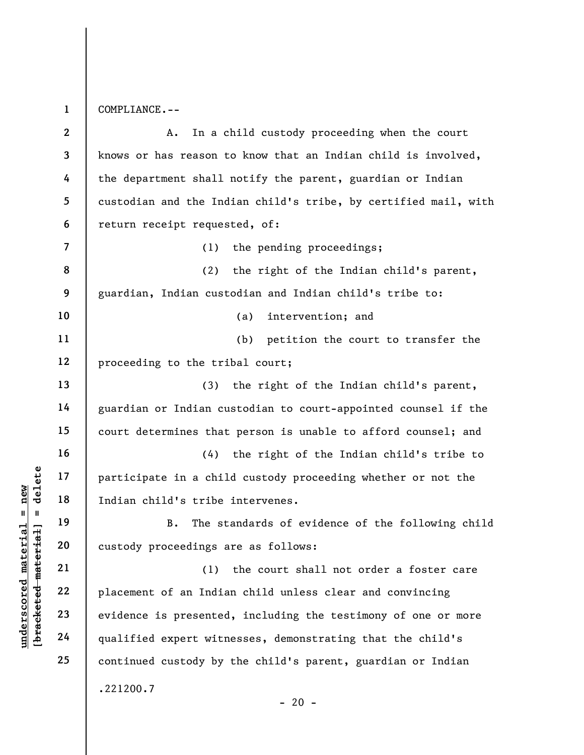1 COMPLIANCE.--

underscored materials of the state of an Indian Child's tribe<br>
and the state of an Indian Child's tribe<br>
and the state of an Indian Child's tribe<br>
21<br>
22<br>
23<br>
24<br>
24<br>
24<br>
22<br>
24<br>
24<br>
22<br>
24<br>
22<br>
24<br>
22<br>
24<br>
22<br>
24<br>
22<br>
24<br> 2 3 4 5 6 7 8 9 10 11 12 13 14 15 16 17 18 19 20 21 22 23 24 25 A. In a child custody proceeding when the court knows or has reason to know that an Indian child is involved, the department shall notify the parent, guardian or Indian custodian and the Indian child's tribe, by certified mail, with return receipt requested, of: (1) the pending proceedings; (2) the right of the Indian child's parent, guardian, Indian custodian and Indian child's tribe to: (a) intervention; and (b) petition the court to transfer the proceeding to the tribal court; (3) the right of the Indian child's parent, guardian or Indian custodian to court-appointed counsel if the court determines that person is unable to afford counsel; and (4) the right of the Indian child's tribe to participate in a child custody proceeding whether or not the Indian child's tribe intervenes. B. The standards of evidence of the following child custody proceedings are as follows: (1) the court shall not order a foster care placement of an Indian child unless clear and convincing evidence is presented, including the testimony of one or more qualified expert witnesses, demonstrating that the child's continued custody by the child's parent, guardian or Indian .221200.7  $- 20 -$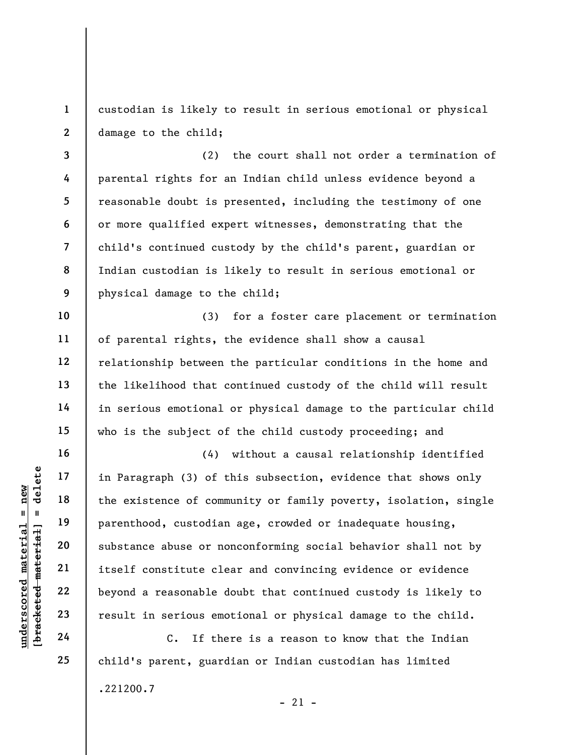1 2 custodian is likely to result in serious emotional or physical damage to the child;

3 4 5 6 7 8 9 (2) the court shall not order a termination of parental rights for an Indian child unless evidence beyond a reasonable doubt is presented, including the testimony of one or more qualified expert witnesses, demonstrating that the child's continued custody by the child's parent, guardian or Indian custodian is likely to result in serious emotional or physical damage to the child;

(3) for a foster care placement or termination of parental rights, the evidence shall show a causal relationship between the particular conditions in the home and the likelihood that continued custody of the child will result in serious emotional or physical damage to the particular child who is the subject of the child custody proceeding; and

underscored material material end of the existence of comments of the existence of comments of the existence of comments of the existence of comments of the existence of comments of the substance abuse or no itself constit (4) without a causal relationship identified in Paragraph (3) of this subsection, evidence that shows only the existence of community or family poverty, isolation, single parenthood, custodian age, crowded or inadequate housing, substance abuse or nonconforming social behavior shall not by itself constitute clear and convincing evidence or evidence beyond a reasonable doubt that continued custody is likely to result in serious emotional or physical damage to the child.

C. If there is a reason to know that the Indian child's parent, guardian or Indian custodian has limited .221200.7  $-21 -$ 

10

11

12

13

14

15

16

17

18

19

20

21

22

23

24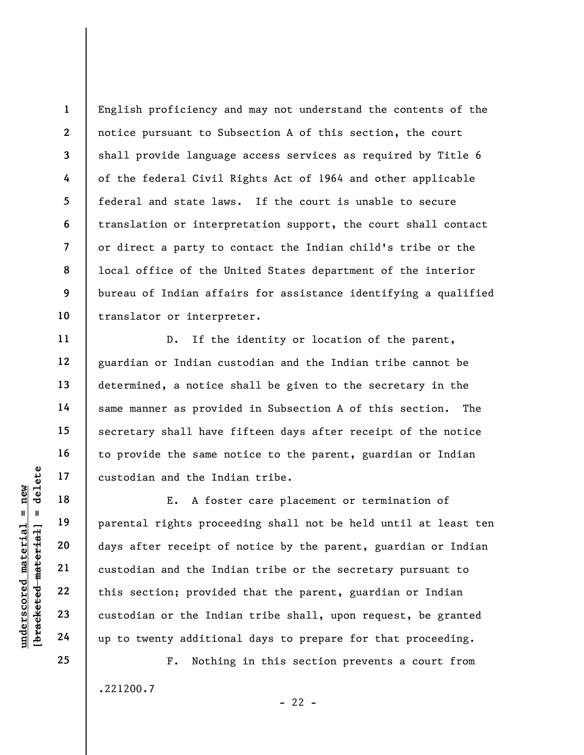1 2 3 4 5 6 7 8 9 10 English proficiency and may not understand the contents of the notice pursuant to Subsection A of this section, the court shall provide language access services as required by Title 6 of the federal Civil Rights Act of 1964 and other applicable federal and state laws. If the court is unable to secure translation or interpretation support, the court shall contact or direct a party to contact the Indian child's tribe or the local office of the United States department of the interior bureau of Indian affairs for assistance identifying a qualified translator or interpreter.

D. If the identity or location of the parent, guardian or Indian custodian and the Indian tribe cannot be determined, a notice shall be given to the secretary in the same manner as provided in Subsection A of this section. The secretary shall have fifteen days after receipt of the notice to provide the same notice to the parent, guardian or Indian custodian and the Indian tribe.

underscores and the Ind<br>  $\begin{array}{c|c|c|c} \hline u & u & 19 \hline u & u & 19 \hline u & 19 \hline u & 20 \hline u & 21 \hline u & 22 \hline u & 23 \hline u & 24 \hline u & 25 \hline u & 26 \hline u & 27 \hline u & 28 \hline u & 29 \hline u & 20 \hline u & 21 \hline u & 22 \hline u & 23 \hline u & 24 \hline u & 25 \hline u & 26 \hline u & 27 \hline u & 28 \hline$ E. A foster care placement or termination of parental rights proceeding shall not be held until at least ten days after receipt of notice by the parent, guardian or Indian custodian and the Indian tribe or the secretary pursuant to this section; provided that the parent, guardian or Indian custodian or the Indian tribe shall, upon request, be granted up to twenty additional days to prepare for that proceeding.

> F. Nothing in this section prevents a court from .221200.7  $- 22 -$

25

11

12

13

14

15

16

17

18

19

20

21

22

23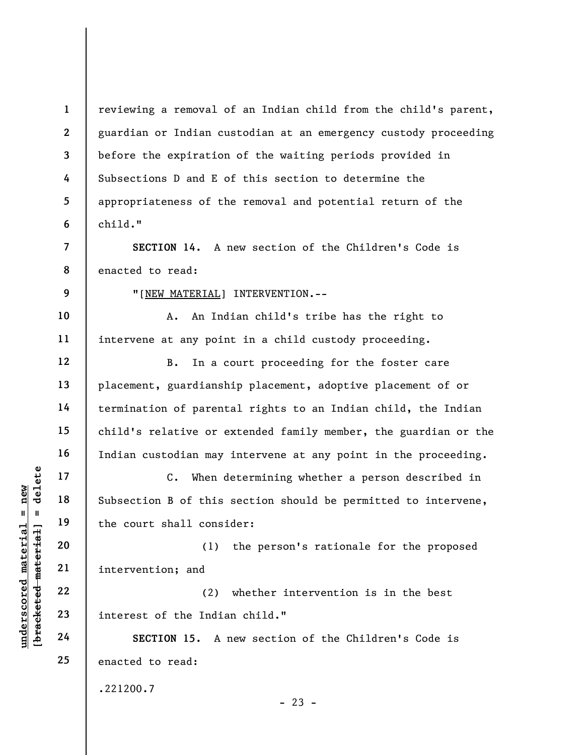understand material material subsection B of this<br>  $\begin{array}{c|c|c|c} \n\text{u} & \text{u} & \text{u} & \text{u} & \text{u} & \text{u} & \text{u} & \text{u} & \text{u} & \text{u} & \text{u} & \text{u} & \text{u} & \text{u} & \text{u} & \text{u} & \text{u} & \text{u} & \text{u} & \text{u} & \text{u} & \text{u} & \text{u} & \text{u} & \text{u} & \text{u}$ 1 2 3 4 5 6 7 8 9 10 11 12 13 14 15 16 17 18 19 20 21 22 23 24 25 reviewing a removal of an Indian child from the child's parent, guardian or Indian custodian at an emergency custody proceeding before the expiration of the waiting periods provided in Subsections D and E of this section to determine the appropriateness of the removal and potential return of the child." SECTION 14. A new section of the Children's Code is enacted to read: "[NEW MATERIAL] INTERVENTION.-- A. An Indian child's tribe has the right to intervene at any point in a child custody proceeding. B. In a court proceeding for the foster care placement, guardianship placement, adoptive placement of or termination of parental rights to an Indian child, the Indian child's relative or extended family member, the guardian or the Indian custodian may intervene at any point in the proceeding. C. When determining whether a person described in Subsection B of this section should be permitted to intervene, the court shall consider: (1) the person's rationale for the proposed intervention; and (2) whether intervention is in the best interest of the Indian child." SECTION 15. A new section of the Children's Code is enacted to read: .221200.7  $- 23 -$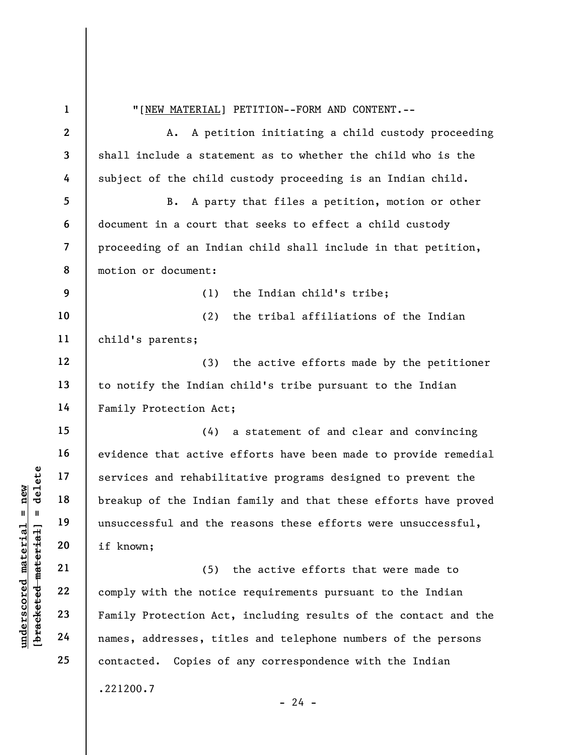understand the services and rehabili<br>
and the services and rehabili<br>
breakup of the Indian<br>
unsuccessful and the<br>
if known;<br>
21<br>
22<br>
comply with the notic<br>
23<br>
Family Protection Act<br>
24<br>
names, addresses, tit 1 2 3 4 5 6 7 8 9 10 11 12 13 14 15 16 17 18 19 20 21 22 23 24 25 "[NEW MATERIAL] PETITION--FORM AND CONTENT.-- A. A petition initiating a child custody proceeding shall include a statement as to whether the child who is the subject of the child custody proceeding is an Indian child. B. A party that files a petition, motion or other document in a court that seeks to effect a child custody proceeding of an Indian child shall include in that petition, motion or document: (1) the Indian child's tribe; (2) the tribal affiliations of the Indian child's parents; (3) the active efforts made by the petitioner to notify the Indian child's tribe pursuant to the Indian Family Protection Act; (4) a statement of and clear and convincing evidence that active efforts have been made to provide remedial services and rehabilitative programs designed to prevent the breakup of the Indian family and that these efforts have proved unsuccessful and the reasons these efforts were unsuccessful, if known; (5) the active efforts that were made to comply with the notice requirements pursuant to the Indian Family Protection Act, including results of the contact and the names, addresses, titles and telephone numbers of the persons contacted. Copies of any correspondence with the Indian .221200.7  $- 24 -$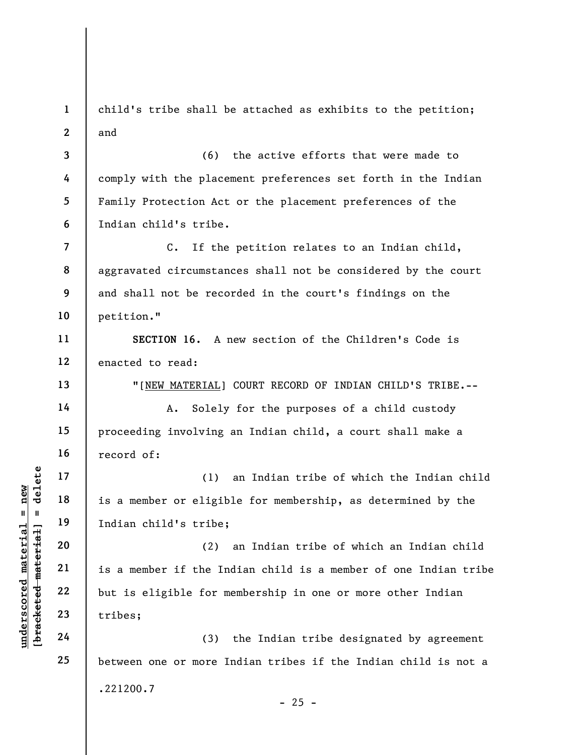1 2 3 child's tribe shall be attached as exhibits to the petition; and (6) the active efforts that were made to

4 5 6 comply with the placement preferences set forth in the Indian Family Protection Act or the placement preferences of the Indian child's tribe.

7 8 9 10 C. If the petition relates to an Indian child, aggravated circumstances shall not be considered by the court and shall not be recorded in the court's findings on the petition."

11 12 SECTION 16. A new section of the Children's Code is enacted to read:

"[NEW MATERIAL] COURT RECORD OF INDIAN CHILD'S TRIBE.--

A. Solely for the purposes of a child custody proceeding involving an Indian child, a court shall make a record of:

(1) an Indian tribe of which the Indian child is a member or eligible for membership, as determined by the Indian child's tribe;

underscored material = new [bracketed material] = delete (2) an Indian tribe of which an Indian child is a member if the Indian child is a member of one Indian tribe but is eligible for membership in one or more other Indian tribes;

(3) the Indian tribe designated by agreement between one or more Indian tribes if the Indian child is not a .221200.7  $- 25 -$ 

13

14

15

16

17

18

19

20

21

22

23

24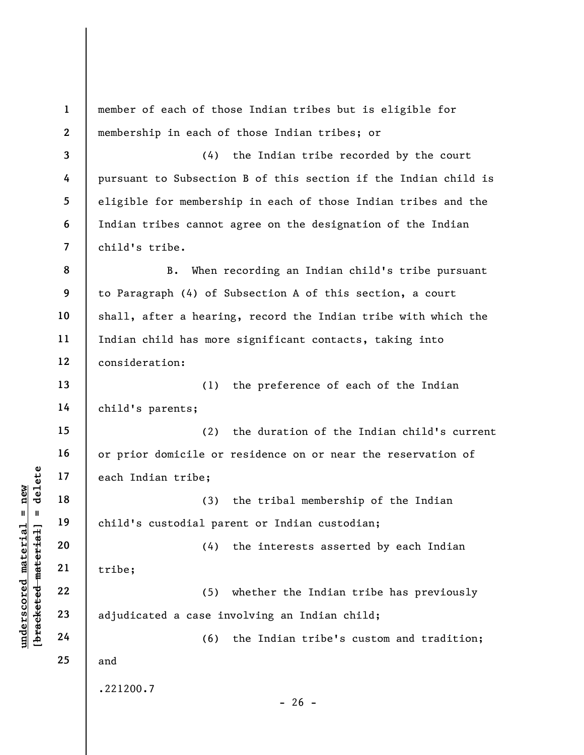underscore material material exception of the set of the set of the set of the set of the set of the set of the set of the set of the set of the set of the set of the set of the set of the set of the set of the set of the 1 2 3 4 5 6 7 8 9 10 11 12 13 14 15 16 17 18 19 20 21 22 23 24 25 member of each of those Indian tribes but is eligible for membership in each of those Indian tribes; or (4) the Indian tribe recorded by the court pursuant to Subsection B of this section if the Indian child is eligible for membership in each of those Indian tribes and the Indian tribes cannot agree on the designation of the Indian child's tribe. B. When recording an Indian child's tribe pursuant to Paragraph (4) of Subsection A of this section, a court shall, after a hearing, record the Indian tribe with which the Indian child has more significant contacts, taking into consideration: (1) the preference of each of the Indian child's parents; (2) the duration of the Indian child's current or prior domicile or residence on or near the reservation of each Indian tribe; (3) the tribal membership of the Indian child's custodial parent or Indian custodian; (4) the interests asserted by each Indian tribe; (5) whether the Indian tribe has previously adjudicated a case involving an Indian child; (6) the Indian tribe's custom and tradition; and .221200.7  $- 26 -$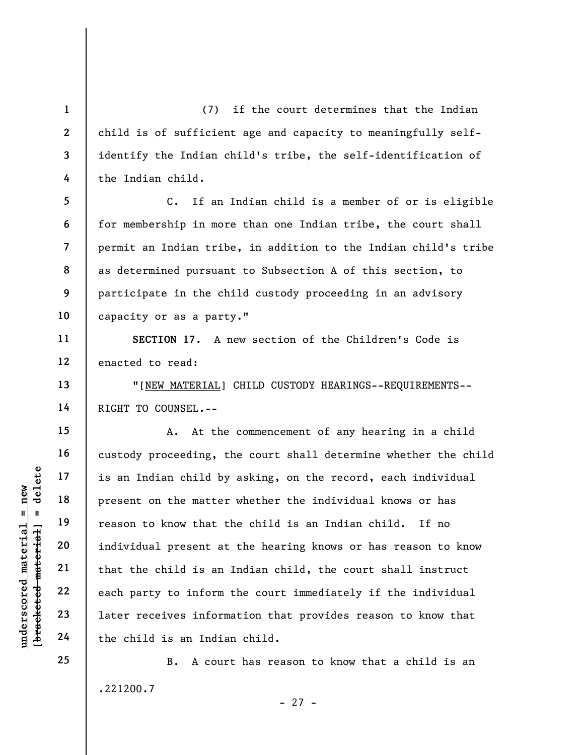(7) if the court determines that the Indian child is of sufficient age and capacity to meaningfully selfidentify the Indian child's tribe, the self-identification of the Indian child.

C. If an Indian child is a member of or is eligible for membership in more than one Indian tribe, the court shall permit an Indian tribe, in addition to the Indian child's tribe as determined pursuant to Subsection A of this section, to participate in the child custody proceeding in an advisory capacity or as a party."

SECTION 17. A new section of the Children's Code is enacted to read:

"[NEW MATERIAL] CHILD CUSTODY HEARINGS--REQUIREMENTS-- RIGHT TO COUNSEL.--

understand matter<br>  $\begin{array}{c|c|c|c} \mathbf{u} & \mathbf{u} & \mathbf{u} & \mathbf{v} & \mathbf{v} & \mathbf{v} & \mathbf{v} & \mathbf{v} & \mathbf{v} & \mathbf{v} & \mathbf{v} & \mathbf{v} & \mathbf{v} & \mathbf{v} & \mathbf{v} & \mathbf{v} & \mathbf{v} & \mathbf{v} & \mathbf{v} & \mathbf{v} & \mathbf{v} & \mathbf{v} & \mathbf{v} & \mathbf{v} & \mathbf{v} & \mathbf{v} & \mathbf{v} &$ A. At the commencement of any hearing in a child custody proceeding, the court shall determine whether the child is an Indian child by asking, on the record, each individual present on the matter whether the individual knows or has reason to know that the child is an Indian child. If no individual present at the hearing knows or has reason to know that the child is an Indian child, the court shall instruct each party to inform the court immediately if the individual later receives information that provides reason to know that the child is an Indian child.

> B. A court has reason to know that a child is an .221200.7 - 27 -

24 25

1

2

3

4

5

6

7

8

9

10

11

12

13

14

15

16

17

18

19

20

21

22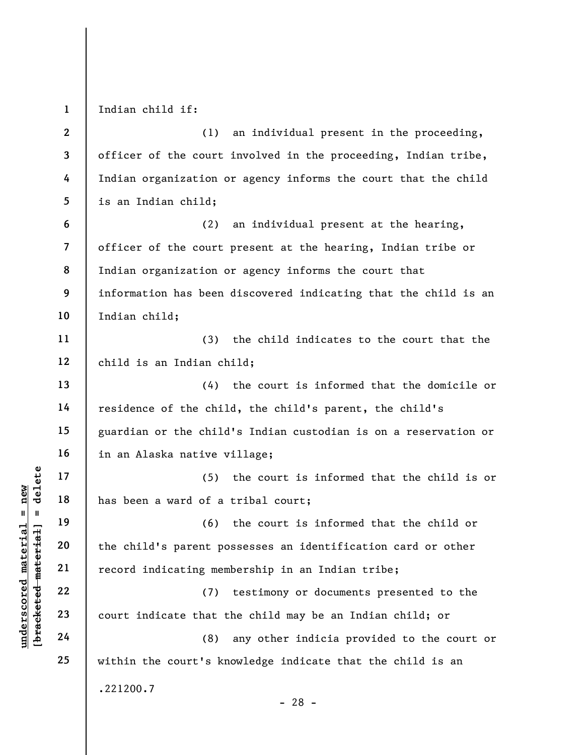1 Indian child if:

2 3 4 5 (1) an individual present in the proceeding, officer of the court involved in the proceeding, Indian tribe, Indian organization or agency informs the court that the child is an Indian child;

6 7 8 9 10 (2) an individual present at the hearing, officer of the court present at the hearing, Indian tribe or Indian organization or agency informs the court that information has been discovered indicating that the child is an Indian child;

(3) the child indicates to the court that the child is an Indian child;

(4) the court is informed that the domicile or residence of the child, the child's parent, the child's guardian or the child's Indian custodian is on a reservation or in an Alaska native village;

(5) the court is informed that the child is or has been a ward of a tribal court;

understand material material material end of a<br>
understand material material material material material count indicating memory<br>
understand material material material count indicate that the<br>
definition of a<br>
count indica (6) the court is informed that the child or the child's parent possesses an identification card or other record indicating membership in an Indian tribe;

(7) testimony or documents presented to the court indicate that the child may be an Indian child; or

(8) any other indicia provided to the court or within the court's knowledge indicate that the child is an .221200.7

- 28 -

11

12

13

14

15

16

17

18

19

20

21

22

23

24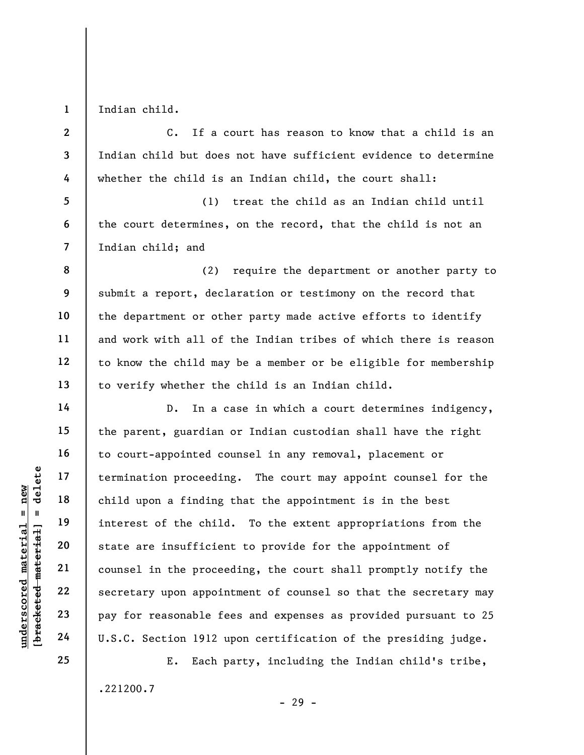1 Indian child.

5

6

7

8

9

10

11

12

13

14

15

16

17

18

19

20

21

22

23

24

25

2 3 4 C. If a court has reason to know that a child is an Indian child but does not have sufficient evidence to determine whether the child is an Indian child, the court shall:

(1) treat the child as an Indian child until the court determines, on the record, that the child is not an Indian child; and

(2) require the department or another party to submit a report, declaration or testimony on the record that the department or other party made active efforts to identify and work with all of the Indian tribes of which there is reason to know the child may be a member or be eligible for membership to verify whether the child is an Indian child.

underscored material = new [bracketed material] = delete D. In a case in which a court determines indigency, the parent, guardian or Indian custodian shall have the right to court-appointed counsel in any removal, placement or termination proceeding. The court may appoint counsel for the child upon a finding that the appointment is in the best interest of the child. To the extent appropriations from the state are insufficient to provide for the appointment of counsel in the proceeding, the court shall promptly notify the secretary upon appointment of counsel so that the secretary may pay for reasonable fees and expenses as provided pursuant to 25 U.S.C. Section 1912 upon certification of the presiding judge.

> E. Each party, including the Indian child's tribe, .221200.7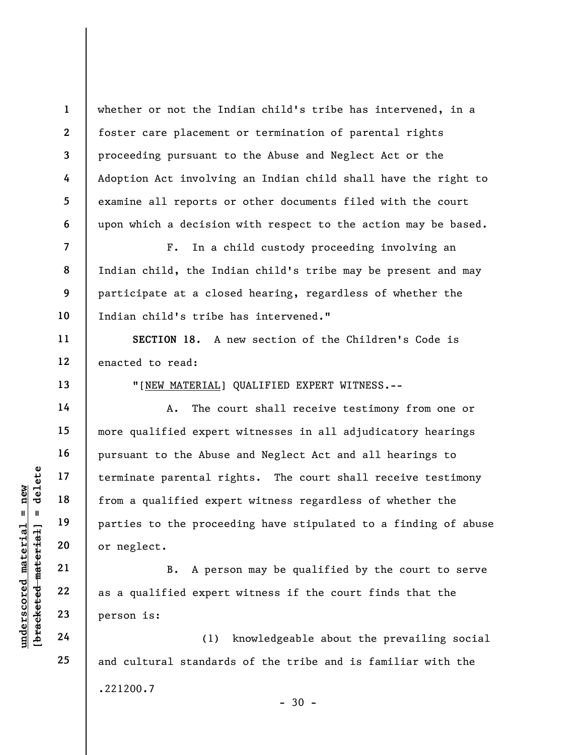whether or not the Indian child's tribe has intervened, in a foster care placement or termination of parental rights proceeding pursuant to the Abuse and Neglect Act or the Adoption Act involving an Indian child shall have the right to examine all reports or other documents filed with the court upon which a decision with respect to the action may be based.

F. In a child custody proceeding involving an Indian child, the Indian child's tribe may be present and may participate at a closed hearing, regardless of whether the Indian child's tribe has intervened."

SECTION 18. A new section of the Children's Code is enacted to read:

"[NEW MATERIAL] QUALIFIED EXPERT WITNESS.--

understand material material material material material material material material material from a qualified experience or neglect.<br>
B. A person is:<br>
23 as a qualified expert person is:<br>
24 as a qualified expert person is: A. The court shall receive testimony from one or more qualified expert witnesses in all adjudicatory hearings pursuant to the Abuse and Neglect Act and all hearings to terminate parental rights. The court shall receive testimony from a qualified expert witness regardless of whether the parties to the proceeding have stipulated to a finding of abuse or neglect.

B. A person may be qualified by the court to serve as a qualified expert witness if the court finds that the person is:

(1) knowledgeable about the prevailing social and cultural standards of the tribe and is familiar with the .221200.7  $-30 -$ 

1

2

3

4

5

6

7

8

9

10

11

12

13

14

15

16

17

18

19

20

21

22

23

24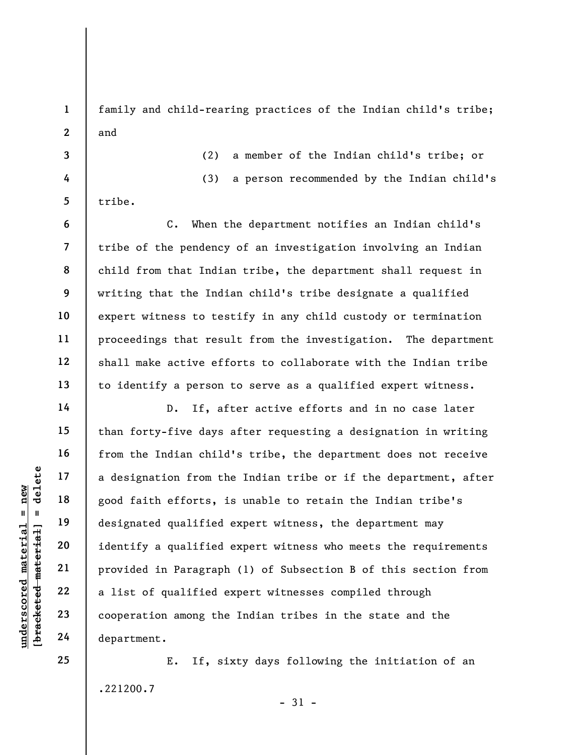family and child-rearing practices of the Indian child's tribe; and

3 4

5

tribe.

6

7

8

9

10

11

12

13

14

15

16

17

18

19

20

21

22

23

24

25

1

2

(2) a member of the Indian child's tribe; or (3) a person recommended by the Indian child's

C. When the department notifies an Indian child's tribe of the pendency of an investigation involving an Indian child from that Indian tribe, the department shall request in writing that the Indian child's tribe designate a qualified expert witness to testify in any child custody or termination proceedings that result from the investigation. The department shall make active efforts to collaborate with the Indian tribe to identify a person to serve as a qualified expert witness.

underscored material = new [bracketed material] = delete D. If, after active efforts and in no case later than forty-five days after requesting a designation in writing from the Indian child's tribe, the department does not receive a designation from the Indian tribe or if the department, after good faith efforts, is unable to retain the Indian tribe's designated qualified expert witness, the department may identify a qualified expert witness who meets the requirements provided in Paragraph (1) of Subsection B of this section from a list of qualified expert witnesses compiled through cooperation among the Indian tribes in the state and the department.

> E. If, sixty days following the initiation of an .221200.7

> > - 31 -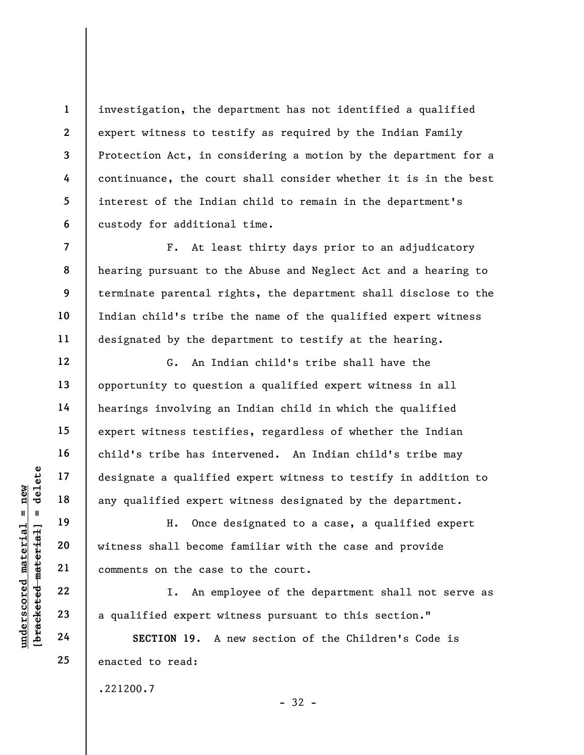investigation, the department has not identified a qualified expert witness to testify as required by the Indian Family Protection Act, in considering a motion by the department for a continuance, the court shall consider whether it is in the best interest of the Indian child to remain in the department's custody for additional time.

F. At least thirty days prior to an adjudicatory hearing pursuant to the Abuse and Neglect Act and a hearing to terminate parental rights, the department shall disclose to the Indian child's tribe the name of the qualified expert witness designated by the department to testify at the hearing.

G. An Indian child's tribe shall have the opportunity to question a qualified expert witness in all hearings involving an Indian child in which the qualified expert witness testifies, regardless of whether the Indian child's tribe has intervened. An Indian child's tribe may designate a qualified expert witness to testify in addition to any qualified expert witness designated by the department.

understand material and the set of the comments on the case<br>understand material material material material material material material comments on the case<br>understand a qualified expert with the set of the case<br>in the case<br> H. Once designated to a case, a qualified expert witness shall become familiar with the case and provide comments on the case to the court.

I. An employee of the department shall not serve as a qualified expert witness pursuant to this section."

- 32 -

SECTION 19. A new section of the Children's Code is enacted to read:

.221200.7

1

2

3

4

5

6

7

8

9

10

11

12

13

14

15

16

17

18

19

20

21

22

23

24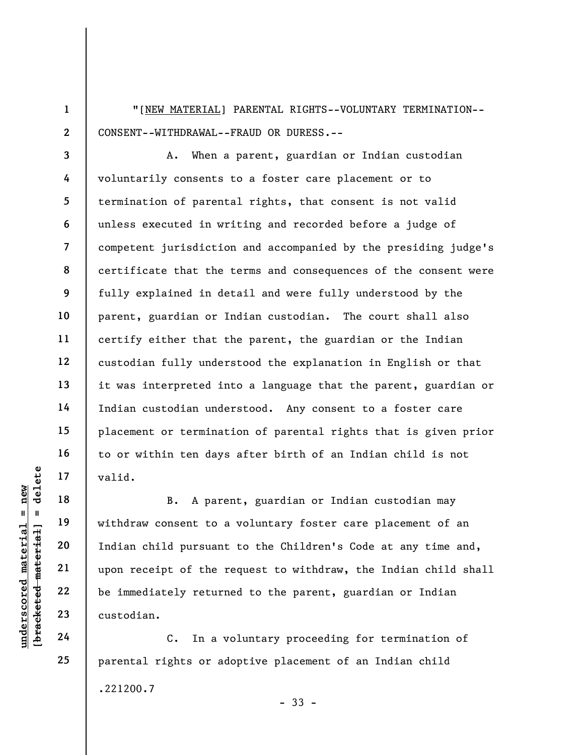"[NEW MATERIAL] PARENTAL RIGHTS--VOLUNTARY TERMINATION-- CONSENT--WITHDRAWAL--FRAUD OR DURESS.--

3 4 5 6 7 8 9 10 11 12 13 14 15 16 17 A. When a parent, guardian or Indian custodian voluntarily consents to a foster care placement or to termination of parental rights, that consent is not valid unless executed in writing and recorded before a judge of competent jurisdiction and accompanied by the presiding judge's certificate that the terms and consequences of the consent were fully explained in detail and were fully understood by the parent, guardian or Indian custodian. The court shall also certify either that the parent, the guardian or the Indian custodian fully understood the explanation in English or that it was interpreted into a language that the parent, guardian or Indian custodian understood. Any consent to a foster care placement or termination of parental rights that is given prior to or within ten days after birth of an Indian child is not valid.

underscored material = new [bracketed material] = delete B. A parent, guardian or Indian custodian may withdraw consent to a voluntary foster care placement of an Indian child pursuant to the Children's Code at any time and, upon receipt of the request to withdraw, the Indian child shall be immediately returned to the parent, guardian or Indian custodian.

C. In a voluntary proceeding for termination of parental rights or adoptive placement of an Indian child .221200.7 - 33 -

18

19

20

21

22

23

24

25

1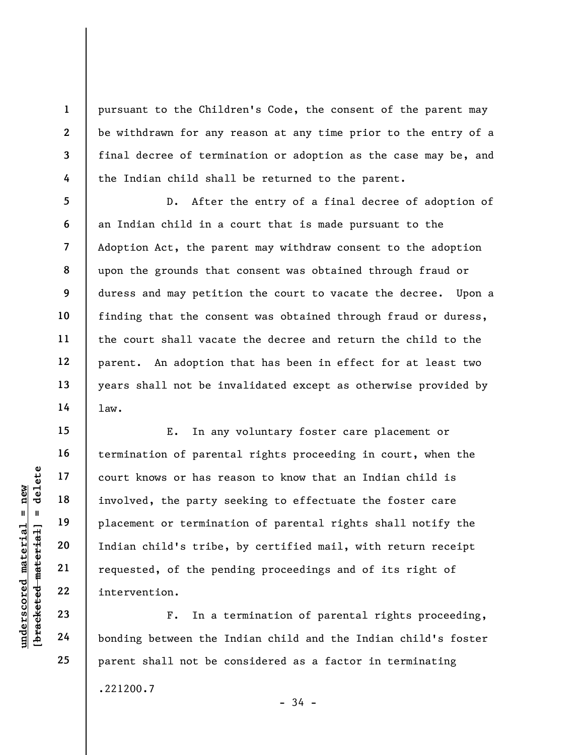pursuant to the Children's Code, the consent of the parent may be withdrawn for any reason at any time prior to the entry of a final decree of termination or adoption as the case may be, and the Indian child shall be returned to the parent.

D. After the entry of a final decree of adoption of an Indian child in a court that is made pursuant to the Adoption Act, the parent may withdraw consent to the adoption upon the grounds that consent was obtained through fraud or duress and may petition the court to vacate the decree. Upon a finding that the consent was obtained through fraud or duress, the court shall vacate the decree and return the child to the parent. An adoption that has been in effect for at least two years shall not be invalidated except as otherwise provided by law.

understand material material end of the party of the party of the party of the party of the party of the party of the party of the party of the period of the period of the period of the period of the period of the period o E. In any voluntary foster care placement or termination of parental rights proceeding in court, when the court knows or has reason to know that an Indian child is involved, the party seeking to effectuate the foster care placement or termination of parental rights shall notify the Indian child's tribe, by certified mail, with return receipt requested, of the pending proceedings and of its right of intervention.

F. In a termination of parental rights proceeding, bonding between the Indian child and the Indian child's foster parent shall not be considered as a factor in terminating .221200.7

1

2

3

4

5

6

7

8

9

10

11

12

13

14

15

16

17

18

19

20

21

22

23

24

25

- 34 -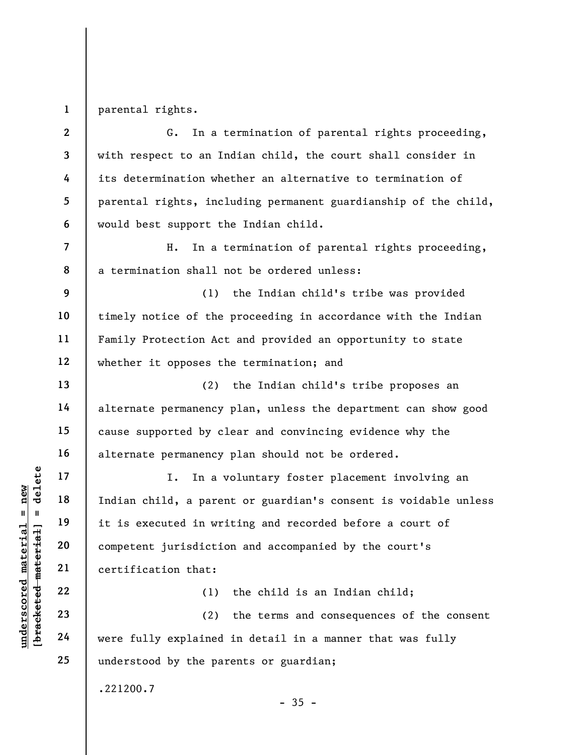1 parental rights.

7

8

9

10

11

12

13

14

15

16

17

18

19

20

21

22

23

24

25

2 3 4 5 6 G. In a termination of parental rights proceeding, with respect to an Indian child, the court shall consider in its determination whether an alternative to termination of parental rights, including permanent guardianship of the child, would best support the Indian child.

H. In a termination of parental rights proceeding, a termination shall not be ordered unless:

(1) the Indian child's tribe was provided timely notice of the proceeding in accordance with the Indian Family Protection Act and provided an opportunity to state whether it opposes the termination; and

(2) the Indian child's tribe proposes an alternate permanency plan, unless the department can show good cause supported by clear and convincing evidence why the alternate permanency plan should not be ordered.

understand material material space of the second material space of the second in the space of the second competent jurisdictic certification that:<br>
22 (1)<br>
23 (2) vere fully explained I. In a voluntary foster placement involving an Indian child, a parent or guardian's consent is voidable unless it is executed in writing and recorded before a court of competent jurisdiction and accompanied by the court's certification that:

(1) the child is an Indian child;

(2) the terms and consequences of the consent were fully explained in detail in a manner that was fully understood by the parents or guardian;

 $-35 -$ 

.221200.7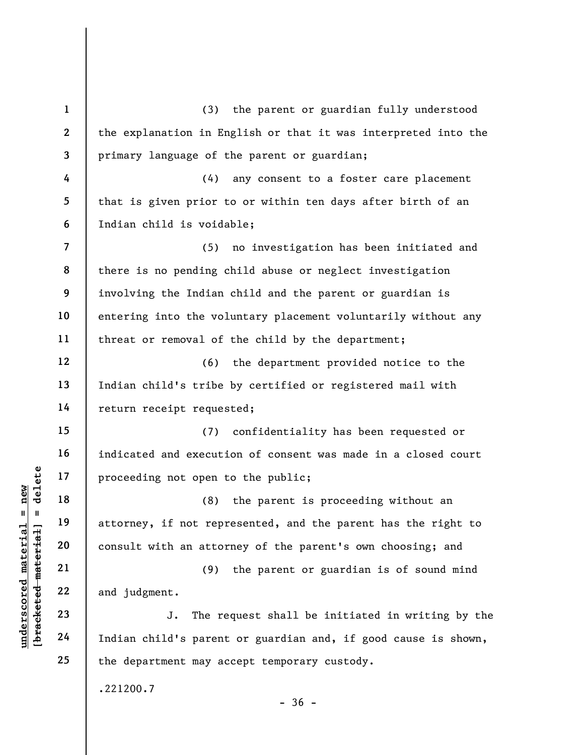understand material material end of the same of the same of the same of the same of the same of the same of the same of the same of the same of the same of the same of the same of the same of the same of the same of the sa 1 2 3 4 5 6 7 8 9 10 11 12 13 14 15 16 17 18 19 20 21 22 23 24 25 (3) the parent or guardian fully understood the explanation in English or that it was interpreted into the primary language of the parent or guardian; (4) any consent to a foster care placement that is given prior to or within ten days after birth of an Indian child is voidable; (5) no investigation has been initiated and there is no pending child abuse or neglect investigation involving the Indian child and the parent or guardian is entering into the voluntary placement voluntarily without any threat or removal of the child by the department; (6) the department provided notice to the Indian child's tribe by certified or registered mail with return receipt requested; (7) confidentiality has been requested or indicated and execution of consent was made in a closed court proceeding not open to the public; (8) the parent is proceeding without an attorney, if not represented, and the parent has the right to consult with an attorney of the parent's own choosing; and (9) the parent or guardian is of sound mind and judgment. J. The request shall be initiated in writing by the Indian child's parent or guardian and, if good cause is shown, the department may accept temporary custody. .221200.7  $-36 -$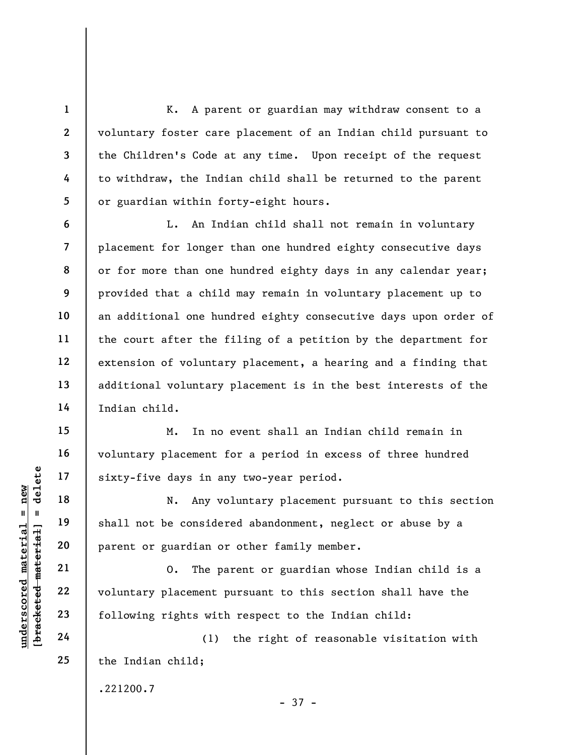K. A parent or guardian may withdraw consent to a voluntary foster care placement of an Indian child pursuant to the Children's Code at any time. Upon receipt of the request to withdraw, the Indian child shall be returned to the parent or guardian within forty-eight hours.

L. An Indian child shall not remain in voluntary placement for longer than one hundred eighty consecutive days or for more than one hundred eighty days in any calendar year; provided that a child may remain in voluntary placement up to an additional one hundred eighty consecutive days upon order of the court after the filing of a petition by the department for extension of voluntary placement, a hearing and a finding that additional voluntary placement is in the best interests of the Indian child.

M. In no event shall an Indian child remain in voluntary placement for a period in excess of three hundred sixty-five days in any two-year period.

understand material material sixty-five days in an and the days in an and the days in an and the material of the material of the consider parent or guardian or  $21$  and  $22$  voluntary placement population of the parent of N. Any voluntary placement pursuant to this section shall not be considered abandonment, neglect or abuse by a parent or guardian or other family member.

O. The parent or guardian whose Indian child is a voluntary placement pursuant to this section shall have the following rights with respect to the Indian child:

(1) the right of reasonable visitation with the Indian child;

.221200.7

25

1

2

3

4

5

6

7

8

9

10

11

12

13

14

15

16

17

18

19

20

- 37 -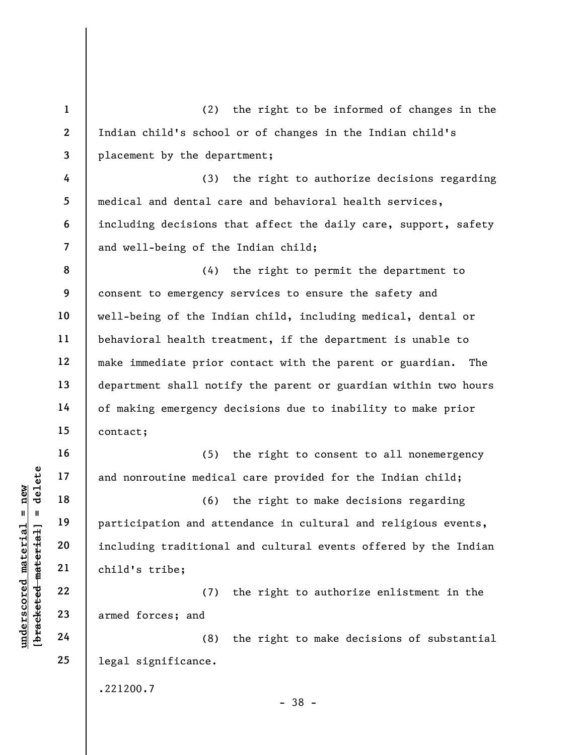understand<br>
understand material including traditional<br>
exception and att<br>
including traditional<br>
exception and att<br>
including traditional<br>
child's tribe;<br>
22<br>
23<br>
armed forces; and<br>
24 (8) 1 2 3 4 5 6 7 8 9 10 11 12 13 14 15 16 17 18 19 20 21 22 23 24 25 (2) the right to be informed of changes in the Indian child's school or of changes in the Indian child's placement by the department; (3) the right to authorize decisions regarding medical and dental care and behavioral health services, including decisions that affect the daily care, support, safety and well-being of the Indian child; (4) the right to permit the department to consent to emergency services to ensure the safety and well-being of the Indian child, including medical, dental or behavioral health treatment, if the department is unable to make immediate prior contact with the parent or guardian. The department shall notify the parent or guardian within two hours of making emergency decisions due to inability to make prior contact; (5) the right to consent to all nonemergency and nonroutine medical care provided for the Indian child; (6) the right to make decisions regarding participation and attendance in cultural and religious events, including traditional and cultural events offered by the Indian child's tribe; (7) the right to authorize enlistment in the armed forces; and (8) the right to make decisions of substantial legal significance.

.221200.7

- 38 -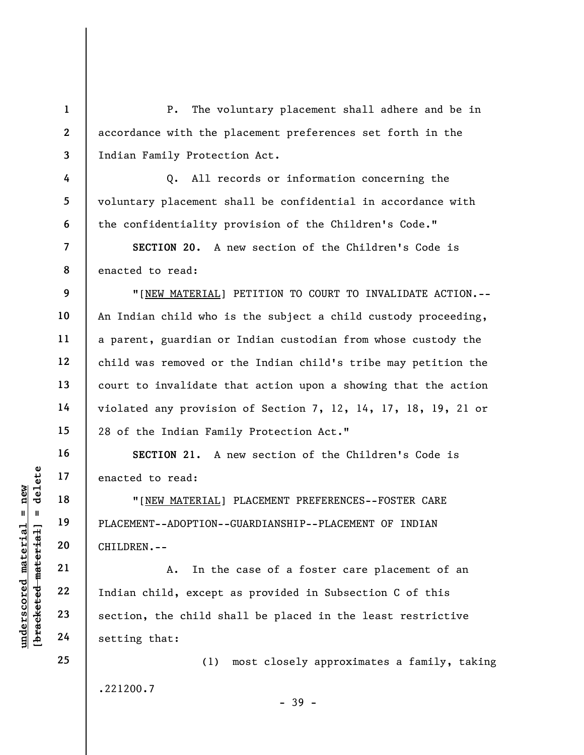2 3 P. The voluntary placement shall adhere and be in accordance with the placement preferences set forth in the Indian Family Protection Act.

Q. All records or information concerning the voluntary placement shall be confidential in accordance with the confidentiality provision of the Children's Code."

8 SECTION 20. A new section of the Children's Code is enacted to read:

"[NEW MATERIAL] PETITION TO COURT TO INVALIDATE ACTION.-- An Indian child who is the subject a child custody proceeding, a parent, guardian or Indian custodian from whose custody the child was removed or the Indian child's tribe may petition the court to invalidate that action upon a showing that the action violated any provision of Section 7, 12, 14, 17, 18, 19, 21 or 28 of the Indian Family Protection Act."

SECTION 21. A new section of the Children's Code is enacted to read:

"[NEW MATERIAL] PLACEMENT PREFERENCES--FOSTER CARE PLACEMENT--ADOPTION--GUARDIANSHIP--PLACEMENT OF INDIAN CHILDREN.--

UNDERTALL PROPTION---<br>
WEREALL PROPTION---<br>
WEREALL PLACEMENT--ADOPTION---<br>
WEREALL PLACEMENT--ADOPTION---<br>
CHILDREN.---<br>
21<br>
22<br>
Indian child, except<br>
23<br>
24<br>
Section, the child sh<br>
setting that: A. In the case of a foster care placement of an Indian child, except as provided in Subsection C of this section, the child shall be placed in the least restrictive setting that:

> (1) most closely approximates a family, taking .221200.7

1

4

5

6

7

9

10

11

12

13

14

15

16

17

18

19

20

21

22

23

24

25

- 39 -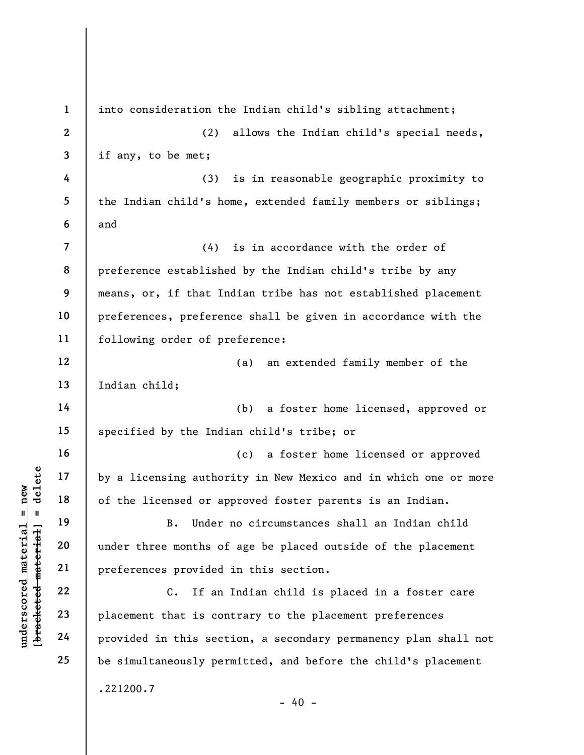UN EXERCISE THE REVENUES OF THE MATHEM 19<br>
UN EXERCISE OF THE MATHEM 19<br>
UN EXERCISE OF THE MATHEM 19<br>
UN EXERCISE TO THE MATHEM 19<br>
UN EXERCISE THE MATHEM 19<br>
UN EXERCISE TO THE MATHEM 19<br>
UN EXERCISE TO THE MATHEM 19<br>
UN 1 2 3 4 5 6 7 8 9 10 11 12 13 14 15 16 17 18 19 20 21 22 23 24 25 into consideration the Indian child's sibling attachment; (2) allows the Indian child's special needs, if any, to be met; (3) is in reasonable geographic proximity to the Indian child's home, extended family members or siblings; and (4) is in accordance with the order of preference established by the Indian child's tribe by any means, or, if that Indian tribe has not established placement preferences, preference shall be given in accordance with the following order of preference: (a) an extended family member of the Indian child; (b) a foster home licensed, approved or specified by the Indian child's tribe; or (c) a foster home licensed or approved by a licensing authority in New Mexico and in which one or more of the licensed or approved foster parents is an Indian. B. Under no circumstances shall an Indian child under three months of age be placed outside of the placement preferences provided in this section. C. If an Indian child is placed in a foster care placement that is contrary to the placement preferences provided in this section, a secondary permanency plan shall not be simultaneously permitted, and before the child's placement .221200.7  $- 40 -$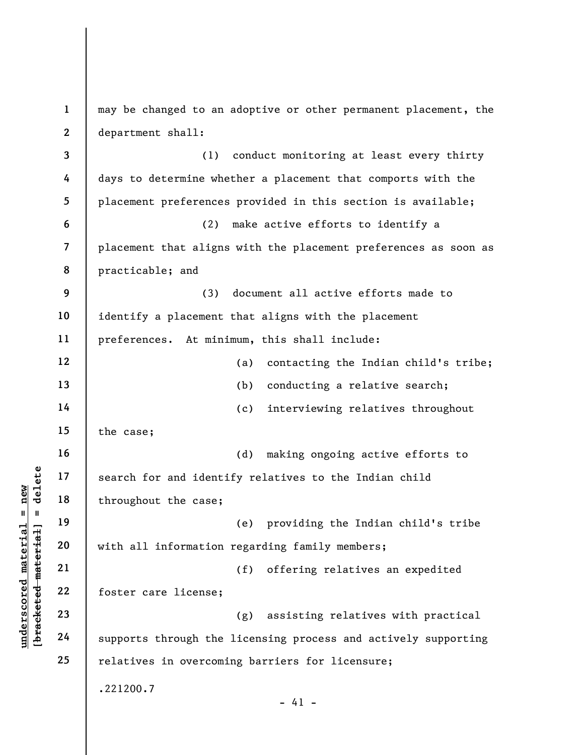understand throughout the case;<br>  $\begin{array}{c|c|c|c} \n\text{u} & \text{u} & \text{u} & \text{u} \text{u} & \text{u} & \text{u} \text{u} & \text{u} & \text{u} \text{u} & \text{u} \text{u} & \text{u} & \text{u} \text{u} & \text{u} & \text{u} \text{u} & \text{u} & \text{u} \text{u} & \text{u} & \text{u} \text{u} & \text{u} & \text{u} & \text{u} \text{u} & \text{u} & \text$ 1 2 3 4 5 6 7 8 9 10 11 12 13 14 15 16 17 18 19 20 21 22 23 24 25 may be changed to an adoptive or other permanent placement, the department shall: (1) conduct monitoring at least every thirty days to determine whether a placement that comports with the placement preferences provided in this section is available; (2) make active efforts to identify a placement that aligns with the placement preferences as soon as practicable; and (3) document all active efforts made to identify a placement that aligns with the placement preferences. At minimum, this shall include: (a) contacting the Indian child's tribe; (b) conducting a relative search; (c) interviewing relatives throughout the case; (d) making ongoing active efforts to search for and identify relatives to the Indian child throughout the case; (e) providing the Indian child's tribe with all information regarding family members; (f) offering relatives an expedited foster care license; (g) assisting relatives with practical supports through the licensing process and actively supporting relatives in overcoming barriers for licensure; .221200.7  $- 41 -$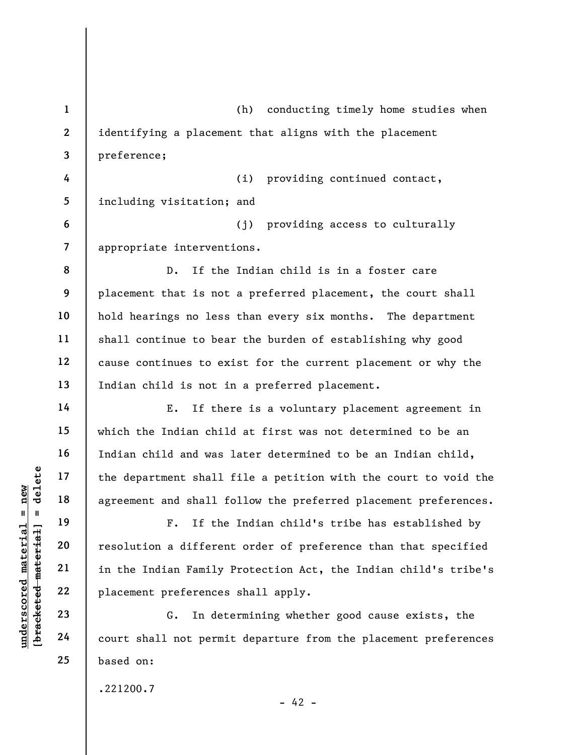understand material and shall<br>  $\begin{array}{c|c|c|c} \hline \text{u} & \text{u} & \text{u} & \text{u} \\ \hline \text{u} & \text{u} & \text{u} & \text{u} \\ \hline \text{u} & \text{u} & \text{u} & \text{u} \\ \hline \text{u} & \text{u} & \text{u} & \text{u} \\ \hline \text{u} & \text{u} & \text{u} & \text{u} \\ \hline \text{u} & \text{u} & \text{u} & \text{u} \\ \hline \text{u} & \text{u} &$ 1 2 3 4 5 6 7 8 9 10 11 12 13 14 15 16 17 18 19 20 21 22 23 24 25 (h) conducting timely home studies when identifying a placement that aligns with the placement preference; (i) providing continued contact, including visitation; and (j) providing access to culturally appropriate interventions. D. If the Indian child is in a foster care placement that is not a preferred placement, the court shall hold hearings no less than every six months. The department shall continue to bear the burden of establishing why good cause continues to exist for the current placement or why the Indian child is not in a preferred placement. E. If there is a voluntary placement agreement in which the Indian child at first was not determined to be an Indian child and was later determined to be an Indian child, the department shall file a petition with the court to void the agreement and shall follow the preferred placement preferences. F. If the Indian child's tribe has established by resolution a different order of preference than that specified in the Indian Family Protection Act, the Indian child's tribe's placement preferences shall apply. G. In determining whether good cause exists, the court shall not permit departure from the placement preferences based on: .221200.7

 $- 42 -$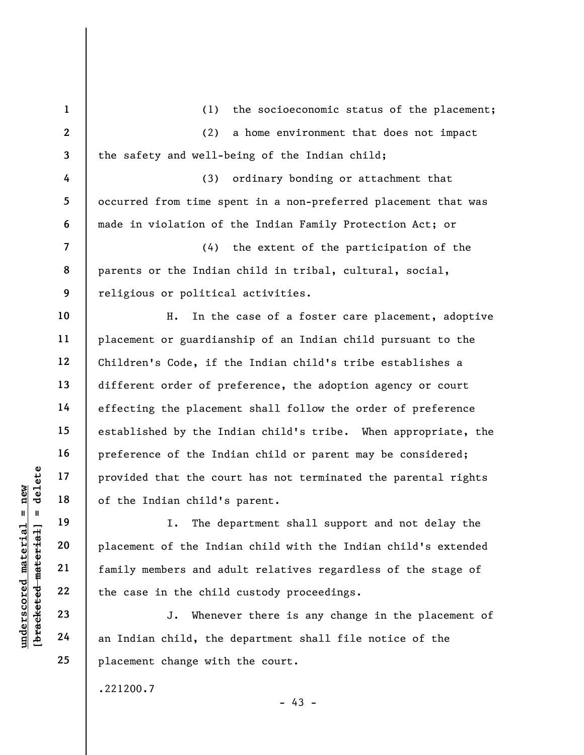|                            | $\mathbf{1}$            | (1)<br>the socioeconomic status of the placement;              |
|----------------------------|-------------------------|----------------------------------------------------------------|
|                            | $\overline{2}$          | (2)<br>a home environment that does not impact                 |
|                            | $\overline{\mathbf{3}}$ | the safety and well-being of the Indian child;                 |
|                            | 4                       | (3)<br>ordinary bonding or attachment that                     |
|                            | 5                       | occurred from time spent in a non-preferred placement that was |
|                            | 6                       | made in violation of the Indian Family Protection Act; or      |
|                            | $\overline{7}$          | (4)<br>the extent of the participation of the                  |
|                            | 8                       | parents or the Indian child in tribal, cultural, social,       |
|                            | 9                       | religious or political activities.                             |
|                            | 10                      | In the case of a foster care placement, adoptive<br>Η.         |
|                            | 11                      | placement or guardianship of an Indian child pursuant to the   |
|                            | 12                      | Children's Code, if the Indian child's tribe establishes a     |
|                            | 13                      | different order of preference, the adoption agency or court    |
|                            | 14                      | effecting the placement shall follow the order of preference   |
|                            | 15                      | established by the Indian child's tribe. When appropriate, the |
|                            | 16                      | preference of the Indian child or parent may be considered;    |
| delete                     | 17                      | provided that the court has not terminated the parental rights |
| $n$ ew                     | 18                      | of the Indian child's parent.                                  |
| II                         | 19                      | The department shall support and not delay the<br>I.           |
| materia                    | 20                      | placement of the Indian child with the Indian child's extended |
| material                   | 21                      | family members and adult relatives regardless of the stage of  |
|                            | 22                      | the case in the child custody proceedings.                     |
| $underscore$<br>[bracketed | 23                      | Whenever there is any change in the placement of<br>J.         |
|                            | 24                      | an Indian child, the department shall file notice of the       |
|                            | 25                      | placement change with the court.                               |

.221200.7

- 43 -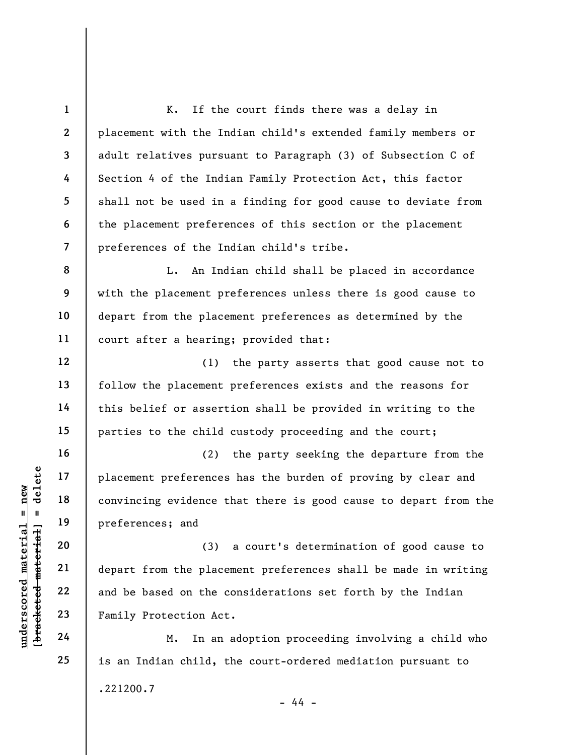understand<br>
understand<br>
understand<br>
20<br>
understand<br>
21<br>
understand<br>
22<br>
23<br>
Pamily Protection Act<br>
24<br>
24<br>
Pamily Protection Act<br>
M. In an 1 2 3 4 5 6 7 8 9 10 11 12 13 14 15 16 17 18 19 20 21 22 23 24 25 K. If the court finds there was a delay in placement with the Indian child's extended family members or adult relatives pursuant to Paragraph (3) of Subsection C of Section 4 of the Indian Family Protection Act, this factor shall not be used in a finding for good cause to deviate from the placement preferences of this section or the placement preferences of the Indian child's tribe. L. An Indian child shall be placed in accordance with the placement preferences unless there is good cause to depart from the placement preferences as determined by the court after a hearing; provided that: (1) the party asserts that good cause not to follow the placement preferences exists and the reasons for this belief or assertion shall be provided in writing to the parties to the child custody proceeding and the court; (2) the party seeking the departure from the placement preferences has the burden of proving by clear and convincing evidence that there is good cause to depart from the preferences; and (3) a court's determination of good cause to depart from the placement preferences shall be made in writing and be based on the considerations set forth by the Indian Family Protection Act. M. In an adoption proceeding involving a child who is an Indian child, the court-ordered mediation pursuant to .221200.7

- 44 -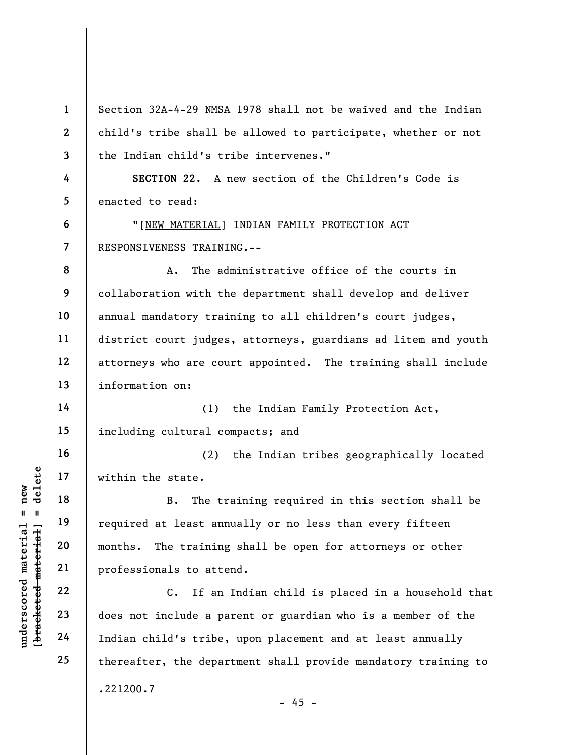underscored material = new [bracketed material] = delete 1 2 3 4 5 6 7 8 9 10 11 12 13 14 15 16 17 18 19 20 21 22 23 24 25 Section 32A-4-29 NMSA 1978 shall not be waived and the Indian child's tribe shall be allowed to participate, whether or not the Indian child's tribe intervenes." SECTION 22. A new section of the Children's Code is enacted to read: "[NEW MATERIAL] INDIAN FAMILY PROTECTION ACT RESPONSIVENESS TRAINING.-- A. The administrative office of the courts in collaboration with the department shall develop and deliver annual mandatory training to all children's court judges, district court judges, attorneys, guardians ad litem and youth attorneys who are court appointed. The training shall include information on: (1) the Indian Family Protection Act, including cultural compacts; and (2) the Indian tribes geographically located within the state. B. The training required in this section shall be required at least annually or no less than every fifteen months. The training shall be open for attorneys or other professionals to attend. C. If an Indian child is placed in a household that does not include a parent or guardian who is a member of the Indian child's tribe, upon placement and at least annually thereafter, the department shall provide mandatory training to .221200.7

 $- 45 -$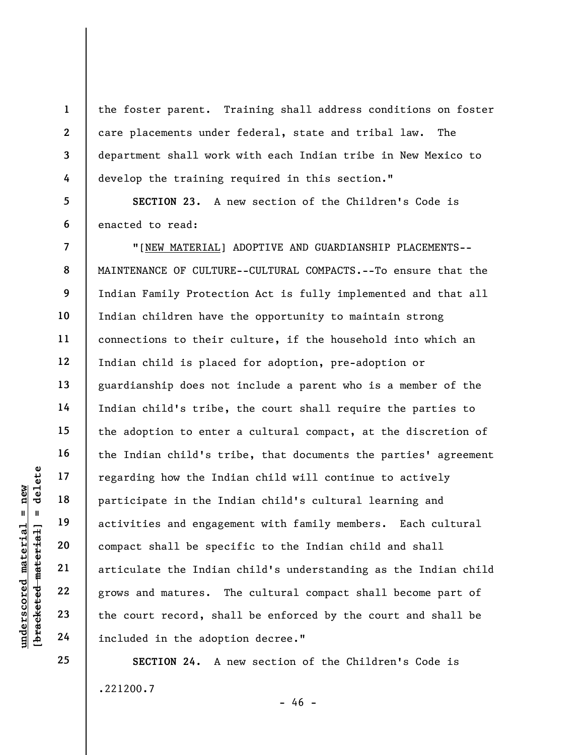the foster parent. Training shall address conditions on foster care placements under federal, state and tribal law. The department shall work with each Indian tribe in New Mexico to develop the training required in this section."

5 6 SECTION 23. A new section of the Children's Code is enacted to read:

understand material material end activities and engage<br>
understand material participate in the Indian activities and engage<br>
engage<br>
21 articulate the Indian grows and matures. Indian 23 the court record, shall<br>
24 include "[NEW MATERIAL] ADOPTIVE AND GUARDIANSHIP PLACEMENTS-- MAINTENANCE OF CULTURE--CULTURAL COMPACTS.--To ensure that the Indian Family Protection Act is fully implemented and that all Indian children have the opportunity to maintain strong connections to their culture, if the household into which an Indian child is placed for adoption, pre-adoption or guardianship does not include a parent who is a member of the Indian child's tribe, the court shall require the parties to the adoption to enter a cultural compact, at the discretion of the Indian child's tribe, that documents the parties' agreement regarding how the Indian child will continue to actively participate in the Indian child's cultural learning and activities and engagement with family members. Each cultural compact shall be specific to the Indian child and shall articulate the Indian child's understanding as the Indian child grows and matures. The cultural compact shall become part of the court record, shall be enforced by the court and shall be included in the adoption decree."

> SECTION 24. A new section of the Children's Code is .221200.7 - 46 -

25

1

2

3

4

7

8

9

10

11

12

13

14

15

16

17

18

19

20

21

22

23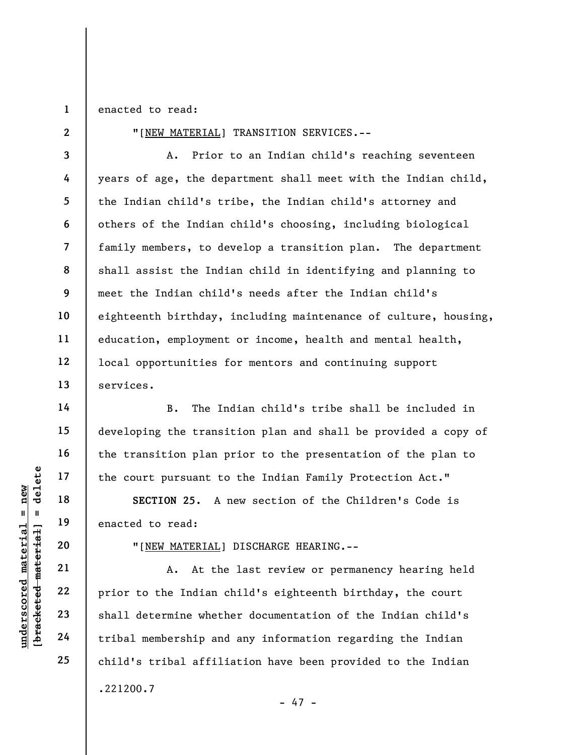1 enacted to read:

2

14

15

16

17

18

19

20

21

22

23

24

25

"[NEW MATERIAL] TRANSITION SERVICES.--

3 4 5 6 7 8 9 10 11 12 13 A. Prior to an Indian child's reaching seventeen years of age, the department shall meet with the Indian child, the Indian child's tribe, the Indian child's attorney and others of the Indian child's choosing, including biological family members, to develop a transition plan. The department shall assist the Indian child in identifying and planning to meet the Indian child's needs after the Indian child's eighteenth birthday, including maintenance of culture, housing, education, employment or income, health and mental health, local opportunities for mentors and continuing support services.

B. The Indian child's tribe shall be included in developing the transition plan and shall be provided a copy of the transition plan prior to the presentation of the plan to the court pursuant to the Indian Family Protection Act."

SECTION 25. A new section of the Children's Code is enacted to read:

"[NEW MATERIAL] DISCHARGE HEARING.--

underscored material = new [bracketed material] = delete A. At the last review or permanency hearing held prior to the Indian child's eighteenth birthday, the court shall determine whether documentation of the Indian child's tribal membership and any information regarding the Indian child's tribal affiliation have been provided to the Indian .221200.7 - 47 -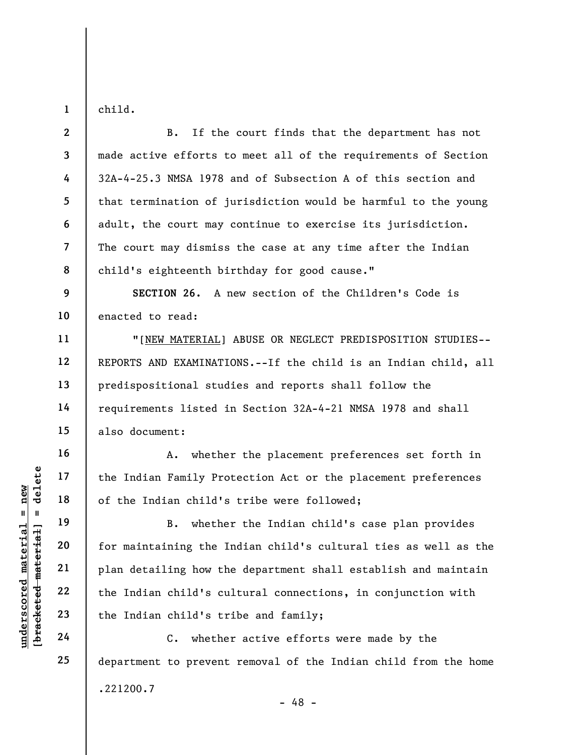child.

1

11

12

13

14

15

16

17

18

19

20

21

22

23

24

25

2 3 4 5 6 7 8 B. If the court finds that the department has not made active efforts to meet all of the requirements of Section 32A-4-25.3 NMSA 1978 and of Subsection A of this section and that termination of jurisdiction would be harmful to the young adult, the court may continue to exercise its jurisdiction. The court may dismiss the case at any time after the Indian child's eighteenth birthday for good cause."

9 10 SECTION 26. A new section of the Children's Code is enacted to read:

"[NEW MATERIAL] ABUSE OR NEGLECT PREDISPOSITION STUDIES-- REPORTS AND EXAMINATIONS.--If the child is an Indian child, all predispositional studies and reports shall follow the requirements listed in Section 32A-4-21 NMSA 1978 and shall also document:

A. whether the placement preferences set forth in the Indian Family Protection Act or the placement preferences of the Indian child's tribe were followed;

underscored material = new [bracketed material] = delete B. whether the Indian child's case plan provides for maintaining the Indian child's cultural ties as well as the plan detailing how the department shall establish and maintain the Indian child's cultural connections, in conjunction with the Indian child's tribe and family;

C. whether active efforts were made by the department to prevent removal of the Indian child from the home .221200.7 - 48 -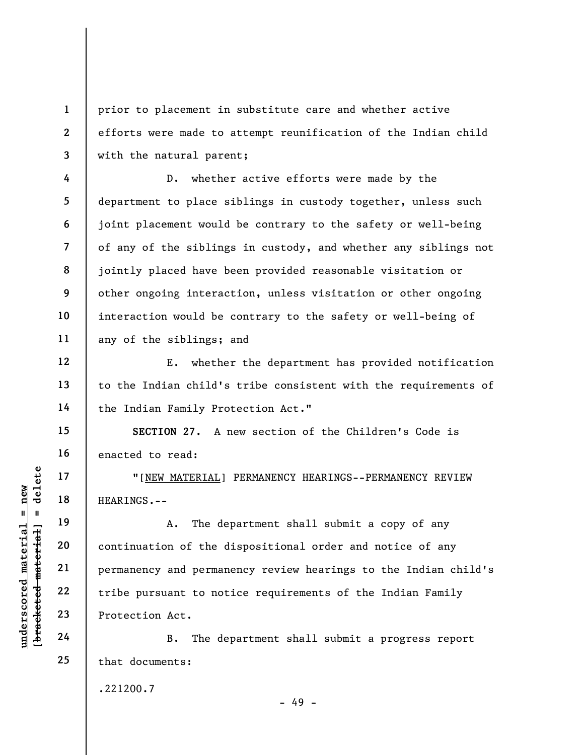prior to placement in substitute care and whether active efforts were made to attempt reunification of the Indian child with the natural parent;

D. whether active efforts were made by the department to place siblings in custody together, unless such joint placement would be contrary to the safety or well-being of any of the siblings in custody, and whether any siblings not jointly placed have been provided reasonable visitation or other ongoing interaction, unless visitation or other ongoing interaction would be contrary to the safety or well-being of any of the siblings; and

E. whether the department has provided notification to the Indian child's tribe consistent with the requirements of the Indian Family Protection Act."

SECTION 27. A new section of the Children's Code is enacted to read:

"[NEW MATERIAL] PERMANENCY HEARINGS--PERMANENCY REVIEW HEARINGS.--

UNDERTALL TO THE MATERIAL POSTAL THE REARINGS.--<br>
WEARINGS.--<br>
20<br>
DESCRIPS 22<br>
THE POSTALL POSTTERIAL PREARINGS.--<br>
21<br>
DESCRIPS 22<br>
23<br>
Protection Act.<br>
24<br>
B. The de A. The department shall submit a copy of any continuation of the dispositional order and notice of any permanency and permanency review hearings to the Indian child's tribe pursuant to notice requirements of the Indian Family Protection Act.

B. The department shall submit a progress report that documents:

.221200.7

- 49 -

1

2

3

4

5

6

7

8

9

10

11

12

13

14

15

16

17

18

19

20

21

22

23

24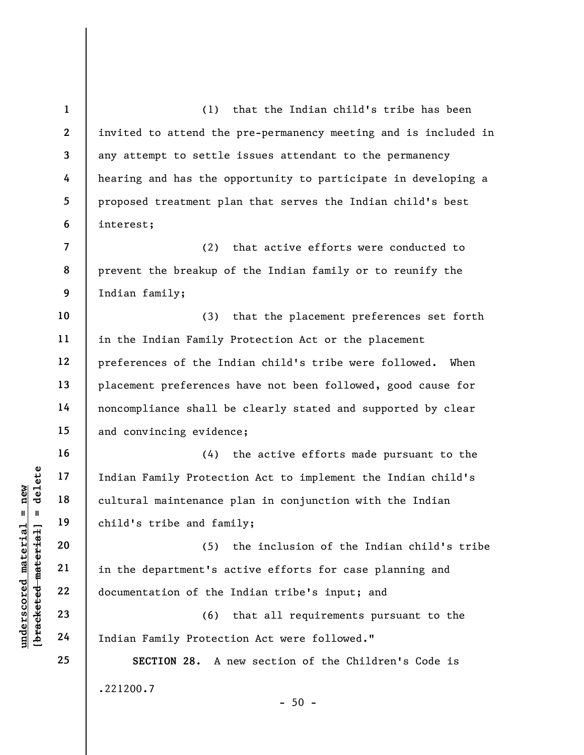underscored material = new [bracketed material] = delete 1 2 3 4 5 6 7 8 9 10 11 12 13 14 15 16 17 18 19 20 21 22 23 24 25 (1) that the Indian child's tribe has been invited to attend the pre-permanency meeting and is included in any attempt to settle issues attendant to the permanency hearing and has the opportunity to participate in developing a proposed treatment plan that serves the Indian child's best interest; (2) that active efforts were conducted to prevent the breakup of the Indian family or to reunify the Indian family; (3) that the placement preferences set forth in the Indian Family Protection Act or the placement preferences of the Indian child's tribe were followed. When placement preferences have not been followed, good cause for noncompliance shall be clearly stated and supported by clear and convincing evidence; (4) the active efforts made pursuant to the Indian Family Protection Act to implement the Indian child's cultural maintenance plan in conjunction with the Indian child's tribe and family; (5) the inclusion of the Indian child's tribe in the department's active efforts for case planning and documentation of the Indian tribe's input; and (6) that all requirements pursuant to the Indian Family Protection Act were followed." SECTION 28. A new section of the Children's Code is .221200.7  $-50 -$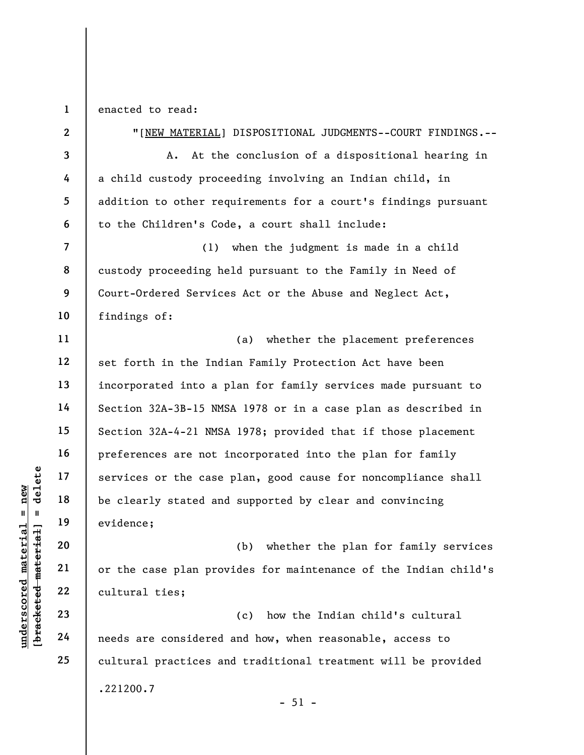1 enacted to read:

understand material services or the case<br>  $\begin{array}{c|c|c|c} \n \text{u} & \text{u} & \text{u} & \text{u} & \text{u} & \text{u} & \text{u} & \text{u} & \text{u} & \text{u} & \text{u} & \text{u} & \text{u} & \text{u} & \text{u} & \text{u} & \text{u} & \text{u} & \text{u} & \text{u} & \text{u} & \text{u} & \text{u} & \text{u} & \text{u} & \text{u} & \text{u} & \text$ 2 3 4 5 6 7 8 9 10 11 12 13 14 15 16 17 18 19 20 21 22 23 24 25 "[NEW MATERIAL] DISPOSITIONAL JUDGMENTS--COURT FINDINGS.-- A. At the conclusion of a dispositional hearing in a child custody proceeding involving an Indian child, in addition to other requirements for a court's findings pursuant to the Children's Code, a court shall include: (1) when the judgment is made in a child custody proceeding held pursuant to the Family in Need of Court-Ordered Services Act or the Abuse and Neglect Act, findings of: (a) whether the placement preferences set forth in the Indian Family Protection Act have been incorporated into a plan for family services made pursuant to Section 32A-3B-15 NMSA 1978 or in a case plan as described in Section 32A-4-21 NMSA 1978; provided that if those placement preferences are not incorporated into the plan for family services or the case plan, good cause for noncompliance shall be clearly stated and supported by clear and convincing evidence; (b) whether the plan for family services or the case plan provides for maintenance of the Indian child's cultural ties; (c) how the Indian child's cultural needs are considered and how, when reasonable, access to cultural practices and traditional treatment will be provided .221200.7

 $-51 -$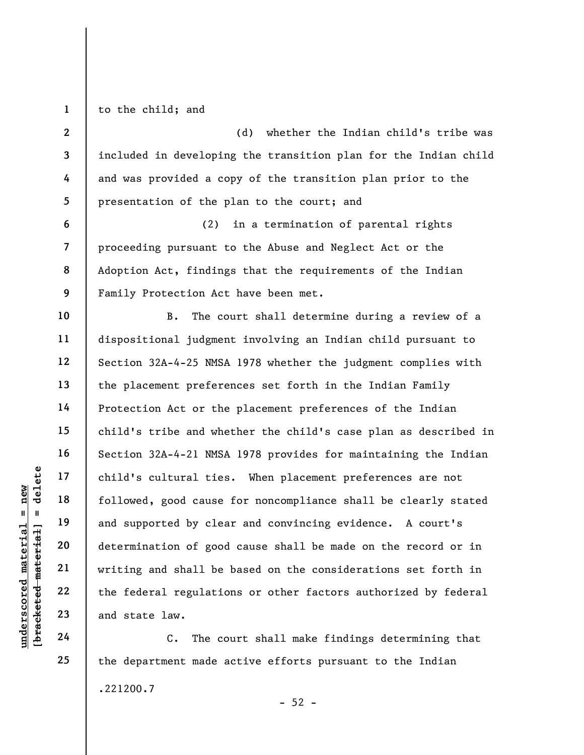1 to the child; and

2

3

4

5

6

7

8

9

10

11

12

13

14

15

16

17

18

19

20

21

22

23

24

25

(d) whether the Indian child's tribe was included in developing the transition plan for the Indian child and was provided a copy of the transition plan prior to the presentation of the plan to the court; and

(2) in a termination of parental rights proceeding pursuant to the Abuse and Neglect Act or the Adoption Act, findings that the requirements of the Indian Family Protection Act have been met.

underscored material = new [bracketed material] = delete B. The court shall determine during a review of a dispositional judgment involving an Indian child pursuant to Section 32A-4-25 NMSA 1978 whether the judgment complies with the placement preferences set forth in the Indian Family Protection Act or the placement preferences of the Indian child's tribe and whether the child's case plan as described in Section 32A-4-21 NMSA 1978 provides for maintaining the Indian child's cultural ties. When placement preferences are not followed, good cause for noncompliance shall be clearly stated and supported by clear and convincing evidence. A court's determination of good cause shall be made on the record or in writing and shall be based on the considerations set forth in the federal regulations or other factors authorized by federal and state law.

C. The court shall make findings determining that the department made active efforts pursuant to the Indian .221200.7  $-52 -$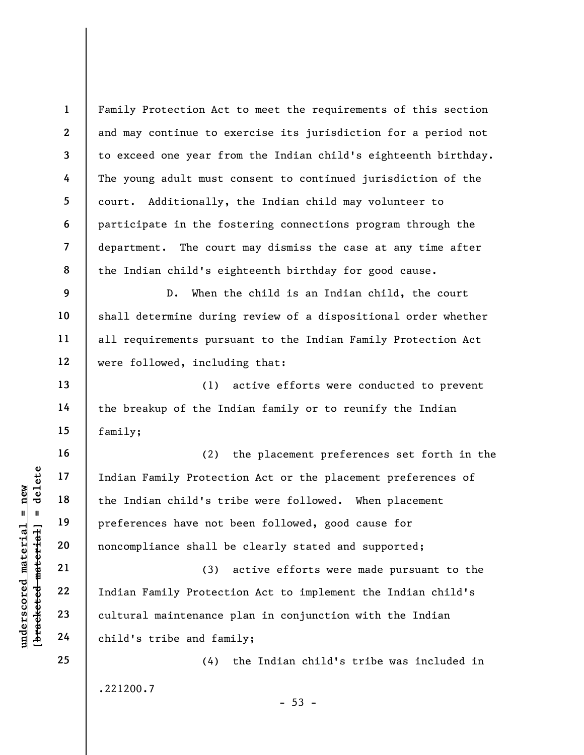Family Protection Act to meet the requirements of this section and may continue to exercise its jurisdiction for a period not to exceed one year from the Indian child's eighteenth birthday. The young adult must consent to continued jurisdiction of the court. Additionally, the Indian child may volunteer to participate in the fostering connections program through the department. The court may dismiss the case at any time after the Indian child's eighteenth birthday for good cause.

D. When the child is an Indian child, the court shall determine during review of a dispositional order whether all requirements pursuant to the Indian Family Protection Act were followed, including that:

(1) active efforts were conducted to prevent the breakup of the Indian family or to reunify the Indian family;

underscored material material engineers are not<br>defined as a preferences have not<br>preferences have not<br>noncompliance shall be<br>determined and the material material<br>derivative contract child's tribe and family and the<br>determ (2) the placement preferences set forth in the Indian Family Protection Act or the placement preferences of the Indian child's tribe were followed. When placement preferences have not been followed, good cause for noncompliance shall be clearly stated and supported;

(3) active efforts were made pursuant to the Indian Family Protection Act to implement the Indian child's cultural maintenance plan in conjunction with the Indian child's tribe and family;

(4) the Indian child's tribe was included in .221200.7  $-53 -$ 

25

24

1

2

3

4

5

6

7

8

9

10

11

12

13

14

15

16

17

18

19

20

21

22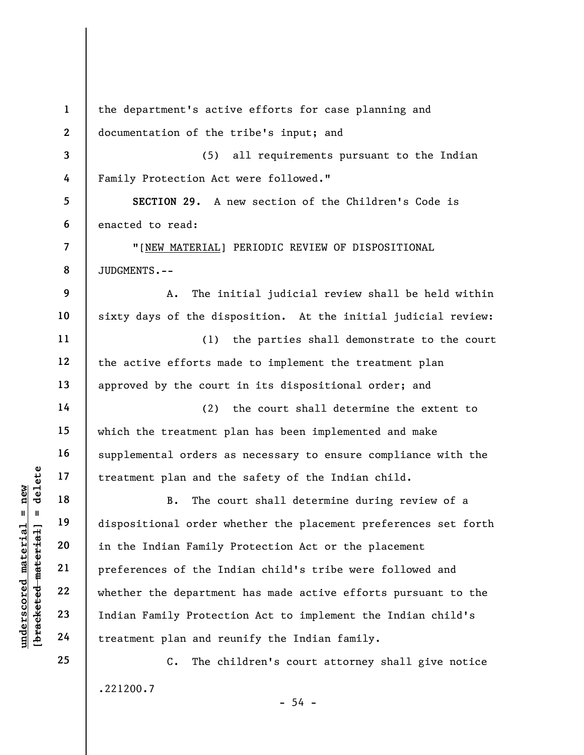underscored material = new [bracketed material] = delete 1 2 3 4 5 6 7 8 9 10 11 12 13 14 15 16 17 18 19 20 21 22 23 24 25 the department's active efforts for case planning and documentation of the tribe's input; and (5) all requirements pursuant to the Indian Family Protection Act were followed." SECTION 29. A new section of the Children's Code is enacted to read: "[NEW MATERIAL] PERIODIC REVIEW OF DISPOSITIONAL JUDGMENTS.-- A. The initial judicial review shall be held within sixty days of the disposition. At the initial judicial review: (1) the parties shall demonstrate to the court the active efforts made to implement the treatment plan approved by the court in its dispositional order; and (2) the court shall determine the extent to which the treatment plan has been implemented and make supplemental orders as necessary to ensure compliance with the treatment plan and the safety of the Indian child. B. The court shall determine during review of a dispositional order whether the placement preferences set forth in the Indian Family Protection Act or the placement preferences of the Indian child's tribe were followed and whether the department has made active efforts pursuant to the Indian Family Protection Act to implement the Indian child's treatment plan and reunify the Indian family. C. The children's court attorney shall give notice

.221200.7

 $-54 -$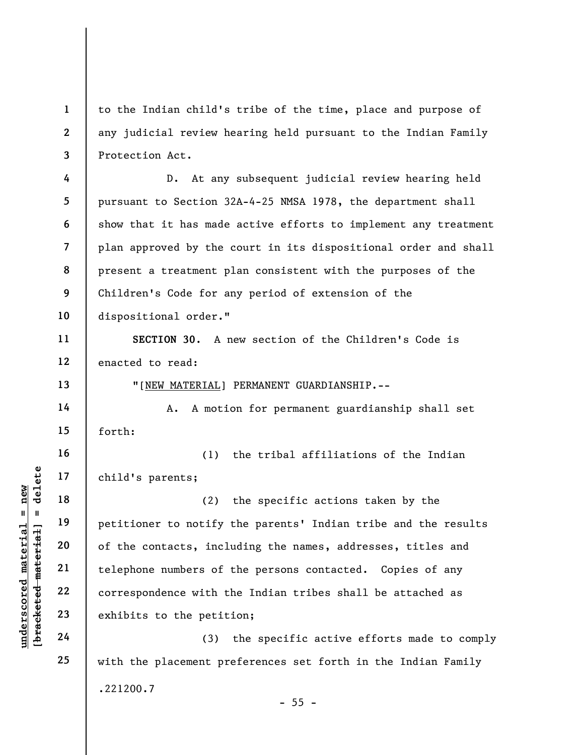to the Indian child's tribe of the time, place and purpose of any judicial review hearing held pursuant to the Indian Family Protection Act.

4 5 6 7 8 9 10 D. At any subsequent judicial review hearing held pursuant to Section 32A-4-25 NMSA 1978, the department shall show that it has made active efforts to implement any treatment plan approved by the court in its dispositional order and shall present a treatment plan consistent with the purposes of the Children's Code for any period of extension of the dispositional order."

11 12 SECTION 30. A new section of the Children's Code is enacted to read:

"[NEW MATERIAL] PERMANENT GUARDIANSHIP.--

A. A motion for permanent guardianship shall set forth:

16 17 (1) the tribal affiliations of the Indian child's parents;

understand material exhibits to the petition<br>gradient material of the contacts, incl<br>understand telephone numbers of<br>22<br>understand material exhibits to the petit<br>deleter 23<br>24 (3) (2) the specific actions taken by the petitioner to notify the parents' Indian tribe and the results of the contacts, including the names, addresses, titles and telephone numbers of the persons contacted. Copies of any correspondence with the Indian tribes shall be attached as exhibits to the petition;

(3) the specific active efforts made to comply with the placement preferences set forth in the Indian Family .221200.7  $- 55 -$ 

1

2

3

13

14

15

18

19

20

21

22

23

24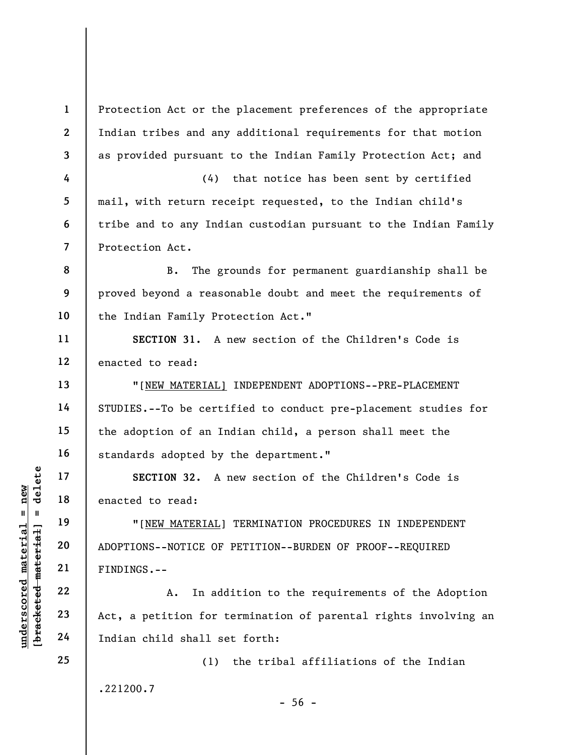UN SECTION 32. A<br>
17<br>
18<br>
19<br>
19<br>
19<br>
19<br>
19<br>
19<br>
19<br>
19<br>
10<br>
20<br>
20<br>
20<br>
20<br>
20<br>
FINDINGS.--<br>
22<br>
A. In add<br>
23<br>
24<br>
Indian child shall se<br>
24<br>
Indian child shall se 1 2 3 4 5 6 7 8 9 10 11 12 13 14 15 16 17 18 19 20 21 22 23 24 25 Protection Act or the placement preferences of the appropriate Indian tribes and any additional requirements for that motion as provided pursuant to the Indian Family Protection Act; and (4) that notice has been sent by certified mail, with return receipt requested, to the Indian child's tribe and to any Indian custodian pursuant to the Indian Family Protection Act. B. The grounds for permanent guardianship shall be proved beyond a reasonable doubt and meet the requirements of the Indian Family Protection Act." SECTION 31. A new section of the Children's Code is enacted to read: "[NEW MATERIAL] INDEPENDENT ADOPTIONS--PRE-PLACEMENT STUDIES.--To be certified to conduct pre-placement studies for the adoption of an Indian child, a person shall meet the standards adopted by the department." SECTION 32. A new section of the Children's Code is enacted to read: "[NEW MATERIAL] TERMINATION PROCEDURES IN INDEPENDENT ADOPTIONS--NOTICE OF PETITION--BURDEN OF PROOF--REQUIRED FINDINGS.-- A. In addition to the requirements of the Adoption Act, a petition for termination of parental rights involving an Indian child shall set forth: (1) the tribal affiliations of the Indian .221200.7  $-56 -$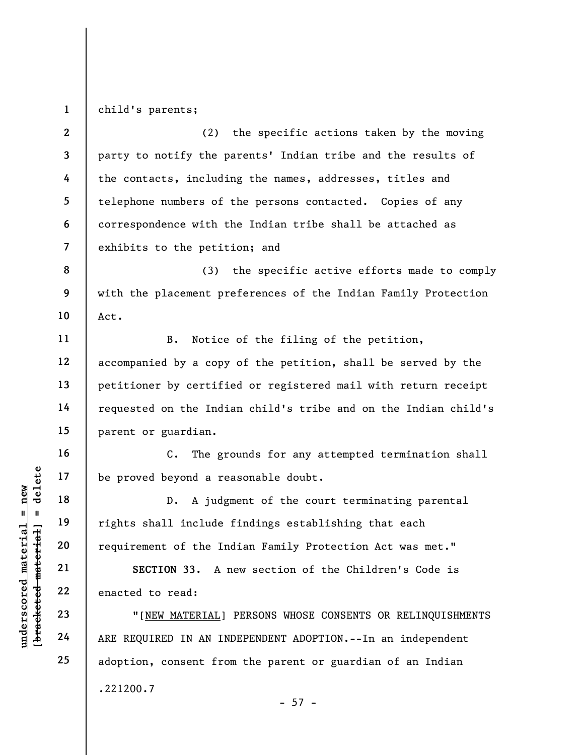1 child's parents;

2 3 4 5 6 7 (2) the specific actions taken by the moving party to notify the parents' Indian tribe and the results of the contacts, including the names, addresses, titles and telephone numbers of the persons contacted. Copies of any correspondence with the Indian tribe shall be attached as exhibits to the petition; and

8 9 10 (3) the specific active efforts made to comply with the placement preferences of the Indian Family Protection Act.

B. Notice of the filing of the petition, accompanied by a copy of the petition, shall be served by the petitioner by certified or registered mail with return receipt requested on the Indian child's tribe and on the Indian child's parent or guardian.

C. The grounds for any attempted termination shall be proved beyond a reasonable doubt.

UN DE Proved beyond a re<br>
17 and 18 D. A judg<br>
19 rights shall include<br>
requirement of the In<br>
21 sECTION 33. A 1<br>
22 enacted to read:<br>
23 "[NEW MATERIAL]<br>
24 ARE REQUIRED IN AN IN D. A judgment of the court terminating parental rights shall include findings establishing that each requirement of the Indian Family Protection Act was met."

SECTION 33. A new section of the Children's Code is enacted to read:

"[NEW MATERIAL] PERSONS WHOSE CONSENTS OR RELINQUISHMENTS ARE REQUIRED IN AN INDEPENDENT ADOPTION.--In an independent adoption, consent from the parent or guardian of an Indian .221200.7  $- 57 -$ 

11

12

13

14

15

16

17

18

19

20

21

22

23

24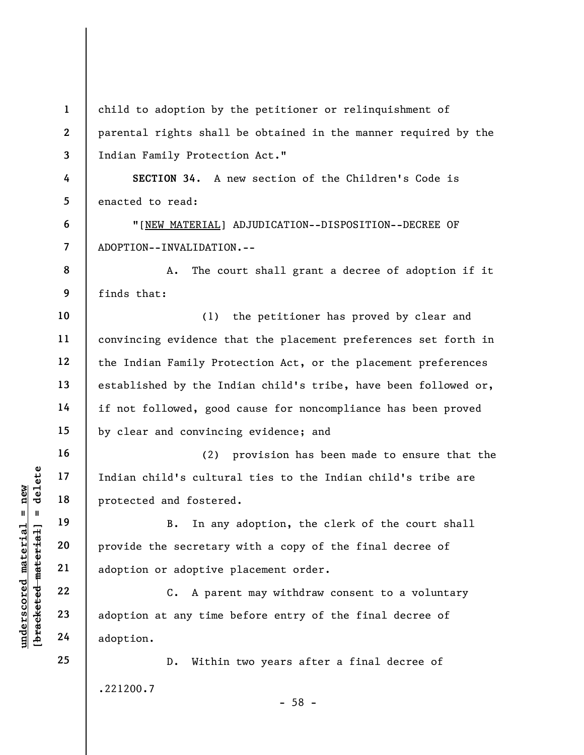underscored material = new [bracketed material] = delete 1 2 3 4 5 6 7 8 9 10 11 12 13 14 15 16 17 18 19 20 21 22 23 24 25 child to adoption by the petitioner or relinquishment of parental rights shall be obtained in the manner required by the Indian Family Protection Act." SECTION 34. A new section of the Children's Code is enacted to read: "[NEW MATERIAL] ADJUDICATION--DISPOSITION--DECREE OF ADOPTION--INVALIDATION.-- A. The court shall grant a decree of adoption if it finds that: (1) the petitioner has proved by clear and convincing evidence that the placement preferences set forth in the Indian Family Protection Act, or the placement preferences established by the Indian child's tribe, have been followed or, if not followed, good cause for noncompliance has been proved by clear and convincing evidence; and (2) provision has been made to ensure that the Indian child's cultural ties to the Indian child's tribe are protected and fostered. B. In any adoption, the clerk of the court shall provide the secretary with a copy of the final decree of adoption or adoptive placement order. C. A parent may withdraw consent to a voluntary adoption at any time before entry of the final decree of adoption. D. Within two years after a final decree of .221200.7 - 58 -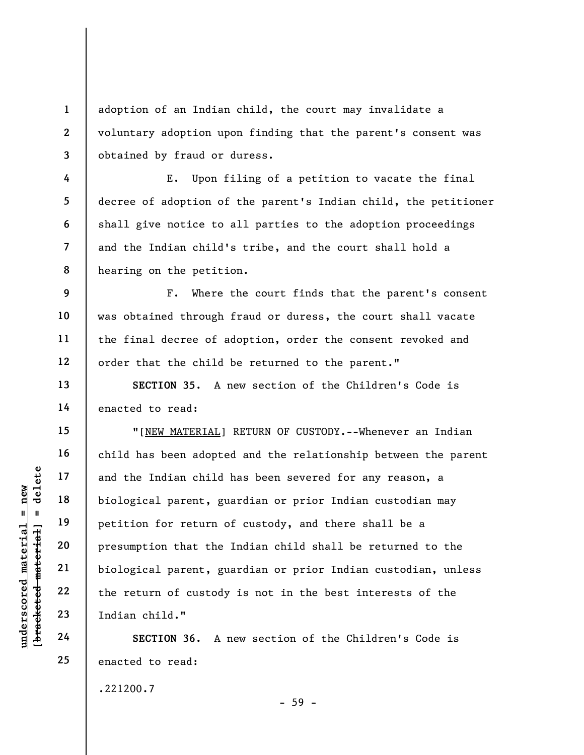adoption of an Indian child, the court may invalidate a voluntary adoption upon finding that the parent's consent was obtained by fraud or duress.

E. Upon filing of a petition to vacate the final decree of adoption of the parent's Indian child, the petitioner shall give notice to all parties to the adoption proceedings and the Indian child's tribe, and the court shall hold a hearing on the petition.

F. Where the court finds that the parent's consent was obtained through fraud or duress, the court shall vacate the final decree of adoption, order the consent revoked and order that the child be returned to the parent."

SECTION 35. A new section of the Children's Code is enacted to read:

underscored material and the Indian child<br>  $\begin{array}{c|c|c|c} \hline \text{u} & \text{u} & \text{u} & \text{u} \\ \hline \text{u} & \text{u} & \text{u} & \text{u} \\ \hline \text{u} & \text{u} & \text{u} & \text{u} \\ \hline \text{u} & \text{u} & \text{u} & \text{u} \\ \hline \text{u} & \text{u} & \text{u} & \text{u} \\ \hline \text{u} & \text{u} & \text{u} & \text{u} \\ \hline$ "[NEW MATERIAL] RETURN OF CUSTODY.--Whenever an Indian child has been adopted and the relationship between the parent and the Indian child has been severed for any reason, a biological parent, guardian or prior Indian custodian may petition for return of custody, and there shall be a presumption that the Indian child shall be returned to the biological parent, guardian or prior Indian custodian, unless the return of custody is not in the best interests of the Indian child."

SECTION 36. A new section of the Children's Code is enacted to read:

.221200.7

- 59 -

1

2

3

4

5

6

7

8

9

10

11

12

13

14

15

16

17

18

19

20

21

22

23

24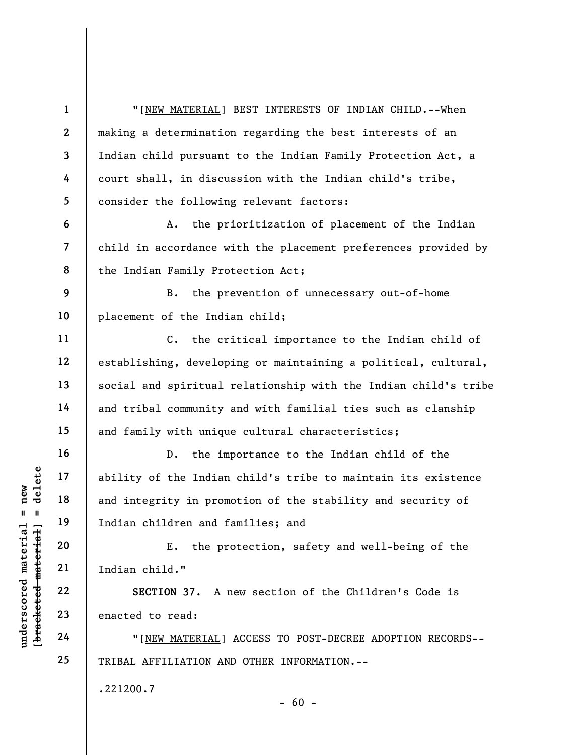understand material and integrity in promptom and f<br>
and integrity in promptom<br>
and integrity in promptom<br>  $\begin{array}{ccc}\n\text{Equation: } & \text{Equation: } & \text{Equation: } & \text{Equation: } & \text{Equation: } & \text{Equation: } & \text{Equation: } & \text{Equation: } & \text{Equation: } & \text{Equation: } & \text{Equation: } & \text{Equation: } & \text{Equation: } & \text$ 1 2 3 4 5 6 7 8 9 10 11 12 13 14 15 16 17 18 19 20 21 22 23 24 25 "[NEW MATERIAL] BEST INTERESTS OF INDIAN CHILD.--When making a determination regarding the best interests of an Indian child pursuant to the Indian Family Protection Act, a court shall, in discussion with the Indian child's tribe, consider the following relevant factors: A. the prioritization of placement of the Indian child in accordance with the placement preferences provided by the Indian Family Protection Act; B. the prevention of unnecessary out-of-home placement of the Indian child; C. the critical importance to the Indian child of establishing, developing or maintaining a political, cultural, social and spiritual relationship with the Indian child's tribe and tribal community and with familial ties such as clanship and family with unique cultural characteristics; D. the importance to the Indian child of the ability of the Indian child's tribe to maintain its existence and integrity in promotion of the stability and security of Indian children and families; and E. the protection, safety and well-being of the Indian child." SECTION 37. A new section of the Children's Code is enacted to read: "[NEW MATERIAL] ACCESS TO POST-DECREE ADOPTION RECORDS-- TRIBAL AFFILIATION AND OTHER INFORMATION.-- .221200.7  $- 60 -$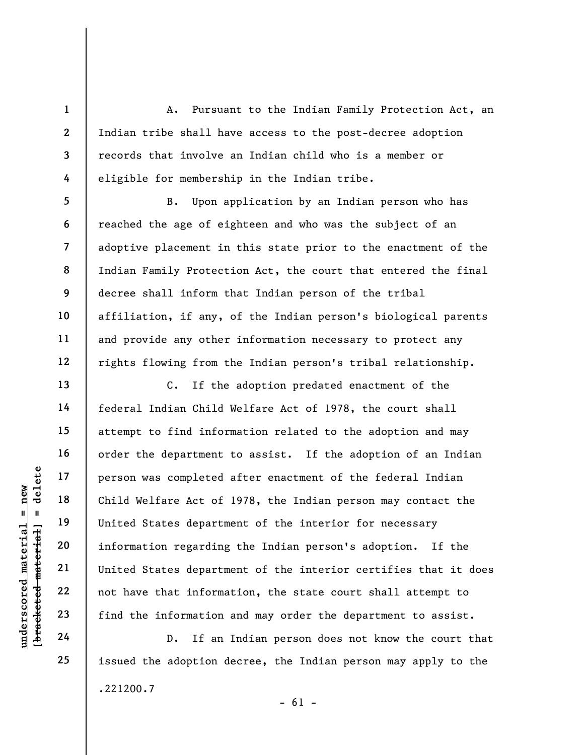A. Pursuant to the Indian Family Protection Act, an Indian tribe shall have access to the post-decree adoption records that involve an Indian child who is a member or eligible for membership in the Indian tribe.

B. Upon application by an Indian person who has reached the age of eighteen and who was the subject of an adoptive placement in this state prior to the enactment of the Indian Family Protection Act, the court that entered the final decree shall inform that Indian person of the tribal affiliation, if any, of the Indian person's biological parents and provide any other information necessary to protect any rights flowing from the Indian person's tribal relationship.

under 17<br>
and 18<br>
united States departm<br>
19<br>
united States departm<br>
information regarding<br>
21<br>
united States departm<br>
22<br>
united States departm<br>
22<br>
united States departm<br>
22<br>
united States departm<br>
24<br>
D. If an C. If the adoption predated enactment of the federal Indian Child Welfare Act of 1978, the court shall attempt to find information related to the adoption and may order the department to assist. If the adoption of an Indian person was completed after enactment of the federal Indian Child Welfare Act of 1978, the Indian person may contact the United States department of the interior for necessary information regarding the Indian person's adoption. If the United States department of the interior certifies that it does not have that information, the state court shall attempt to find the information and may order the department to assist.

D. If an Indian person does not know the court that issued the adoption decree, the Indian person may apply to the .221200.7

1

2

3

4

5

6

7

8

9

10

11

12

13

14

15

16

17

18

19

20

21

22

23

24

25

 $- 61 -$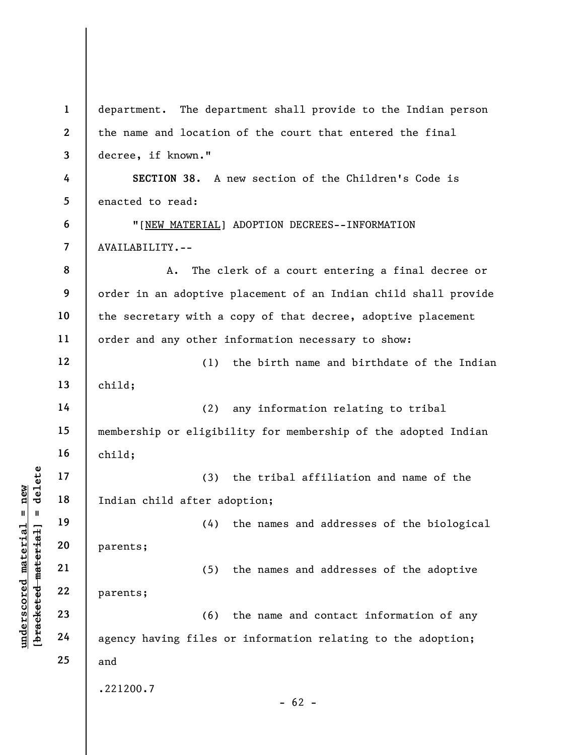|                                   | $\mathbf{1}$            | department. The department shall provide to the Indian person   |
|-----------------------------------|-------------------------|-----------------------------------------------------------------|
|                                   | $\boldsymbol{2}$        | the name and location of the court that entered the final       |
|                                   | 3                       | decree, if known."                                              |
|                                   | 4                       | SECTION 38. A new section of the Children's Code is             |
|                                   | 5                       | enacted to read:                                                |
|                                   | 6                       | "[NEW MATERIAL] ADOPTION DECREES--INFORMATION                   |
|                                   | $\overline{\mathbf{z}}$ | AVAILABILITY.--                                                 |
|                                   | 8                       | The clerk of a court entering a final decree or<br>Α.           |
|                                   | 9                       | order in an adoptive placement of an Indian child shall provide |
|                                   | 10                      | the secretary with a copy of that decree, adoptive placement    |
|                                   | 11                      | order and any other information necessary to show:              |
|                                   | 12                      | the birth name and birthdate of the Indian<br>(1)               |
|                                   | 13                      | child;                                                          |
|                                   | 14                      | (2)<br>any information relating to tribal                       |
|                                   | 15                      | membership or eligibility for membership of the adopted Indian  |
|                                   | 16                      | child;                                                          |
| delete                            | 17                      | (3)<br>the tribal affiliation and name of the                   |
| $n$ ew                            | 18                      | Indian child after adoption;                                    |
| Ш<br>H                            | 19                      | (4) the names and addresses of the biological                   |
|                                   | 20                      | parents;                                                        |
|                                   | 21                      | the names and addresses of the adoptive<br>(5)                  |
| [ <del>bracketed material</del> ] | 22                      | parents;                                                        |
|                                   | 23                      | (6)<br>the name and contact information of any                  |
| underscored material              | 24                      | agency having files or information relating to the adoption;    |
|                                   | 25                      | and                                                             |
|                                   |                         | .221200.7                                                       |
|                                   |                         | $-62 -$                                                         |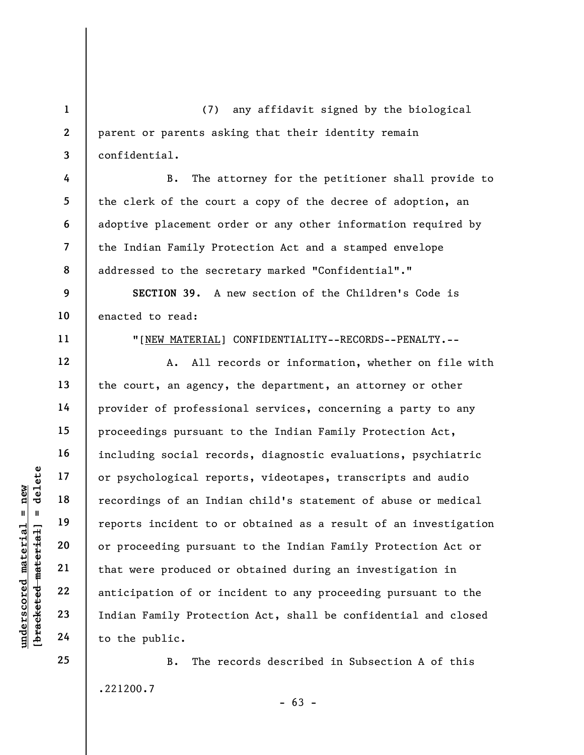1 2 3 (7) any affidavit signed by the biological parent or parents asking that their identity remain confidential.

B. The attorney for the petitioner shall provide to the clerk of the court a copy of the decree of adoption, an adoptive placement order or any other information required by the Indian Family Protection Act and a stamped envelope addressed to the secretary marked "Confidential"."

9 10 SECTION 39. A new section of the Children's Code is enacted to read:

11

12

13

14

15

16

17

18

19

20

21

22

23

24

25

4

5

6

7

8

"[NEW MATERIAL] CONFIDENTIALITY--RECORDS--PENALTY.--

understand material expedience of an Indian experience of an Indian experience of an Indian experience of an Indian experience of an Indian Emily Protect to the public. A. All records or information, whether on file with the court, an agency, the department, an attorney or other provider of professional services, concerning a party to any proceedings pursuant to the Indian Family Protection Act, including social records, diagnostic evaluations, psychiatric or psychological reports, videotapes, transcripts and audio recordings of an Indian child's statement of abuse or medical reports incident to or obtained as a result of an investigation or proceeding pursuant to the Indian Family Protection Act or that were produced or obtained during an investigation in anticipation of or incident to any proceeding pursuant to the Indian Family Protection Act, shall be confidential and closed to the public.

> B. The records described in Subsection A of this .221200.7

 $- 63 -$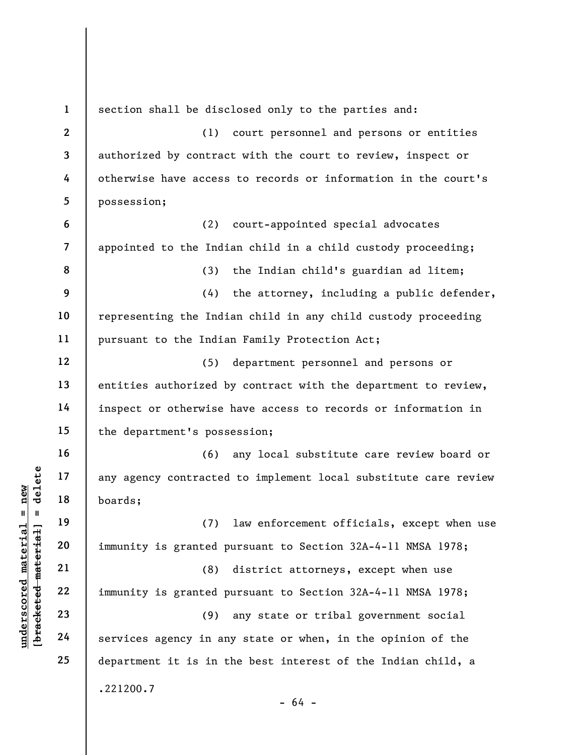underscontinued and the set of the set of the set of the set of the set of the set of the set of the set of the<br>diagonal set of the set of the set of the set of the set of the set of the set of the set of the set of the se 1 2 3 4 5 6 7 8 9 10 11 12 13 14 15 16 17 18 19 20 21 22 23 24 25 section shall be disclosed only to the parties and: (1) court personnel and persons or entities authorized by contract with the court to review, inspect or otherwise have access to records or information in the court's possession; (2) court-appointed special advocates appointed to the Indian child in a child custody proceeding; (3) the Indian child's guardian ad litem; (4) the attorney, including a public defender, representing the Indian child in any child custody proceeding pursuant to the Indian Family Protection Act; (5) department personnel and persons or entities authorized by contract with the department to review, inspect or otherwise have access to records or information in the department's possession; (6) any local substitute care review board or any agency contracted to implement local substitute care review boards; (7) law enforcement officials, except when use immunity is granted pursuant to Section 32A-4-11 NMSA 1978; (8) district attorneys, except when use immunity is granted pursuant to Section 32A-4-11 NMSA 1978; (9) any state or tribal government social services agency in any state or when, in the opinion of the department it is in the best interest of the Indian child, a .221200.7 - 64 -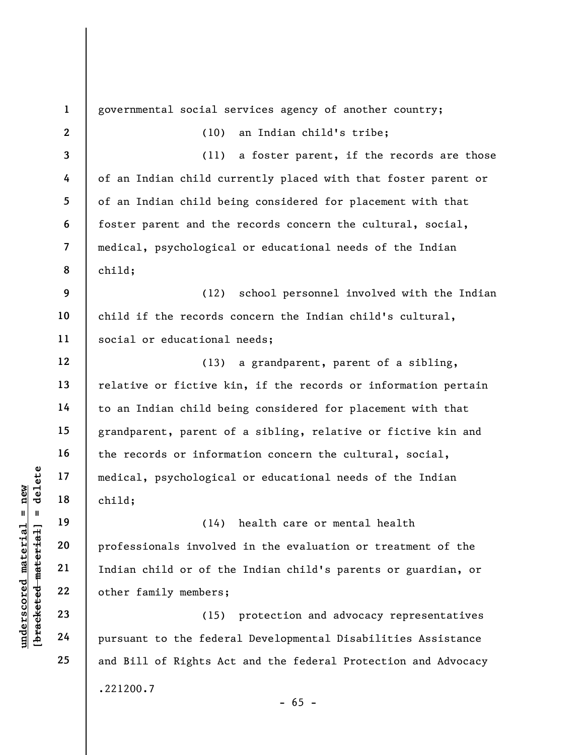underscored material medical, psychologica<br>
and deleted material of the child;<br>
which is a child;<br>
and deleted materials involve<br>
21<br>
22<br>
23<br>
24<br>
24<br>
24<br>
22<br>
24<br>
22<br>
24<br>
22<br>
24<br>
22<br>
24<br>
22<br>
24<br>
22<br>
24<br>
22<br>
24<br>
22<br>
24<br>
22<br> 1 2 3 4 5 6 7 8 9 10 11 12 13 14 15 16 17 18 19 20 21 22 23 24 25 governmental social services agency of another country; (10) an Indian child's tribe; (11) a foster parent, if the records are those of an Indian child currently placed with that foster parent or of an Indian child being considered for placement with that foster parent and the records concern the cultural, social, medical, psychological or educational needs of the Indian child; (12) school personnel involved with the Indian child if the records concern the Indian child's cultural, social or educational needs; (13) a grandparent, parent of a sibling, relative or fictive kin, if the records or information pertain to an Indian child being considered for placement with that grandparent, parent of a sibling, relative or fictive kin and the records or information concern the cultural, social, medical, psychological or educational needs of the Indian child; (14) health care or mental health professionals involved in the evaluation or treatment of the Indian child or of the Indian child's parents or guardian, or other family members; (15) protection and advocacy representatives pursuant to the federal Developmental Disabilities Assistance and Bill of Rights Act and the federal Protection and Advocacy .221200.7  $- 65 -$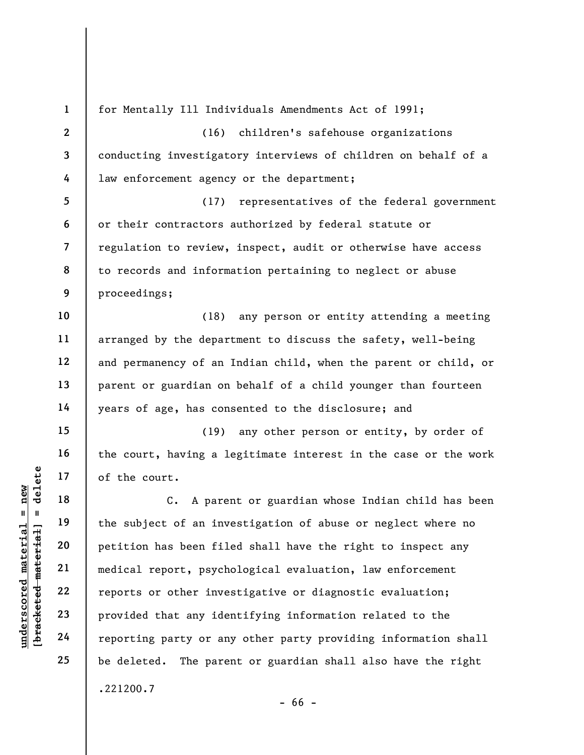underscored material material end of the court.<br>
The material of the court.<br>
C. A pare<br>  $\begin{array}{ccc} 0 & \text{if } 19 \\ -20 & \text{if } 20 \\ -21 & \text{and } 22 \\ -22 & \text{if } 23 \\ -23 & \text{if } 24 \end{array}$  and ical report, psychology<br>  $\begin{array}{ccc} 23 & \text{if } 24 \\ -24 & \text$ 1 2 3 4 5 6 7 8 9 10 11 12 13 14 15 16 17 18 19 20 21 22 23 24 25 for Mentally Ill Individuals Amendments Act of 1991; (16) children's safehouse organizations conducting investigatory interviews of children on behalf of a law enforcement agency or the department; (17) representatives of the federal government or their contractors authorized by federal statute or regulation to review, inspect, audit or otherwise have access to records and information pertaining to neglect or abuse proceedings; (18) any person or entity attending a meeting arranged by the department to discuss the safety, well-being and permanency of an Indian child, when the parent or child, or parent or guardian on behalf of a child younger than fourteen years of age, has consented to the disclosure; and (19) any other person or entity, by order of the court, having a legitimate interest in the case or the work of the court. C. A parent or guardian whose Indian child has been the subject of an investigation of abuse or neglect where no petition has been filed shall have the right to inspect any medical report, psychological evaluation, law enforcement reports or other investigative or diagnostic evaluation; provided that any identifying information related to the reporting party or any other party providing information shall be deleted. The parent or guardian shall also have the right .221200.7

- 66 -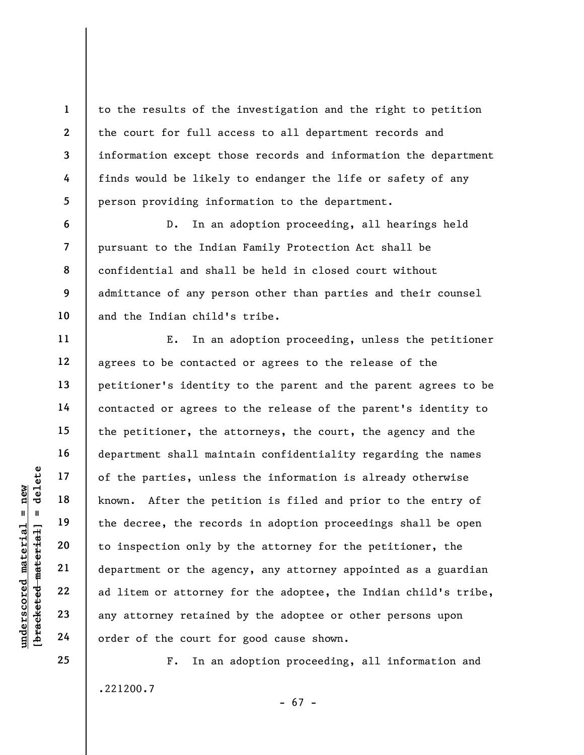to the results of the investigation and the right to petition the court for full access to all department records and information except those records and information the department finds would be likely to endanger the life or safety of any person providing information to the department.

D. In an adoption proceeding, all hearings held pursuant to the Indian Family Protection Act shall be confidential and shall be held in closed court without admittance of any person other than parties and their counsel and the Indian child's tribe.

understand material external paints.<br>
We also the parties, unles<br>  $\begin{array}{ccc} \mathbf{u} & \mathbf{u} & \mathbf{u} \\ \mathbf{u} & \mathbf{u} & \mathbf{u} \\ \mathbf{u} & \mathbf{u} & \mathbf{u} \\ \mathbf{u} & \mathbf{u} & \mathbf{u} \\ \mathbf{u} & \mathbf{u} & \mathbf{u} \\ \mathbf{u} & \mathbf{u} & \mathbf{u} \\ \mathbf{u} & \mathbf{u} & \mathbf{u} \\ \$ E. In an adoption proceeding, unless the petitioner agrees to be contacted or agrees to the release of the petitioner's identity to the parent and the parent agrees to be contacted or agrees to the release of the parent's identity to the petitioner, the attorneys, the court, the agency and the department shall maintain confidentiality regarding the names of the parties, unless the information is already otherwise known. After the petition is filed and prior to the entry of the decree, the records in adoption proceedings shall be open to inspection only by the attorney for the petitioner, the department or the agency, any attorney appointed as a guardian ad litem or attorney for the adoptee, the Indian child's tribe, any attorney retained by the adoptee or other persons upon order of the court for good cause shown.

.221200.7

F. In an adoption proceeding, all information and

- 67 -

1

2

3

4

5

6

7

8

9

10

11

12

13

14

15

16

17

18

19

20

21

22

23

24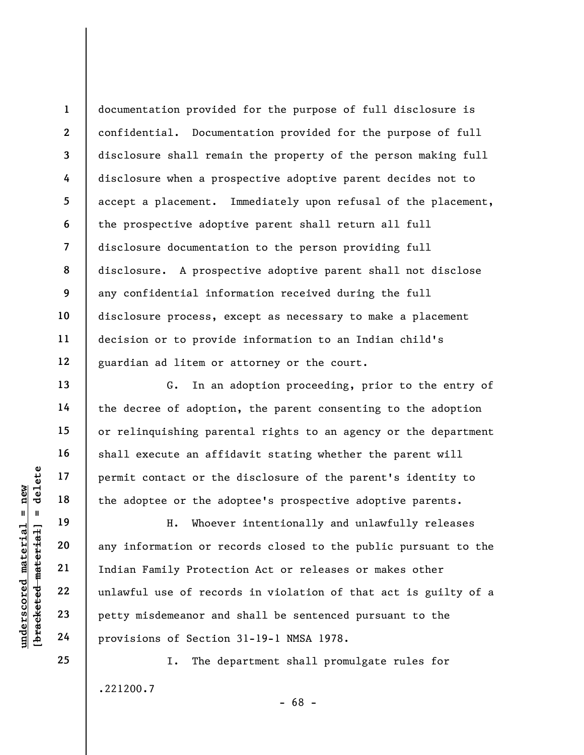documentation provided for the purpose of full disclosure is confidential. Documentation provided for the purpose of full disclosure shall remain the property of the person making full disclosure when a prospective adoptive parent decides not to accept a placement. Immediately upon refusal of the placement, the prospective adoptive parent shall return all full disclosure documentation to the person providing full disclosure. A prospective adoptive parent shall not disclose any confidential information received during the full disclosure process, except as necessary to make a placement decision or to provide information to an Indian child's guardian ad litem or attorney or the court.

G. In an adoption proceeding, prior to the entry of the decree of adoption, the parent consenting to the adoption or relinquishing parental rights to an agency or the department shall execute an affidavit stating whether the parent will permit contact or the disclosure of the parent's identity to the adoptee or the adoptee's prospective adoptive parents.

understand material external provisions of Section<br>
with the adoptee or the adoptee or the adoptee or the adoptee or the adoptee or the adoptee or the adoptee or the adoptee or the adoptee or the adoptee or the adoptee or H. Whoever intentionally and unlawfully releases any information or records closed to the public pursuant to the Indian Family Protection Act or releases or makes other unlawful use of records in violation of that act is guilty of a petty misdemeanor and shall be sentenced pursuant to the provisions of Section 31-19-1 NMSA 1978.

> I. The department shall promulgate rules for .221200.7 - 68 -

1

2

3

4

5

6

7

8

9

10

11

12

13

14

15

16

17

18

19

20

21

22

23

24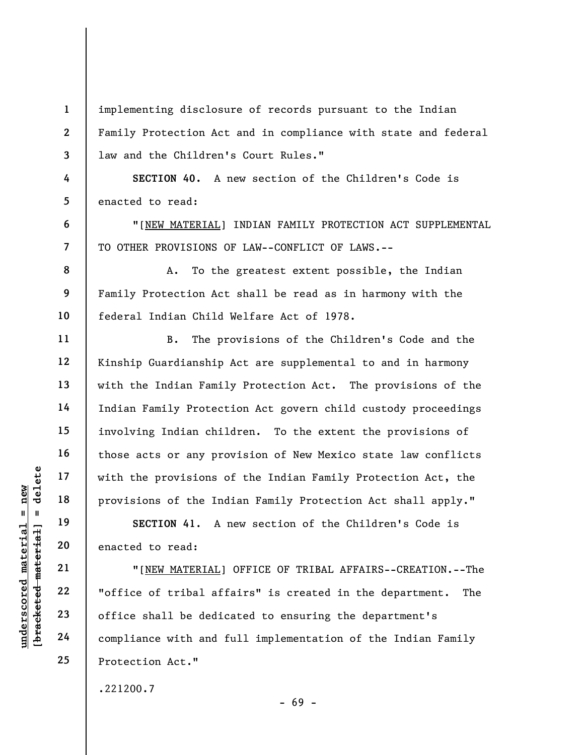implementing disclosure of records pursuant to the Indian Family Protection Act and in compliance with state and federal law and the Children's Court Rules."

SECTION 40. A new section of the Children's Code is enacted to read:

"[NEW MATERIAL] INDIAN FAMILY PROTECTION ACT SUPPLEMENTAL TO OTHER PROVISIONS OF LAW--CONFLICT OF LAWS.--

A. To the greatest extent possible, the Indian Family Protection Act shall be read as in harmony with the federal Indian Child Welfare Act of 1978.

B. The provisions of the Children's Code and the Kinship Guardianship Act are supplemental to and in harmony with the Indian Family Protection Act. The provisions of the Indian Family Protection Act govern child custody proceedings involving Indian children. To the extent the provisions of those acts or any provision of New Mexico state law conflicts with the provisions of the Indian Family Protection Act, the provisions of the Indian Family Protection Act shall apply."

SECTION 41. A new section of the Children's Code is enacted to read:

understand material material spinors of the Independent of the Independent of the Independent of the Independent of the Independent of the Independent of the Independent of the Independent of the Independent of the Indepen "[NEW MATERIAL] OFFICE OF TRIBAL AFFAIRS--CREATION.--The "office of tribal affairs" is created in the department. The office shall be dedicated to ensuring the department's compliance with and full implementation of the Indian Family Protection Act."

- 69 -

.221200.7

1

2

3

4

5

6

7

8

9

10

11

12

13

14

15

16

17

18

19

20

21

22

23

24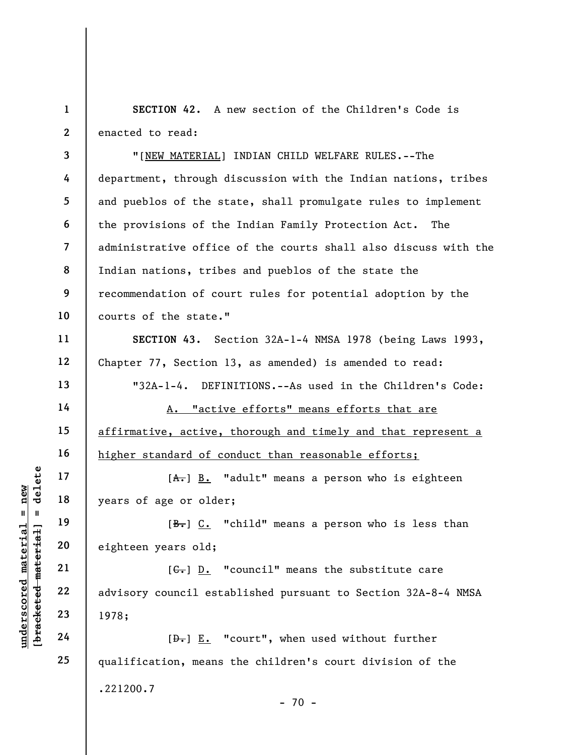1 2 SECTION 42. A new section of the Children's Code is enacted to read:

3 4 5 6 7 8 9 10 "[NEW MATERIAL] INDIAN CHILD WELFARE RULES.--The department, through discussion with the Indian nations, tribes and pueblos of the state, shall promulgate rules to implement the provisions of the Indian Family Protection Act. The administrative office of the courts shall also discuss with the Indian nations, tribes and pueblos of the state the recommendation of court rules for potential adoption by the courts of the state."

SECTION 43. Section 32A-1-4 NMSA 1978 (being Laws 1993, Chapter 77, Section 13, as amended) is amended to read:

"32A-1-4. DEFINITIONS.--As used in the Children's Code:

A. "active efforts" means efforts that are affirmative, active, thorough and timely and that represent a higher standard of conduct than reasonable efforts;

 $[A<sub>1</sub>]$   $\underline{B.}$  "adult" means a person who is eighteen years of age or older;

 $[B<sub>r</sub>]$   $C<sub>r</sub>$  "child" means a person who is less than eighteen years old;

underscore in the later of the later of the later of the later of the later of the later of the later of the later of the later of the later of the later of the later of the later of the later of the later of the later of  $[G<sub>r</sub>]$   $\underline{D.}$  "council" means the substitute care advisory council established pursuant to Section 32A-8-4 NMSA 1978;

[D.] E. "court", when used without further qualification, means the children's court division of the .221200.7  $- 70 -$ 

11

12

13

14

15

16

17

18

19

20

21

22

23

24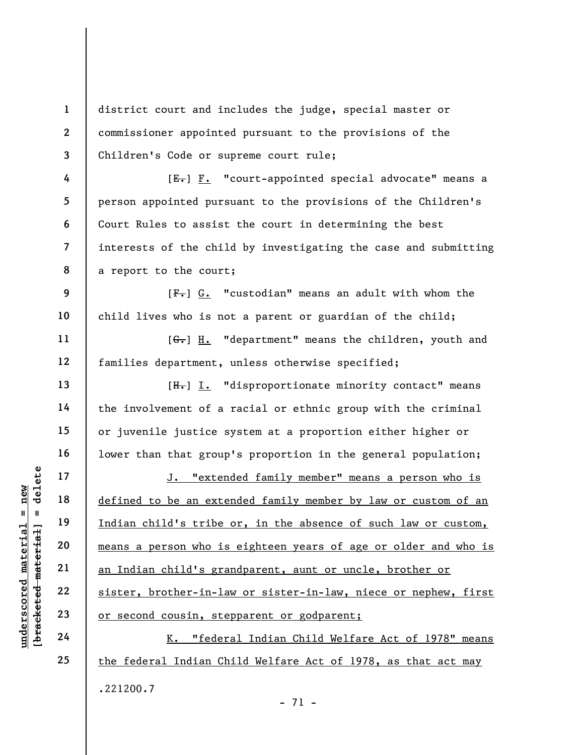1 2 3 4 5 district court and includes the judge, special master or commissioner appointed pursuant to the provisions of the Children's Code or supreme court rule;  $[E-] F.$  "court-appointed special advocate" means a person appointed pursuant to the provisions of the Children's

Court Rules to assist the court in determining the best interests of the child by investigating the case and submitting a report to the court;

 $[F<sub>1</sub>]$  G. "custodian" means an adult with whom the child lives who is not a parent or guardian of the child;

[G.] H. "department" means the children, youth and families department, unless otherwise specified;

 $[H<sub>1</sub>]$  I. "disproportionate minority contact" means the involvement of a racial or ethnic group with the criminal or juvenile justice system at a proportion either higher or lower than that group's proportion in the general population;

underscored material = new [bracketed material] = delete J. "extended family member" means a person who is defined to be an extended family member by law or custom of an Indian child's tribe or, in the absence of such law or custom, means a person who is eighteen years of age or older and who is an Indian child's grandparent, aunt or uncle, brother or sister, brother-in-law or sister-in-law, niece or nephew, first or second cousin, stepparent or godparent;

K. "federal Indian Child Welfare Act of 1978" means the federal Indian Child Welfare Act of 1978, as that act may .221200.7 - 71 -

6

7

8

9

10

11

12

13

14

15

16

17

18

19

20

21

22

23

24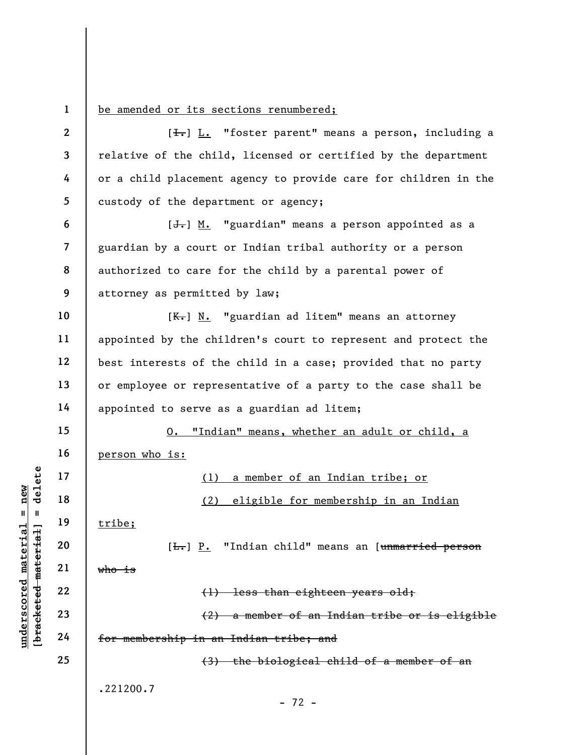1 be amended or its sections renumbered;

|                                                   | $\overline{2}$ | [ <del>I.</del> ] L. "foster parent" means a person, including a          |
|---------------------------------------------------|----------------|---------------------------------------------------------------------------|
|                                                   | $\mathbf{3}$   | relative of the child, licensed or certified by the department            |
|                                                   | 4              | or a child placement agency to provide care for children in the           |
|                                                   | 5              | custody of the department or agency;                                      |
|                                                   | 6              | $[\frac{1}{\sqrt{1}}]$ M. "guardian" means a person appointed as a        |
|                                                   | $\overline{7}$ | guardian by a court or Indian tribal authority or a person                |
|                                                   | 8              | authorized to care for the child by a parental power of                   |
|                                                   | 9              | attorney as permitted by law;                                             |
|                                                   | 10             | $K-$ ] N. "guardian ad litem" means an attorney                           |
|                                                   | 11             | appointed by the children's court to represent and protect the            |
|                                                   | 12             | best interests of the child in a case; provided that no party             |
|                                                   | 13             | or employee or representative of a party to the case shall be             |
|                                                   | 14             | appointed to serve as a guardian ad litem;                                |
|                                                   | 15             | "Indian" means, whether an adult or child, a<br>0.                        |
|                                                   | 16             | person who is:                                                            |
| delete                                            | 17             | a member of an Indian tribe; or<br>(1)                                    |
| new<br>Ш<br>- II                                  | 18             | (2)<br>eligible for membership in an Indian                               |
| rial                                              | 19             | tribe;                                                                    |
| $\pm$ a $\pm$                                     | 20             | "Indian child" means an [unmarried person<br>$[\frac{L}{L}$ $\frac{P}{L}$ |
| mate<br>mater                                     | 21             | <del>who is</del>                                                         |
|                                                   | 22             | (1) less than eighteen years old;                                         |
| $\bm{{\rm underscore}}$<br>[ <del>bracketed</del> | 23             | (2) a member of an Indian tribe or is eligible                            |
|                                                   | 24             | for membership in an Indian tribe; and                                    |
|                                                   | 25             | (3) the biological child of a member of an                                |
|                                                   |                | .221200.7                                                                 |
|                                                   |                | $-72 -$                                                                   |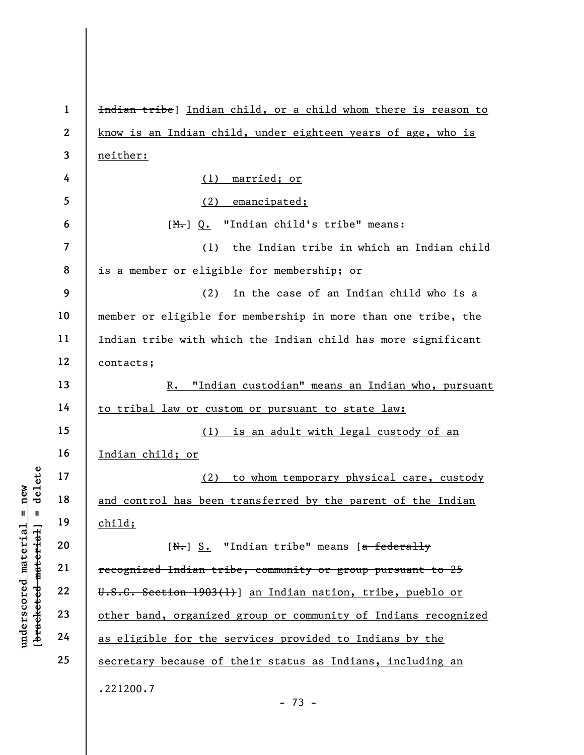underscored material material of the search of the search of the search of the search of the search of the search of the search of the search of the search of the search of the search of the search of the search of the sea 1 2 3 4 5 6 7 8 9 10 11 12 13 14 15 16 17 18 19 20 21 22 23 24 25 Indian tribe] Indian child, or a child whom there is reason to know is an Indian child, under eighteen years of age, who is neither: (1) married; or (2) emancipated; [M.] Q. "Indian child's tribe" means: (1) the Indian tribe in which an Indian child is a member or eligible for membership; or (2) in the case of an Indian child who is a member or eligible for membership in more than one tribe, the Indian tribe with which the Indian child has more significant contacts; R. "Indian custodian" means an Indian who, pursuant to tribal law or custom or pursuant to state law: (1) is an adult with legal custody of an Indian child; or (2) to whom temporary physical care, custody and control has been transferred by the parent of the Indian child;  $[N_r]$  S. "Indian tribe" means  $[a-federally]$ recognized Indian tribe, community or group pursuant to 25 U.S.C. Section 1903(1)] an Indian nation, tribe, pueblo or other band, organized group or community of Indians recognized as eligible for the services provided to Indians by the secretary because of their status as Indians, including an .221200.7 - 73 -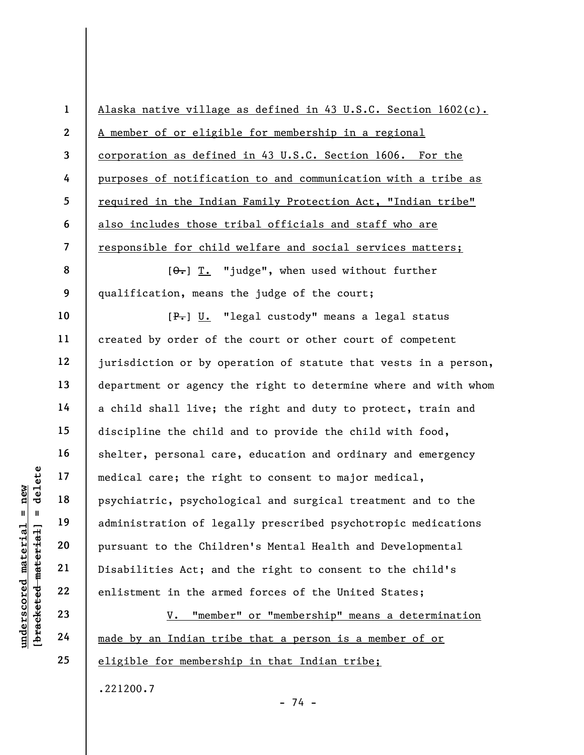|                                                | $\mathbf{1}$   | Alaska native village as defined in 43 U.S.C. Section 1602(c).  |
|------------------------------------------------|----------------|-----------------------------------------------------------------|
|                                                | $\mathbf{2}$   | A member of or eligible for membership in a regional            |
|                                                | $\mathbf{3}$   | corporation as defined in 43 U.S.C. Section 1606. For the       |
|                                                | 4              | purposes of notification to and communication with a tribe as   |
|                                                | 5              | required in the Indian Family Protection Act, "Indian tribe"    |
|                                                | 6              | also includes those tribal officials and staff who are          |
|                                                | $\overline{7}$ | responsible for child welfare and social services matters;      |
|                                                | 8              | $[\theta_{\tau}]$ T. "judge", when used without further         |
|                                                | 9              | qualification, means the judge of the court;                    |
|                                                | 10             | [P.] U. "legal custody" means a legal status                    |
|                                                | 11             | created by order of the court or other court of competent       |
|                                                | 12             | jurisdiction or by operation of statute that vests in a person, |
|                                                | 13             | department or agency the right to determine where and with whom |
|                                                | 14             | a child shall live; the right and duty to protect, train and    |
|                                                | 15             | discipline the child and to provide the child with food,        |
|                                                | 16             | shelter, personal care, education and ordinary and emergency    |
| delete                                         | 17             | medical care; the right to consent to major medical,            |
| new                                            | 18             | psychiatric, psychological and surgical treatment and to the    |
| $\sf II$                                       | 19             | administration of legally prescribed psychotropic medications   |
| materia                                        | 20             | pursuant to the Children's Mental Health and Developmental      |
|                                                | 21             | Disabilities Act; and the right to consent to the child's       |
|                                                | 22             | enlistment in the armed forces of the United States;            |
| [bracketed material<br>$\bm{{\rm underscore}}$ | 23             | "member" or "membership" means a determination<br>V.            |
|                                                | 24             | made by an Indian tribe that a person is a member of or         |

made by an Indian tribe that a person is a member of or eligible for membership in that Indian tribe;

- 74 -

.221200.7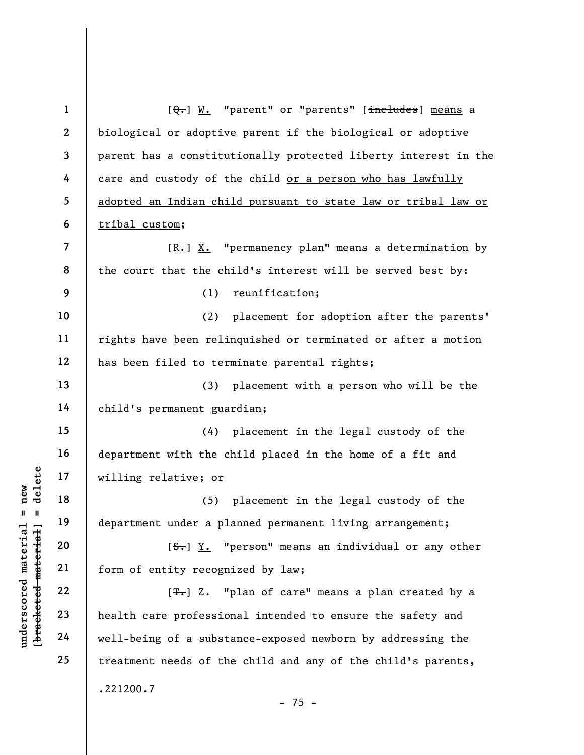|                     | $\mathbf{1}$             | [Q.] W. "parent" or "parents" [includes] means a                |
|---------------------|--------------------------|-----------------------------------------------------------------|
|                     | $\mathbf{2}$             | biological or adoptive parent if the biological or adoptive     |
|                     | 3                        | parent has a constitutionally protected liberty interest in the |
|                     | 4                        | care and custody of the child or a person who has lawfully      |
|                     | 5                        | adopted an Indian child pursuant to state law or tribal law or  |
|                     | 6                        | tribal custom;                                                  |
|                     | $\overline{\mathcal{L}}$ | $[R-]$ X. "permanency plan" means a determination by            |
|                     | 8                        | the court that the child's interest will be served best by:     |
|                     | 9                        | (1)<br>reunification;                                           |
|                     | 10                       | (2)<br>placement for adoption after the parents'                |
|                     | 11                       | rights have been relinquished or terminated or after a motion   |
|                     | 12                       | has been filed to terminate parental rights;                    |
|                     | 13                       | placement with a person who will be the<br>(3)                  |
|                     | 14                       | child's permanent guardian;                                     |
|                     | 15                       | (4) placement in the legal custody of the                       |
|                     | 16                       | department with the child placed in the home of a fit and       |
| delete              | 17                       | willing relative; or                                            |
| $n$ ew              | 18                       | placement in the legal custody of the<br>(5)                    |
| II<br>H             | 19                       | department under a planned permanent living arrangement;        |
| material            | 20                       | $[S$ . "person" means an individual or any other                |
| [bracketed material | 21                       | form of entity recognized by law;                               |
|                     | 22                       | [ <del>T.</del> ] Z. "plan of care" means a plan created by a   |
| underscored         | 23                       | health care professional intended to ensure the safety and      |
|                     | 24                       | well-being of a substance-exposed newborn by addressing the     |
|                     | 25                       | treatment needs of the child and any of the child's parents,    |
|                     |                          | .221200.7                                                       |
|                     |                          | $-75 -$                                                         |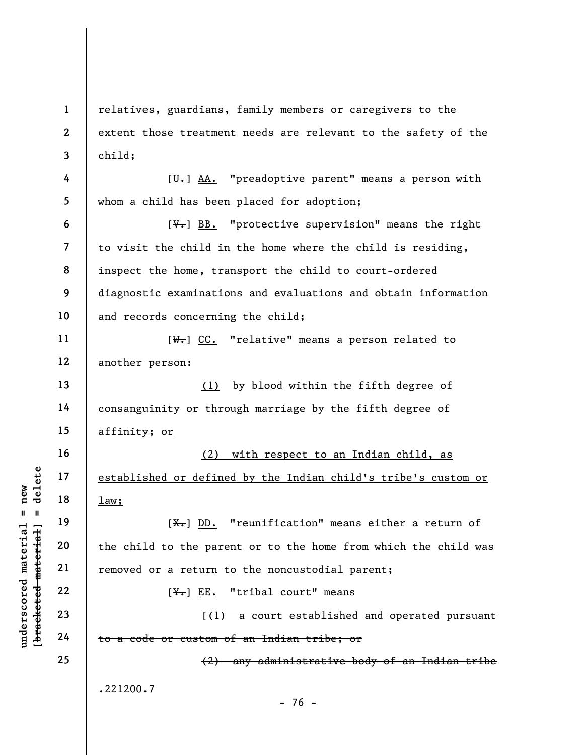understand material material material material material material material material material material material material material material material material material material material material material material material mate 1 2 3 4 5 6 7 8 9 10 11 12 13 14 15 16 17 18 19 20 21 22 23 24 25 relatives, guardians, family members or caregivers to the extent those treatment needs are relevant to the safety of the child;  $[\overline{\mathbf{U}_{\tau}}]$  AA. "preadoptive parent" means a person with whom a child has been placed for adoption;  $[\overline{\mathsf{v}}_r]$  BB. "protective supervision" means the right to visit the child in the home where the child is residing, inspect the home, transport the child to court-ordered diagnostic examinations and evaluations and obtain information and records concerning the child; [W.] CC. "relative" means a person related to another person: (1) by blood within the fifth degree of consanguinity or through marriage by the fifth degree of affinity; or (2) with respect to an Indian child, as established or defined by the Indian child's tribe's custom or law;  $[X<sub>1</sub>]$  DD. "reunification" means either a return of the child to the parent or to the home from which the child was removed or a return to the noncustodial parent;  $[\frac{\mathsf{Y}_{\bullet}}{\mathsf{E}}]$  EE. "tribal court" means  $(1)$  a court established and operated pursuant to a code or custom of an Indian tribe; or (2) any administrative body of an Indian tribe .221200.7 - 76 -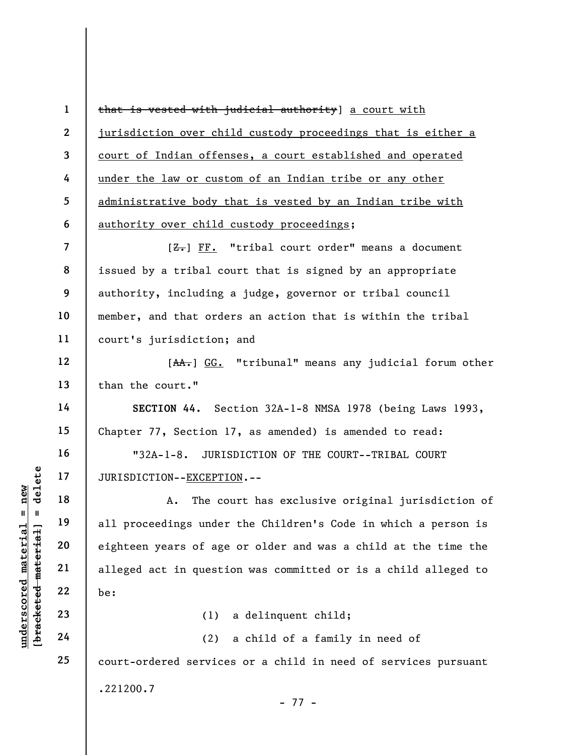1 2 3 4 5 6 that is vested with judicial authority] a court with jurisdiction over child custody proceedings that is either a court of Indian offenses, a court established and operated under the law or custom of an Indian tribe or any other administrative body that is vested by an Indian tribe with authority over child custody proceedings;

7 8 9 10 11  $[**Z**]**r**$  FF. "tribal court order" means a document issued by a tribal court that is signed by an appropriate authority, including a judge, governor or tribal council member, and that orders an action that is within the tribal court's jurisdiction; and

12 13 [AA.] GG. "tribunal" means any judicial forum other than the court."

SECTION 44. Section 32A-1-8 NMSA 1978 (being Laws 1993, Chapter 77, Section 17, as amended) is amended to read:

"32A-1-8. JURISDICTION OF THE COURT--TRIBAL COURT JURISDICTION--EXCEPTION.--

underscored material material experience is all proceedings under<br>
eighteen years of age<br>
all proceedings under<br>
eighteen years of age<br>
alleged act in questi<br>
22<br>
23<br>
24<br>
24<br>
24<br>
22<br>
24<br>
22<br>
24 A. The court has exclusive original jurisdiction of all proceedings under the Children's Code in which a person is eighteen years of age or older and was a child at the time the alleged act in question was committed or is a child alleged to be:

(1) a delinquent child;

(2) a child of a family in need of court-ordered services or a child in need of services pursuant .221200.7 - 77 -

14

15

16

17

18

19

20

21

22

23

24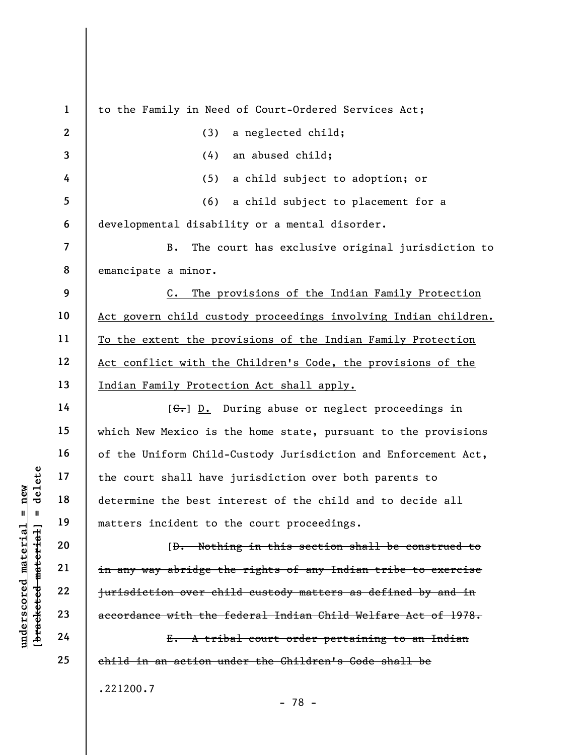|                     | $\mathbf{1}$             | to the Family in Need of Court-Ordered Services Act;               |
|---------------------|--------------------------|--------------------------------------------------------------------|
|                     | $\mathbf{2}$             | a neglected child;<br>(3)                                          |
|                     | 3                        | an abused child;<br>(4)                                            |
|                     | 4                        | (5)<br>a child subject to adoption; or                             |
|                     | 5                        | (6)<br>a child subject to placement for a                          |
|                     | 6                        | developmental disability or a mental disorder.                     |
|                     | $\overline{\mathcal{L}}$ | B.<br>The court has exclusive original jurisdiction to             |
|                     | 8                        | emancipate a minor.                                                |
|                     | 9                        | The provisions of the Indian Family Protection<br>$c_{\bullet}$    |
|                     | 10                       | Act govern child custody proceedings involving Indian children.    |
|                     | 11                       | To the extent the provisions of the Indian Family Protection       |
|                     | 12                       | Act conflict with the Children's Code, the provisions of the       |
|                     | 13                       | Indian Family Protection Act shall apply.                          |
|                     | 14                       | $[\leftarrow,] \mathbb{D}. During abuse or neglect proceedings in$ |
|                     | 15                       | which New Mexico is the home state, pursuant to the provisions     |
|                     | 16                       | of the Uniform Child-Custody Jurisdiction and Enforcement Act,     |
| delete              | 17                       | the court shall have jurisdiction over both parents to             |
| new                 | 18                       | determine the best interest of the child and to decide all         |
| $\mathbf{II}$<br>Ш  | 19                       | matters incident to the court proceedings.                         |
| materia<br>material | 20                       | [D. Nothing in this section shall be construed to                  |
|                     | 21                       | in any way abridge the rights of any Indian tribe to exercise      |
| underscored         | 22                       | jurisdiction over child custody matters as defined by and in       |
| [bracketed          | 23                       | accordance with the federal Indian Child Welfare Act of 1978.      |
|                     | 24                       | E. A tribal court order pertaining to an Indian                    |
|                     | 25                       | child in an action under the Children's Code shall be              |
|                     |                          | .221200.7                                                          |
|                     |                          | $-78 -$                                                            |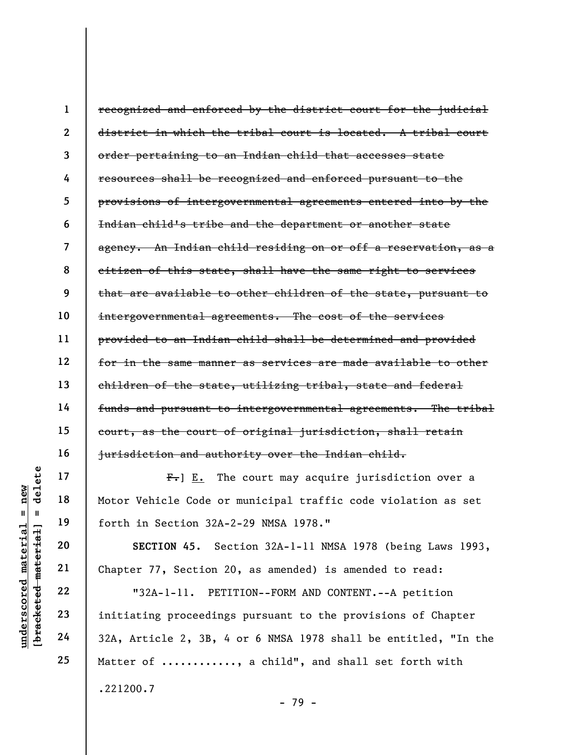1 2 3 4 5 6 7 8 9 10 11 12 13 14 15 16 recognized and enforced by the district court for the judicial district in which the tribal court is located. A tribal court order pertaining to an Indian child that accesses state resources shall be recognized and enforced pursuant to the provisions of intergovernmental agreements entered into by the Indian child's tribe and the department or another state agency. An Indian child residing on or off a reservation, as a citizen of this state, shall have the same right to services that are available to other children of the state, pursuant to intergovernmental agreements. The cost of the services provided to an Indian child shall be determined and provided for in the same manner as services are made available to other children of the state, utilizing tribal, state and federal funds and pursuant to intergovernmental agreements. The tribal court, as the court of original jurisdiction, shall retain jurisdiction and authority over the Indian child.

 $F_{\tau}$ ] E. The court may acquire jurisdiction over a Motor Vehicle Code or municipal traffic code violation as set forth in Section 32A-2-29 NMSA 1978."

SECTION 45. Section 32A-1-11 NMSA 1978 (being Laws 1993, Chapter 77, Section 20, as amended) is amended to read:

UNDER THE THE THE THE THE THE PRINCIP IS NOTOR Vehicle Code or<br>
The Teletion 32A-1-11<br>
UNITED 22<br>
UNDER 22<br>
UNDER 22<br>
UNDER 22<br>
UNITED 22<br>
Chapter 77, Section 2<br>
Chapter 77, Section 2<br>
TES 32A-1-11. PET:<br>
THE 24<br>
24<br>
24<br>
2 "32A-1-11. PETITION--FORM AND CONTENT.--A petition initiating proceedings pursuant to the provisions of Chapter 32A, Article 2, 3B, 4 or 6 NMSA 1978 shall be entitled, "In the Matter of ..........., a child", and shall set forth with .221200.7

17

18

19

20

21

22

23

24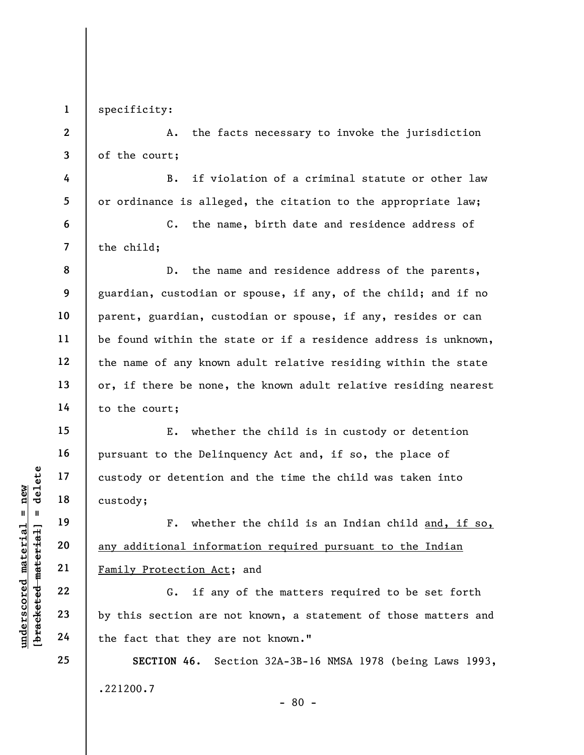1 specificity:

2

3

4

5

6

7

8

9

10

11

12

13

14

15

16

17

18

19

20

21

22

23

24

25

A. the facts necessary to invoke the jurisdiction of the court;

B. if violation of a criminal statute or other law or ordinance is alleged, the citation to the appropriate law;

C. the name, birth date and residence address of the child;

D. the name and residence address of the parents, guardian, custodian or spouse, if any, of the child; and if no parent, guardian, custodian or spouse, if any, resides or can be found within the state or if a residence address is unknown, the name of any known adult relative residing within the state or, if there be none, the known adult relative residing nearest to the court;

E. whether the child is in custody or detention pursuant to the Delinquency Act and, if so, the place of custody or detention and the time the child was taken into custody;

understand material material custody;<br>  $\begin{array}{c|c|c|c|c} \hline \text{u} & \text{u} & \text{u} & \text{u} & \text{u} & \text{u} & \text{u} & \text{u} & \text{u} & \text{u} & \text{u} & \text{u} & \text{u} & \text{u} & \text{u} & \text{u} & \text{u} & \text{u} & \text{u} & \text{u} & \text{u} & \text{u} & \text{u} & \text{u} & \text{u} & \text{u} & \text{u} & \text$ F. whether the child is an Indian child and, if so, any additional information required pursuant to the Indian Family Protection Act; and

G. if any of the matters required to be set forth by this section are not known, a statement of those matters and the fact that they are not known."

SECTION 46. Section 32A-3B-16 NMSA 1978 (being Laws 1993, .221200.7 - 80 -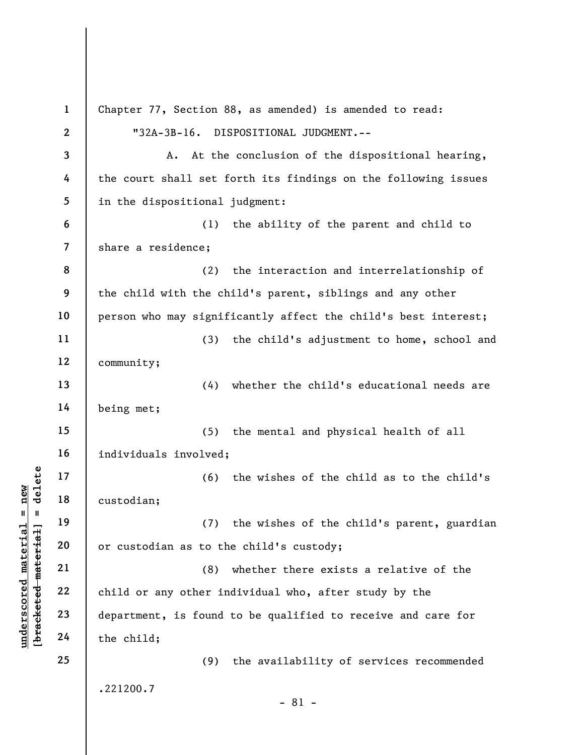underscore of the custodian;<br>  $\begin{bmatrix}\n1 & 1 & 19 \\
0 & 1 & 19 \\
0 & 0 & 21 \\
0 & 0 & 22 \\
0 & 0 & 22 \\
0 & 0 & 23 \\
0 & 0 & 24\n\end{bmatrix}$  (3)<br>
Child or any other in department, is found<br>
the child; 1 2 3 4 5 6 7 8 9 10 11 12 13 14 15 16 17 18 19 20 21 22 23 24 25 Chapter 77, Section 88, as amended) is amended to read: "32A-3B-16. DISPOSITIONAL JUDGMENT.-- A. At the conclusion of the dispositional hearing, the court shall set forth its findings on the following issues in the dispositional judgment: (1) the ability of the parent and child to share a residence; (2) the interaction and interrelationship of the child with the child's parent, siblings and any other person who may significantly affect the child's best interest; (3) the child's adjustment to home, school and community; (4) whether the child's educational needs are being met; (5) the mental and physical health of all individuals involved; (6) the wishes of the child as to the child's custodian; (7) the wishes of the child's parent, guardian or custodian as to the child's custody; (8) whether there exists a relative of the child or any other individual who, after study by the department, is found to be qualified to receive and care for the child; (9) the availability of services recommended .221200.7 - 81 -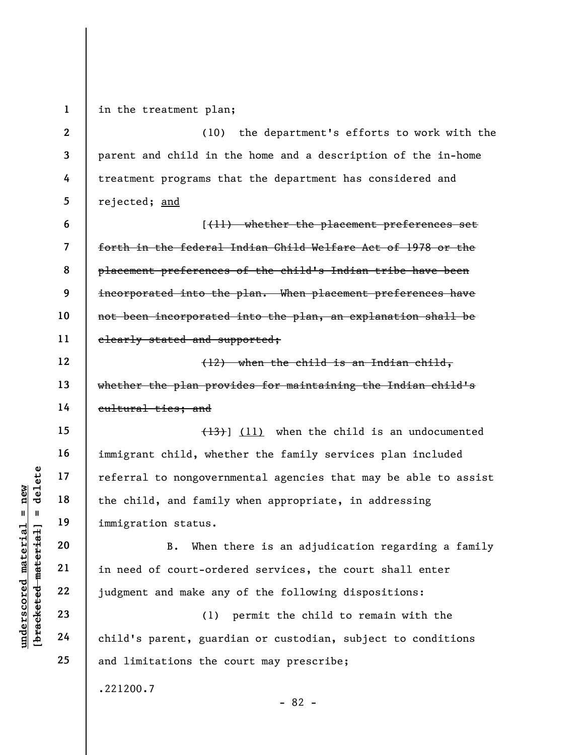under 17<br>
under 18<br>
under 19<br>
under 19<br>
immigration status.<br>
20<br>
under 21<br>
in need of court-orde<br>
22<br>
judgment and make any<br>
23<br>
24<br>
child's parent, guard 1 2 3 4 5 6 7 8 9 10 11 12 13 14 15 16 17 18 19 20 21 22 23 24 25 in the treatment plan; (10) the department's efforts to work with the parent and child in the home and a description of the in-home treatment programs that the department has considered and rejected; and [(11) whether the placement preferences set forth in the federal Indian Child Welfare Act of 1978 or the placement preferences of the child's Indian tribe have been incorporated into the plan. When placement preferences have not been incorporated into the plan, an explanation shall be clearly stated and supported; (12) when the child is an Indian child, whether the plan provides for maintaining the Indian child's cultural ties; and (13)] (11) when the child is an undocumented immigrant child, whether the family services plan included referral to nongovernmental agencies that may be able to assist the child, and family when appropriate, in addressing immigration status. B. When there is an adjudication regarding a family in need of court-ordered services, the court shall enter judgment and make any of the following dispositions: (1) permit the child to remain with the child's parent, guardian or custodian, subject to conditions and limitations the court may prescribe; .221200.7 - 82 -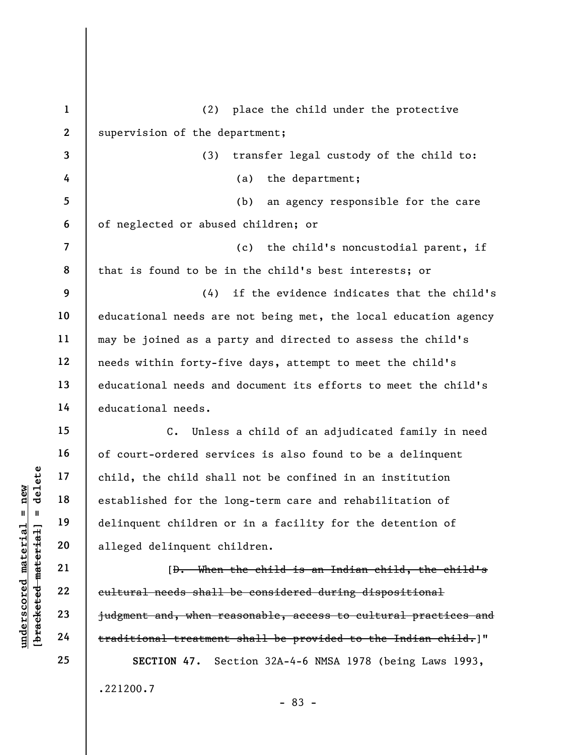|                                 | $\mathbf{1}$             | (2) place the child under the protective                          |
|---------------------------------|--------------------------|-------------------------------------------------------------------|
|                                 | $\mathbf{2}$             | supervision of the department;                                    |
|                                 | 3                        | (3)<br>transfer legal custody of the child to:                    |
|                                 | 4                        | (a)<br>the department;                                            |
|                                 | 5                        | an agency responsible for the care<br>(b)                         |
|                                 | 6                        | of neglected or abused children; or                               |
|                                 | $\overline{\mathcal{L}}$ | (c)<br>the child's noncustodial parent, if                        |
|                                 | 8                        | that is found to be in the child's best interests; or             |
|                                 | 9                        | if the evidence indicates that the child's<br>(4)                 |
|                                 | 10                       | educational needs are not being met, the local education agency   |
|                                 | 11                       | may be joined as a party and directed to assess the child's       |
|                                 | 12                       | needs within forty-five days, attempt to meet the child's         |
|                                 | 13                       | educational needs and document its efforts to meet the child's    |
|                                 | 14                       | educational needs.                                                |
|                                 | 15                       | Unless a child of an adjudicated family in need<br>$\mathsf{C}$ . |
|                                 | 16                       | of court-ordered services is also found to be a delinquent        |
| delete                          | 17                       | child, the child shall not be confined in an institution          |
| new                             | 18                       | established for the long-term care and rehabilitation of          |
| $\mathsf{II}^-$<br>$\mathbf{I}$ | 19                       | delinquent children or in a facility for the detention of         |
| materia<br>[bracketed material  | 20                       | alleged delinquent children.                                      |
|                                 | 21                       | [D. When the child is an Indian child, the child's                |
| $\bm{{\rm underscore}}$         | 22                       | cultural needs shall be considered during dispositional           |
|                                 | 23                       | judgment and, when reasonable, access to cultural practices and   |
|                                 | 24                       | traditional treatment shall be provided to the Indian child.]"    |
|                                 | 25                       | SECTION 47.<br>Section 32A-4-6 NMSA 1978 (being Laws 1993,        |
|                                 |                          | .221200.7                                                         |

- 83 -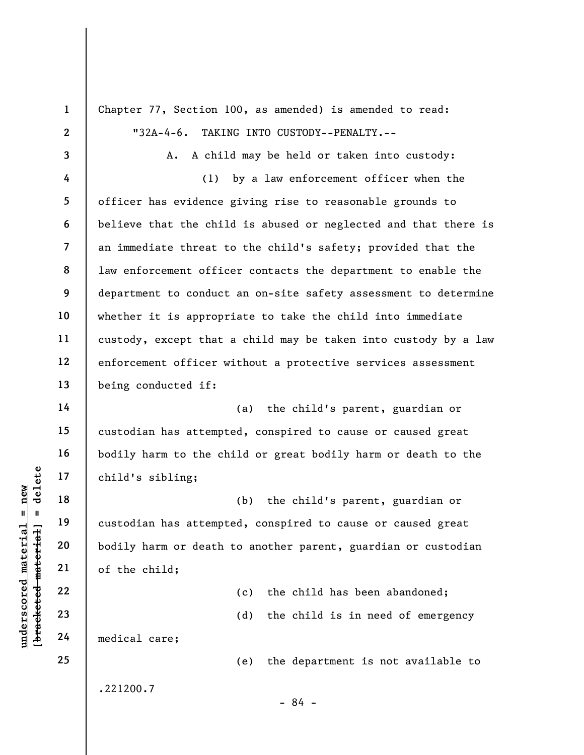underscored material = new [bracketed material] = delete 1 2 3 4 5 6 7 8 9 10 11 12 13 14 15 16 17 18 19 20 21 22 23 24 25 Chapter 77, Section 100, as amended) is amended to read: "32A-4-6. TAKING INTO CUSTODY--PENALTY.-- A. A child may be held or taken into custody: (1) by a law enforcement officer when the officer has evidence giving rise to reasonable grounds to believe that the child is abused or neglected and that there is an immediate threat to the child's safety; provided that the law enforcement officer contacts the department to enable the department to conduct an on-site safety assessment to determine whether it is appropriate to take the child into immediate custody, except that a child may be taken into custody by a law enforcement officer without a protective services assessment being conducted if: (a) the child's parent, guardian or custodian has attempted, conspired to cause or caused great bodily harm to the child or great bodily harm or death to the child's sibling; (b) the child's parent, guardian or custodian has attempted, conspired to cause or caused great bodily harm or death to another parent, guardian or custodian of the child; (c) the child has been abandoned; (d) the child is in need of emergency medical care; (e) the department is not available to .221200.7 - 84 -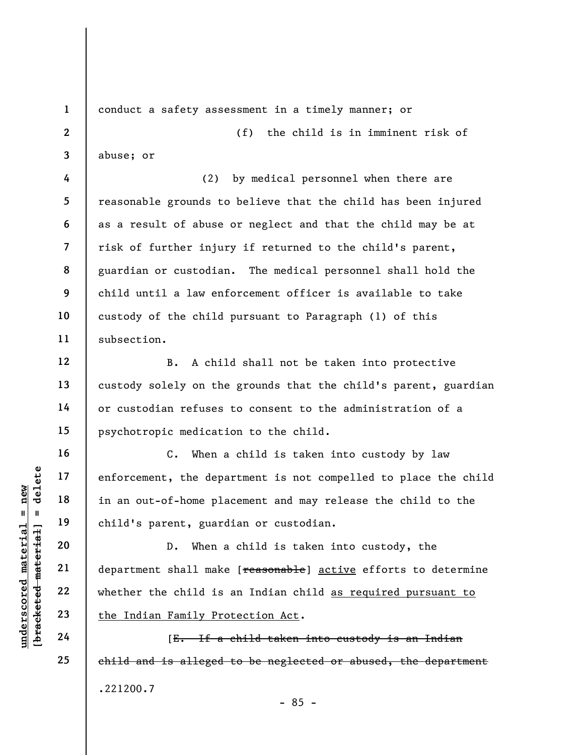1 2

3

4

5

6

7

8

9

10

11

12

13

14

15

16

17

18

19

20

21

22

23

24

25

conduct a safety assessment in a timely manner; or

(f) the child is in imminent risk of abuse; or

(2) by medical personnel when there are reasonable grounds to believe that the child has been injured as a result of abuse or neglect and that the child may be at risk of further injury if returned to the child's parent, guardian or custodian. The medical personnel shall hold the child until a law enforcement officer is available to take custody of the child pursuant to Paragraph (1) of this subsection.

B. A child shall not be taken into protective custody solely on the grounds that the child's parent, guardian or custodian refuses to consent to the administration of a psychotropic medication to the child.

C. When a child is taken into custody by law enforcement, the department is not compelled to place the child in an out-of-home placement and may release the child to the child's parent, guardian or custodian.

understand material material entire the depay of the depay of the depay of the depay of the new control of the material child is the Indian Family Properties 24 [E. If a D. When a child is taken into custody, the department shall make [reasonable] active efforts to determine whether the child is an Indian child as required pursuant to the Indian Family Protection Act.

[E. If a child taken into custody is an Indian child and is alleged to be neglected or abused, the department .221200.7 - 85 -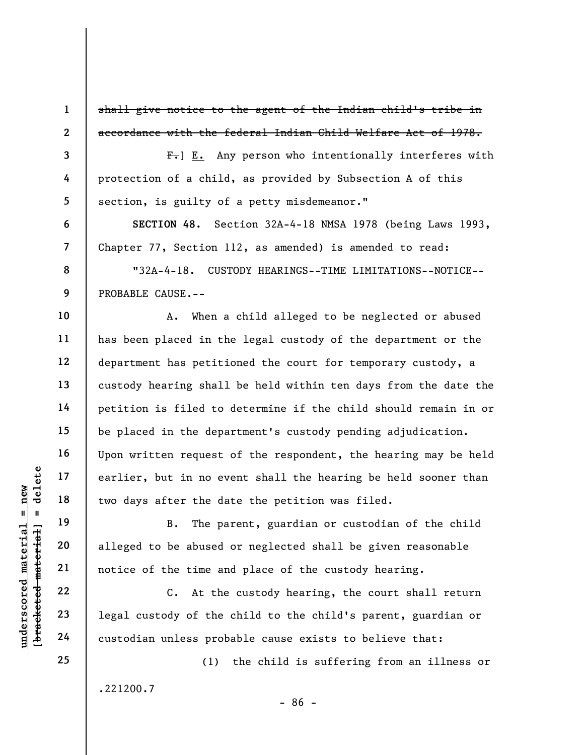shall give notice to the agent of the Indian child's tribe in accordance with the federal Indian Child Welfare Act of 1978.

 $F_{\tau}$ ] E. Any person who intentionally interferes with protection of a child, as provided by Subsection A of this section, is guilty of a petty misdemeanor."

SECTION 48. Section 32A-4-18 NMSA 1978 (being Laws 1993, Chapter 77, Section 112, as amended) is amended to read:

"32A-4-18. CUSTODY HEARINGS--TIME LIMITATIONS--NOTICE-- PROBABLE CAUSE.--

A. When a child alleged to be neglected or abused has been placed in the legal custody of the department or the department has petitioned the court for temporary custody, a custody hearing shall be held within ten days from the date the petition is filed to determine if the child should remain in or be placed in the department's custody pending adjudication. Upon written request of the respondent, the hearing may be held earlier, but in no event shall the hearing be held sooner than two days after the date the petition was filed.

underscored material = new [bracketed material] = delete B. The parent, guardian or custodian of the child alleged to be abused or neglected shall be given reasonable notice of the time and place of the custody hearing.

C. At the custody hearing, the court shall return legal custody of the child to the child's parent, guardian or custodian unless probable cause exists to believe that:

(1) the child is suffering from an illness or .221200.7

- 86 -

25

1

2

3

4

5

6

7

8

9

10

11

12

13

14

15

16

17

18

19

20

21

22

23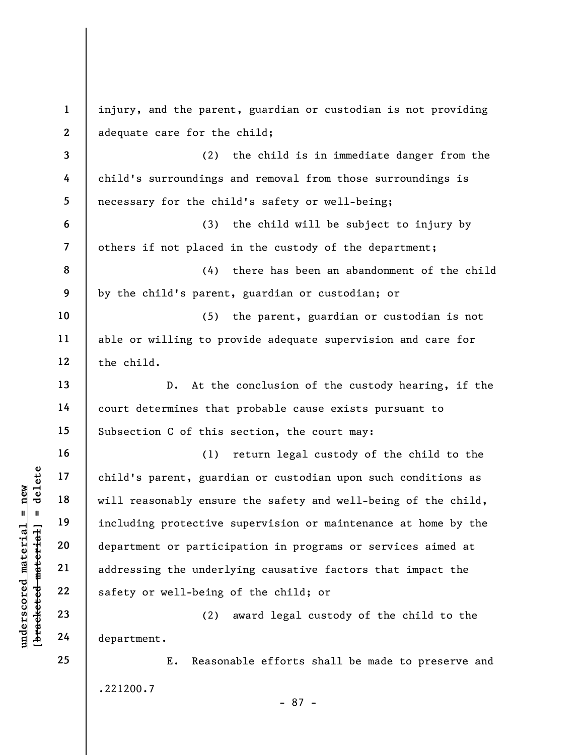under 17<br>
and 18<br>
under 18<br>
under 19<br>
including protective<br>
department or partici<br>
21<br>
under 22<br>
23<br>
24<br>
department.<br>
24<br>
department.<br>
24<br>
department. 1 2 3 4 5 6 7 8 9 10 11 12 13 14 15 16 17 18 19 20 21 22 23 24 25 injury, and the parent, guardian or custodian is not providing adequate care for the child; (2) the child is in immediate danger from the child's surroundings and removal from those surroundings is necessary for the child's safety or well-being; (3) the child will be subject to injury by others if not placed in the custody of the department; (4) there has been an abandonment of the child by the child's parent, guardian or custodian; or (5) the parent, guardian or custodian is not able or willing to provide adequate supervision and care for the child. D. At the conclusion of the custody hearing, if the court determines that probable cause exists pursuant to Subsection C of this section, the court may: (1) return legal custody of the child to the child's parent, guardian or custodian upon such conditions as will reasonably ensure the safety and well-being of the child, including protective supervision or maintenance at home by the department or participation in programs or services aimed at addressing the underlying causative factors that impact the safety or well-being of the child; or (2) award legal custody of the child to the department. E. Reasonable efforts shall be made to preserve and .221200.7

- 87 -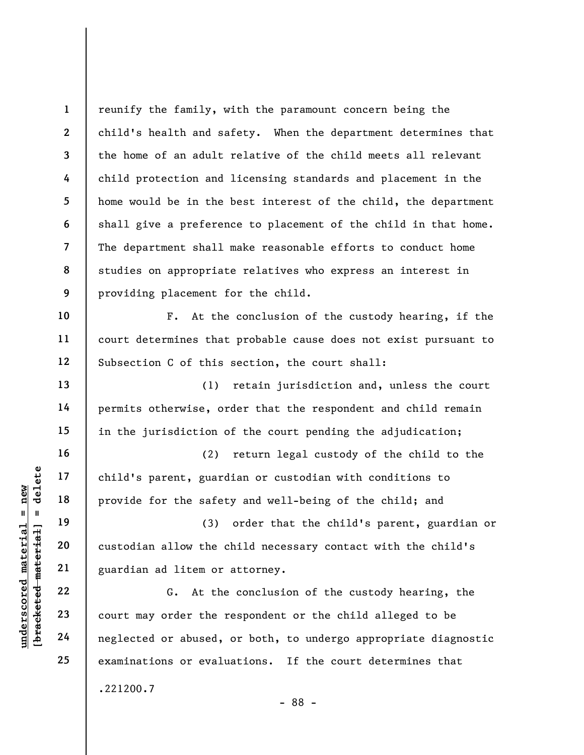1 2 3 4 5 6 7 8 9 reunify the family, with the paramount concern being the child's health and safety. When the department determines that the home of an adult relative of the child meets all relevant child protection and licensing standards and placement in the home would be in the best interest of the child, the department shall give a preference to placement of the child in that home. The department shall make reasonable efforts to conduct home studies on appropriate relatives who express an interest in providing placement for the child.

F. At the conclusion of the custody hearing, if the court determines that probable cause does not exist pursuant to Subsection C of this section, the court shall:

(1) retain jurisdiction and, unless the court permits otherwise, order that the respondent and child remain in the jurisdiction of the court pending the adjudication;

(2) return legal custody of the child to the child's parent, guardian or custodian with conditions to provide for the safety and well-being of the child; and

(3) order that the child's parent, guardian or custodian allow the child necessary contact with the child's guardian ad litem or attorney.

underscored material = new [bracketed material] = delete G. At the conclusion of the custody hearing, the court may order the respondent or the child alleged to be neglected or abused, or both, to undergo appropriate diagnostic examinations or evaluations. If the court determines that .221200.7

- 88 -

10

11

12

13

14

15

16

17

18

19

20

21

22

23

24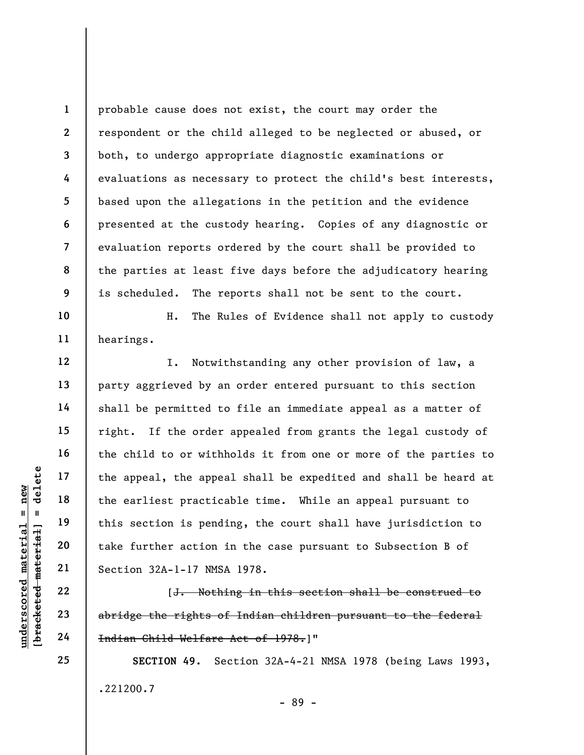1 2 3 4 5 6 7 8 9 probable cause does not exist, the court may order the respondent or the child alleged to be neglected or abused, or both, to undergo appropriate diagnostic examinations or evaluations as necessary to protect the child's best interests, based upon the allegations in the petition and the evidence presented at the custody hearing. Copies of any diagnostic or evaluation reports ordered by the court shall be provided to the parties at least five days before the adjudicatory hearing is scheduled. The reports shall not be sent to the court.

H. The Rules of Evidence shall not apply to custody hearings.

under 17<br>
= 18<br>
= 18<br>
= 19<br>
= 19<br>
= 19<br>
= 19<br>
= 19<br>
= 19<br>
= 19<br>
= 19<br>
= 19<br>
= 19<br>
= 19<br>
= 19<br>
= 19<br>
= 19<br>
= 19<br>
= 19<br>
= 19<br>
= 19<br>
= 19<br>
= 19<br>
= 19<br>
= 19<br>
= 19<br>
= 19<br>
= 19<br>
= 19<br>
= 19<br>
= 19<br>
= 19<br>
= 19<br>
= 19<br>
= 19<br>
= 19<br>
= I. Notwithstanding any other provision of law, a party aggrieved by an order entered pursuant to this section shall be permitted to file an immediate appeal as a matter of right. If the order appealed from grants the legal custody of the child to or withholds it from one or more of the parties to the appeal, the appeal shall be expedited and shall be heard at the earliest practicable time. While an appeal pursuant to this section is pending, the court shall have jurisdiction to take further action in the case pursuant to Subsection B of Section 32A-1-17 NMSA 1978.

[J. Nothing in this section shall be construed to abridge the rights of Indian children pursuant to the federal Indian Child Welfare Act of 1978.]"

SECTION 49. Section 32A-4-21 NMSA 1978 (being Laws 1993, .221200.7 - 89 -

10

11

12

13

14

15

16

17

18

19

20

21

22

23

24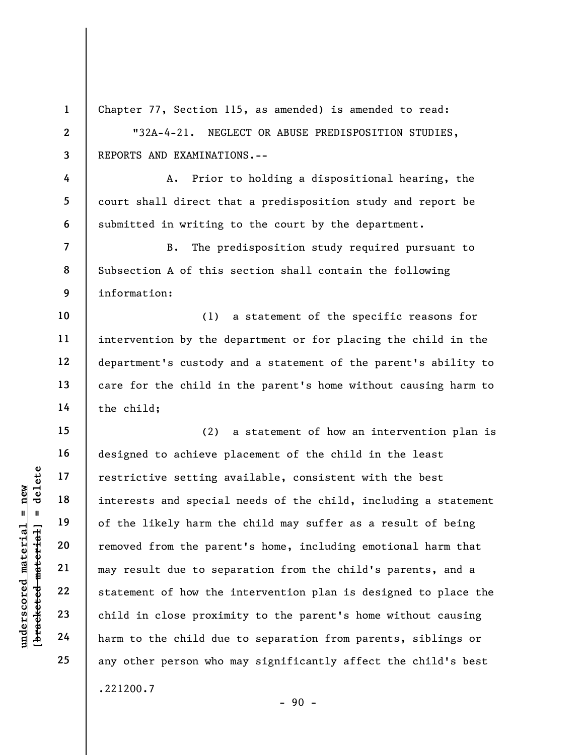underscored material = new [bracketed material] = delete 1 2 3 4 5 6 7 8 9 10 11 12 13 14 15 16 17 18 19 20 21 22 23 24 25 Chapter 77, Section 115, as amended) is amended to read: "32A-4-21. NEGLECT OR ABUSE PREDISPOSITION STUDIES, REPORTS AND EXAMINATIONS.-- A. Prior to holding a dispositional hearing, the court shall direct that a predisposition study and report be submitted in writing to the court by the department. B. The predisposition study required pursuant to Subsection A of this section shall contain the following information: (1) a statement of the specific reasons for intervention by the department or for placing the child in the department's custody and a statement of the parent's ability to care for the child in the parent's home without causing harm to the child; (2) a statement of how an intervention plan is designed to achieve placement of the child in the least restrictive setting available, consistent with the best interests and special needs of the child, including a statement of the likely harm the child may suffer as a result of being removed from the parent's home, including emotional harm that may result due to separation from the child's parents, and a statement of how the intervention plan is designed to place the child in close proximity to the parent's home without causing harm to the child due to separation from parents, siblings or any other person who may significantly affect the child's best .221200.7

 $-90 -$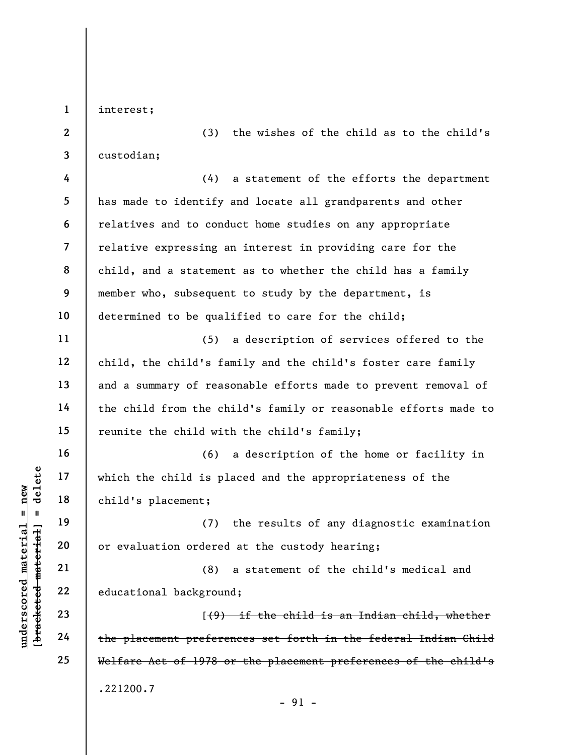interest;

1

2

3

11

12

13

14

15

16

17

18

19

20

21

22

23

24

25

(3) the wishes of the child as to the child's custodian;

4 5 6 7 8 9 10 (4) a statement of the efforts the department has made to identify and locate all grandparents and other relatives and to conduct home studies on any appropriate relative expressing an interest in providing care for the child, and a statement as to whether the child has a family member who, subsequent to study by the department, is determined to be qualified to care for the child;

(5) a description of services offered to the child, the child's family and the child's foster care family and a summary of reasonable efforts made to prevent removal of the child from the child's family or reasonable efforts made to reunite the child with the child's family;

understand material material spin and the child is placement;<br>  $\begin{array}{c|c|c|c} \n\text{u} & \text{u} & \text{u} & \text{u} & \text{u} & \text{u} & \text{u} & \text{u} & \text{u} & \text{u} & \text{u} & \text{u} & \text{u} & \text{u} & \text{u} & \text{u} & \text{u} & \text{u} & \text{u} & \text{u} & \text{u} & \text{u} & \text{u} & \text{u}$ (6) a description of the home or facility in which the child is placed and the appropriateness of the child's placement;

(7) the results of any diagnostic examination or evaluation ordered at the custody hearing;

(8) a statement of the child's medical and educational background;

[(9) if the child is an Indian child, whether the placement preferences set forth in the federal Indian Child Welfare Act of 1978 or the placement preferences of the child's .221200.7

- 91 -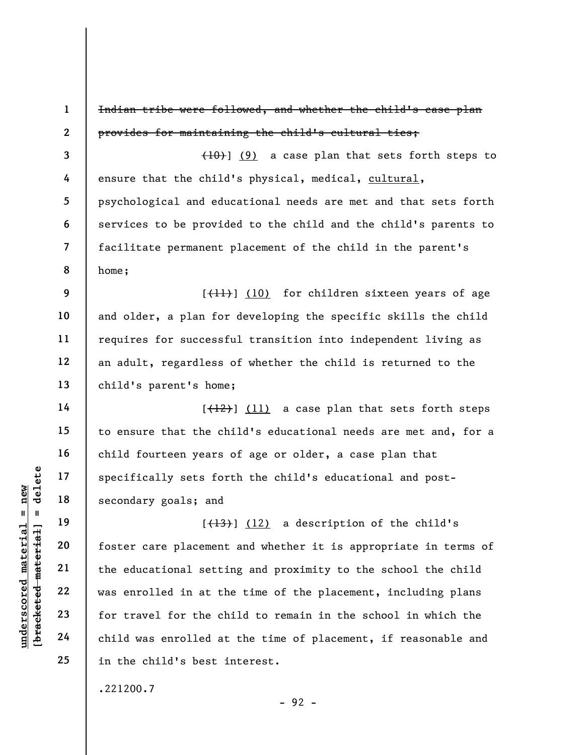understand<br>
understand<br>
understand<br>
understand<br>
20<br>
understand<br>
21<br>
understand<br>
22<br>
understand<br>
23<br>
ounderstand<br>
24<br>
child was enrolled in at the<br>
24<br>
child was enrolled at<br>
child was enrolled at 1 2 3 4 5 6 7 8 9 10 11 12 13 14 15 16 17 18 19 20 21 Indian tribe were followed, and whether the child's case plan provides for maintaining the child's cultural ties;  $(10)$ ] (9) a case plan that sets forth steps to ensure that the child's physical, medical, cultural, psychological and educational needs are met and that sets forth services to be provided to the child and the child's parents to facilitate permanent placement of the child in the parent's home;  $[\frac{11}{1}]$  (10) for children sixteen years of age and older, a plan for developing the specific skills the child requires for successful transition into independent living as an adult, regardless of whether the child is returned to the child's parent's home;  $[\frac{12}{12}]$  (11) a case plan that sets forth steps to ensure that the child's educational needs are met and, for a child fourteen years of age or older, a case plan that specifically sets forth the child's educational and postsecondary goals; and  $[\frac{13}{13}]$  (12) a description of the child's foster care placement and whether it is appropriate in terms of the educational setting and proximity to the school the child

22 23 24 25 was enrolled in at the time of the placement, including plans for travel for the child to remain in the school in which the child was enrolled at the time of placement, if reasonable and in the child's best interest.

.221200.7

- 92 -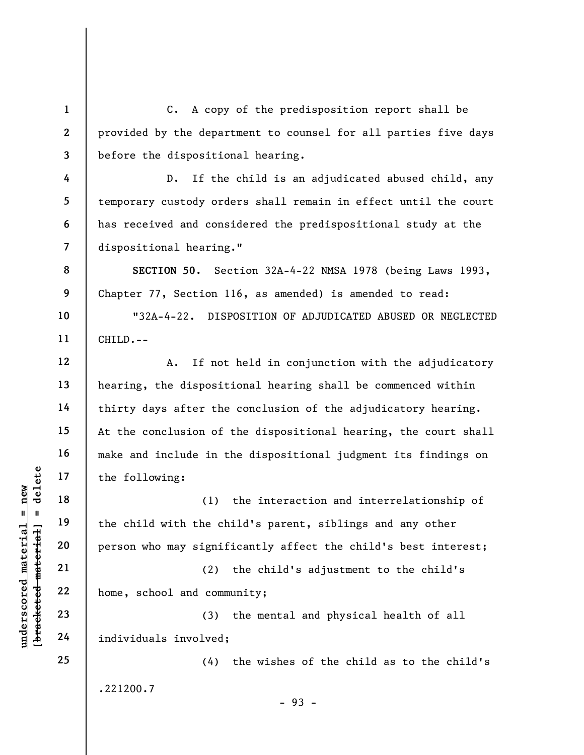3 C. A copy of the predisposition report shall be provided by the department to counsel for all parties five days before the dispositional hearing.

D. If the child is an adjudicated abused child, any temporary custody orders shall remain in effect until the court has received and considered the predispositional study at the dispositional hearing."

SECTION 50. Section 32A-4-22 NMSA 1978 (being Laws 1993, Chapter 77, Section 116, as amended) is amended to read:

"32A-4-22. DISPOSITION OF ADJUDICATED ABUSED OR NEGLECTED CHILD.--

A. If not held in conjunction with the adjudicatory hearing, the dispositional hearing shall be commenced within thirty days after the conclusion of the adjudicatory hearing. At the conclusion of the dispositional hearing, the court shall make and include in the dispositional judgment its findings on the following:

understand material material of the following:<br>  $\begin{array}{c|c|c|c} \n\text{u} & \text{u} & \text{u} & \text{u} & \text{u} & \text{u} & \text{u} & \text{u} & \text{u} & \text{u} & \text{u} & \text{u} & \text{u} & \text{u} & \text{u} & \text{u} & \text{u} & \text{u} & \text{u} & \text{u} & \text{u} & \text{u} & \text{u} & \text{u} & \text{u} & \text{u} & \text$ (1) the interaction and interrelationship of the child with the child's parent, siblings and any other person who may significantly affect the child's best interest;

(2) the child's adjustment to the child's home, school and community;

(3) the mental and physical health of all individuals involved;

(4) the wishes of the child as to the child's .221200.7

25

1

2

4

5

6

7

8

9

10

11

12

13

14

15

16

17

18

19

20

21

22

23

24

- 93 -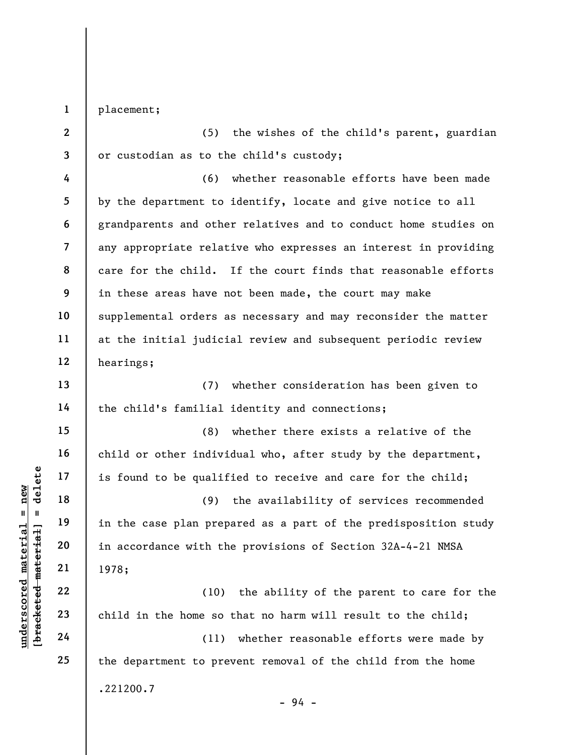1 placement;

2 3 (5) the wishes of the child's parent, guardian or custodian as to the child's custody;

4 5 6 7 8 9 10 11 12 (6) whether reasonable efforts have been made by the department to identify, locate and give notice to all grandparents and other relatives and to conduct home studies on any appropriate relative who expresses an interest in providing care for the child. If the court finds that reasonable efforts in these areas have not been made, the court may make supplemental orders as necessary and may reconsider the matter at the initial judicial review and subsequent periodic review hearings;

(7) whether consideration has been given to the child's familial identity and connections;

(8) whether there exists a relative of the child or other individual who, after study by the department, is found to be qualified to receive and care for the child;

 $\begin{array}{c|c|c|c|c} \mathbf{u} & \mathbf{u} & \mathbf{u} & \mathbf{v} & \mathbf{v} & \mathbf{v} & \mathbf{v} & \mathbf{v} & \mathbf{v} & \mathbf{v} & \mathbf{v} & \mathbf{v} & \mathbf{v} & \mathbf{v} & \mathbf{v} & \mathbf{v} & \mathbf{v} & \mathbf{v} & \mathbf{v} & \mathbf{v} & \mathbf{v} & \mathbf{v} & \mathbf{v} & \mathbf{v} & \mathbf{v} & \mathbf{v} & \mathbf{v} & \mathbf{v} & \mathbf{v} & \math$ (9) the availability of services recommended in the case plan prepared as a part of the predisposition study in accordance with the provisions of Section 32A-4-21 NMSA 1978;

(10) the ability of the parent to care for the child in the home so that no harm will result to the child;

(11) whether reasonable efforts were made by the department to prevent removal of the child from the home .221200.7 - 94 -

13

14

15

16

17

18

19

20

21

22

23

24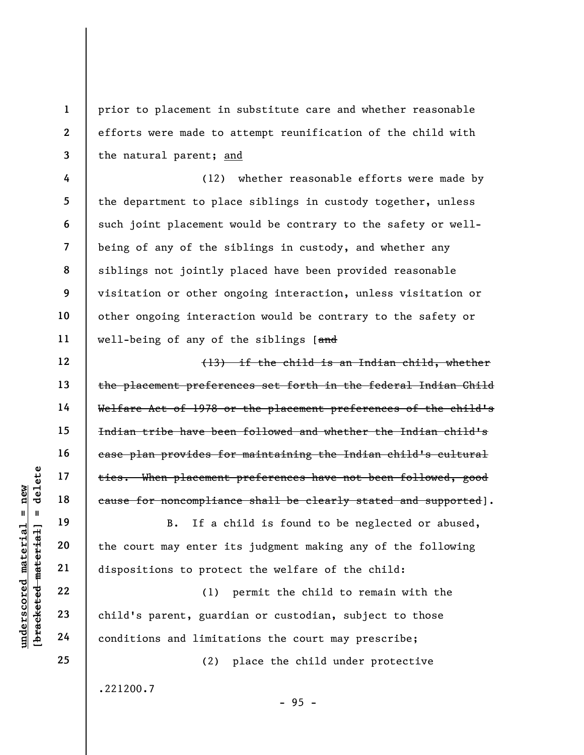prior to placement in substitute care and whether reasonable efforts were made to attempt reunification of the child with the natural parent; and

4 5 6 7 8 9 10 11 (12) whether reasonable efforts were made by the department to place siblings in custody together, unless such joint placement would be contrary to the safety or wellbeing of any of the siblings in custody, and whether any siblings not jointly placed have been provided reasonable visitation or other ongoing interaction, unless visitation or other ongoing interaction would be contrary to the safety or well-being of any of the siblings [and

(13) if the child is an Indian child, whether the placement preferences set forth in the federal Indian Child Welfare Act of 1978 or the placement preferences of the child's Indian tribe have been followed and whether the Indian child's case plan provides for maintaining the Indian child's cultural ties. When placement preferences have not been followed, good cause for noncompliance shall be clearly stated and supported].

B. If a child is found to be neglected or abused, the court may enter its judgment making any of the following dispositions to protect the welfare of the child:

understand material material equal ties. When placement<br>
equal 18<br>
equal ties. When placement<br>
equal ties. When placement<br>
equal ties. When placement<br>
equal ties. When placement<br>
equal ties. When placement<br>
examents on the (1) permit the child to remain with the child's parent, guardian or custodian, subject to those conditions and limitations the court may prescribe;

(2) place the child under protective

- 95 -

.221200.7

1

2

3

12

13

14

15

16

17

18

19

20

21

22

23

24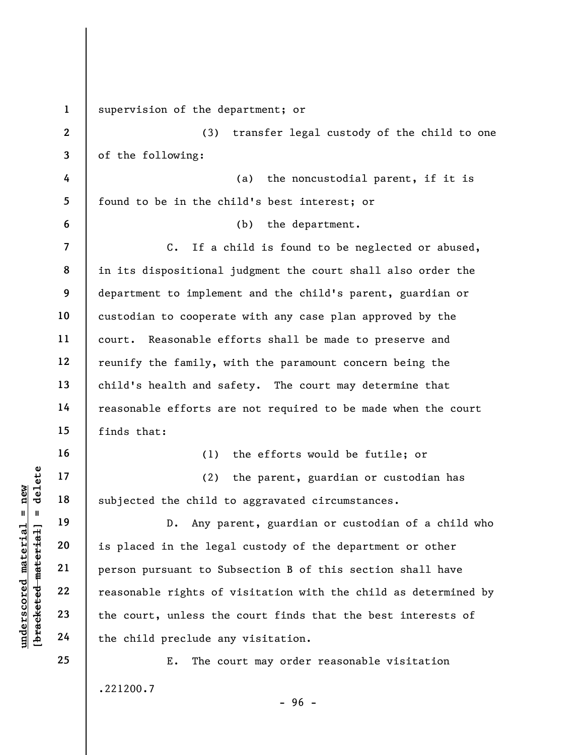underscored materials of<br>
underscored materials of<br>
underscored materials of<br>
the court, unless the<br>
underscored materials of<br>
the court, unless the<br>
the child preclude and<br>
the child preclude and<br>
the child preclude and<br> 1 2 3 4 5 6 7 8 9 10 11 12 13 14 15 16 17 18 19 20 21 22 23 24 25 supervision of the department; or (3) transfer legal custody of the child to one of the following: (a) the noncustodial parent, if it is found to be in the child's best interest; or (b) the department. C. If a child is found to be neglected or abused, in its dispositional judgment the court shall also order the department to implement and the child's parent, guardian or custodian to cooperate with any case plan approved by the court. Reasonable efforts shall be made to preserve and reunify the family, with the paramount concern being the child's health and safety. The court may determine that reasonable efforts are not required to be made when the court finds that: (1) the efforts would be futile; or (2) the parent, guardian or custodian has subjected the child to aggravated circumstances. D. Any parent, guardian or custodian of a child who is placed in the legal custody of the department or other person pursuant to Subsection B of this section shall have reasonable rights of visitation with the child as determined by the court, unless the court finds that the best interests of the child preclude any visitation. E. The court may order reasonable visitation .221200.7

- 96 -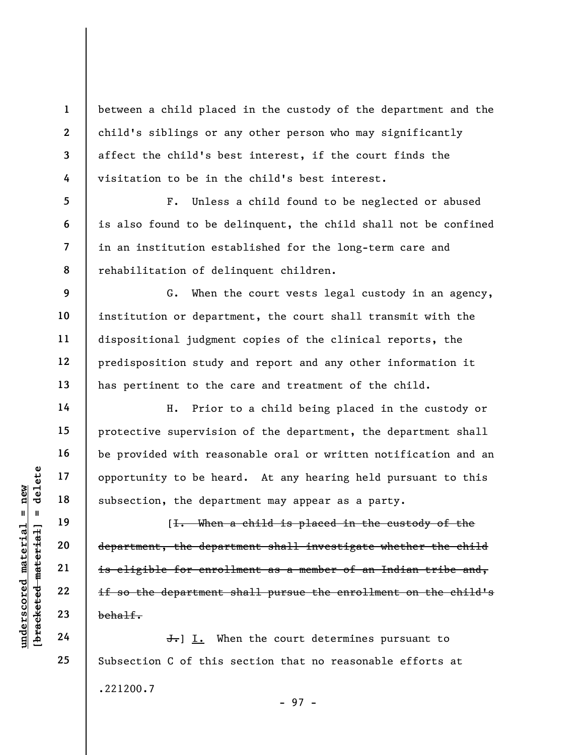1 2 3 4 between a child placed in the custody of the department and the child's siblings or any other person who may significantly affect the child's best interest, if the court finds the visitation to be in the child's best interest.

F. Unless a child found to be neglected or abused is also found to be delinquent, the child shall not be confined in an institution established for the long-term care and rehabilitation of delinquent children.

G. When the court vests legal custody in an agency, institution or department, the court shall transmit with the dispositional judgment copies of the clinical reports, the predisposition study and report and any other information it has pertinent to the care and treatment of the child.

H. Prior to a child being placed in the custody or protective supervision of the department, the department shall be provided with reasonable oral or written notification and an opportunity to be heard. At any hearing held pursuant to this subsection, the department may appear as a party.

under 17<br>
and 18<br>
under 18<br>
under 19<br>
under 19<br>
under 19<br>
under 19<br>
under 19<br>
is eligible for enrol<br>
is eligible for enrol<br>
is eligible for enrol<br>
is eligible for enrol<br>
is eligible for enrol<br>
is eligible for enrol<br>
is eli [I. When a child is placed in the custody of the department, the department shall investigate whether the child is eligible for enrollment as a member of an Indian tribe and, if so the department shall pursue the enrollment on the child's behalf.

J. I. When the court determines pursuant to Subsection C of this section that no reasonable efforts at .221200.7 - 97 -

5

6

7

8

9

10

11

12

13

14

15

16

17

18

19

20

21

22

23

24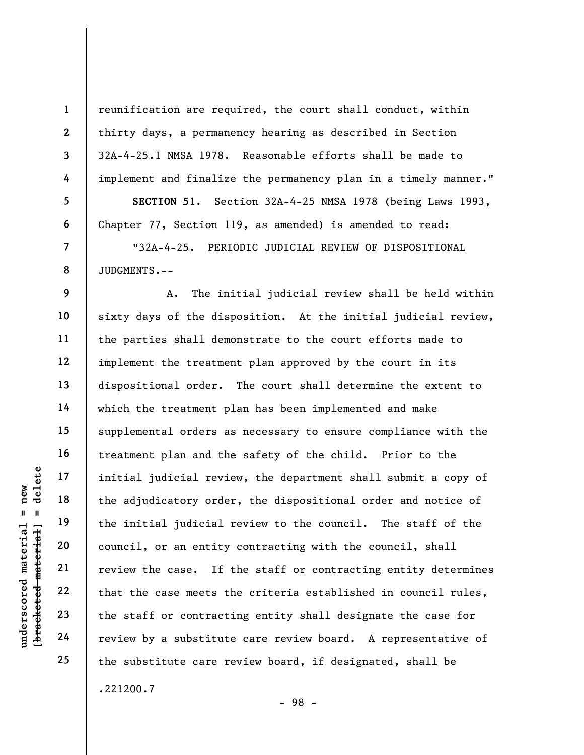reunification are required, the court shall conduct, within thirty days, a permanency hearing as described in Section 32A-4-25.1 NMSA 1978. Reasonable efforts shall be made to implement and finalize the permanency plan in a timely manner." SECTION 51. Section 32A-4-25 NMSA 1978 (being Laws 1993, Chapter 77, Section 119, as amended) is amended to read: "32A-4-25. PERIODIC JUDICIAL REVIEW OF DISPOSITIONAL

JUDGMENTS.--

understand material initial judicial revious of the adjudicatory order the adjudicatory order the adjudicatory order the initial judicial council, or an entity review the case. If that the case meets the staff or contract A. The initial judicial review shall be held within sixty days of the disposition. At the initial judicial review, the parties shall demonstrate to the court efforts made to implement the treatment plan approved by the court in its dispositional order. The court shall determine the extent to which the treatment plan has been implemented and make supplemental orders as necessary to ensure compliance with the treatment plan and the safety of the child. Prior to the initial judicial review, the department shall submit a copy of the adjudicatory order, the dispositional order and notice of the initial judicial review to the council. The staff of the council, or an entity contracting with the council, shall review the case. If the staff or contracting entity determines that the case meets the criteria established in council rules, the staff or contracting entity shall designate the case for review by a substitute care review board. A representative of the substitute care review board, if designated, shall be .221200.7

- 98 -

1

2

3

4

5

6

7

8

9

10

11

12

13

14

15

16

17

18

19

20

21

22

23

24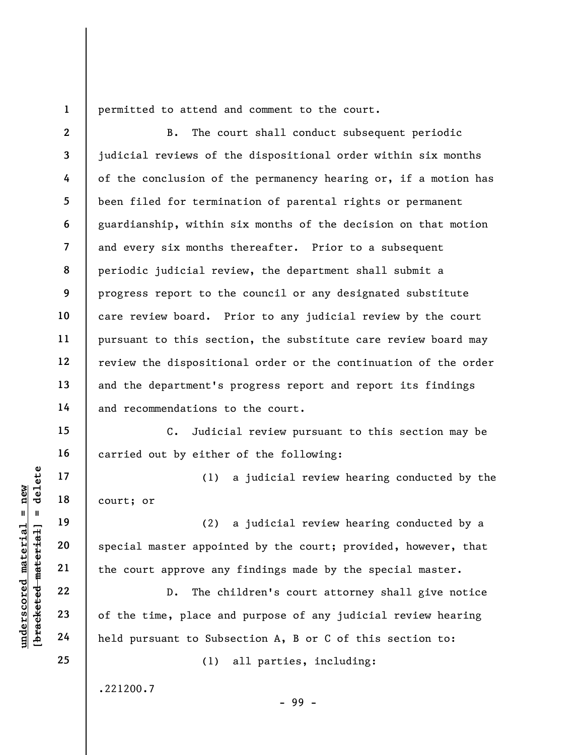1

2

3

4

5

6

7

8

9

10

11

12

13

14

15

16

17

18

19

20

21

22

23

24

25

permitted to attend and comment to the court.

B. The court shall conduct subsequent periodic judicial reviews of the dispositional order within six months of the conclusion of the permanency hearing or, if a motion has been filed for termination of parental rights or permanent guardianship, within six months of the decision on that motion and every six months thereafter. Prior to a subsequent periodic judicial review, the department shall submit a progress report to the council or any designated substitute care review board. Prior to any judicial review by the court pursuant to this section, the substitute care review board may review the dispositional order or the continuation of the order and the department's progress report and report its findings and recommendations to the court.

C. Judicial review pursuant to this section may be carried out by either of the following:

(1) a judicial review hearing conducted by the court; or

(2) a judicial review hearing conducted by a special master appointed by the court; provided, however, that the court approve any findings made by the special master.

underscored material material court; or<br>
and the court; or<br>
defined and the court approve any<br>
court approve any<br>
defined and the court approve any<br>
court approve any<br>
court approve any<br>
court approve any<br>
court approve an D. The children's court attorney shall give notice of the time, place and purpose of any judicial review hearing held pursuant to Subsection A, B or C of this section to:

(1) all parties, including:

- 99 -

.221200.7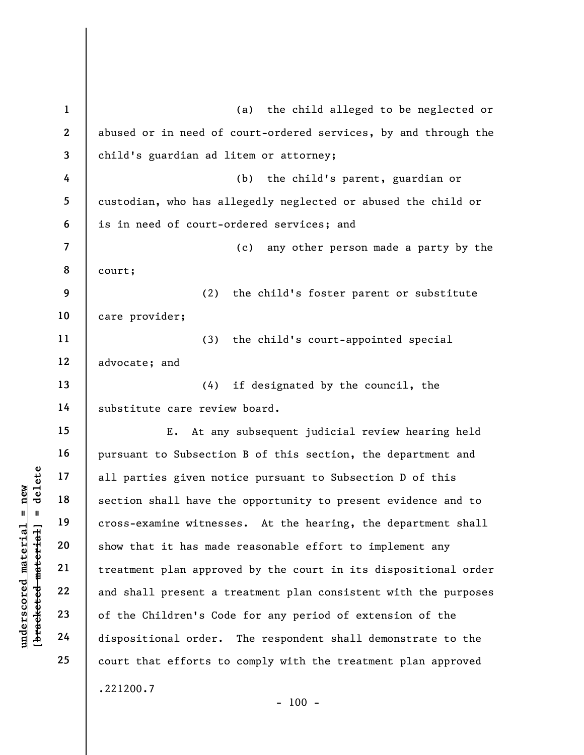understand material and section shall have the section shall have the section shall have the cross-examine witness<br>gradient material of the Children's Code<br>deleted material and shall present a the children's Code<br>dispositi 1 2 3 4 5 6 7 8 9 10 11 12 13 14 15 16 17 18 19 20 21 22 23 24 25 (a) the child alleged to be neglected or abused or in need of court-ordered services, by and through the child's guardian ad litem or attorney; (b) the child's parent, guardian or custodian, who has allegedly neglected or abused the child or is in need of court-ordered services; and (c) any other person made a party by the court; (2) the child's foster parent or substitute care provider; (3) the child's court-appointed special advocate; and (4) if designated by the council, the substitute care review board. E. At any subsequent judicial review hearing held pursuant to Subsection B of this section, the department and all parties given notice pursuant to Subsection D of this section shall have the opportunity to present evidence and to cross-examine witnesses. At the hearing, the department shall show that it has made reasonable effort to implement any treatment plan approved by the court in its dispositional order and shall present a treatment plan consistent with the purposes of the Children's Code for any period of extension of the dispositional order. The respondent shall demonstrate to the court that efforts to comply with the treatment plan approved .221200.7

 $- 100 -$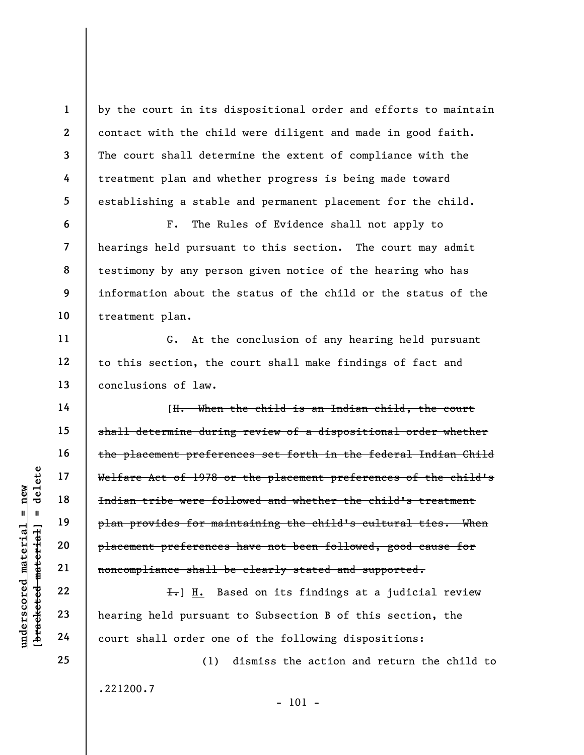by the court in its dispositional order and efforts to maintain contact with the child were diligent and made in good faith. The court shall determine the extent of compliance with the treatment plan and whether progress is being made toward establishing a stable and permanent placement for the child.

F. The Rules of Evidence shall not apply to hearings held pursuant to this section. The court may admit testimony by any person given notice of the hearing who has information about the status of the child or the status of the treatment plan.

G. At the conclusion of any hearing held pursuant to this section, the court shall make findings of fact and conclusions of law.

underscore material material ethnic is a more to the the series of the material plan provides for main plan provides for main plan provides for main plan provides for main plan provides for main plan provides for main plan [H. When the child is an Indian child, the court shall determine during review of a dispositional order whether the placement preferences set forth in the federal Indian Child Welfare Act of 1978 or the placement preferences of the child's Indian tribe were followed and whether the child's treatment plan provides for maintaining the child's cultural ties. When placement preferences have not been followed, good cause for noncompliance shall be clearly stated and supported.

H. Based on its findings at a judicial review hearing held pursuant to Subsection B of this section, the court shall order one of the following dispositions:

(1) dismiss the action and return the child to .221200.7 - 101 -

24 25

1

2

3

4

5

6

7

8

9

10

11

12

13

14

15

16

17

18

19

20

21

22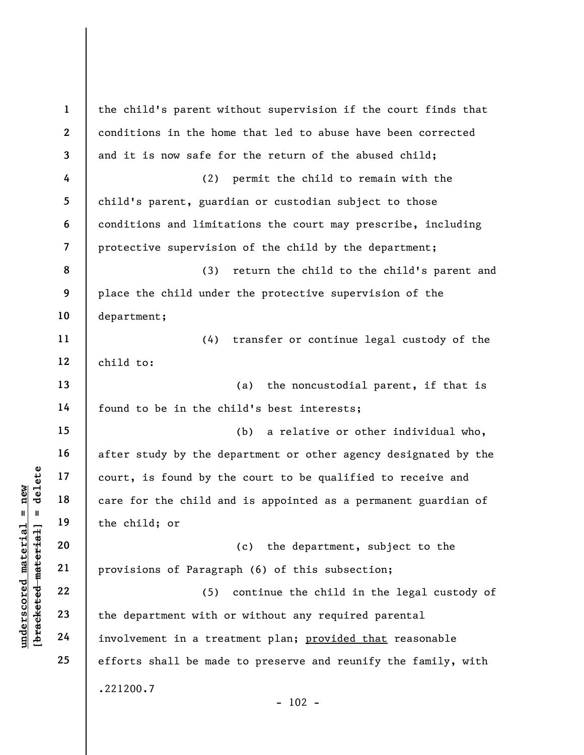understand material material end of the child and the child and the child and the child in the child in the child in the child served material and the child in the child served material control of  $\begin{array}{c|c} 20 & \text{if } 22 \\ \text$ 1 2 3 4 5 6 7 8 9 10 11 12 13 14 15 16 17 18 19 20 21 22 23 24 25 the child's parent without supervision if the court finds that conditions in the home that led to abuse have been corrected and it is now safe for the return of the abused child; (2) permit the child to remain with the child's parent, guardian or custodian subject to those conditions and limitations the court may prescribe, including protective supervision of the child by the department; (3) return the child to the child's parent and place the child under the protective supervision of the department; (4) transfer or continue legal custody of the child to: (a) the noncustodial parent, if that is found to be in the child's best interests; (b) a relative or other individual who, after study by the department or other agency designated by the court, is found by the court to be qualified to receive and care for the child and is appointed as a permanent guardian of the child; or (c) the department, subject to the provisions of Paragraph (6) of this subsection; (5) continue the child in the legal custody of the department with or without any required parental involvement in a treatment plan; provided that reasonable efforts shall be made to preserve and reunify the family, with .221200.7  $- 102 -$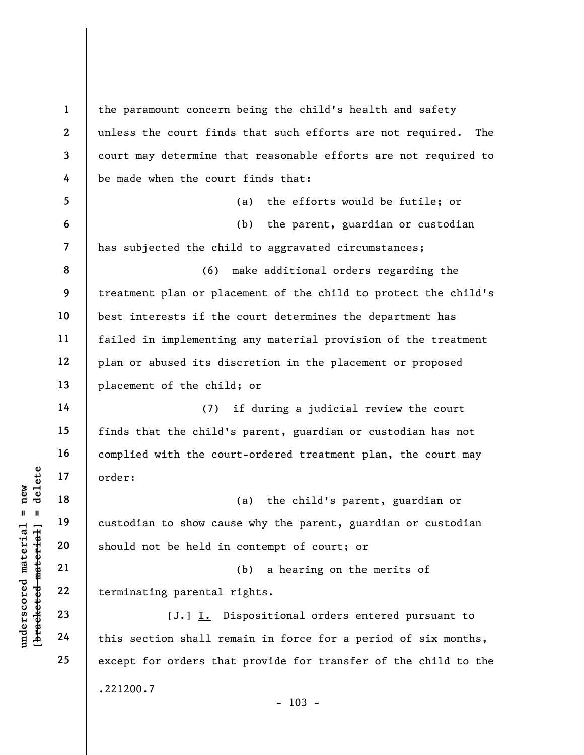underscored material end and the set of the set of the set of the set of the set of the set of the set of the set of this section shall respectively. The set of this section shall respectively. 1 2 3 4 5 6 7 8 9 10 11 12 13 14 15 16 17 18 19 20 21 22 23 24 25 the paramount concern being the child's health and safety unless the court finds that such efforts are not required. The court may determine that reasonable efforts are not required to be made when the court finds that: (a) the efforts would be futile; or (b) the parent, guardian or custodian has subjected the child to aggravated circumstances; (6) make additional orders regarding the treatment plan or placement of the child to protect the child's best interests if the court determines the department has failed in implementing any material provision of the treatment plan or abused its discretion in the placement or proposed placement of the child; or (7) if during a judicial review the court finds that the child's parent, guardian or custodian has not complied with the court-ordered treatment plan, the court may order: (a) the child's parent, guardian or custodian to show cause why the parent, guardian or custodian should not be held in contempt of court; or (b) a hearing on the merits of terminating parental rights. [<del>J.</del>] I. Dispositional orders entered pursuant to this section shall remain in force for a period of six months, except for orders that provide for transfer of the child to the .221200.7

 $- 103 -$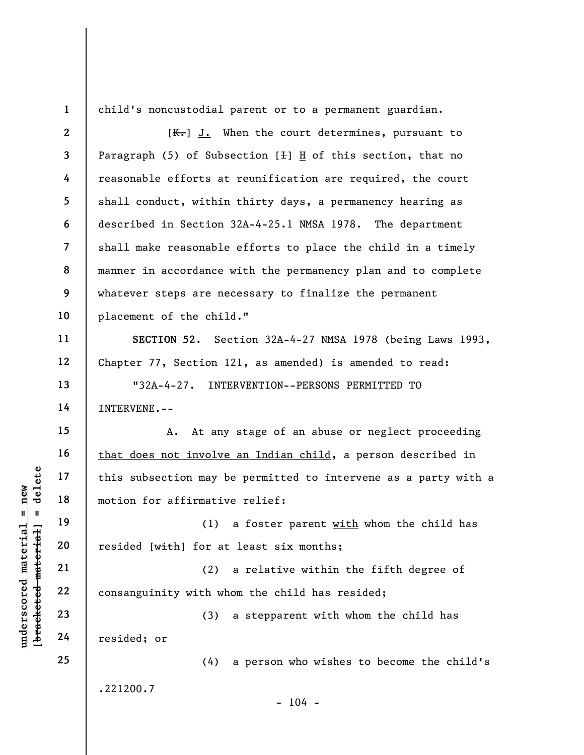1

child's noncustodial parent or to a permanent guardian.

understand material material end of this subsection may b<br>
motion for affirmativ<br>
motion for affirmativ<br>
(1)<br>
resided [with] for at<br>
21<br>
22<br>
23<br>
24<br>
Presided; or 2 3 4 5 6 7 8 9 10 11 12 13 14 15 16 17 18 19 20 21 22 23 24 25  $[K-]$  J. When the court determines, pursuant to Paragraph  $(5)$  of Subsection  $[+]$  H of this section, that no reasonable efforts at reunification are required, the court shall conduct, within thirty days, a permanency hearing as described in Section 32A-4-25.1 NMSA 1978. The department shall make reasonable efforts to place the child in a timely manner in accordance with the permanency plan and to complete whatever steps are necessary to finalize the permanent placement of the child." SECTION 52. Section 32A-4-27 NMSA 1978 (being Laws 1993, Chapter 77, Section 121, as amended) is amended to read: "32A-4-27. INTERVENTION--PERSONS PERMITTED TO INTERVENE.-- A. At any stage of an abuse or neglect proceeding that does not involve an Indian child, a person described in this subsection may be permitted to intervene as a party with a motion for affirmative relief: (1) a foster parent  $with$  whom the child has resided [with] for at least six months; (2) a relative within the fifth degree of consanguinity with whom the child has resided; (3) a stepparent with whom the child has resided; or (4) a person who wishes to become the child's .221200.7  $- 104 -$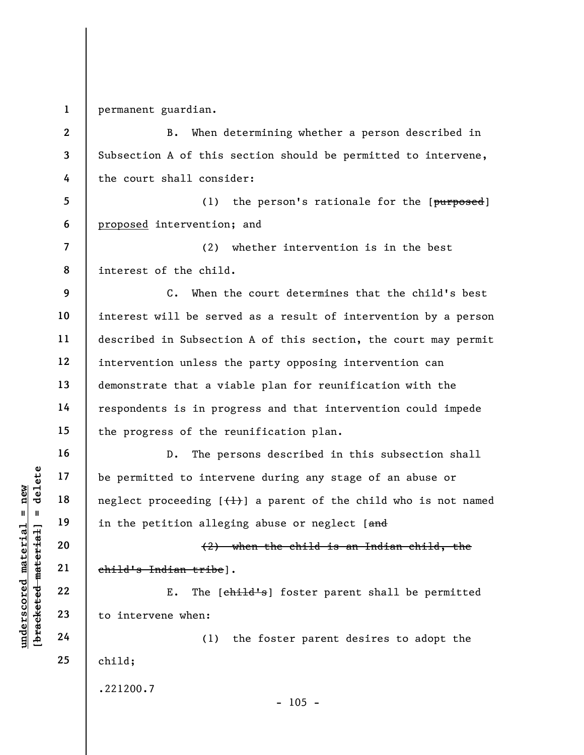1 permanent guardian.

2 3 4 5 6 7 8 9 10 11 12 13 14 15 B. When determining whether a person described in Subsection A of this section should be permitted to intervene, the court shall consider: (1) the person's rationale for the  $[*purposed*]$ proposed intervention; and (2) whether intervention is in the best interest of the child. C. When the court determines that the child's best interest will be served as a result of intervention by a person described in Subsection A of this section, the court may permit intervention unless the party opposing intervention can demonstrate that a viable plan for reunification with the respondents is in progress and that intervention could impede the progress of the reunification plan.

understand material material of the permitted to inter<br>
neglect proceeding [{<br>
neglect proceeding [{<br>
in the petition alleg<br>
(2}<br>
deleter the petition alleg<br>
(2}<br>
ehild's Indian tribe]<br>
E. The [e<br>
deleter 23<br>
to intervene D. The persons described in this subsection shall be permitted to intervene during any stage of an abuse or neglect proceeding  $[\frac{1}{1}]$  a parent of the child who is not named in the petition alleging abuse or neglect [and

(2) when the child is an Indian child, the child's Indian tribe].

E. The [child's] foster parent shall be permitted to intervene when:

25 (1) the foster parent desires to adopt the child;

.221200.7

16

17

18

19

20

21

22

23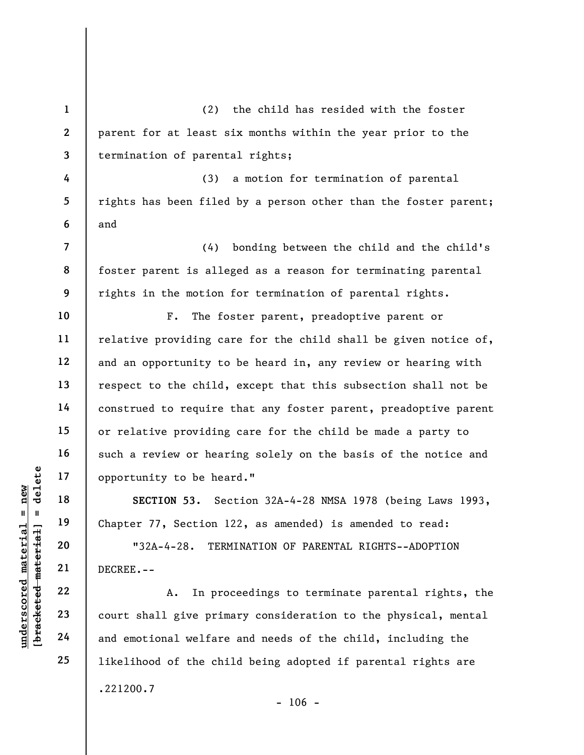1 2 3 (2) the child has resided with the foster parent for at least six months within the year prior to the termination of parental rights;

4 5 6 (3) a motion for termination of parental rights has been filed by a person other than the foster parent; and

(4) bonding between the child and the child's foster parent is alleged as a reason for terminating parental rights in the motion for termination of parental rights.

F. The foster parent, preadoptive parent or relative providing care for the child shall be given notice of, and an opportunity to be heard in, any review or hearing with respect to the child, except that this subsection shall not be construed to require that any foster parent, preadoptive parent or relative providing care for the child be made a party to such a review or hearing solely on the basis of the notice and opportunity to be heard."

SECTION 53. Section 32A-4-28 NMSA 1978 (being Laws 1993, Chapter 77, Section 122, as amended) is amended to read:

"32A-4-28. TERMINATION OF PARENTAL RIGHTS--ADOPTION DECREE.--

underscored material = new [bracketed material] = delete A. In proceedings to terminate parental rights, the court shall give primary consideration to the physical, mental and emotional welfare and needs of the child, including the likelihood of the child being adopted if parental rights are .221200.7  $- 106 -$ 

7

8

9

10

11

12

13

14

15

16

17

18

19

20

21

22

23

24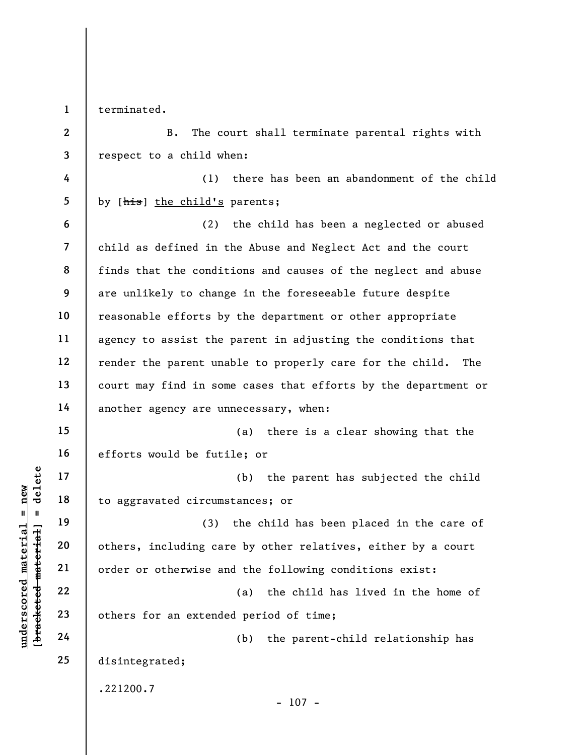1 terminated.

2

3

B. The court shall terminate parental rights with respect to a child when:

4 5 (1) there has been an abandonment of the child by [his] the child's parents;

6 7 8 9 10 11 12 13 14 (2) the child has been a neglected or abused child as defined in the Abuse and Neglect Act and the court finds that the conditions and causes of the neglect and abuse are unlikely to change in the foreseeable future despite reasonable efforts by the department or other appropriate agency to assist the parent in adjusting the conditions that render the parent unable to properly care for the child. The court may find in some cases that efforts by the department or another agency are unnecessary, when:

(a) there is a clear showing that the efforts would be futile; or

(b) the parent has subjected the child to aggravated circumstances; or

underscored material material material and the assessment of the set of the set of the set of the set of the set of the set of the set of the set of the set of the set of the set of the set of the set of the set of the set (3) the child has been placed in the care of others, including care by other relatives, either by a court order or otherwise and the following conditions exist:

(a) the child has lived in the home of others for an extended period of time;

(b) the parent-child relationship has disintegrated;

.221200.7

15

16

17

18

19

20

21

22

23

24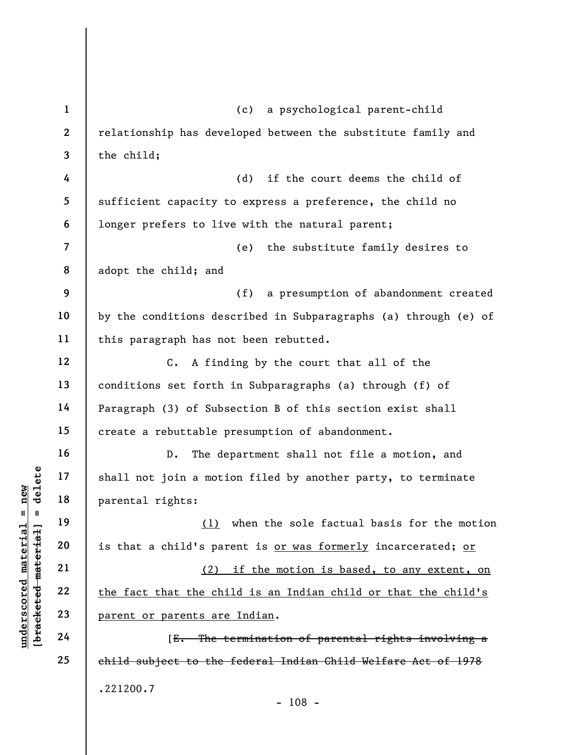understand material material material material material material material material material material material material contracts are allowed that the child's parent or parents are  $24$ 1 2 3 4 5 6 7 8 9 10 11 12 13 14 15 16 17 18 19 20 21 22 23 24 25 (c) a psychological parent-child relationship has developed between the substitute family and the child; (d) if the court deems the child of sufficient capacity to express a preference, the child no longer prefers to live with the natural parent; (e) the substitute family desires to adopt the child; and (f) a presumption of abandonment created by the conditions described in Subparagraphs (a) through (e) of this paragraph has not been rebutted. C. A finding by the court that all of the conditions set forth in Subparagraphs (a) through (f) of Paragraph (3) of Subsection B of this section exist shall create a rebuttable presumption of abandonment. D. The department shall not file a motion, and shall not join a motion filed by another party, to terminate parental rights: (1) when the sole factual basis for the motion is that a child's parent is or was formerly incarcerated; or (2) if the motion is based, to any extent, on the fact that the child is an Indian child or that the child's parent or parents are Indian. [E. The termination of parental rights involving a child subject to the federal Indian Child Welfare Act of 1978 .221200.7 - 108 -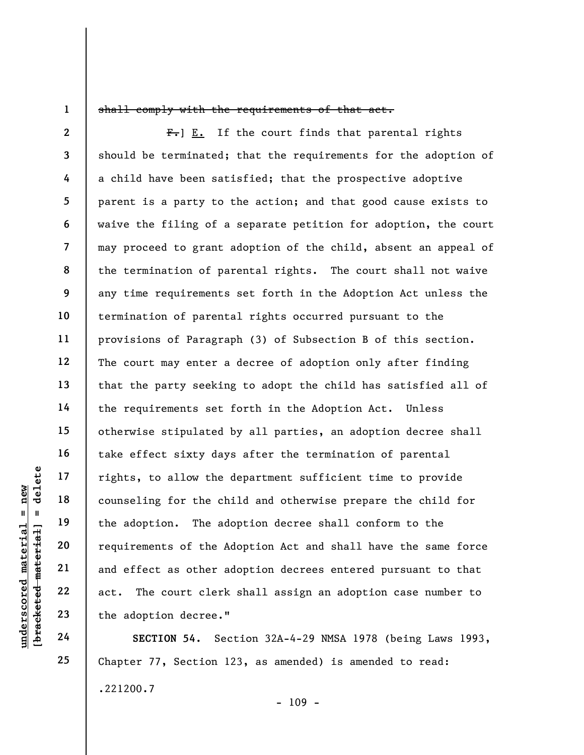1

## shall comply with the requirements of that act.

understand material material end of the distribution of the distribution of the distribution. The additional material counseling for the change of the A requirements of the A requirements of the A and effect as other a act 2 3 4 5 6 7 8 9 10 11 12 13 14 15 16 17 18 19 20 21 22 23  $F_{\bullet}$ ] E. If the court finds that parental rights should be terminated; that the requirements for the adoption of a child have been satisfied; that the prospective adoptive parent is a party to the action; and that good cause exists to waive the filing of a separate petition for adoption, the court may proceed to grant adoption of the child, absent an appeal of the termination of parental rights. The court shall not waive any time requirements set forth in the Adoption Act unless the termination of parental rights occurred pursuant to the provisions of Paragraph (3) of Subsection B of this section. The court may enter a decree of adoption only after finding that the party seeking to adopt the child has satisfied all of the requirements set forth in the Adoption Act. Unless otherwise stipulated by all parties, an adoption decree shall take effect sixty days after the termination of parental rights, to allow the department sufficient time to provide counseling for the child and otherwise prepare the child for the adoption. The adoption decree shall conform to the requirements of the Adoption Act and shall have the same force and effect as other adoption decrees entered pursuant to that act. The court clerk shall assign an adoption case number to the adoption decree."

SECTION 54. Section 32A-4-29 NMSA 1978 (being Laws 1993, Chapter 77, Section 123, as amended) is amended to read: .221200.7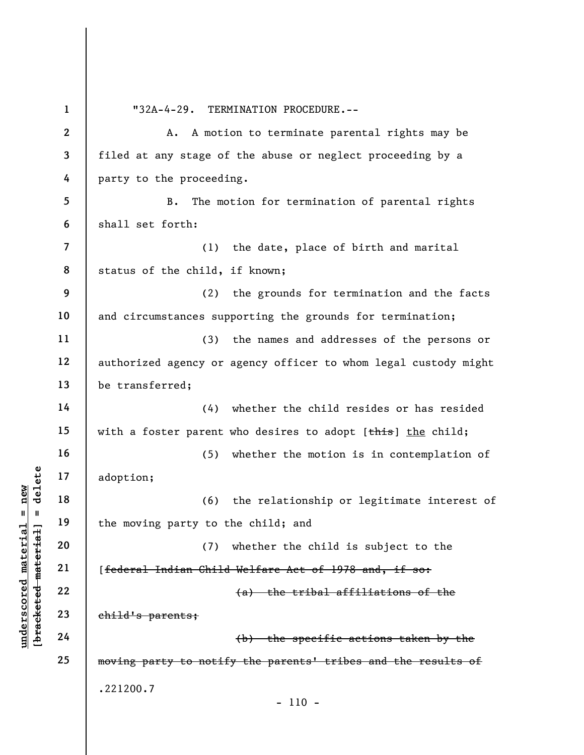underscored material material material material material energy is a control of the moving party to the moving party to the moving party to the moving party to the moving party to the moving party to the moving party to th 1 2 3 4 5 6 7 8 9 10 11 12 13 14 15 16 17 18 19 20 21 22 23 24 25 "32A-4-29. TERMINATION PROCEDURE.-- A. A motion to terminate parental rights may be filed at any stage of the abuse or neglect proceeding by a party to the proceeding. B. The motion for termination of parental rights shall set forth: (1) the date, place of birth and marital status of the child, if known; (2) the grounds for termination and the facts and circumstances supporting the grounds for termination; (3) the names and addresses of the persons or authorized agency or agency officer to whom legal custody might be transferred; (4) whether the child resides or has resided with a foster parent who desires to adopt  $[\frac{\text{this}}{\text{this}}]$  the child; (5) whether the motion is in contemplation of adoption; (6) the relationship or legitimate interest of the moving party to the child; and (7) whether the child is subject to the [federal Indian Child Welfare Act of 1978 and, if so: (a) the tribal affiliations of the child's parents; (b) the specific actions taken by the moving party to notify the parents' tribes and the results of .221200.7 - 110 -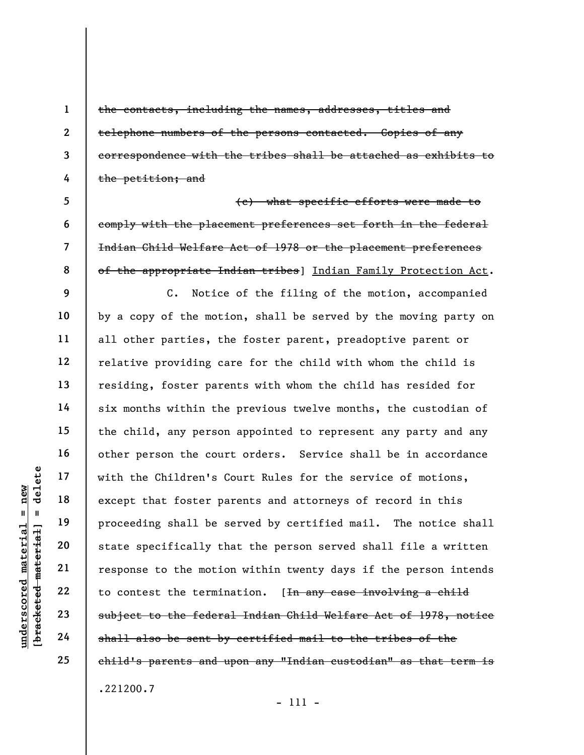the contacts, including the names, addresses, titles and telephone numbers of the persons contacted. Copies of any correspondence with the tribes shall be attached as exhibits to the petition; and

5 6 7 8 (c) what specific efforts were made to comply with the placement preferences set forth in the federal Indian Child Welfare Act of 1978 or the placement preferences of the appropriate Indian tribes] Indian Family Protection Act.

undersptead of the Children's C<br>
and the Unit of the Children's C<br>
except that foster pa<br>
proceeding shall be s<br>
state specifically the<br>
state specifically the<br>
contest the motic<br>
contest the termin<br>
and the Children's C<br> C. Notice of the filing of the motion, accompanied by a copy of the motion, shall be served by the moving party on all other parties, the foster parent, preadoptive parent or relative providing care for the child with whom the child is residing, foster parents with whom the child has resided for six months within the previous twelve months, the custodian of the child, any person appointed to represent any party and any other person the court orders. Service shall be in accordance with the Children's Court Rules for the service of motions, except that foster parents and attorneys of record in this proceeding shall be served by certified mail. The notice shall state specifically that the person served shall file a written response to the motion within twenty days if the person intends to contest the termination. [In any case involving a child subject to the federal Indian Child Welfare Act of 1978, notice shall also be sent by certified mail to the tribes of the child's parents and upon any "Indian custodian" as that term is .221200.7

1

2

3

4

9

10

11

12

13

14

15

16

17

18

19

20

21

22

23

24

25

- 111 -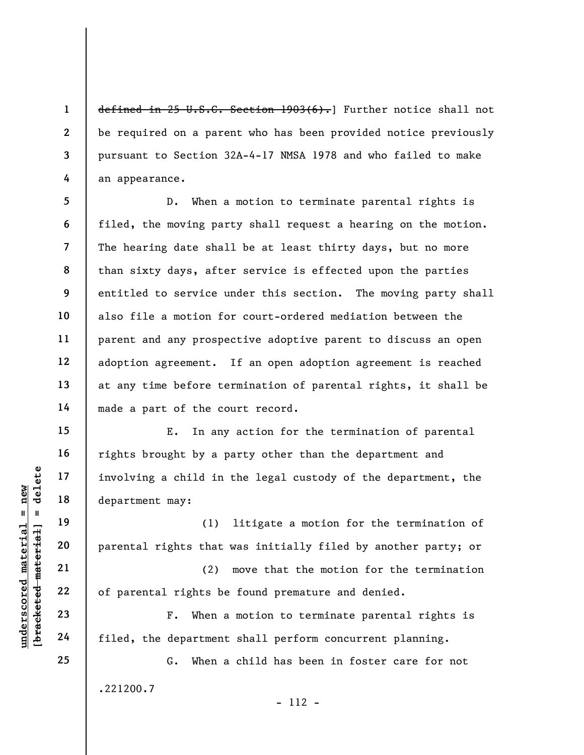defined in 25 U.S.C. Section 1903(6). Further notice shall not be required on a parent who has been provided notice previously pursuant to Section 32A-4-17 NMSA 1978 and who failed to make an appearance.

5 6 7 8 9 10 11 12 13 14 D. When a motion to terminate parental rights is filed, the moving party shall request a hearing on the motion. The hearing date shall be at least thirty days, but no more than sixty days, after service is effected upon the parties entitled to service under this section. The moving party shall also file a motion for court-ordered mediation between the parent and any prospective adoptive parent to discuss an open adoption agreement. If an open adoption agreement is reached at any time before termination of parental rights, it shall be made a part of the court record.

underscored material = new [bracketed material] = delete E. In any action for the termination of parental rights brought by a party other than the department and involving a child in the legal custody of the department, the department may:

(1) litigate a motion for the termination of parental rights that was initially filed by another party; or

(2) move that the motion for the termination of parental rights be found premature and denied.

F. When a motion to terminate parental rights is filed, the department shall perform concurrent planning.

G. When a child has been in foster care for not .221200.7 - 112 -

1

2

3

4

15

16

17

18

19

20

21

22

23

24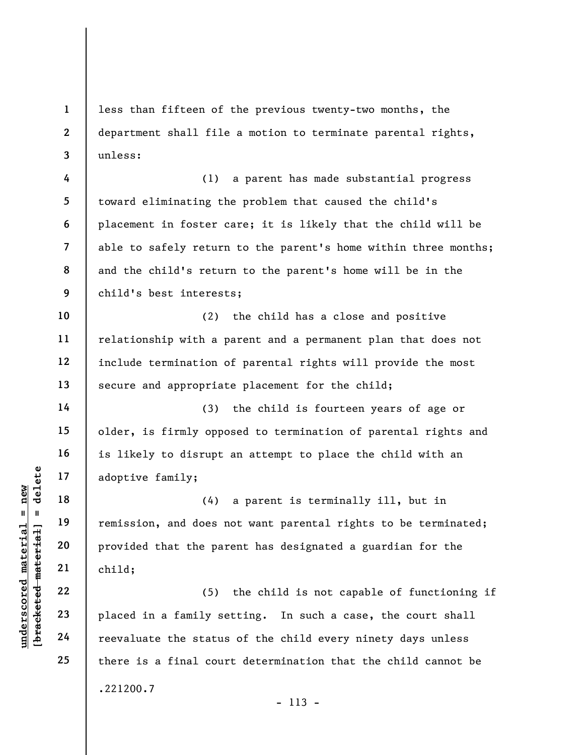less than fifteen of the previous twenty-two months, the department shall file a motion to terminate parental rights, unless:

4 5 6 7 8 9 (1) a parent has made substantial progress toward eliminating the problem that caused the child's placement in foster care; it is likely that the child will be able to safely return to the parent's home within three months; and the child's return to the parent's home will be in the child's best interests;

10 11 12 13 (2) the child has a close and positive relationship with a parent and a permanent plan that does not include termination of parental rights will provide the most secure and appropriate placement for the child;

(3) the child is fourteen years of age or older, is firmly opposed to termination of parental rights and is likely to disrupt an attempt to place the child with an adoptive family;

understanding and the status of the status of the status of the status of the status of the status of the status of the status of the status of the status of the status of the status of the status of the status of the stat (4) a parent is terminally ill, but in remission, and does not want parental rights to be terminated; provided that the parent has designated a guardian for the child;

(5) the child is not capable of functioning if placed in a family setting. In such a case, the court shall reevaluate the status of the child every ninety days unless there is a final court determination that the child cannot be .221200.7 - 113 -

1

2

3

14

15

16

17

18

19

20

21

22

23

24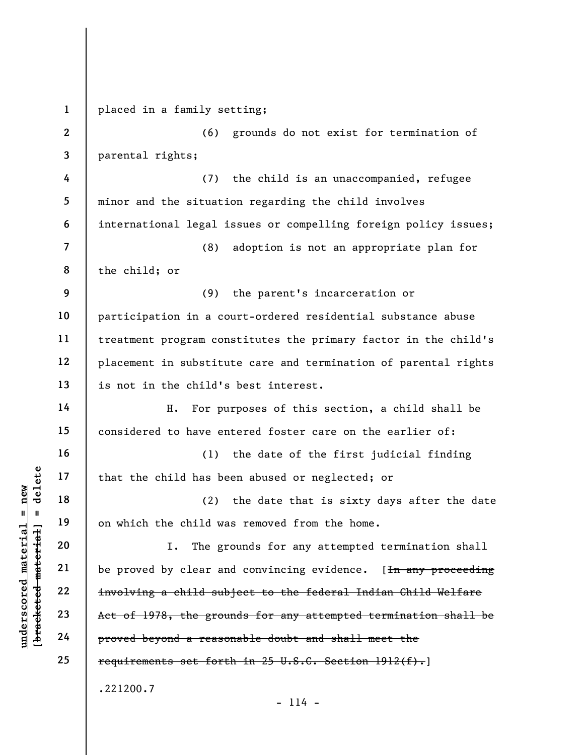underscored material = new [bracketed material] = delete 1 2 3 4 5 6 7 8 9 10 11 12 13 14 15 16 17 18 19 20 21 22 23 24 25 placed in a family setting; (6) grounds do not exist for termination of parental rights; (7) the child is an unaccompanied, refugee minor and the situation regarding the child involves international legal issues or compelling foreign policy issues; (8) adoption is not an appropriate plan for the child; or (9) the parent's incarceration or participation in a court-ordered residential substance abuse treatment program constitutes the primary factor in the child's placement in substitute care and termination of parental rights is not in the child's best interest. H. For purposes of this section, a child shall be considered to have entered foster care on the earlier of: (1) the date of the first judicial finding that the child has been abused or neglected; or (2) the date that is sixty days after the date on which the child was removed from the home. I. The grounds for any attempted termination shall be proved by clear and convincing evidence. [In any proceeding involving a child subject to the federal Indian Child Welfare Act of 1978, the grounds for any attempted termination shall be proved beyond a reasonable doubt and shall meet the requirements set forth in 25 U.S.C. Section 1912(f).] .221200.7

 $- 114 -$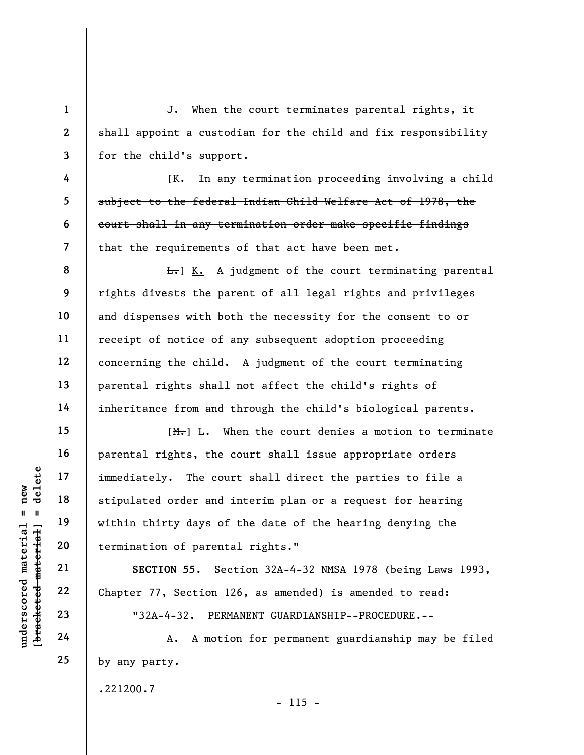J. When the court terminates parental rights, it shall appoint a custodian for the child and fix responsibility for the child's support.

[K. In any termination proceeding involving a child subject to the federal Indian Child Welfare Act of 1978, the court shall in any termination order make specific findings that the requirements of that act have been met.

**L.** K. A judgment of the court terminating parental rights divests the parent of all legal rights and privileges and dispenses with both the necessity for the consent to or receipt of notice of any subsequent adoption proceeding concerning the child. A judgment of the court terminating parental rights shall not affect the child's rights of inheritance from and through the child's biological parents.

under 17<br>
and 18<br>
under 18<br>
under 19<br>
under 19<br>
under 19<br>
under 19<br>
under 19<br>
under 19<br>
under 17, Section 1<br>
under 17, Section 1<br>
under 17, Section 1<br>
under 17, Section 1<br>
23<br>
24<br>
A. A moti  $[M_{\tau}]$   $L.$  When the court denies a motion to terminate parental rights, the court shall issue appropriate orders immediately. The court shall direct the parties to file a stipulated order and interim plan or a request for hearing within thirty days of the date of the hearing denying the termination of parental rights."

SECTION 55. Section 32A-4-32 NMSA 1978 (being Laws 1993, Chapter 77, Section 126, as amended) is amended to read:

"32A-4-32. PERMANENT GUARDIANSHIP--PROCEDURE.--

A. A motion for permanent guardianship may be filed by any party.

- 115 -

.221200.7

1

2

3

4

5

6

7

8

9

10

11

12

13

14

15

16

17

18

19

20

21

22

23

24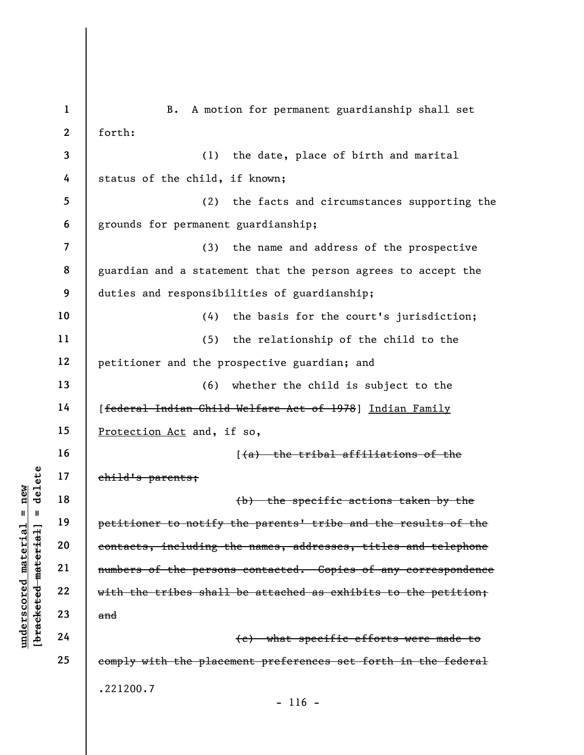understand material states.<br>
We have the material of the states of the person<br>
definition of the person<br>
with the tribes shall<br>
definition of the person<br>
with the tribes shall<br>
and<br>
24 1 2 3 4 5 6 7 8 9 10 11 12 13 14 15 16 17 18 19 20 21 22 23 24 25 B. A motion for permanent guardianship shall set forth: (1) the date, place of birth and marital status of the child, if known; (2) the facts and circumstances supporting the grounds for permanent guardianship; (3) the name and address of the prospective guardian and a statement that the person agrees to accept the duties and responsibilities of guardianship; (4) the basis for the court's jurisdiction; (5) the relationship of the child to the petitioner and the prospective guardian; and (6) whether the child is subject to the [federal Indian Child Welfare Act of 1978] Indian Family Protection Act and, if so, [(a) the tribal affiliations of the child's parents; (b) the specific actions taken by the petitioner to notify the parents' tribe and the results of the contacts, including the names, addresses, titles and telephone numbers of the persons contacted. Copies of any correspondence with the tribes shall be attached as exhibits to the petition; and (c) what specific efforts were made to comply with the placement preferences set forth in the federal .221200.7  $- 116 -$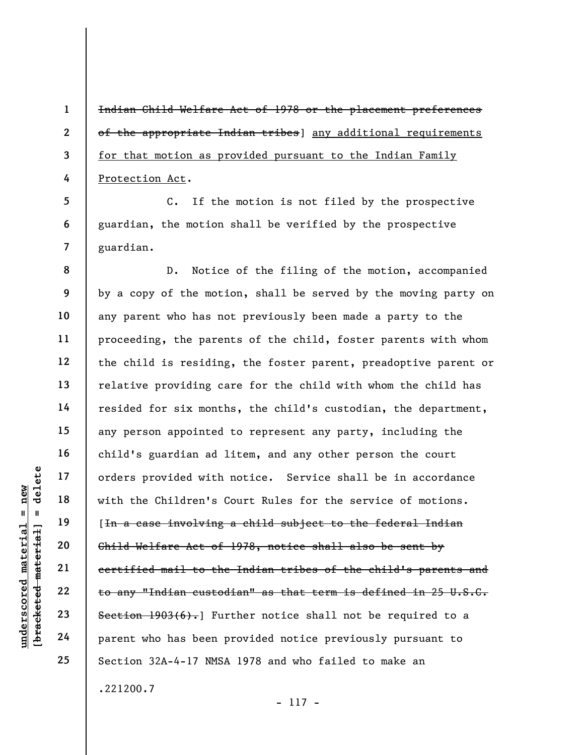Indian Child Welfare Act of 1978 or the placement preferences of the appropriate Indian tribes] any additional requirements for that motion as provided pursuant to the Indian Family Protection Act.

5 6 7 C. If the motion is not filed by the prospective guardian, the motion shall be verified by the prospective guardian.

understand with the Children's Corders provided with<br>
under 18<br>
under 19<br>
under 19<br>
20<br>
under 19<br>
22<br>
23<br>
24<br>
Parent who has been p<br>
Parent who has been p<br>
Parent who has been p<br>
Parent Who has been p<br>
Cordinal Cordinal Co 8 9 10 11 12 13 14 15 16 17 18 19 20 21 22 23 24 25 D. Notice of the filing of the motion, accompanied by a copy of the motion, shall be served by the moving party on any parent who has not previously been made a party to the proceeding, the parents of the child, foster parents with whom the child is residing, the foster parent, preadoptive parent or relative providing care for the child with whom the child has resided for six months, the child's custodian, the department, any person appointed to represent any party, including the child's guardian ad litem, and any other person the court orders provided with notice. Service shall be in accordance with the Children's Court Rules for the service of motions. [In a case involving a child subject to the federal Indian Child Welfare Act of 1978, notice shall also be sent by certified mail to the Indian tribes of the child's parents and to any "Indian custodian" as that term is defined in 25 U.S.C. Section  $1903(6)$ . Further notice shall not be required to a parent who has been provided notice previously pursuant to Section 32A-4-17 NMSA 1978 and who failed to make an .221200.7

1

2

3

4

- 117 -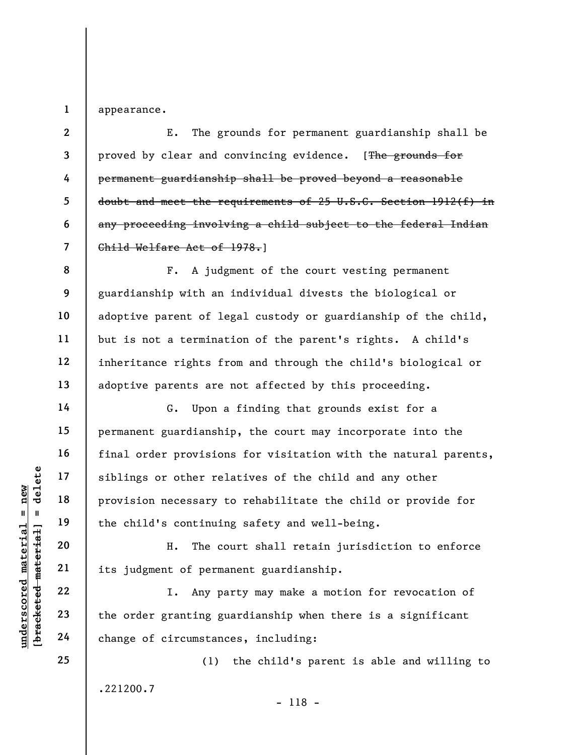1 appearance.

8

9

10

11

12

13

14

15

16

17

18

19

20

21

22

23

24

25

2 3 4 5 6 7 E. The grounds for permanent guardianship shall be proved by clear and convincing evidence. [The grounds for permanent guardianship shall be proved beyond a reasonable doubt and meet the requirements of 25 U.S.C. Section 1912(f) in any proceeding involving a child subject to the federal Indian Child Welfare Act of 1978.]

F. A judgment of the court vesting permanent guardianship with an individual divests the biological or adoptive parent of legal custody or guardianship of the child, but is not a termination of the parent's rights. A child's inheritance rights from and through the child's biological or adoptive parents are not affected by this proceeding.

UN EXERCIS OF STATE OF STATE OF STATE OF STATE OF STATE OF STATE OF STATE OF STATE OF STATE OF STATE OF STATE OF STATE OF STATE OF STATE OF STATE OF STATE OF STATE OF STATE OF STATE OF STATE OF STATE OF STATE OF STATE OF S G. Upon a finding that grounds exist for a permanent guardianship, the court may incorporate into the final order provisions for visitation with the natural parents, siblings or other relatives of the child and any other provision necessary to rehabilitate the child or provide for the child's continuing safety and well-being.

H. The court shall retain jurisdiction to enforce its judgment of permanent guardianship.

I. Any party may make a motion for revocation of the order granting guardianship when there is a significant change of circumstances, including:

(1) the child's parent is able and willing to .221200.7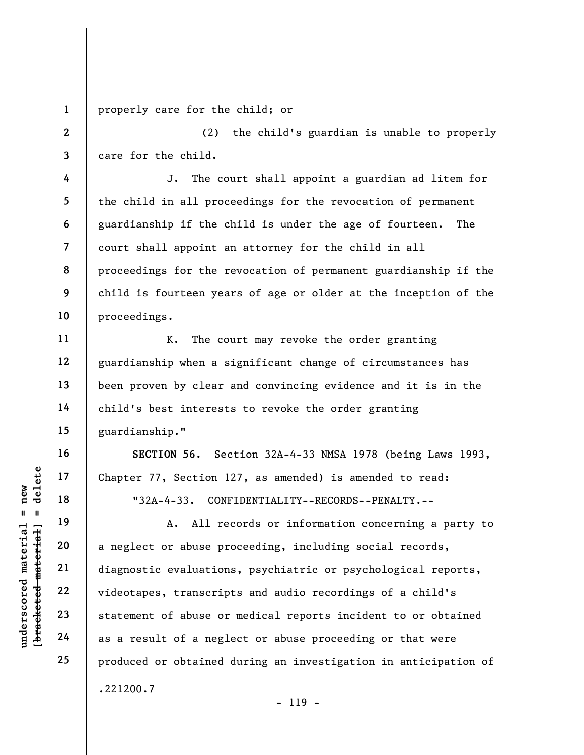1 properly care for the child; or

2 3 (2) the child's guardian is unable to properly care for the child.

J. The court shall appoint a guardian ad litem for the child in all proceedings for the revocation of permanent guardianship if the child is under the age of fourteen. The court shall appoint an attorney for the child in all proceedings for the revocation of permanent guardianship if the child is fourteen years of age or older at the inception of the proceedings.

K. The court may revoke the order granting guardianship when a significant change of circumstances has been proven by clear and convincing evidence and it is in the child's best interests to revoke the order granting guardianship."

SECTION 56. Section 32A-4-33 NMSA 1978 (being Laws 1993, Chapter 77, Section 127, as amended) is amended to read:

"32A-4-33. CONFIDENTIALITY--RECORDS--PENALTY.--

underscored material = new [bracketed material] = delete A. All records or information concerning a party to a neglect or abuse proceeding, including social records, diagnostic evaluations, psychiatric or psychological reports, videotapes, transcripts and audio recordings of a child's statement of abuse or medical reports incident to or obtained as a result of a neglect or abuse proceeding or that were produced or obtained during an investigation in anticipation of .221200.7 - 119 -

4

5

6

7

8

9

10

11

12

13

14

15

16

17

18

19

20

21

22

23

24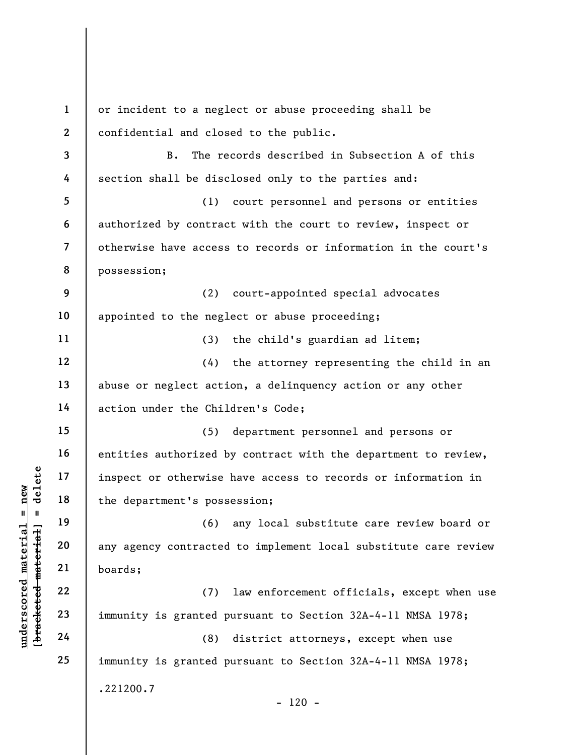underscored material material end of the department's posses<br>
any agency contracted<br>
department's posses<br>
(6)<br>
any agency contracted<br>
boards;<br>
22<br>
23<br>
immunity is granted p<br>
24<br>
(8) 1 2 3 4 5 6 7 8 9 10 11 12 13 14 15 16 17 18 19 20 21 22 23 24 25 or incident to a neglect or abuse proceeding shall be confidential and closed to the public. B. The records described in Subsection A of this section shall be disclosed only to the parties and: (1) court personnel and persons or entities authorized by contract with the court to review, inspect or otherwise have access to records or information in the court's possession; (2) court-appointed special advocates appointed to the neglect or abuse proceeding; (3) the child's guardian ad litem; (4) the attorney representing the child in an abuse or neglect action, a delinquency action or any other action under the Children's Code; (5) department personnel and persons or entities authorized by contract with the department to review, inspect or otherwise have access to records or information in the department's possession; (6) any local substitute care review board or any agency contracted to implement local substitute care review boards; (7) law enforcement officials, except when use immunity is granted pursuant to Section 32A-4-11 NMSA 1978; (8) district attorneys, except when use immunity is granted pursuant to Section 32A-4-11 NMSA 1978; .221200.7  $- 120 -$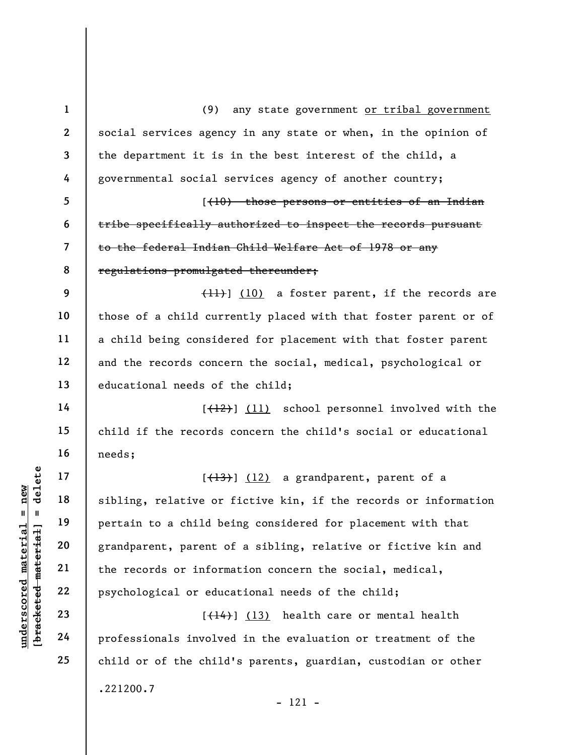underscored material = new [bracketed material] = delete 1 2 3 4 5 6 7 8 9 10 11 12 13 14 15 16 17 18 19 20 21 22 23 24 25 (9) any state government or tribal government social services agency in any state or when, in the opinion of the department it is in the best interest of the child, a governmental social services agency of another country;  $(10)$  those persons or entities of an Indian tribe specifically authorized to inspect the records pursuant to the federal Indian Child Welfare Act of 1978 or any regulations promulgated thereunder; (11)] (10) a foster parent, if the records are those of a child currently placed with that foster parent or of a child being considered for placement with that foster parent and the records concern the social, medical, psychological or educational needs of the child; [(12)] (11) school personnel involved with the child if the records concern the child's social or educational needs;  $[\frac{13}{13}]$  (12) a grandparent, parent of a sibling, relative or fictive kin, if the records or information pertain to a child being considered for placement with that grandparent, parent of a sibling, relative or fictive kin and the records or information concern the social, medical, psychological or educational needs of the child;  $[\frac{14}{14}]$  (13) health care or mental health professionals involved in the evaluation or treatment of the child or of the child's parents, guardian, custodian or other .221200.7 - 121 -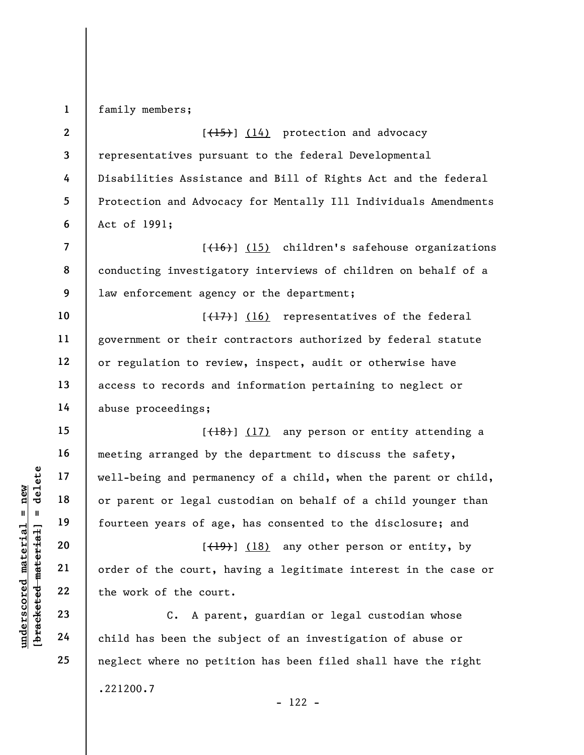family members;

1

7

8

9

10

11

12

13

14

15

16

17

18

19

20

21

22

23

24

25

2 3 4 5 6  $[$ (15)] (14) protection and advocacy representatives pursuant to the federal Developmental Disabilities Assistance and Bill of Rights Act and the federal Protection and Advocacy for Mentally Ill Individuals Amendments Act of 1991;

 $[+16]$  (15) children's safehouse organizations conducting investigatory interviews of children on behalf of a law enforcement agency or the department;

 $[\frac{17}{17}]$  (16) representatives of the federal government or their contractors authorized by federal statute or regulation to review, inspect, audit or otherwise have access to records and information pertaining to neglect or abuse proceedings;

understand material material of parent or legal currency and permannel or parent or legal currency are of age<br>deleterated material fourteen years of age<br>and the sourt, he court, he count<br>of the court, he work of the court<br> [(18)] (17) any person or entity attending a meeting arranged by the department to discuss the safety, well-being and permanency of a child, when the parent or child, or parent or legal custodian on behalf of a child younger than fourteen years of age, has consented to the disclosure; and

 $[\frac{(19)}{18}]$  (18) any other person or entity, by order of the court, having a legitimate interest in the case or the work of the court.

C. A parent, guardian or legal custodian whose child has been the subject of an investigation of abuse or neglect where no petition has been filed shall have the right .221200.7 - 122 -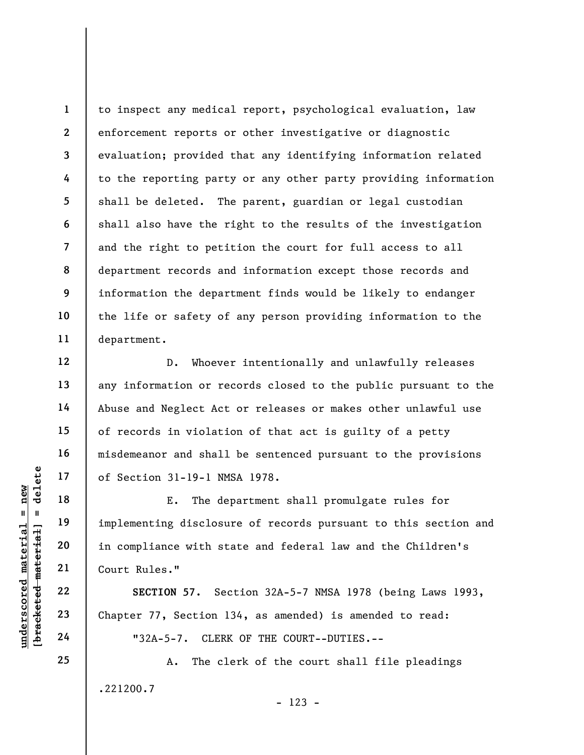1 2 3 4 5 6 7 8 9 10 11 to inspect any medical report, psychological evaluation, law enforcement reports or other investigative or diagnostic evaluation; provided that any identifying information related to the reporting party or any other party providing information shall be deleted. The parent, guardian or legal custodian shall also have the right to the results of the investigation and the right to petition the court for full access to all department records and information except those records and information the department finds would be likely to endanger the life or safety of any person providing information to the department.

D. Whoever intentionally and unlawfully releases any information or records closed to the public pursuant to the Abuse and Neglect Act or releases or makes other unlawful use of records in violation of that act is guilty of a petty misdemeanor and shall be sentenced pursuant to the provisions of Section 31-19-1 NMSA 1978.

UNE 17<br>
UNE THE 18<br>
UNE THE de<br>
IMPLE THE de<br>
implementing disclosu<br>
E. The de<br>
implementing disclosu<br>
E. The de<br>
E. The de<br>
implementing disclosu<br>
E. The de<br>
E. The de<br>
E. The de<br>
implementing disclosu<br>
in compliance with E. The department shall promulgate rules for implementing disclosure of records pursuant to this section and in compliance with state and federal law and the Children's Court Rules."

SECTION 57. Section 32A-5-7 NMSA 1978 (being Laws 1993, Chapter 77, Section 134, as amended) is amended to read: "32A-5-7. CLERK OF THE COURT--DUTIES.--

A. The clerk of the court shall file pleadings .221200.7

25

12

13

14

15

16

17

18

19

20

21

22

23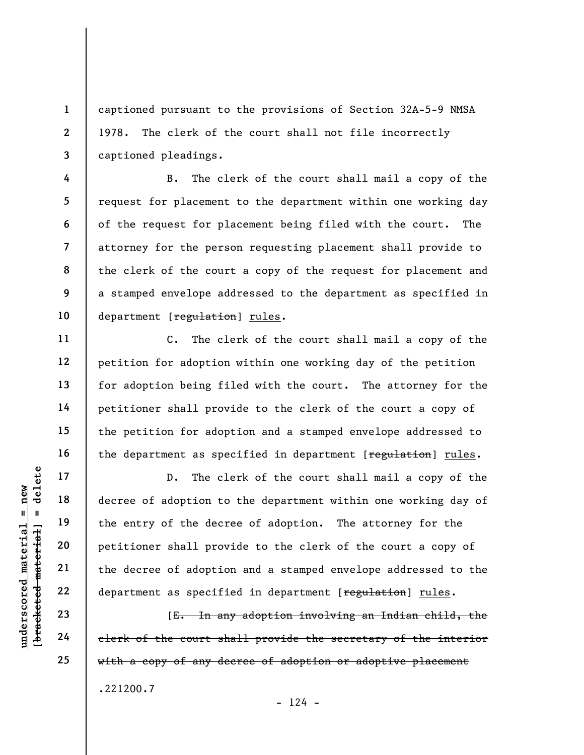captioned pursuant to the provisions of Section 32A-5-9 NMSA 1978. The clerk of the court shall not file incorrectly captioned pleadings.

B. The clerk of the court shall mail a copy of the request for placement to the department within one working day of the request for placement being filed with the court. The attorney for the person requesting placement shall provide to the clerk of the court a copy of the request for placement and a stamped envelope addressed to the department as specified in department [regulation] rules.

C. The clerk of the court shall mail a copy of the petition for adoption within one working day of the petition for adoption being filed with the court. The attorney for the petitioner shall provide to the clerk of the court a copy of the petition for adoption and a stamped envelope addressed to the department as specified in department [regulation] rules.

UN D. The cl<br>
and the decree of adoption to<br>
the entry of the decree<br>
petitioner shall prov<br>
petitioner shall prov<br>
petitioner shall prov<br>
the decree of adoptic<br>
22<br>
department as specifi<br>
23<br>
E. In an<br>
elerk of the court D. The clerk of the court shall mail a copy of the decree of adoption to the department within one working day of the entry of the decree of adoption. The attorney for the petitioner shall provide to the clerk of the court a copy of the decree of adoption and a stamped envelope addressed to the department as specified in department [regulation] rules.

[E. In any adoption involving an Indian child, the clerk of the court shall provide the secretary of the interior with a copy of any decree of adoption or adoptive placement .221200.7  $- 124 -$ 

1

2

3

4

5

6

7

8

9

10

11

12

13

14

15

16

17

18

19

20

21

22

23

24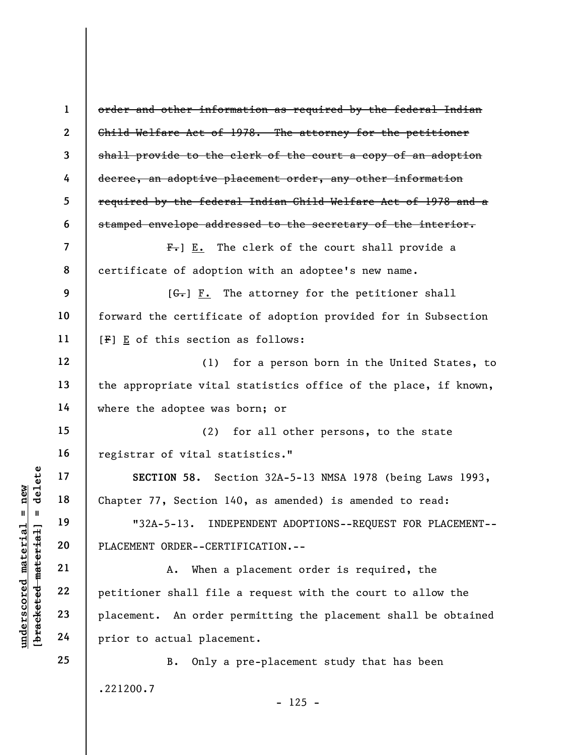UN SECTION 58. Section 1<br>
19 18 Chapter 77, Section 1<br>
19 132A-5-13. INDI<br>
19 132A-5-13. INDI<br>
19 132A-5-13. INDI<br>
19 132A-5-13. INDI<br>
19 132A-5-13. INDI<br>
21 A. When a<br>
22 petitioner shall file<br>
24 prior to actual place 1 2 3 4 5 6 7 8 9 10 11 12 13 14 15 16 17 18 19 20 21 22 23 24 25 order and other information as required by the federal Indian Child Welfare Act of 1978. The attorney for the petitioner shall provide to the clerk of the court a copy of an adoption decree, an adoptive placement order, any other information required by the federal Indian Child Welfare Act of 1978 and a stamped envelope addressed to the secretary of the interior.  $F_{\tau}$ ]  $E_{\tau}$  The clerk of the court shall provide a certificate of adoption with an adoptee's new name.  $[G<sub>1</sub>]$  F. The attorney for the petitioner shall forward the certificate of adoption provided for in Subsection [F] E of this section as follows: (1) for a person born in the United States, to the appropriate vital statistics office of the place, if known, where the adoptee was born; or (2) for all other persons, to the state registrar of vital statistics." SECTION 58. Section 32A-5-13 NMSA 1978 (being Laws 1993, Chapter 77, Section 140, as amended) is amended to read: "32A-5-13. INDEPENDENT ADOPTIONS--REQUEST FOR PLACEMENT-- PLACEMENT ORDER--CERTIFICATION.-- A. When a placement order is required, the petitioner shall file a request with the court to allow the placement. An order permitting the placement shall be obtained prior to actual placement. B. Only a pre-placement study that has been .221200.7

 $- 125 -$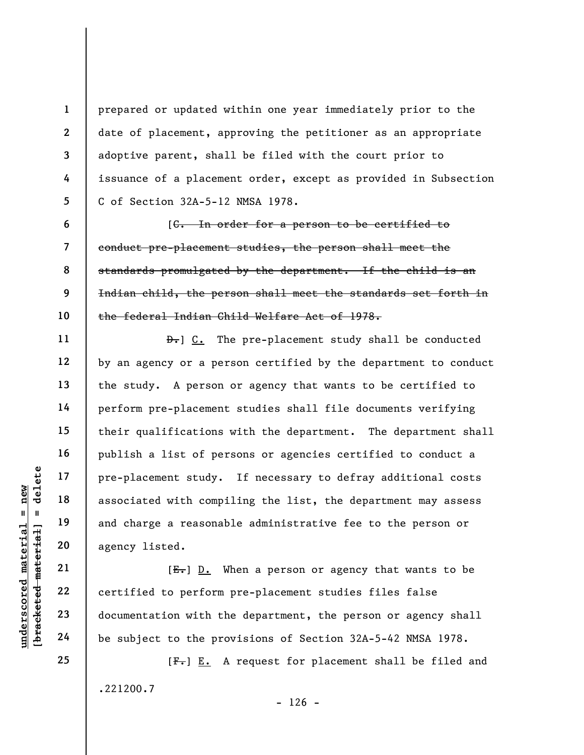prepared or updated within one year immediately prior to the date of placement, approving the petitioner as an appropriate adoptive parent, shall be filed with the court prior to issuance of a placement order, except as provided in Subsection C of Section 32A-5-12 NMSA 1978.

[C. In order for a person to be certified to conduct pre-placement studies, the person shall meet the standards promulgated by the department. If the child is an Indian child, the person shall meet the standards set forth in the federal Indian Child Welfare Act of 1978.

understand material processes in the complete material of the subject to the processes of the subject to the proof of the subject to the proof of the subject to the proof of the subject to the proof of the subject to the p  $\theta$ . The pre-placement study shall be conducted by an agency or a person certified by the department to conduct the study. A person or agency that wants to be certified to perform pre-placement studies shall file documents verifying their qualifications with the department. The department shall publish a list of persons or agencies certified to conduct a pre-placement study. If necessary to defray additional costs associated with compiling the list, the department may assess and charge a reasonable administrative fee to the person or agency listed.

 $[E-]$  D. When a person or agency that wants to be certified to perform pre-placement studies files false documentation with the department, the person or agency shall be subject to the provisions of Section 32A-5-42 NMSA 1978.

 $[F-] E.$  A request for placement shall be filed and .221200.7

1

2

3

4

5

6

7

8

9

10

11

12

13

14

15

16

17

18

19

20

21

22

23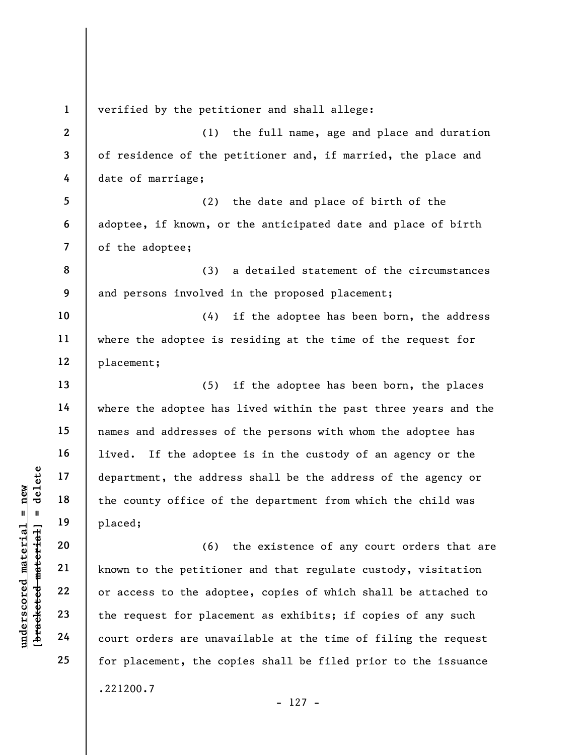underscored material = new [bracketed material] = delete 1 2 3 4 5 6 7 8 9 10 11 12 13 14 15 16 17 18 19 20 21 22 23 24 25 verified by the petitioner and shall allege: (1) the full name, age and place and duration of residence of the petitioner and, if married, the place and date of marriage; (2) the date and place of birth of the adoptee, if known, or the anticipated date and place of birth of the adoptee; (3) a detailed statement of the circumstances and persons involved in the proposed placement; (4) if the adoptee has been born, the address where the adoptee is residing at the time of the request for placement; (5) if the adoptee has been born, the places where the adoptee has lived within the past three years and the names and addresses of the persons with whom the adoptee has lived. If the adoptee is in the custody of an agency or the department, the address shall be the address of the agency or the county office of the department from which the child was placed; (6) the existence of any court orders that are known to the petitioner and that regulate custody, visitation or access to the adoptee, copies of which shall be attached to the request for placement as exhibits; if copies of any such court orders are unavailable at the time of filing the request for placement, the copies shall be filed prior to the issuance .221200.7

- 127 -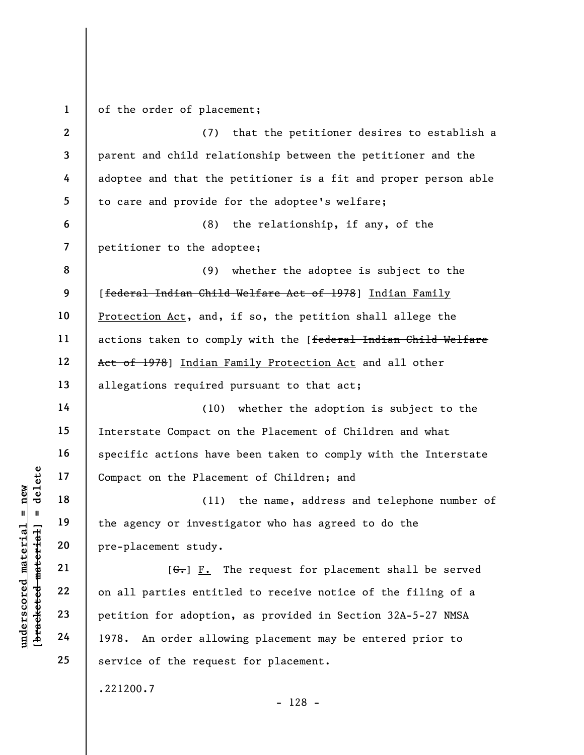1 of the order of placement;

understand material of the Placement Study.<br>
The agency or investing the agency or investing the agency or investing<br>
and the agency or investing<br>
pre-placement study.<br>
[G.] <u>F.</u> I<br>
contain the Placement study.<br>
[G.] <u>F.</u> 2 3 4 5 6 7 8 9 10 11 12 13 14 15 16 17 18 19 20 21 22 (7) that the petitioner desires to establish a parent and child relationship between the petitioner and the adoptee and that the petitioner is a fit and proper person able to care and provide for the adoptee's welfare; (8) the relationship, if any, of the petitioner to the adoptee; (9) whether the adoptee is subject to the [federal Indian Child Welfare Act of 1978] Indian Family Protection Act, and, if so, the petition shall allege the actions taken to comply with the [federal Indian Child Welfare Act of 1978] Indian Family Protection Act and all other allegations required pursuant to that act; (10) whether the adoption is subject to the Interstate Compact on the Placement of Children and what specific actions have been taken to comply with the Interstate Compact on the Placement of Children; and (11) the name, address and telephone number of the agency or investigator who has agreed to do the pre-placement study.  $[G<sub>1</sub>]$   $\underline{F.}$  The request for placement shall be served

on all parties entitled to receive notice of the filing of a petition for adoption, as provided in Section 32A-5-27 NMSA 1978. An order allowing placement may be entered prior to service of the request for placement.

.221200.7

23

24

25

- 128 -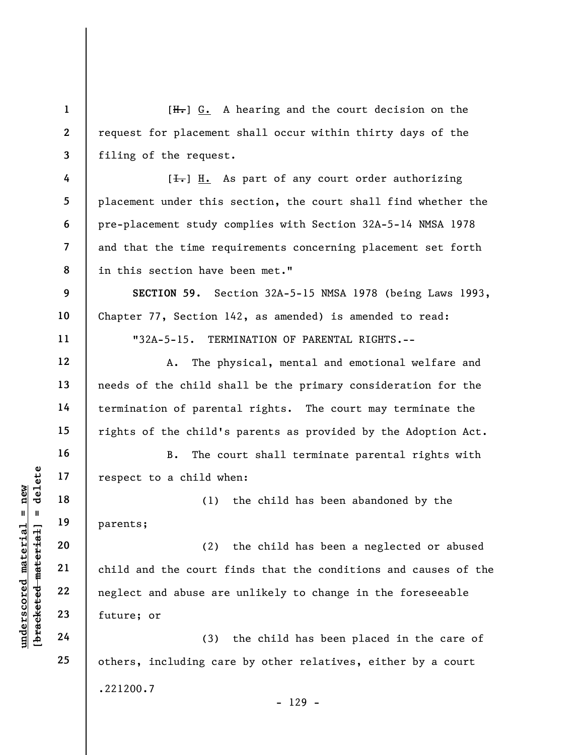underscored material material material expect to a child when<br>  $\begin{bmatrix}\n1 & 1 & 19 \\
0 & 1 & 19 \\
0 & 21 & 20 \\
0 & 21 & 22 \\
0 & 22 & 23 \\
0 & 23 & 5 \\
0 & 24 & 24\n\end{bmatrix}$  child and the court for and abuse are<br>
expected and abuse are<br>  $\begin{bmatrix}\n24 & 2$ 1 2 3 4 5 6 7 8 9 10 11 12 13 14 15 16 17 18 19 20 21 22 23 24 25 [H.] G. A hearing and the court decision on the request for placement shall occur within thirty days of the filing of the request.  $[\frac{1}{\sqrt{1}}]$  H. As part of any court order authorizing placement under this section, the court shall find whether the pre-placement study complies with Section 32A-5-14 NMSA 1978 and that the time requirements concerning placement set forth in this section have been met." SECTION 59. Section 32A-5-15 NMSA 1978 (being Laws 1993, Chapter 77, Section 142, as amended) is amended to read: "32A-5-15. TERMINATION OF PARENTAL RIGHTS.-- A. The physical, mental and emotional welfare and needs of the child shall be the primary consideration for the termination of parental rights. The court may terminate the rights of the child's parents as provided by the Adoption Act. B. The court shall terminate parental rights with respect to a child when: (1) the child has been abandoned by the parents; (2) the child has been a neglected or abused child and the court finds that the conditions and causes of the neglect and abuse are unlikely to change in the foreseeable future; or (3) the child has been placed in the care of others, including care by other relatives, either by a court .221200.7 - 129 -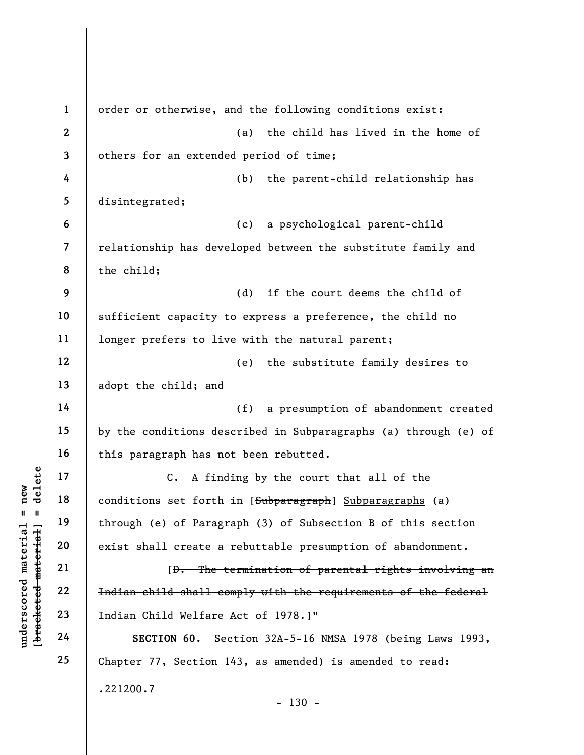Under 17<br>
under 18<br>
under 19<br>
under 19<br>
under 19<br>
exist shall create a<br>
exist shall create a<br>
exist shall create a<br>
exist shall create a<br>
(<del>b. The t</del><br>
under 18<br>
22<br>
<del>Indian child shall co</del><br>
23<br>
<del>Indian Child Welfare</del><br>
24<br> 1 2 3 4 5 6 7 8 9 10 11 12 13 14 15 16 17 18 19 20 21 22 23 24 25 order or otherwise, and the following conditions exist: (a) the child has lived in the home of others for an extended period of time; (b) the parent-child relationship has disintegrated; (c) a psychological parent-child relationship has developed between the substitute family and the child; (d) if the court deems the child of sufficient capacity to express a preference, the child no longer prefers to live with the natural parent; (e) the substitute family desires to adopt the child; and (f) a presumption of abandonment created by the conditions described in Subparagraphs (a) through (e) of this paragraph has not been rebutted. C. A finding by the court that all of the conditions set forth in [Subparagraph] Subparagraphs (a) through (e) of Paragraph (3) of Subsection B of this section exist shall create a rebuttable presumption of abandonment. [D. The termination of parental rights involving an Indian child shall comply with the requirements of the federal Indian Child Welfare Act of 1978.]" SECTION 60. Section 32A-5-16 NMSA 1978 (being Laws 1993, Chapter 77, Section 143, as amended) is amended to read: .221200.7  $- 130 -$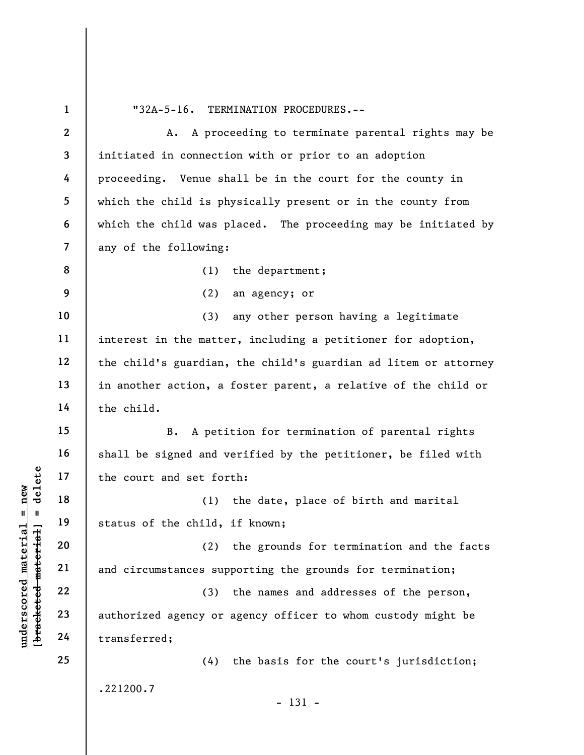underscored material material material material material material material material material material material<br>
and circumstances sup<br>
weder that and circumstances sup<br>
22<br>
23<br>
24 Transferred; 1 2 3 4 5 6 7 8 9 10 11 12 13 14 15 16 17 18 19 20 21 22 23 24 25 "32A-5-16. TERMINATION PROCEDURES.-- A. A proceeding to terminate parental rights may be initiated in connection with or prior to an adoption proceeding. Venue shall be in the court for the county in which the child is physically present or in the county from which the child was placed. The proceeding may be initiated by any of the following: (1) the department; (2) an agency; or (3) any other person having a legitimate interest in the matter, including a petitioner for adoption, the child's guardian, the child's guardian ad litem or attorney in another action, a foster parent, a relative of the child or the child. B. A petition for termination of parental rights shall be signed and verified by the petitioner, be filed with the court and set forth: (1) the date, place of birth and marital status of the child, if known; (2) the grounds for termination and the facts and circumstances supporting the grounds for termination; (3) the names and addresses of the person, authorized agency or agency officer to whom custody might be transferred; (4) the basis for the court's jurisdiction; .221200.7 - 131 -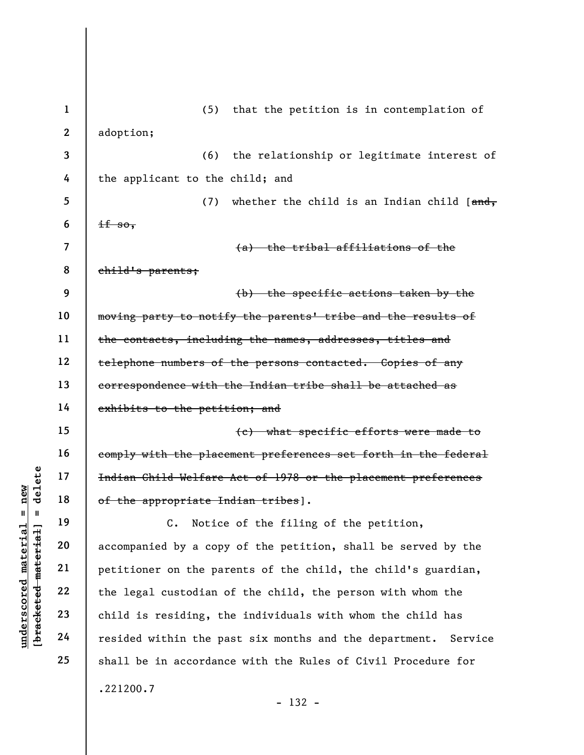underscored material material extended material extended material of the appropriate In C. Notice<br>accompanied by a copy<br>deleted material accompanied by a copy<br>petitioner on the partial companied by a copy<br>petitioner on the 1 2 3 4 5 6 7 8 9 10 11 12 13 14 15 16 17 18 19 20 21 22 23 24 25 (5) that the petition is in contemplation of adoption; (6) the relationship or legitimate interest of the applicant to the child; and (7) whether the child is an Indian child  $[ $\frac{and}{,}$ ]$  $if so,$ (a) the tribal affiliations of the child's parents; (b) the specific actions taken by the moving party to notify the parents' tribe and the results of the contacts, including the names, addresses, titles and telephone numbers of the persons contacted. Copies of any correspondence with the Indian tribe shall be attached as exhibits to the petition; and (c) what specific efforts were made to comply with the placement preferences set forth in the federal Indian Child Welfare Act of 1978 or the placement preferences of the appropriate Indian tribes]. C. Notice of the filing of the petition, accompanied by a copy of the petition, shall be served by the petitioner on the parents of the child, the child's guardian, the legal custodian of the child, the person with whom the child is residing, the individuals with whom the child has resided within the past six months and the department. Service shall be in accordance with the Rules of Civil Procedure for .221200.7 - 132 -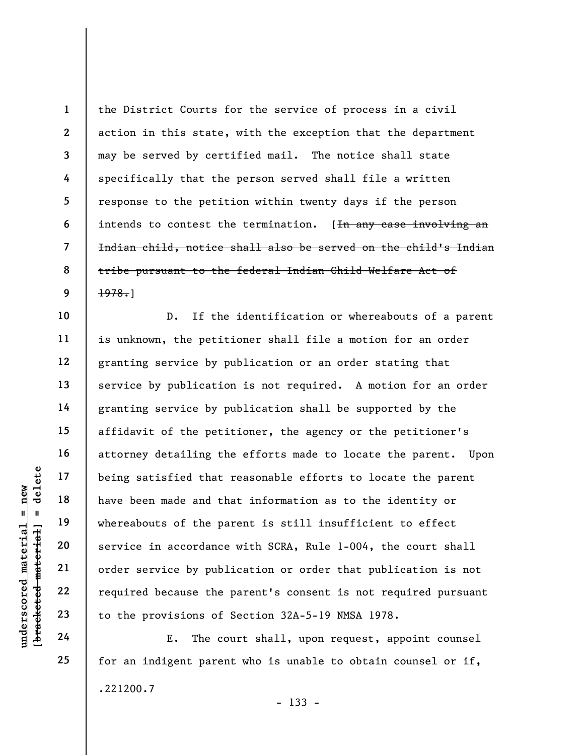1 2 3 4 5 6 7 8 9 the District Courts for the service of process in a civil action in this state, with the exception that the department may be served by certified mail. The notice shall state specifically that the person served shall file a written response to the petition within twenty days if the person intends to contest the termination. [In any case involving an Indian child, notice shall also be served on the child's Indian tribe pursuant to the federal Indian Child Welfare Act of 1978.]

under 17<br>
under 18<br>
19<br>
under 19<br>
under 19<br>
under service in accordance<br>
order service by publ<br>
required because the<br>
23<br>
to the provisions of<br>
24<br>
E. The co D. If the identification or whereabouts of a parent is unknown, the petitioner shall file a motion for an order granting service by publication or an order stating that service by publication is not required. A motion for an order granting service by publication shall be supported by the affidavit of the petitioner, the agency or the petitioner's attorney detailing the efforts made to locate the parent. Upon being satisfied that reasonable efforts to locate the parent have been made and that information as to the identity or whereabouts of the parent is still insufficient to effect service in accordance with SCRA, Rule 1-004, the court shall order service by publication or order that publication is not required because the parent's consent is not required pursuant to the provisions of Section 32A-5-19 NMSA 1978.

E. The court shall, upon request, appoint counsel for an indigent parent who is unable to obtain counsel or if, .221200.7

25

10

11

12

13

14

15

16

17

18

19

20

21

22

23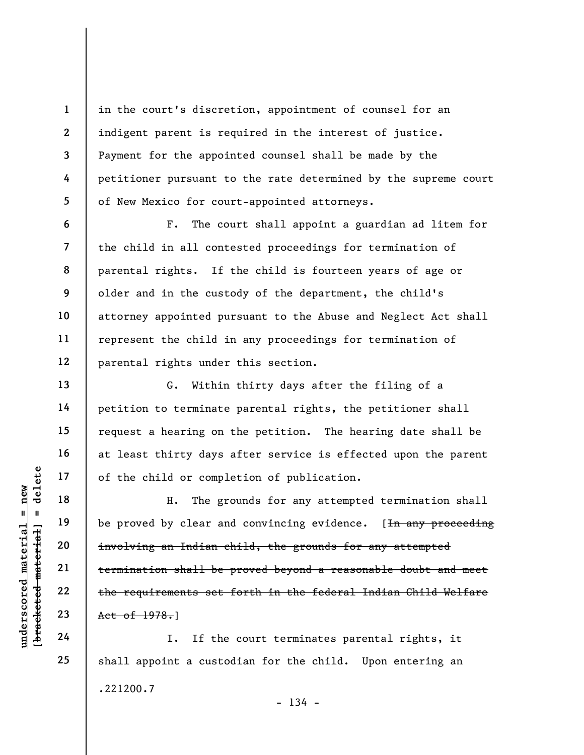in the court's discretion, appointment of counsel for an indigent parent is required in the interest of justice. Payment for the appointed counsel shall be made by the petitioner pursuant to the rate determined by the supreme court of New Mexico for court-appointed attorneys.

F. The court shall appoint a guardian ad litem for the child in all contested proceedings for termination of parental rights. If the child is fourteen years of age or older and in the custody of the department, the child's attorney appointed pursuant to the Abuse and Neglect Act shall represent the child in any proceedings for termination of parental rights under this section.

G. Within thirty days after the filing of a petition to terminate parental rights, the petitioner shall request a hearing on the petition. The hearing date shall be at least thirty days after service is effected upon the parent of the child or completion of publication.

understand material of the child or compl<br>
and the set of the child or complete<br>
material integrals of the set<br>
delete<br>
the requirements set<br>
23<br>
24<br>
24<br>
24<br>
25<br>
26<br>
26<br>
26<br>
26<br>
26<br>
26<br>
26<br>
26<br>
27<br>
27<br>
27<br>
27<br>
27<br>
27<br>
28<br> H. The grounds for any attempted termination shall be proved by clear and convincing evidence. [<del>In any proceeding</del> involving an Indian child, the grounds for any attempted termination shall be proved beyond a reasonable doubt and meet the requirements set forth in the federal Indian Child Welfare Act of 1978.]

I. If the court terminates parental rights, it shall appoint a custodian for the child. Upon entering an .221200.7  $- 134 -$ 

1

2

3

4

5

6

7

8

9

10

11

12

13

14

15

16

17

18

19

20

21

22

23

24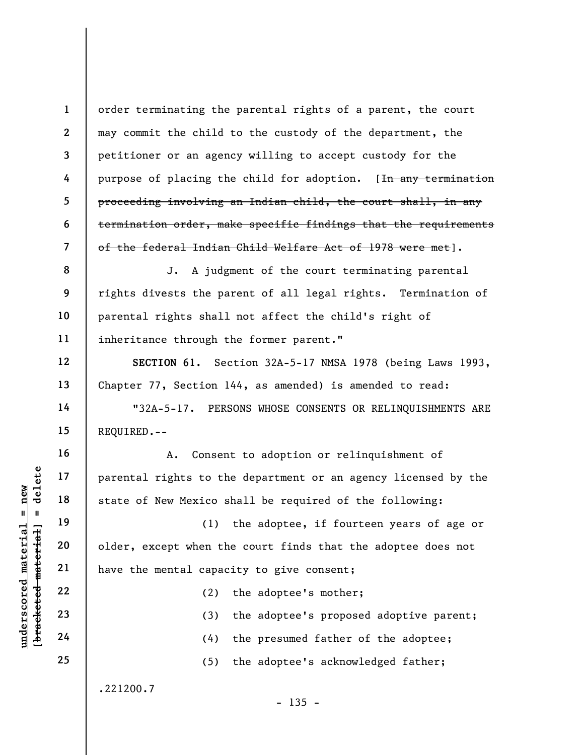1 2 3 4 5 6 7 order terminating the parental rights of a parent, the court may commit the child to the custody of the department, the petitioner or an agency willing to accept custody for the purpose of placing the child for adoption. [<del>In any termination</del> proceeding involving an Indian child, the court shall, in any termination order, make specific findings that the requirements of the federal Indian Child Welfare Act of 1978 were met].

8 9 10 11 J. A judgment of the court terminating parental rights divests the parent of all legal rights. Termination of parental rights shall not affect the child's right of inheritance through the former parent."

SECTION 61. Section 32A-5-17 NMSA 1978 (being Laws 1993, Chapter 77, Section 144, as amended) is amended to read:

"32A-5-17. PERSONS WHOSE CONSENTS OR RELINQUISHMENTS ARE REQUIRED.--

A. Consent to adoption or relinquishment of parental rights to the department or an agency licensed by the state of New Mexico shall be required of the following:

underscored material material material material material capacity of the mental capacity of the mental capacity of the mental capacity of the mental capacity of the mental capacity of the mental capacity of the mental capa (1) the adoptee, if fourteen years of age or older, except when the court finds that the adoptee does not have the mental capacity to give consent;

(2) the adoptee's mother;

(3) the adoptee's proposed adoptive parent;

(4) the presumed father of the adoptee;

(5) the adoptee's acknowledged father;

 $- 135 -$ 

.221200.7

12

13

14

15

16

17

18

19

20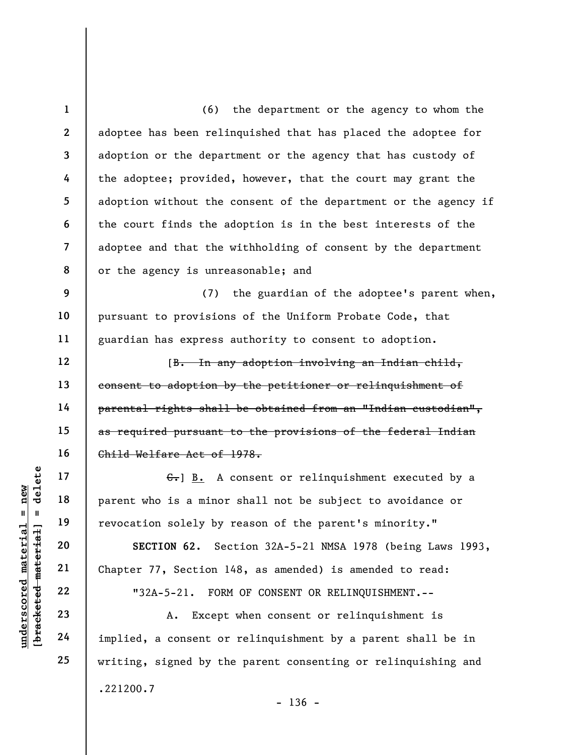underscored material = new [bracketed material] = delete 1 2 3 4 5 6 7 8 9 10 11 12 13 14 15 16 17 18 19 20 21 22 (6) the department or the agency to whom the adoptee has been relinquished that has placed the adoptee for adoption or the department or the agency that has custody of the adoptee; provided, however, that the court may grant the adoption without the consent of the department or the agency if the court finds the adoption is in the best interests of the adoptee and that the withholding of consent by the department or the agency is unreasonable; and (7) the guardian of the adoptee's parent when, pursuant to provisions of the Uniform Probate Code, that guardian has express authority to consent to adoption. [B. In any adoption involving an Indian child, consent to adoption by the petitioner or relinquishment of parental rights shall be obtained from an "Indian custodian", as required pursuant to the provisions of the federal Indian Child Welfare Act of 1978.  $\epsilon$ . B. A consent or relinquishment executed by a parent who is a minor shall not be subject to avoidance or revocation solely by reason of the parent's minority." SECTION 62. Section 32A-5-21 NMSA 1978 (being Laws 1993, Chapter 77, Section 148, as amended) is amended to read: "32A-5-21. FORM OF CONSENT OR RELINQUISHMENT.--

A. Except when consent or relinquishment is implied, a consent or relinquishment by a parent shall be in writing, signed by the parent consenting or relinquishing and .221200.7

23

24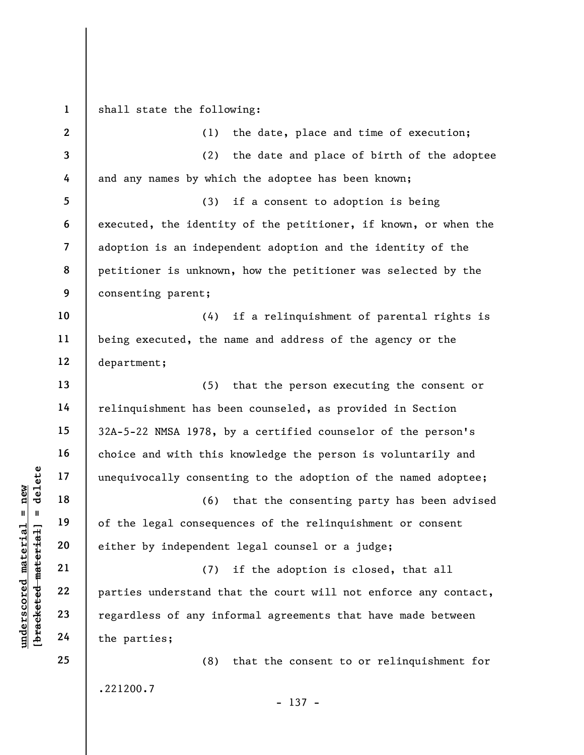underscored material = new [bracketed material] = delete 1 2 3 4 5 6 7 8 9 10 11 12 13 14 15 16 17 18 19 20 21 22 23 24 25 shall state the following: (1) the date, place and time of execution; (2) the date and place of birth of the adoptee and any names by which the adoptee has been known; (3) if a consent to adoption is being executed, the identity of the petitioner, if known, or when the adoption is an independent adoption and the identity of the petitioner is unknown, how the petitioner was selected by the consenting parent; (4) if a relinquishment of parental rights is being executed, the name and address of the agency or the department; (5) that the person executing the consent or relinquishment has been counseled, as provided in Section 32A-5-22 NMSA 1978, by a certified counselor of the person's choice and with this knowledge the person is voluntarily and unequivocally consenting to the adoption of the named adoptee; (6) that the consenting party has been advised of the legal consequences of the relinquishment or consent either by independent legal counsel or a judge; (7) if the adoption is closed, that all parties understand that the court will not enforce any contact, regardless of any informal agreements that have made between the parties; (8) that the consent to or relinquishment for .221200.7 - 137 -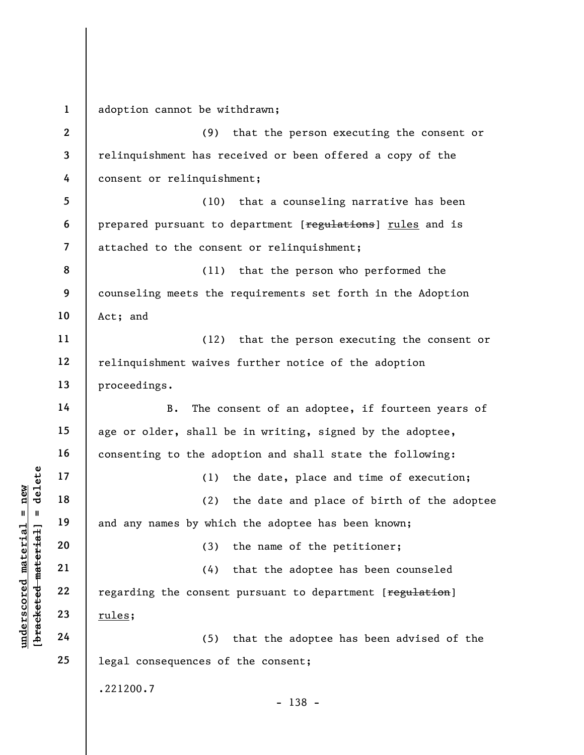underscored material material material material and any names by which<br>
and any names by which<br>
and any names by which<br>  $20$ <br>  $21$ <br>  $22$ <br>  $23$ <br>  $24$ <br>  $25$ <br>  $26$ <br>  $27$ <br>  $28$ <br>  $29$ <br>  $20$ <br>  $22$ <br>  $21$ <br>  $22$ <br>  $22$ <br>  $23$ <br>  $21$ <br> 1 2 3 4 5 6 7 8 9 10 11 12 13 14 15 16 17 18 19 20 21 22 23 24 25 adoption cannot be withdrawn; (9) that the person executing the consent or relinquishment has received or been offered a copy of the consent or relinquishment; (10) that a counseling narrative has been prepared pursuant to department [regulations] rules and is attached to the consent or relinquishment; (11) that the person who performed the counseling meets the requirements set forth in the Adoption Act; and (12) that the person executing the consent or relinquishment waives further notice of the adoption proceedings. B. The consent of an adoptee, if fourteen years of age or older, shall be in writing, signed by the adoptee, consenting to the adoption and shall state the following: (1) the date, place and time of execution; (2) the date and place of birth of the adoptee and any names by which the adoptee has been known; (3) the name of the petitioner; (4) that the adoptee has been counseled regarding the consent pursuant to department [regulation] rules; (5) that the adoptee has been advised of the legal consequences of the consent; .221200.7 - 138 -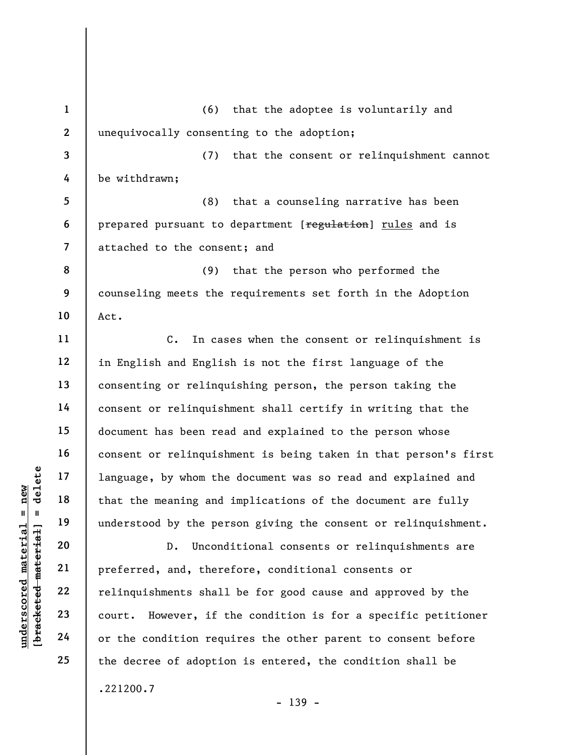understand material material end and that the meaning and that the meaning and understood by the per<br>understood by the per<br>understood by the per<br>understood by the per<br>understood by the per<br>perfected, and, there<br>exercise an 1 2 3 4 5 6 7 8 9 10 11 12 13 14 15 16 17 18 19 20 25 (6) that the adoptee is voluntarily and unequivocally consenting to the adoption; (7) that the consent or relinquishment cannot be withdrawn; (8) that a counseling narrative has been prepared pursuant to department [regulation] rules and is attached to the consent; and (9) that the person who performed the counseling meets the requirements set forth in the Adoption Act. C. In cases when the consent or relinquishment is in English and English is not the first language of the consenting or relinquishing person, the person taking the consent or relinquishment shall certify in writing that the document has been read and explained to the person whose consent or relinquishment is being taken in that person's first language, by whom the document was so read and explained and that the meaning and implications of the document are fully understood by the person giving the consent or relinquishment. D. Unconditional consents or relinquishments are preferred, and, therefore, conditional consents or relinquishments shall be for good cause and approved by the court. However, if the condition is for a specific petitioner or the condition requires the other parent to consent before the decree of adoption is entered, the condition shall be .221200.7 - 139 -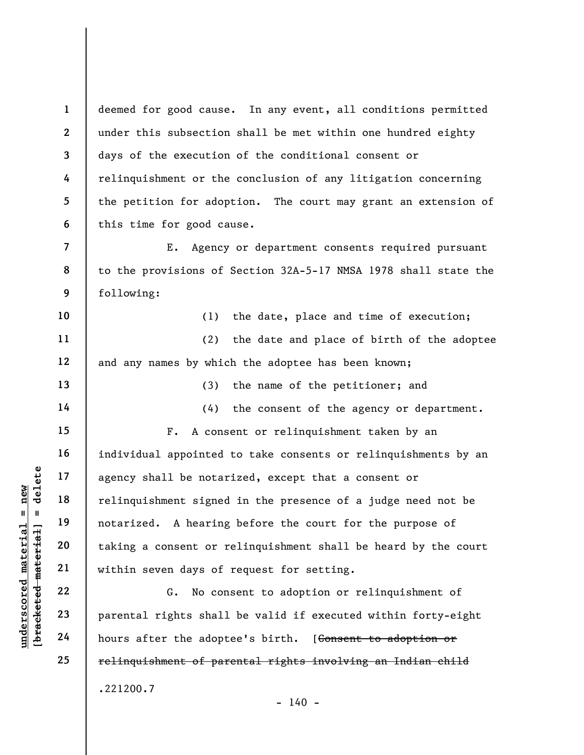1 2 3 4 5 6 deemed for good cause. In any event, all conditions permitted under this subsection shall be met within one hundred eighty days of the execution of the conditional consent or relinquishment or the conclusion of any litigation concerning the petition for adoption. The court may grant an extension of this time for good cause.

E. Agency or department consents required pursuant to the provisions of Section 32A-5-17 NMSA 1978 shall state the following:

10 11 12 (1) the date, place and time of execution; (2) the date and place of birth of the adoptee and any names by which the adoptee has been known;

(3) the name of the petitioner; and

(4) the consent of the agency or department.

underscored material = new [bracketed material] = delete F. A consent or relinquishment taken by an individual appointed to take consents or relinquishments by an agency shall be notarized, except that a consent or relinquishment signed in the presence of a judge need not be notarized. A hearing before the court for the purpose of taking a consent or relinquishment shall be heard by the court within seven days of request for setting.

G. No consent to adoption or relinquishment of parental rights shall be valid if executed within forty-eight hours after the adoptee's birth. [Consent to adoption or relinquishment of parental rights involving an Indian child .221200.7  $- 140 -$ 

7

8

9

13

14

15

16

17

18

19

20

21

22

23

24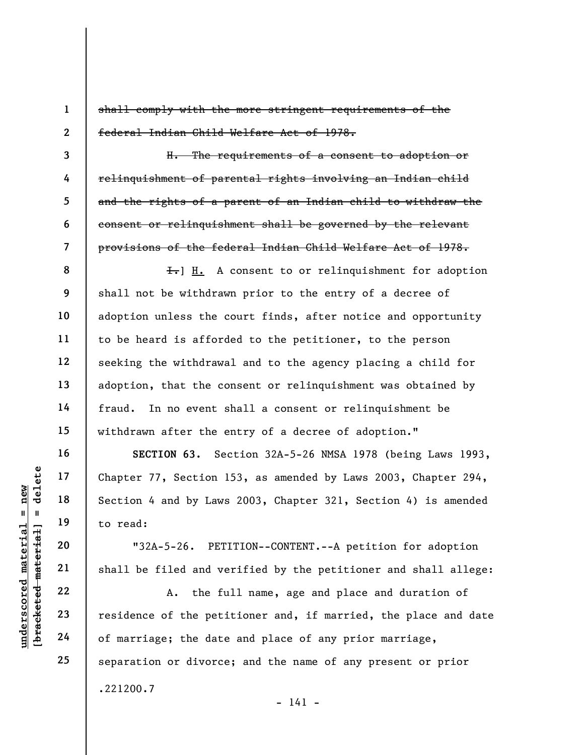shall comply with the more stringent requirements of the federal Indian Child Welfare Act of 1978.

H. The requirements of a consent to adoption or relinquishment of parental rights involving an Indian child and the rights of a parent of an Indian child to withdraw the consent or relinquishment shall be governed by the relevant provisions of the federal Indian Child Welfare Act of 1978.

8 9 10 11 12 13 14 15  $\overline{f}$ . A consent to or relinquishment for adoption shall not be withdrawn prior to the entry of a decree of adoption unless the court finds, after notice and opportunity to be heard is afforded to the petitioner, to the person seeking the withdrawal and to the agency placing a child for adoption, that the consent or relinquishment was obtained by fraud. In no event shall a consent or relinquishment be withdrawn after the entry of a decree of adoption."

under 17, Section 1<br>
and 18<br>
under 18<br>
to read:<br>
19<br>
under 19<br>
to read:<br>
20<br>
under 19<br>
21<br>
shall be filed and ve<br>
22<br>
23<br>
residence of the peti<br>
24<br>
of marriage; the date SECTION 63. Section 32A-5-26 NMSA 1978 (being Laws 1993, Chapter 77, Section 153, as amended by Laws 2003, Chapter 294, Section 4 and by Laws 2003, Chapter 321, Section 4) is amended to read:

"32A-5-26. PETITION--CONTENT.--A petition for adoption shall be filed and verified by the petitioner and shall allege:

A. the full name, age and place and duration of residence of the petitioner and, if married, the place and date of marriage; the date and place of any prior marriage, separation or divorce; and the name of any present or prior .221200.7

1

2

3

4

5

6

7

16

17

18

19

20

21

22

23

24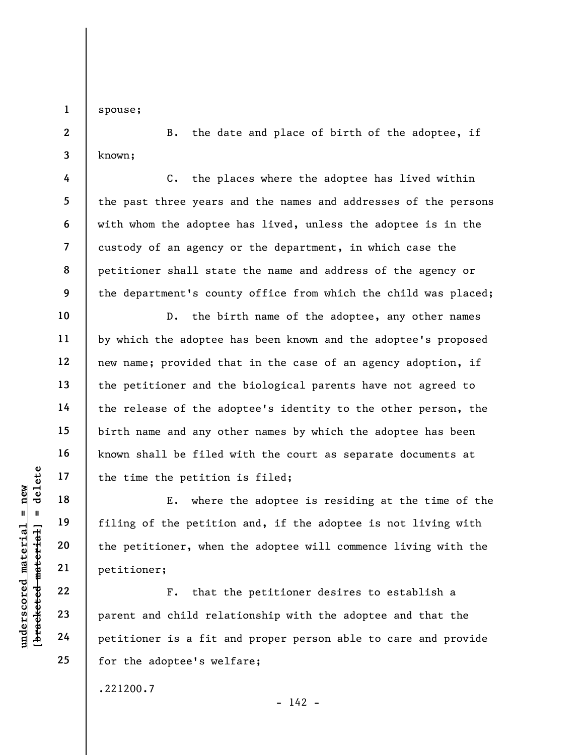spouse;

1

2

3

4

5

6

7

8

9

10

11

12

13

14

15

16

17

18

19

20

21

22

23

24

25

B. the date and place of birth of the adoptee, if known;

C. the places where the adoptee has lived within the past three years and the names and addresses of the persons with whom the adoptee has lived, unless the adoptee is in the custody of an agency or the department, in which case the petitioner shall state the name and address of the agency or the department's county office from which the child was placed;

D. the birth name of the adoptee, any other names by which the adoptee has been known and the adoptee's proposed new name; provided that in the case of an agency adoption, if the petitioner and the biological parents have not agreed to the release of the adoptee's identity to the other person, the birth name and any other names by which the adoptee has been known shall be filed with the court as separate documents at the time the petition is filed;

understand material material specific material specifies<br>
where the petitioner, when<br>
we were the petitioner, when<br>
we were the petitioner, when<br>
petitioner;<br>
22<br>
Parent and child rela<br>
Petitioner is a fit a<br>
Petitioner is E. where the adoptee is residing at the time of the filing of the petition and, if the adoptee is not living with the petitioner, when the adoptee will commence living with the petitioner;

F. that the petitioner desires to establish a parent and child relationship with the adoptee and that the petitioner is a fit and proper person able to care and provide for the adoptee's welfare;

 $- 142 -$ 

.221200.7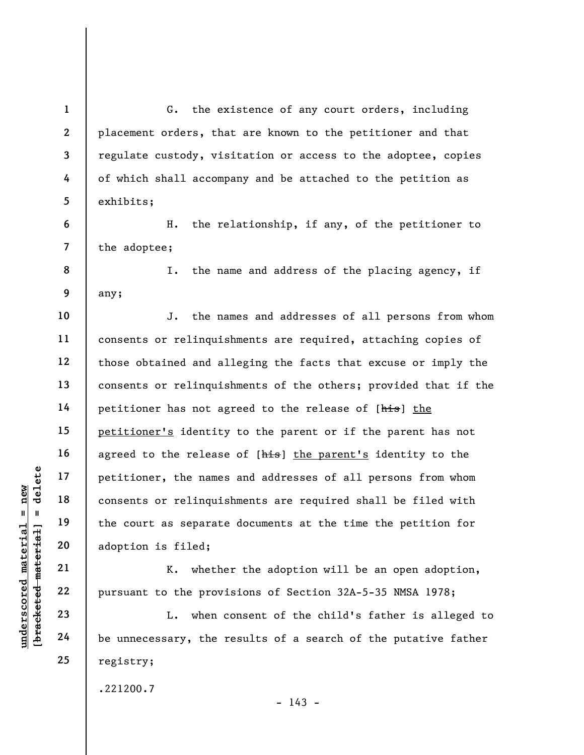understand material external paint of the context of the material extended material extended material adoption is filed;<br>
adoption is filed;<br>
21 adoption is filed;<br>
22 pursuant to the province and the province of the provi 1 2 3 4 5 6 7 8 9 10 11 12 13 14 15 16 17 18 19 20 21 22 23 24 G. the existence of any court orders, including placement orders, that are known to the petitioner and that regulate custody, visitation or access to the adoptee, copies of which shall accompany and be attached to the petition as exhibits; H. the relationship, if any, of the petitioner to the adoptee; I. the name and address of the placing agency, if any; J. the names and addresses of all persons from whom consents or relinquishments are required, attaching copies of those obtained and alleging the facts that excuse or imply the consents or relinquishments of the others; provided that if the petitioner has not agreed to the release of [his] the petitioner's identity to the parent or if the parent has not agreed to the release of [his] the parent's identity to the petitioner, the names and addresses of all persons from whom consents or relinquishments are required shall be filed with the court as separate documents at the time the petition for adoption is filed; K. whether the adoption will be an open adoption, pursuant to the provisions of Section 32A-5-35 NMSA 1978; L. when consent of the child's father is alleged to

be unnecessary, the results of a search of the putative father registry;

.221200.7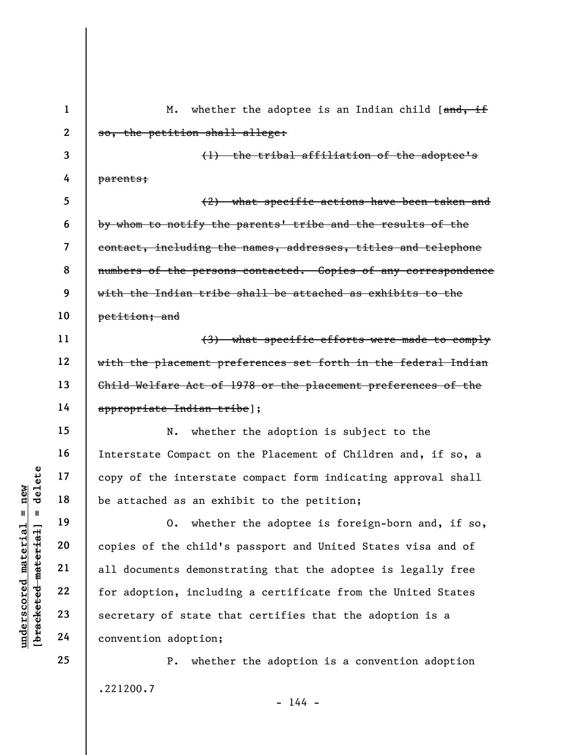understated material scheme interstated material points of the interstated as an exhibited material of the attached as an exhibited as an exhibited as an exhibited as an exhibited as an exhibited as an exhibited copies of 1 2 3 4 5 6 7 8 9 10 11 12 13 14 15 16 17 18 19 20 21 22 23 24 25 M. whether the adoptee is an Indian child [and, if so, the petition shall allege: (1) the tribal affiliation of the adoptee's parents; (2) what specific actions have been taken and by whom to notify the parents' tribe and the results of the contact, including the names, addresses, titles and telephone numbers of the persons contacted. Copies of any correspondence with the Indian tribe shall be attached as exhibits to the petition; and (3) what specific efforts were made to comply with the placement preferences set forth in the federal Indian Child Welfare Act of 1978 or the placement preferences of the appropriate Indian tribe]; N. whether the adoption is subject to the Interstate Compact on the Placement of Children and, if so, a copy of the interstate compact form indicating approval shall be attached as an exhibit to the petition; O. whether the adoptee is foreign-born and, if so, copies of the child's passport and United States visa and of all documents demonstrating that the adoptee is legally free for adoption, including a certificate from the United States secretary of state that certifies that the adoption is a convention adoption; P. whether the adoption is a convention adoption

 $- 144 -$ 

.221200.7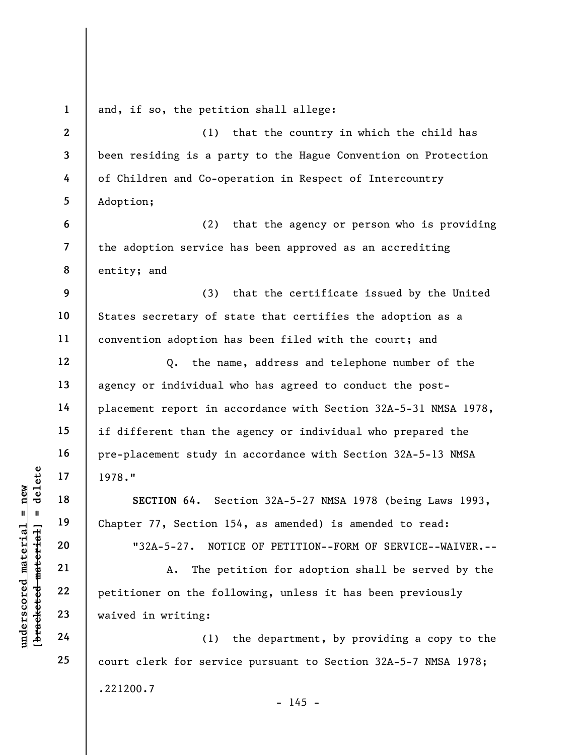| $\mathbf{1}$ | and, if so, the petition shall allege:                          |
|--------------|-----------------------------------------------------------------|
| $\mathbf{2}$ | (1)<br>that the country in which the child has                  |
| $\mathbf{3}$ | been residing is a party to the Hague Convention on Protection  |
| 4            | of Children and Co-operation in Respect of Intercountry         |
| 5            | Adoption;                                                       |
| 6            | (2)<br>that the agency or person who is providing               |
| 7            | the adoption service has been approved as an accrediting        |
| 8            | entity; and                                                     |
| 9            | (3)<br>that the certificate issued by the United                |
| 10           | States secretary of state that certifies the adoption as a      |
| 11           | convention adoption has been filed with the court; and          |
| 12           | the name, address and telephone number of the<br>$Q_{\bullet}$  |
| 13           | agency or individual who has agreed to conduct the post-        |
| 14           | placement report in accordance with Section 32A-5-31 NMSA 1978, |
| 15           | if different than the agency or individual who prepared the     |
| 16           | pre-placement study in accordance with Section 32A-5-13 NMSA    |
| 17           | 1978."                                                          |
| 18           | SECTION 64. Section 32A-5-27 NMSA 1978 (being Laws 1993,        |
| 19           | Chapter 77, Section 154, as amended) is amended to read:        |
| 20           | NOTICE OF PETITION--FORM OF SERVICE--WAIVER.--<br>$"32A-5-27.$  |
| 21           | The petition for adoption shall be served by the<br>Α.          |
| 22           | petitioner on the following, unless it has been previously      |
| 23           | waived in writing:                                              |
| 24           | the department, by providing a copy to the<br>(1)               |
| 25           | court clerk for service pursuant to Section 32A-5-7 NMSA 1978;  |
|              | .221200.7<br>$-145 -$                                           |
|              |                                                                 |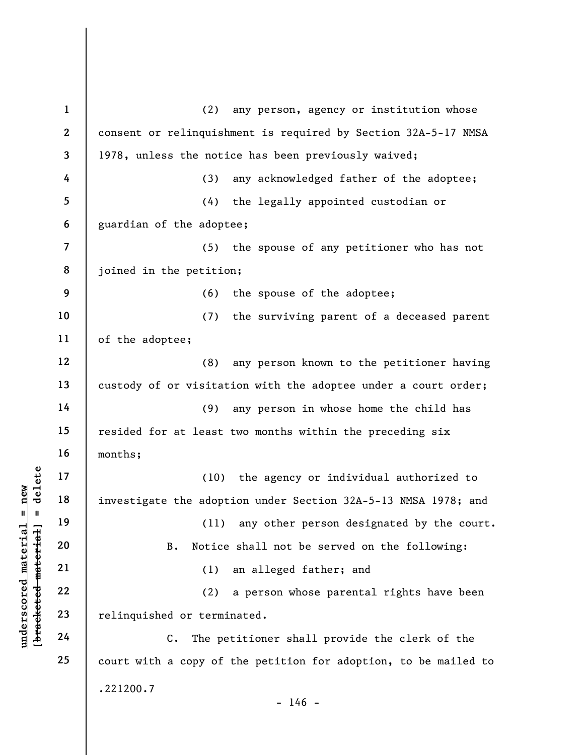underscored material = new [bracketed material] = delete 1 2 3 4 5 6 7 8 9 10 11 12 13 14 15 16 17 18 19 20 21 22 23 24 25 (2) any person, agency or institution whose consent or relinquishment is required by Section 32A-5-17 NMSA 1978, unless the notice has been previously waived; (3) any acknowledged father of the adoptee; (4) the legally appointed custodian or guardian of the adoptee; (5) the spouse of any petitioner who has not joined in the petition; (6) the spouse of the adoptee; (7) the surviving parent of a deceased parent of the adoptee; (8) any person known to the petitioner having custody of or visitation with the adoptee under a court order; (9) any person in whose home the child has resided for at least two months within the preceding six months; (10) the agency or individual authorized to investigate the adoption under Section 32A-5-13 NMSA 1978; and (11) any other person designated by the court. B. Notice shall not be served on the following: (1) an alleged father; and (2) a person whose parental rights have been relinquished or terminated. C. The petitioner shall provide the clerk of the court with a copy of the petition for adoption, to be mailed to .221200.7  $- 146 -$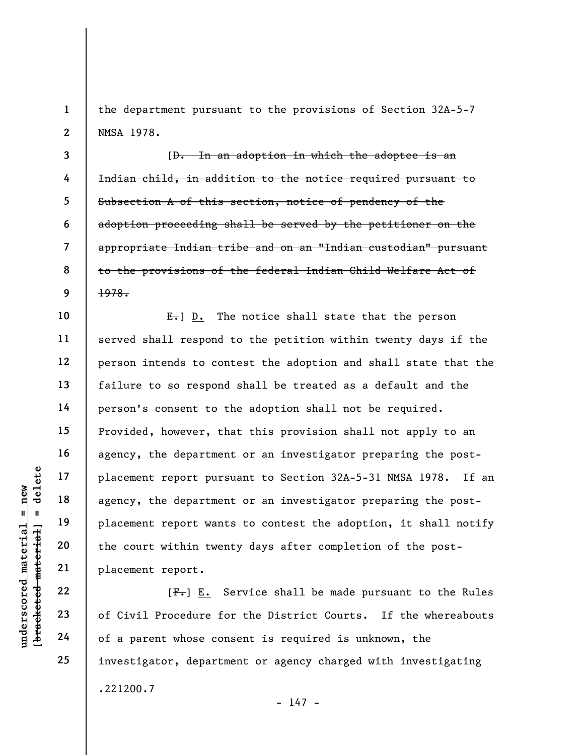the department pursuant to the provisions of Section 32A-5-7 NMSA 1978.

3 4 5 6 7 8 9 [D. In an adoption in which the adoptee is an Indian child, in addition to the notice required pursuant to Subsection A of this section, notice of pendency of the adoption proceeding shall be served by the petitioner on the appropriate Indian tribe and on an "Indian custodian" pursuant to the provisions of the federal Indian Child Welfare Act of 1978.

understand material material placement report pursed agency, the department<br>
agency, the department<br>
placement report want<br>
the court within twent<br>
placement report.<br>
22<br>
placement report.<br>
22<br>
of Civil Procedure fo<br>
24<br>
o  $E_{\tau}$ ] D. The notice shall state that the person served shall respond to the petition within twenty days if the person intends to contest the adoption and shall state that the failure to so respond shall be treated as a default and the person's consent to the adoption shall not be required. Provided, however, that this provision shall not apply to an agency, the department or an investigator preparing the postplacement report pursuant to Section 32A-5-31 NMSA 1978. If an agency, the department or an investigator preparing the postplacement report wants to contest the adoption, it shall notify the court within twenty days after completion of the postplacement report.

 $[F<sub>1</sub>]$  E. Service shall be made pursuant to the Rules of Civil Procedure for the District Courts. If the whereabouts of a parent whose consent is required is unknown, the investigator, department or agency charged with investigating .221200.7  $- 147 -$ 

1

2

10

11

12

13

14

15

16

17

18

19

20

21

22

23

24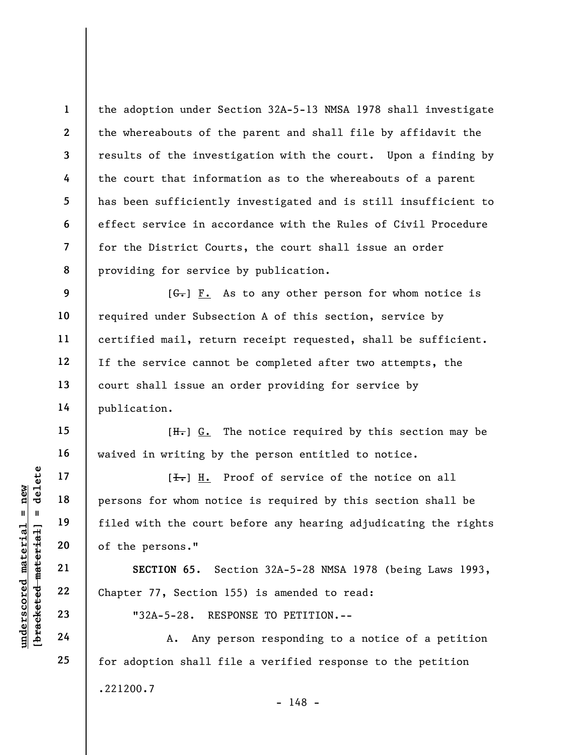the adoption under Section 32A-5-13 NMSA 1978 shall investigate the whereabouts of the parent and shall file by affidavit the results of the investigation with the court. Upon a finding by the court that information as to the whereabouts of a parent has been sufficiently investigated and is still insufficient to effect service in accordance with the Rules of Civil Procedure for the District Courts, the court shall issue an order providing for service by publication.

 $[G<sub>r</sub>]$  F. As to any other person for whom notice is required under Subsection A of this section, service by certified mail, return receipt requested, shall be sufficient. If the service cannot be completed after two attempts, the court shall issue an order providing for service by publication.

 $[H<sub>1</sub>]$  G. The notice required by this section may be waived in writing by the person entitled to notice.

Understand Material 19<br>
understand material of the persons."<br>
The second of the persons."<br>
21<br>
understand 19<br>
22<br>
Chapter 77, Section 1<br>
23<br>
24<br>
24<br>
24<br>
24<br>
24<br>
24<br>
24<br>
24<br>
29<br>
24<br>
24<br>
29<br>
24<br>
29<br>
24<br>
29<br>
29<br>
29<br>
29<br>
29<br>
2  $[\frac{1}{\sqrt{1}}]$  H. Proof of service of the notice on all persons for whom notice is required by this section shall be filed with the court before any hearing adjudicating the rights of the persons."

SECTION 65. Section 32A-5-28 NMSA 1978 (being Laws 1993, Chapter 77, Section 155) is amended to read:

"32A-5-28. RESPONSE TO PETITION.--

A. Any person responding to a notice of a petition for adoption shall file a verified response to the petition .221200.7 - 148 -

1

2

3

4

5

6

7

8

9

10

11

12

13

14

15

16

17

18

19

20

21

22

23

24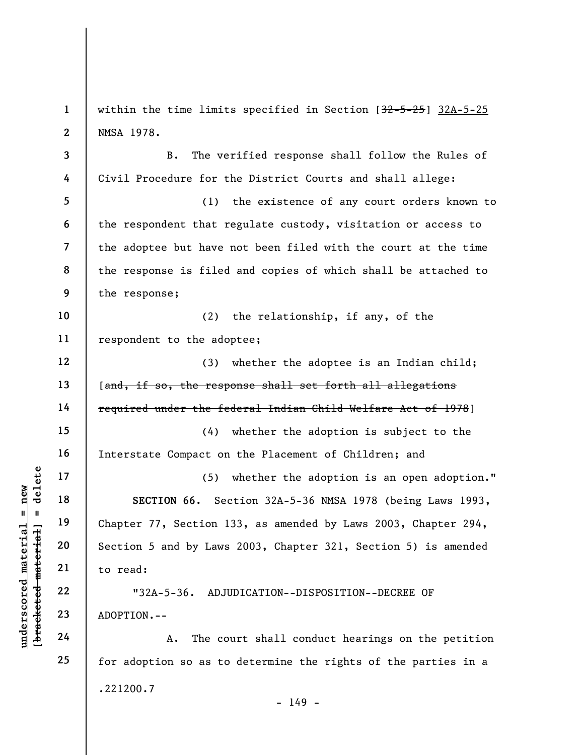underscored material = new [bracketed material] = delete 1 2 3 4 5 6 7 8 9 10 11 12 13 14 15 16 17 18 19 20 21 22 23 24 25 within the time limits specified in Section [32-5-25] 32A-5-25 NMSA 1978. B. The verified response shall follow the Rules of Civil Procedure for the District Courts and shall allege: (1) the existence of any court orders known to the respondent that regulate custody, visitation or access to the adoptee but have not been filed with the court at the time the response is filed and copies of which shall be attached to the response; (2) the relationship, if any, of the respondent to the adoptee; (3) whether the adoptee is an Indian child; [and, if so, the response shall set forth all allegations required under the federal Indian Child Welfare Act of 1978] (4) whether the adoption is subject to the Interstate Compact on the Placement of Children; and (5) whether the adoption is an open adoption." SECTION 66. Section 32A-5-36 NMSA 1978 (being Laws 1993, Chapter 77, Section 133, as amended by Laws 2003, Chapter 294, Section 5 and by Laws 2003, Chapter 321, Section 5) is amended to read: "32A-5-36. ADJUDICATION--DISPOSITION--DECREE OF ADOPTION.-- A. The court shall conduct hearings on the petition for adoption so as to determine the rights of the parties in a .221200.7

- 149 -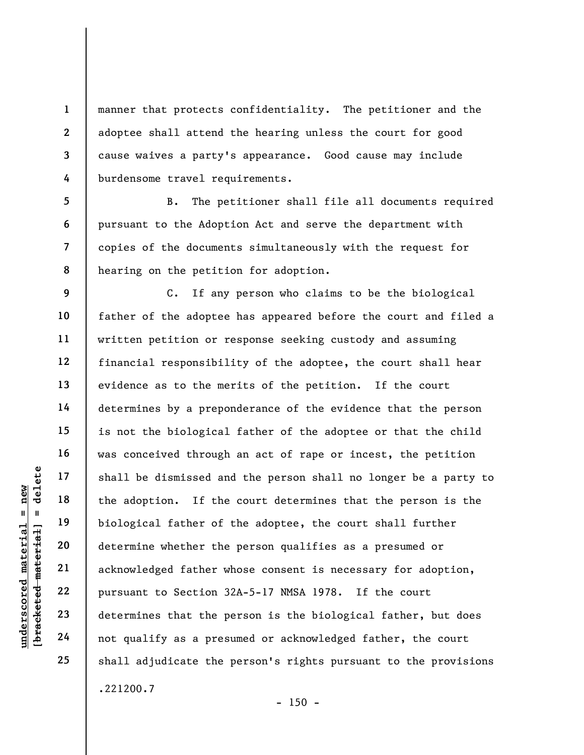manner that protects confidentiality. The petitioner and the adoptee shall attend the hearing unless the court for good cause waives a party's appearance. Good cause may include burdensome travel requirements.

5 6 7 8 B. The petitioner shall file all documents required pursuant to the Adoption Act and serve the department with copies of the documents simultaneously with the request for hearing on the petition for adoption.

underscored material = new [bracketed material] = delete 9 10 12 15 18 C. If any person who claims to be the biological father of the adoptee has appeared before the court and filed a written petition or response seeking custody and assuming financial responsibility of the adoptee, the court shall hear evidence as to the merits of the petition. If the court determines by a preponderance of the evidence that the person is not the biological father of the adoptee or that the child was conceived through an act of rape or incest, the petition shall be dismissed and the person shall no longer be a party to the adoption. If the court determines that the person is the biological father of the adoptee, the court shall further determine whether the person qualifies as a presumed or acknowledged father whose consent is necessary for adoption, pursuant to Section 32A-5-17 NMSA 1978. If the court determines that the person is the biological father, but does not qualify as a presumed or acknowledged father, the court shall adjudicate the person's rights pursuant to the provisions .221200.7

 $- 150 -$ 

1

2

3

4

11

13

14

16

17

19

20

21

22

23

24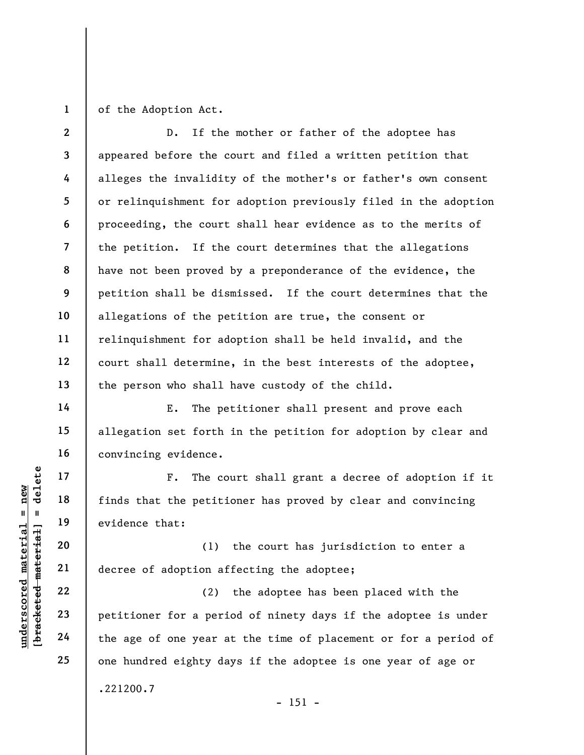1

of the Adoption Act.

2 3 4 5 6 7 8 9 10 11 12 13 D. If the mother or father of the adoptee has appeared before the court and filed a written petition that alleges the invalidity of the mother's or father's own consent or relinquishment for adoption previously filed in the adoption proceeding, the court shall hear evidence as to the merits of the petition. If the court determines that the allegations have not been proved by a preponderance of the evidence, the petition shall be dismissed. If the court determines that the allegations of the petition are true, the consent or relinquishment for adoption shall be held invalid, and the court shall determine, in the best interests of the adoptee, the person who shall have custody of the child.

E. The petitioner shall present and prove each allegation set forth in the petition for adoption by clear and convincing evidence.

F. The court shall grant a decree of adoption if it finds that the petitioner has proved by clear and convincing evidence that:

(1) the court has jurisdiction to enter a decree of adoption affecting the adoptee;

understand material material exists are corrected material exists and the petitive material exists and the petitive of adoption af a period of a period of the age of one year and the age of one year and the age of one year (2) the adoptee has been placed with the petitioner for a period of ninety days if the adoptee is under the age of one year at the time of placement or for a period of one hundred eighty days if the adoptee is one year of age or .221200.7

 $- 151 -$ 

14

15

16

17

18

19

20

21

22

23

24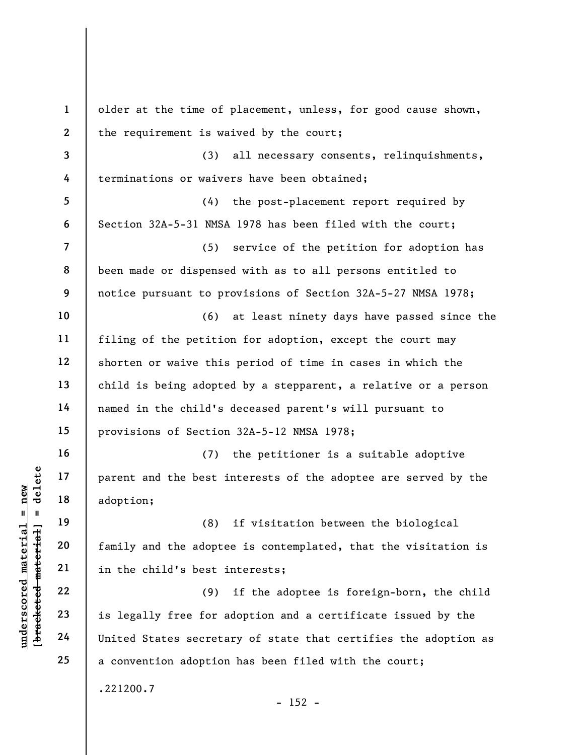|                                            | $\mathbf{1}$   | older at the time of placement, unless, for good cause shown,   |
|--------------------------------------------|----------------|-----------------------------------------------------------------|
|                                            | $\mathbf{2}$   | the requirement is waived by the court;                         |
|                                            | $\mathbf{3}$   | (3)<br>all necessary consents, relinquishments,                 |
|                                            | 4              | terminations or waivers have been obtained;                     |
|                                            | 5              | the post-placement report required by<br>(4)                    |
|                                            | 6              | Section 32A-5-31 NMSA 1978 has been filed with the court;       |
|                                            | $\overline{7}$ | (5)<br>service of the petition for adoption has                 |
|                                            | 8              | been made or dispensed with as to all persons entitled to       |
|                                            | 9              | notice pursuant to provisions of Section 32A-5-27 NMSA 1978;    |
|                                            | 10             | at least ninety days have passed since the<br>(6)               |
|                                            | 11             | filing of the petition for adoption, except the court may       |
|                                            | 12             | shorten or waive this period of time in cases in which the      |
|                                            | 13             | child is being adopted by a stepparent, a relative or a person  |
|                                            | 14             | named in the child's deceased parent's will pursuant to         |
|                                            | 15             | provisions of Section 32A-5-12 NMSA 1978;                       |
|                                            | 16             | the petitioner is a suitable adoptive<br>(7)                    |
| delete                                     | 17             | parent and the best interests of the adoptee are served by the  |
| new                                        | 18             | adoption;                                                       |
| $\sf II$<br>$\mathbf{I}$                   | 19             | if visitation between the biological<br>(8)                     |
|                                            | 20             | family and the adoptee is contemplated, that the visitation is  |
|                                            | 21             | in the child's best interests;                                  |
| underscored materia<br>[bracketed material | 22             | if the adoptee is foreign-born, the child<br>(9)                |
|                                            | 23             | is legally free for adoption and a certificate issued by the    |
|                                            | 24             | United States secretary of state that certifies the adoption as |
|                                            | 25             | a convention adoption has been filed with the court;            |
|                                            |                | .221200.7<br>$-152 -$                                           |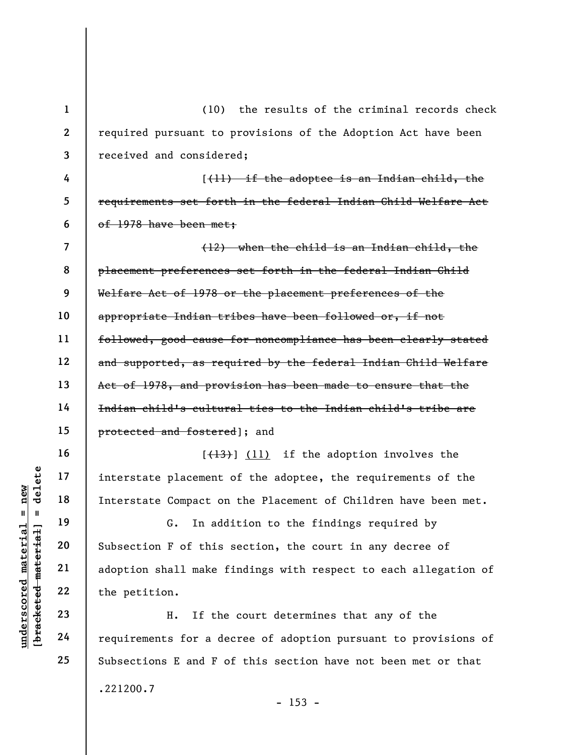underscored material = new [bracketed material] = delete 1 2 3 4 5 6 7 8 9 10 11 12 13 14 15 16 17 18 19 (10) the results of the criminal records check required pursuant to provisions of the Adoption Act have been received and considered; [(11) if the adoptee is an Indian child, the requirements set forth in the federal Indian Child Welfare Act of 1978 have been met; (12) when the child is an Indian child, the placement preferences set forth in the federal Indian Child Welfare Act of 1978 or the placement preferences of the appropriate Indian tribes have been followed or, if not followed, good cause for noncompliance has been clearly stated and supported, as required by the federal Indian Child Welfare Act of 1978, and provision has been made to ensure that the Indian child's cultural ties to the Indian child's tribe are protected and fostered]; and  $[{+13}]$  (11) if the adoption involves the interstate placement of the adoptee, the requirements of the Interstate Compact on the Placement of Children have been met. G. In addition to the findings required by

Subsection F of this section, the court in any decree of adoption shall make findings with respect to each allegation of the petition.

H. If the court determines that any of the requirements for a decree of adoption pursuant to provisions of Subsections E and F of this section have not been met or that .221200.7

20

21

22

23

24

25

 $- 153 -$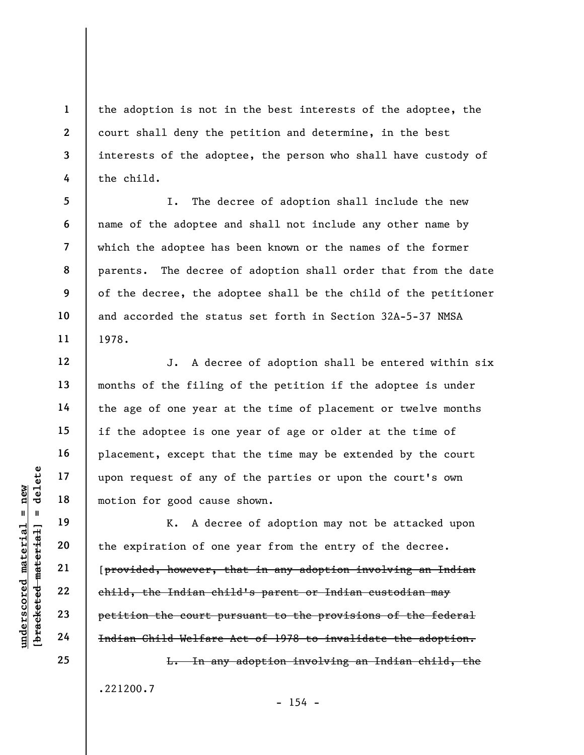the adoption is not in the best interests of the adoptee, the court shall deny the petition and determine, in the best interests of the adoptee, the person who shall have custody of the child.

I. The decree of adoption shall include the new name of the adoptee and shall not include any other name by which the adoptee has been known or the names of the former parents. The decree of adoption shall order that from the date of the decree, the adoptee shall be the child of the petitioner and accorded the status set forth in Section 32A-5-37 NMSA 1978.

J. A decree of adoption shall be entered within six months of the filing of the petition if the adoptee is under the age of one year at the time of placement or twelve months if the adoptee is one year of age or older at the time of placement, except that the time may be extended by the court upon request of any of the parties or upon the court's own motion for good cause shown.

under 17<br>
and 18<br>
with the spiration of one<br>
with 19<br>
under the expiration of one<br>
with 20<br>
under the expiration of one<br>
(provided, however, the Indian child<br>
23<br>
petition the court pu<br>
24<br>
Hadian Child Welfare K. A decree of adoption may not be attacked upon the expiration of one year from the entry of the decree. [provided, however, that in any adoption involving an Indian child, the Indian child's parent or Indian custodian may petition the court pursuant to the provisions of the federal Indian Child Welfare Act of 1978 to invalidate the adoption.

> L. In any adoption involving an Indian child, the .221200.7

> > $- 154 -$

25

1

2

3

4

5

6

7

8

9

10

11

12

13

14

15

16

17

18

19

20

21

22

23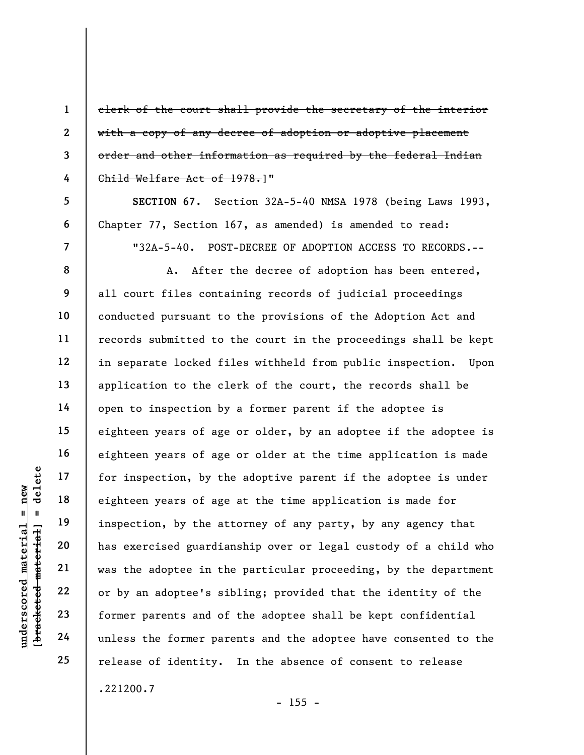clerk of the court shall provide the secretary of the interior with a copy of any decree of adoption or adoptive placement order and other information as required by the federal Indian Child Welfare Act of 1978.]"

SECTION 67. Section 32A-5-40 NMSA 1978 (being Laws 1993, Chapter 77, Section 167, as amended) is amended to read:

"32A-5-40. POST-DECREE OF ADOPTION ACCESS TO RECORDS.--

understand of the same of age<br>
understand material eighteen years of age<br>
inspection, by the at<br>
understand material material was the adoptee in the<br>
22<br>
understand of unless the former parameters<br>
24<br>
unless the former pa A. After the decree of adoption has been entered, all court files containing records of judicial proceedings conducted pursuant to the provisions of the Adoption Act and records submitted to the court in the proceedings shall be kept in separate locked files withheld from public inspection. Upon application to the clerk of the court, the records shall be open to inspection by a former parent if the adoptee is eighteen years of age or older, by an adoptee if the adoptee is eighteen years of age or older at the time application is made for inspection, by the adoptive parent if the adoptee is under eighteen years of age at the time application is made for inspection, by the attorney of any party, by any agency that has exercised guardianship over or legal custody of a child who was the adoptee in the particular proceeding, by the department or by an adoptee's sibling; provided that the identity of the former parents and of the adoptee shall be kept confidential unless the former parents and the adoptee have consented to the release of identity. In the absence of consent to release .221200.7

1

2

3

4

5

6

7

8

9

10

11

12

13

14

15

16

17

18

19

20

21

22

23

24

25

 $- 155 -$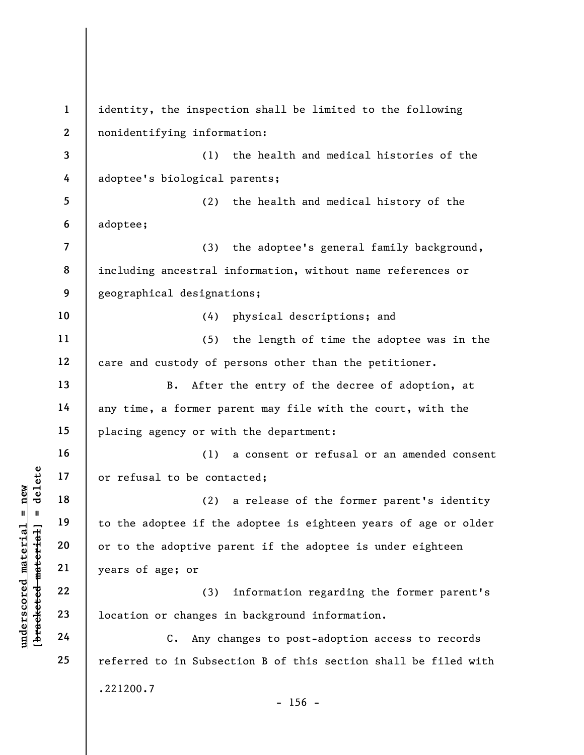understand to be cont<br>  $\begin{bmatrix}\n\frac{1}{2} & \frac{1}{2} & \frac{1}{2} \\
\frac{1}{2} & \frac{1}{2} & \frac{1}{2} \\
\frac{1}{2} & \frac{1}{2} & \frac{1}{2} \\
\frac{1}{2} & \frac{1}{2} & \frac{1}{2} \\
\frac{1}{2} & \frac{1}{2} & \frac{1}{2}\n\end{bmatrix}$  to the adoptee if the<br>
or to the adoptive pa<br>
years of age; or<br> 1 2 3 4 5 6 7 8 9 10 11 12 13 14 15 16 17 18 19 20 21 22 23 24 25 identity, the inspection shall be limited to the following nonidentifying information: (1) the health and medical histories of the adoptee's biological parents; (2) the health and medical history of the adoptee; (3) the adoptee's general family background, including ancestral information, without name references or geographical designations; (4) physical descriptions; and (5) the length of time the adoptee was in the care and custody of persons other than the petitioner. B. After the entry of the decree of adoption, at any time, a former parent may file with the court, with the placing agency or with the department: (1) a consent or refusal or an amended consent or refusal to be contacted; (2) a release of the former parent's identity to the adoptee if the adoptee is eighteen years of age or older or to the adoptive parent if the adoptee is under eighteen years of age; or (3) information regarding the former parent's location or changes in background information. C. Any changes to post-adoption access to records referred to in Subsection B of this section shall be filed with .221200.7  $- 156 -$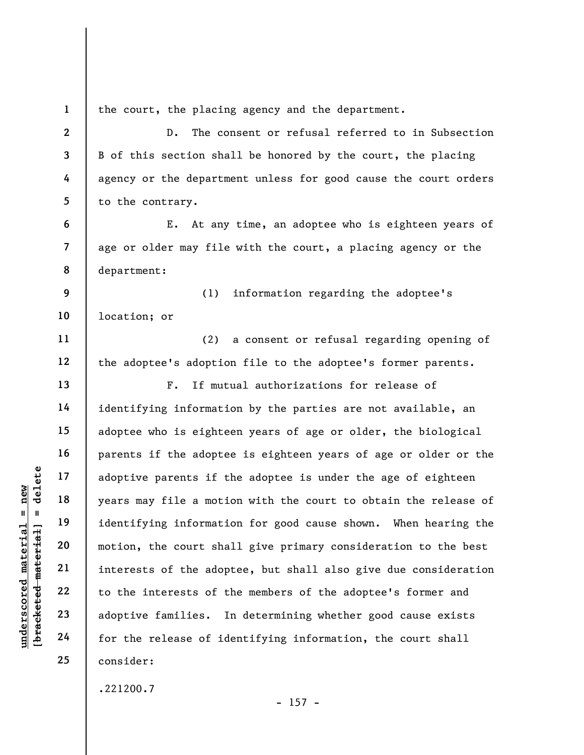underscored material and the set of the set of the set of the set of the release of identifying the set of the set of the set of the release of identifying the release of identifying the release of identifying  $\begin{array}{r} 24 \$ 1 2 3 4 5 6 7 8 9 10 11 12 13 14 15 16 17 18 19 20 21 22 23 24 25 the court, the placing agency and the department. D. The consent or refusal referred to in Subsection B of this section shall be honored by the court, the placing agency or the department unless for good cause the court orders to the contrary. E. At any time, an adoptee who is eighteen years of age or older may file with the court, a placing agency or the department: (1) information regarding the adoptee's location; or (2) a consent or refusal regarding opening of the adoptee's adoption file to the adoptee's former parents. F. If mutual authorizations for release of identifying information by the parties are not available, an adoptee who is eighteen years of age or older, the biological parents if the adoptee is eighteen years of age or older or the adoptive parents if the adoptee is under the age of eighteen years may file a motion with the court to obtain the release of identifying information for good cause shown. When hearing the motion, the court shall give primary consideration to the best interests of the adoptee, but shall also give due consideration to the interests of the members of the adoptee's former and adoptive families. In determining whether good cause exists for the release of identifying information, the court shall consider:

.221200.7

 $- 157 -$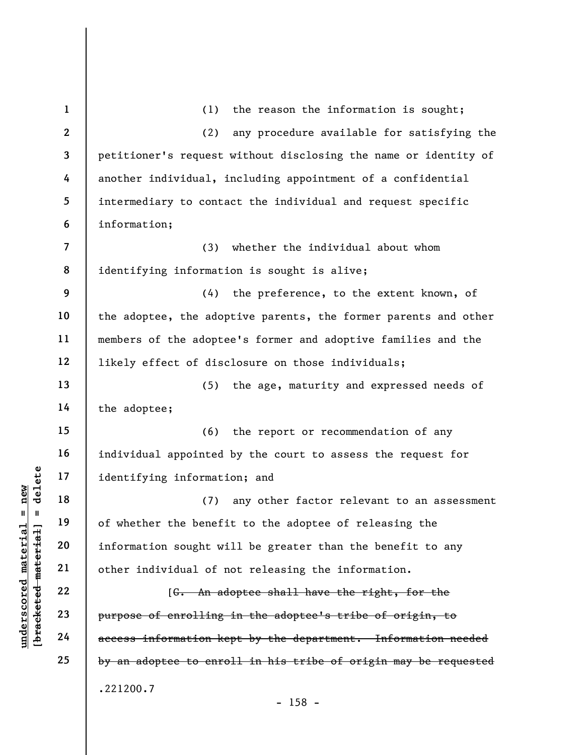underscored material = new [bracketed material] = delete 1 2 3 4 5 6 7 8 9 10 11 12 13 14 15 16 17 18 19 20 21 22 23 24 25 (1) the reason the information is sought; (2) any procedure available for satisfying the petitioner's request without disclosing the name or identity of another individual, including appointment of a confidential intermediary to contact the individual and request specific information; (3) whether the individual about whom identifying information is sought is alive; (4) the preference, to the extent known, of the adoptee, the adoptive parents, the former parents and other members of the adoptee's former and adoptive families and the likely effect of disclosure on those individuals; (5) the age, maturity and expressed needs of the adoptee; (6) the report or recommendation of any individual appointed by the court to assess the request for identifying information; and (7) any other factor relevant to an assessment of whether the benefit to the adoptee of releasing the information sought will be greater than the benefit to any other individual of not releasing the information. [G. An adoptee shall have the right, for the purpose of enrolling in the adoptee's tribe of origin, to access information kept by the department. Information needed by an adoptee to enroll in his tribe of origin may be requested .221200.7 - 158 -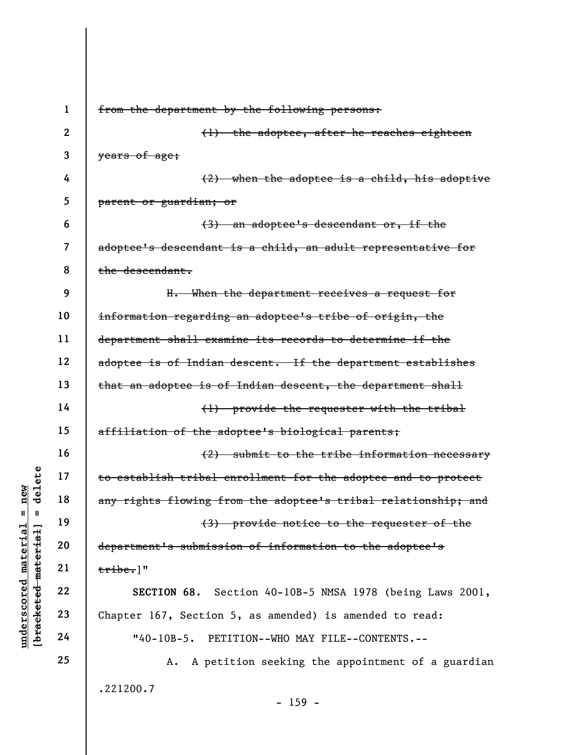underschied material engineer is submissing to establish tribal engineer is any rights flowing free any rights flowing free any rights flowing free any rights flowing free any rights flowing free any  $(3)$  department's sub 1 2 3 4 5 6 7 8 9 10 11 12 13 14 15 16 17 18 19 20 21 22 23 24 25 from the department by the following persons: (1) the adoptee, after he reaches eighteen years of age; (2) when the adoptee is a child, his adoptive parent or guardian; or (3) an adoptee's descendant or, if the adoptee's descendant is a child, an adult representative for the descendant. H. When the department receives a request for information regarding an adoptee's tribe of origin, the department shall examine its records to determine if the adoptee is of Indian descent. If the department establishes that an adoptee is of Indian descent, the department shall (1) provide the requester with the tribal affiliation of the adoptee's biological parents; (2) submit to the tribe information necessary to establish tribal enrollment for the adoptee and to protect any rights flowing from the adoptee's tribal relationship; and (3) provide notice to the requester of the department's submission of information to the adoptee's tribe.]" SECTION 68. Section 40-10B-5 NMSA 1978 (being Laws 2001, Chapter 167, Section 5, as amended) is amended to read: "40-10B-5. PETITION--WHO MAY FILE--CONTENTS.-- A. A petition seeking the appointment of a guardian .221200.7

- 159 -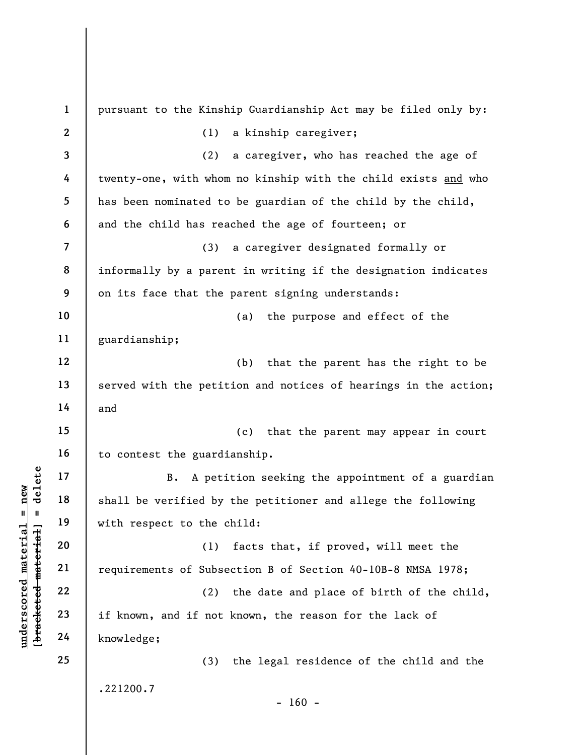|                                                           | $\mathbf{1}$     | pursuant to the Kinship Guardianship Act may be filed only by:  |
|-----------------------------------------------------------|------------------|-----------------------------------------------------------------|
|                                                           | $\boldsymbol{2}$ | (1)<br>a kinship caregiver;                                     |
|                                                           | 3                | (2)<br>a caregiver, who has reached the age of                  |
|                                                           | 4                | twenty-one, with whom no kinship with the child exists and who  |
|                                                           | 5                | has been nominated to be guardian of the child by the child,    |
|                                                           | 6                | and the child has reached the age of fourteen; or               |
|                                                           | $\overline{7}$   | (3)<br>a caregiver designated formally or                       |
|                                                           | 8                | informally by a parent in writing if the designation indicates  |
|                                                           | 9                | on its face that the parent signing understands:                |
|                                                           | 10               | the purpose and effect of the<br>(a)                            |
|                                                           | 11               | guardianship;                                                   |
|                                                           | 12               | that the parent has the right to be<br>(b)                      |
|                                                           | 13               | served with the petition and notices of hearings in the action; |
|                                                           | 14               | and                                                             |
|                                                           | 15               | (c)<br>that the parent may appear in court                      |
|                                                           | 16               | to contest the guardianship.                                    |
| delete                                                    | 17               | A petition seeking the appointment of a guardian<br>B.          |
| $n$ ew                                                    | 18               | shall be verified by the petitioner and allege the following    |
| H<br>H                                                    | 19               | with respect to the child:                                      |
|                                                           | 20               | facts that, if proved, will meet the<br>(1)                     |
|                                                           | 21               | requirements of Subsection B of Section 40-10B-8 NMSA 1978;     |
|                                                           | 22               | the date and place of birth of the child,<br>(2)                |
|                                                           | 23               | if known, and if not known, the reason for the lack of          |
| underscored material<br>[ <del>bracketed material</del> ] | 24               | knowledge;                                                      |
|                                                           | 25               | (3)<br>the legal residence of the child and the                 |
|                                                           |                  | .221200.7<br>$-160 -$                                           |
|                                                           |                  |                                                                 |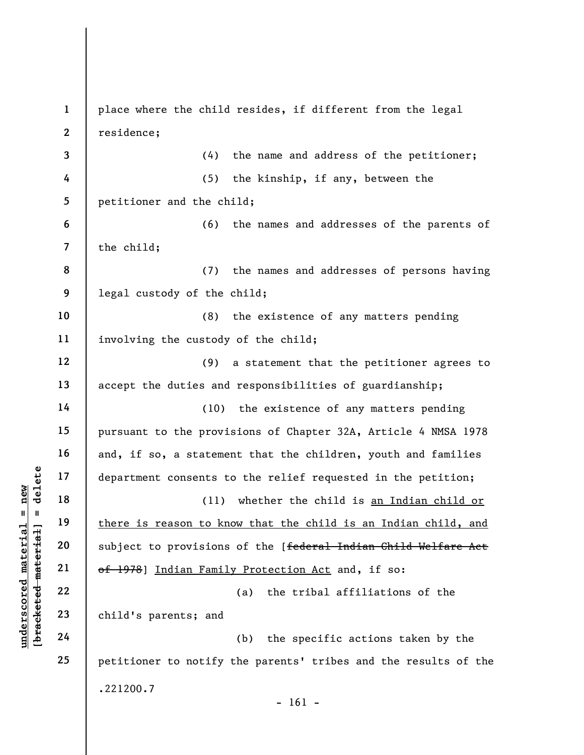understand<br>
understand material engines is to the season to know the subject to provisions<br>
where is reason to know the subject to provisions<br>
where  $\begin{array}{c|c} 21 & \text{there is reason to kn} \\ 22 & \text{subject to provisions} \\ 23 & \text{otherwise} \\ 24 & \text{child's parents; and} \end{array}$ 1 2 3 4 5 6 7 8 9 10 11 12 13 14 15 16 17 18 19 20 21 22 23 24 25 place where the child resides, if different from the legal residence; (4) the name and address of the petitioner; (5) the kinship, if any, between the petitioner and the child; (6) the names and addresses of the parents of the child; (7) the names and addresses of persons having legal custody of the child; (8) the existence of any matters pending involving the custody of the child; (9) a statement that the petitioner agrees to accept the duties and responsibilities of guardianship; (10) the existence of any matters pending pursuant to the provisions of Chapter 32A, Article 4 NMSA 1978 and, if so, a statement that the children, youth and families department consents to the relief requested in the petition; (11) whether the child is an Indian child or there is reason to know that the child is an Indian child, and subject to provisions of the [federal Indian Child Welfare Act of 1978] Indian Family Protection Act and, if so: (a) the tribal affiliations of the child's parents; and (b) the specific actions taken by the petitioner to notify the parents' tribes and the results of the .221200.7  $- 161 -$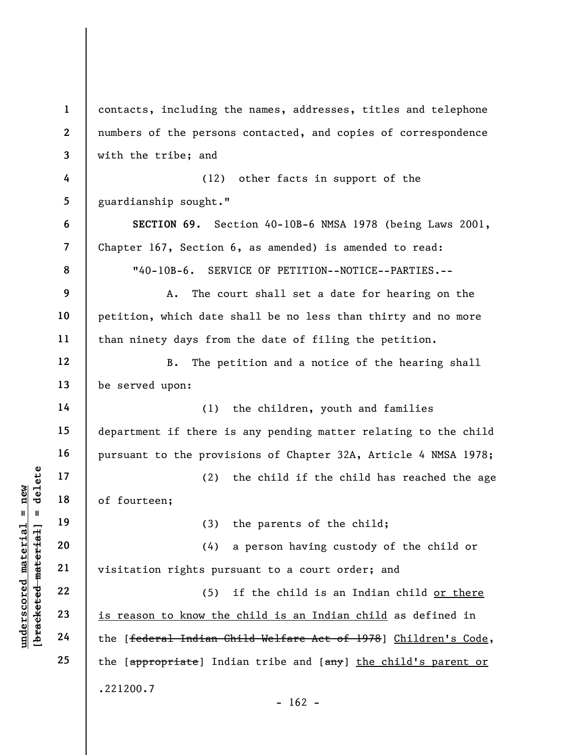underscored material material material material material material material material control (2)<br>
which are allowed material contract the set of the set of the set of the set of the set of the set of the set of the set of t 1 2 3 4 5 6 7 8 9 10 11 12 13 14 15 16 17 18 19 20 21 22 23 24 25 contacts, including the names, addresses, titles and telephone numbers of the persons contacted, and copies of correspondence with the tribe; and (12) other facts in support of the guardianship sought." SECTION 69. Section 40-10B-6 NMSA 1978 (being Laws 2001, Chapter 167, Section 6, as amended) is amended to read: "40-10B-6. SERVICE OF PETITION--NOTICE--PARTIES.-- A. The court shall set a date for hearing on the petition, which date shall be no less than thirty and no more than ninety days from the date of filing the petition. B. The petition and a notice of the hearing shall be served upon: (1) the children, youth and families department if there is any pending matter relating to the child pursuant to the provisions of Chapter 32A, Article 4 NMSA 1978; (2) the child if the child has reached the age of fourteen; (3) the parents of the child; (4) a person having custody of the child or visitation rights pursuant to a court order; and (5) if the child is an Indian child or there is reason to know the child is an Indian child as defined in the [federal Indian Child Welfare Act of 1978] Children's Code, the [appropriate] Indian tribe and [any] the child's parent or .221200.7  $- 162 -$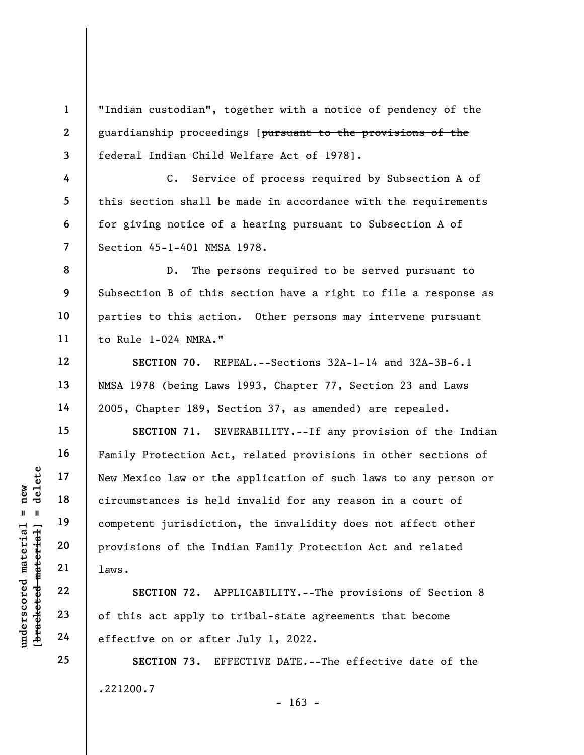2 3 "Indian custodian", together with a notice of pendency of the guardianship proceedings [pursuant to the provisions of the federal Indian Child Welfare Act of 1978].

C. Service of process required by Subsection A of this section shall be made in accordance with the requirements for giving notice of a hearing pursuant to Subsection A of Section 45-1-401 NMSA 1978.

8 9 10 11 D. The persons required to be served pursuant to Subsection B of this section have a right to file a response as parties to this action. Other persons may intervene pursuant to Rule 1-024 NMRA."

SECTION 70. REPEAL.--Sections 32A-1-14 and 32A-3B-6.1 NMSA 1978 (being Laws 1993, Chapter 77, Section 23 and Laws 2005, Chapter 189, Section 37, as amended) are repealed.

underscores is held<br>  $u_1 = 19$ <br>  $u_2 = 21$ <br>  $u_3 = 22$ <br>  $u_4 = 23$ <br>  $u_5 = 24$ <br>  $u_6 = 24$ <br>  $u_7 = 24$ <br>  $u_8 = 24$ <br>  $u_9 = 24$ <br>  $u_1 = 24$ <br>  $u_2 = 24$ <br>  $u_3 = 24$ <br>  $u_4 = 24$ <br>  $u_5 = 24$ <br>  $u_6 = 24$ <br>  $u_7 = 24$ <br>  $u_8 = 24$ <br>  $u_9 = 24$ <br>  $u_$ SECTION 71. SEVERABILITY.--If any provision of the Indian Family Protection Act, related provisions in other sections of New Mexico law or the application of such laws to any person or circumstances is held invalid for any reason in a court of competent jurisdiction, the invalidity does not affect other provisions of the Indian Family Protection Act and related laws.

SECTION 72. APPLICABILITY.--The provisions of Section 8 of this act apply to tribal-state agreements that become effective on or after July 1, 2022.

SECTION 73. EFFECTIVE DATE.--The effective date of the .221200.7

1

4

5

6

7

12

13

14

15

16

17

18

19

20

21

22

23

24